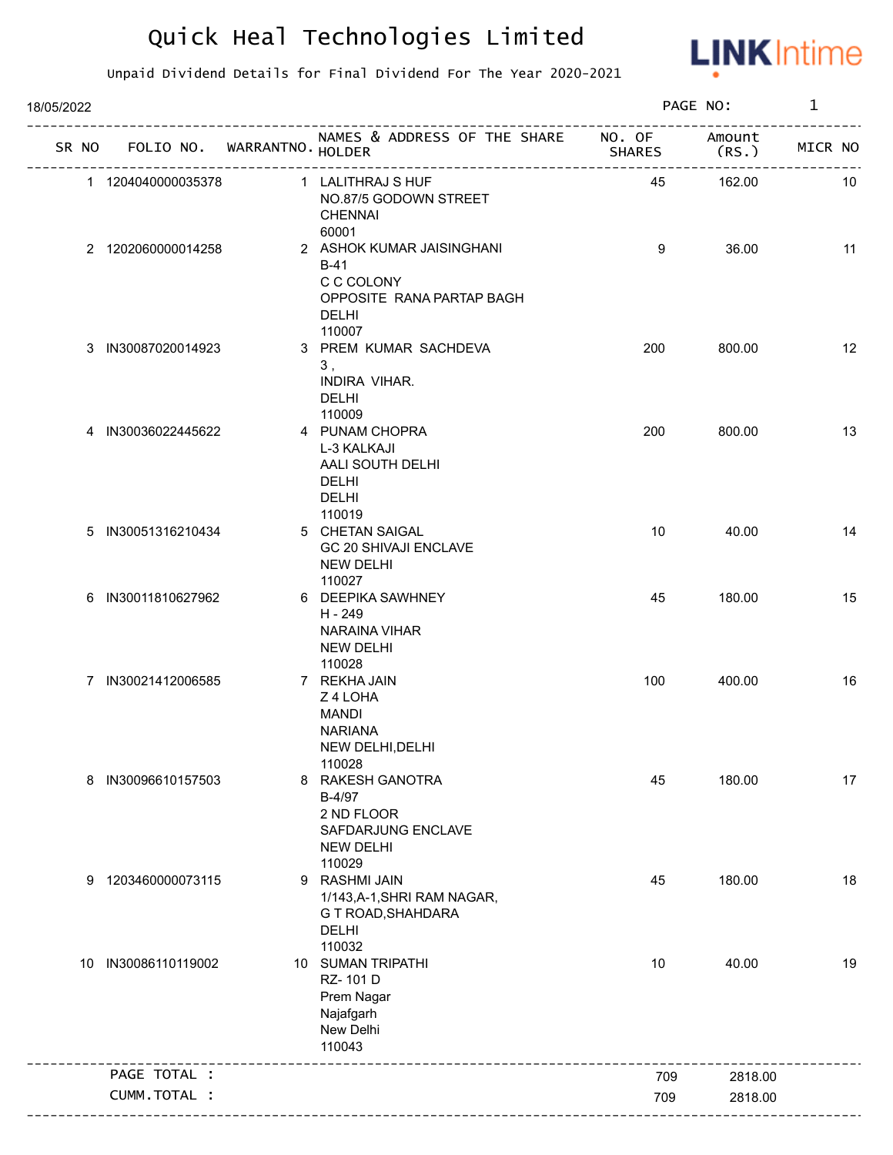

| 18/05/2022 |                     |                             |                                                                                                          |               | PAGE NO:        | $\mathbf{1}$ |    |
|------------|---------------------|-----------------------------|----------------------------------------------------------------------------------------------------------|---------------|-----------------|--------------|----|
| SR NO      |                     | FOLIO NO. WARRANTNO. HOLDER | NAMES & ADDRESS OF THE SHARE NO. OF                                                                      | <b>SHARES</b> | Amount<br>(RS.) | MICR NO      |    |
|            | 1 1204040000035378  |                             | 1 LALITHRAJ S HUF<br>NO.87/5 GODOWN STREET<br><b>CHENNAI</b><br>60001                                    | 45            | 162.00          |              | 10 |
|            | 2 1202060000014258  |                             | 2 ASHOK KUMAR JAISINGHANI<br>$B-41$<br>C C COLONY<br>OPPOSITE RANA PARTAP BAGH<br><b>DELHI</b><br>110007 | 9             | 36.00           |              | 11 |
|            | 3 IN30087020014923  |                             | 3 PREM KUMAR SACHDEVA<br>3,<br>INDIRA VIHAR.<br>DELHI<br>110009                                          | 200           | 800.00          |              | 12 |
|            | 4 IN30036022445622  |                             | 4 PUNAM CHOPRA<br>L-3 KALKAJI<br>AALI SOUTH DELHI<br><b>DELHI</b><br>DELHI                               | 200           | 800.00          |              | 13 |
|            | 5 IN30051316210434  |                             | 110019<br>5 CHETAN SAIGAL<br>GC 20 SHIVAJI ENCLAVE<br><b>NEW DELHI</b><br>110027                         | 10            | 40.00           |              | 14 |
|            | 6 IN30011810627962  |                             | 6 DEEPIKA SAWHNEY<br>H - 249<br><b>NARAINA VIHAR</b><br><b>NEW DELHI</b><br>110028                       | 45            | 180.00          |              | 15 |
|            | 7 IN30021412006585  |                             | 7 REKHA JAIN<br>Z 4 LOHA<br>MANDI<br><b>NARIANA</b><br>NEW DELHI, DELHI<br>110028                        | 100           | 400.00          |              | 16 |
|            | 8 IN30096610157503  |                             | 8 RAKESH GANOTRA<br>B-4/97<br>2 ND FLOOR<br>SAFDARJUNG ENCLAVE<br><b>NEW DELHI</b><br>110029             | 45            | 180.00          |              | 17 |
|            | 9 1203460000073115  |                             | 9 RASHMI JAIN<br>1/143, A-1, SHRI RAM NAGAR,<br>G T ROAD, SHAHDARA<br><b>DELHI</b><br>110032             | 45            | 180.00          |              | 18 |
|            | 10 IN30086110119002 |                             | 10 SUMAN TRIPATHI<br>RZ-101D<br>Prem Nagar<br>Najafgarh<br>New Delhi<br>110043                           | 10            | 40.00           |              | 19 |
|            | PAGE TOTAL :        |                             |                                                                                                          | 709           | 2818.00         |              |    |
|            | CUMM.TOTAL :        |                             |                                                                                                          | 709           | 2818.00         |              |    |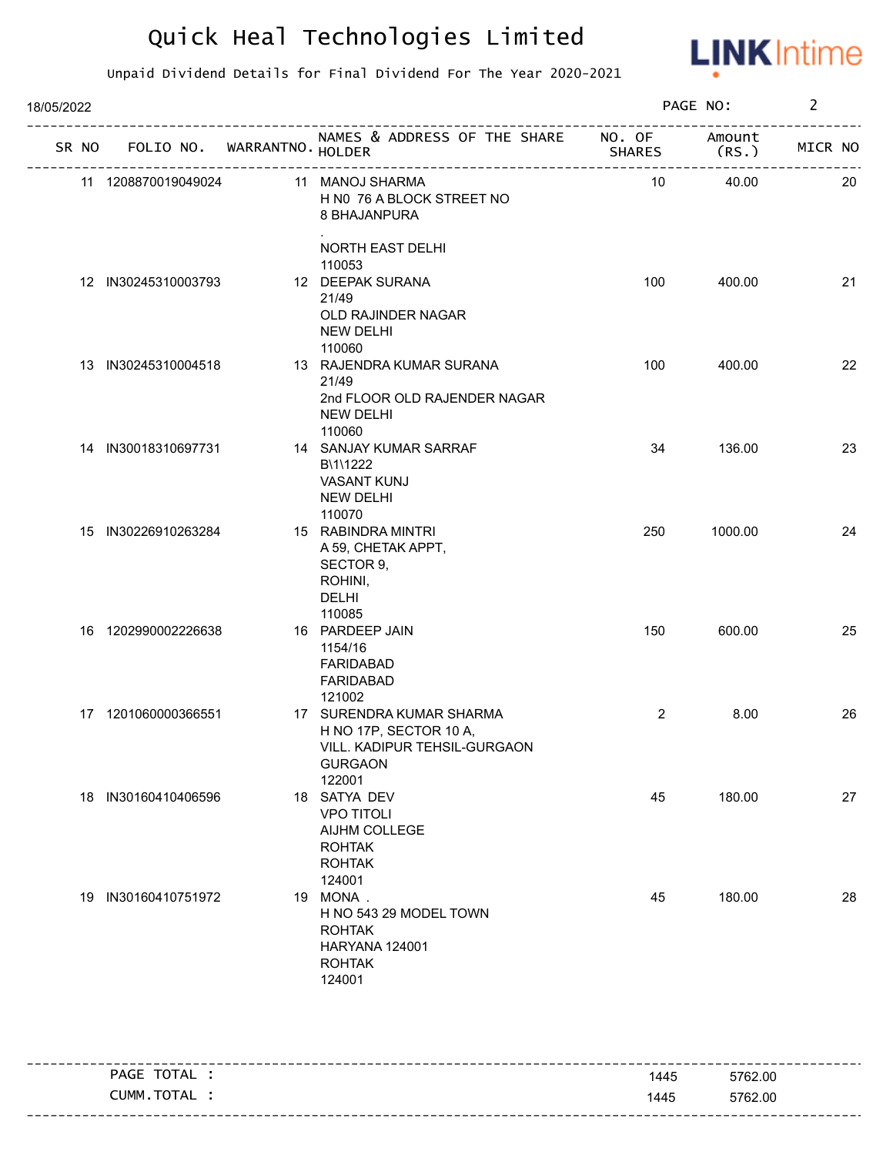

| 18/05/2022 |                     |                                   |                                                                                                                |                | PAGE NO:        | $\overline{2}$ |
|------------|---------------------|-----------------------------------|----------------------------------------------------------------------------------------------------------------|----------------|-----------------|----------------|
|            |                     | SR NO FOLIO NO. WARRANTNO. HOLDER | NAMES & ADDRESS OF THE SHARE NO. OF                                                                            | <b>SHARES</b>  | Amount<br>(RS.) | MICR NO        |
|            | 11 1208870019049024 |                                   | 11 MANOJ SHARMA<br>H N0 76 A BLOCK STREET NO<br>8 BHAJANPURA                                                   | 10             | 40.00           | 20             |
|            |                     |                                   | NORTH EAST DELHI<br>110053                                                                                     |                |                 |                |
|            | 12 IN30245310003793 |                                   | 12 DEEPAK SURANA<br>21/49<br>OLD RAJINDER NAGAR<br><b>NEW DELHI</b><br>110060                                  | 100            | 400.00          | 21             |
|            | 13 IN30245310004518 |                                   | 13 RAJENDRA KUMAR SURANA<br>21/49<br>2nd FLOOR OLD RAJENDER NAGAR<br><b>NEW DELHI</b><br>110060                | 100            | 400.00          | 22             |
|            | 14 IN30018310697731 |                                   | 14 SANJAY KUMAR SARRAF<br>B\1\1222<br><b>VASANT KUNJ</b><br><b>NEW DELHI</b><br>110070                         | 34             | 136.00          | 23             |
|            | 15 IN30226910263284 |                                   | 15 RABINDRA MINTRI<br>A 59, CHETAK APPT,<br>SECTOR 9,<br>ROHINI,<br>DELHI<br>110085                            | 250            | 1000.00         | 24             |
|            | 16 1202990002226638 |                                   | 16 PARDEEP JAIN<br>1154/16<br><b>FARIDABAD</b><br><b>FARIDABAD</b><br>121002                                   | 150            | 600.00          | 25             |
|            | 17 1201060000366551 |                                   | 17 SURENDRA KUMAR SHARMA<br>H NO 17P, SECTOR 10 A,<br>VILL. KADIPUR TEHSIL-GURGAON<br><b>GURGAON</b><br>122001 | $\overline{2}$ | 8.00            | 26             |
|            | 18 IN30160410406596 |                                   | 18 SATYA DEV<br><b>VPO TITOLI</b><br>AIJHM COLLEGE<br><b>ROHTAK</b><br><b>ROHTAK</b><br>124001                 | 45             | 180.00          | 27             |
|            | 19 IN30160410751972 |                                   | 19 MONA.<br>H NO 543 29 MODEL TOWN<br><b>ROHTAK</b><br>HARYANA 124001<br><b>ROHTAK</b><br>124001               | 45             | 180.00          | 28             |

|          | PAGE TOTAL | 1445 | 5762.00 |
|----------|------------|------|---------|
|          | CUMM.TOTAL | 1445 | 5762.00 |
| -------- |            |      |         |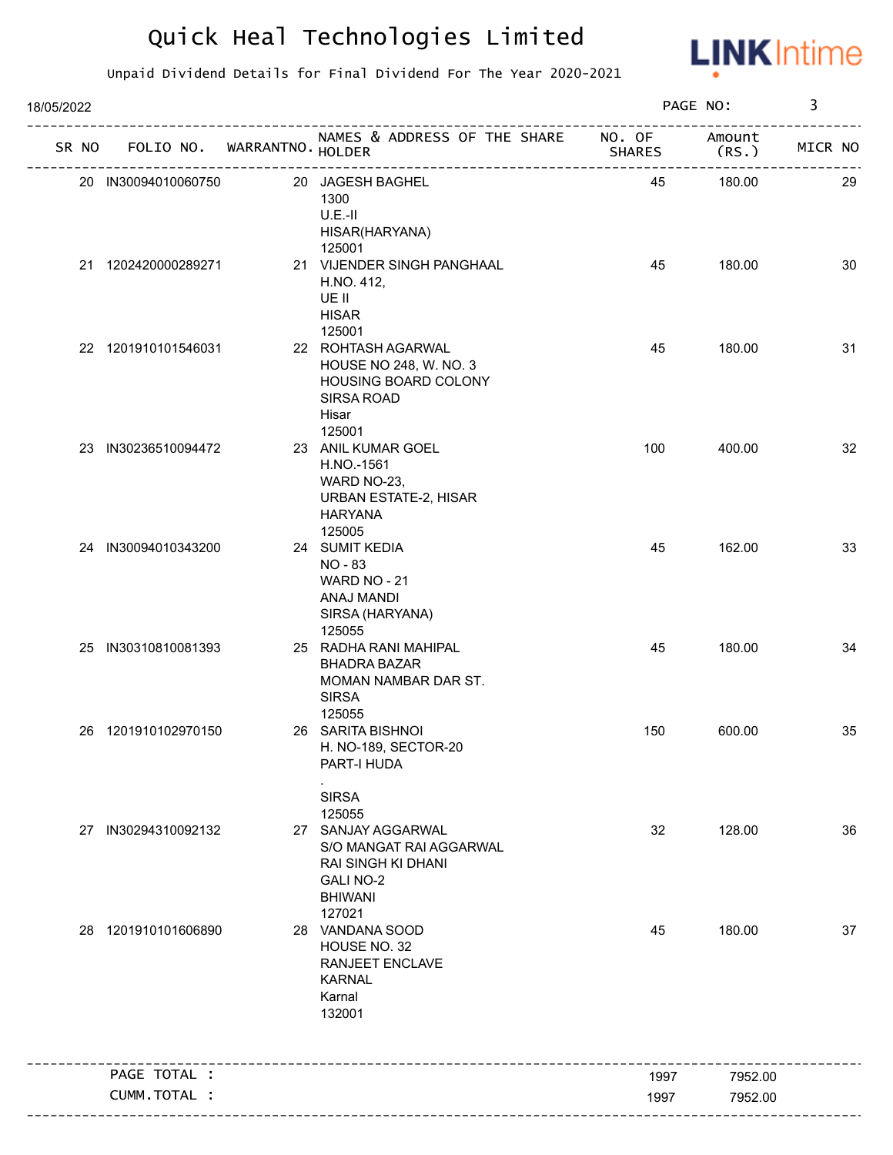

| 18/05/2022 |                     |                            |                                                                                                                               |               | PAGE NO:        | 3       |    |
|------------|---------------------|----------------------------|-------------------------------------------------------------------------------------------------------------------------------|---------------|-----------------|---------|----|
| SR NO      |                     | FOLIO NO. WARRANTNO HOLDER | NAMES & ADDRESS OF THE SHARE NO. OF                                                                                           | <b>SHARES</b> | Amount<br>(RS.) | MICR NO |    |
|            | 20 IN30094010060750 |                            | 20 JAGESH BAGHEL<br>1300<br>$U.E.-II$<br>HISAR(HARYANA)<br>125001                                                             | 45            | 180.00          |         | 29 |
|            | 21 1202420000289271 |                            | 21 VIJENDER SINGH PANGHAAL<br>H.NO. 412,<br>UE II<br><b>HISAR</b><br>125001                                                   | 45            | 180.00          |         | 30 |
|            | 22 1201910101546031 |                            | 22 ROHTASH AGARWAL<br>HOUSE NO 248, W. NO. 3<br>HOUSING BOARD COLONY<br>SIRSA ROAD<br>Hisar<br>125001                         | 45            | 180.00          |         | 31 |
|            | 23 IN30236510094472 |                            | 23 ANIL KUMAR GOEL<br>H.NO.-1561<br>WARD NO-23,<br>URBAN ESTATE-2, HISAR<br><b>HARYANA</b><br>125005                          | 100           | 400.00          |         | 32 |
|            | 24 IN30094010343200 |                            | 24 SUMIT KEDIA<br>NO - 83<br>WARD NO - 21<br>ANAJ MANDI<br>SIRSA (HARYANA)<br>125055                                          | 45            | 162.00          |         | 33 |
|            | 25 IN30310810081393 |                            | 25 RADHA RANI MAHIPAL<br><b>BHADRA BAZAR</b><br>MOMAN NAMBAR DAR ST.<br><b>SIRSA</b><br>125055                                | 45            | 180.00          |         | 34 |
|            | 26 1201910102970150 |                            | 26 SARITA BISHNOI<br>H. NO-189, SECTOR-20<br>PART-I HUDA<br><b>SIRSA</b>                                                      | 150           | 600.00          |         | 35 |
|            | 27 IN30294310092132 |                            | 125055<br>27 SANJAY AGGARWAL<br>S/O MANGAT RAI AGGARWAL<br>RAI SINGH KI DHANI<br><b>GALI NO-2</b><br><b>BHIWANI</b><br>127021 | 32            | 128.00          |         | 36 |
|            | 28 1201910101606890 |                            | 28 VANDANA SOOD<br>HOUSE NO. 32<br>RANJEET ENCLAVE<br><b>KARNAL</b><br>Karnal<br>132001                                       | 45            | 180.00          |         | 37 |
|            | PAGE TOTAL :        |                            |                                                                                                                               | 1997          | 7952.00         |         |    |
|            | CUMM.TOTAL :        |                            |                                                                                                                               | 1997          | 7952.00         |         |    |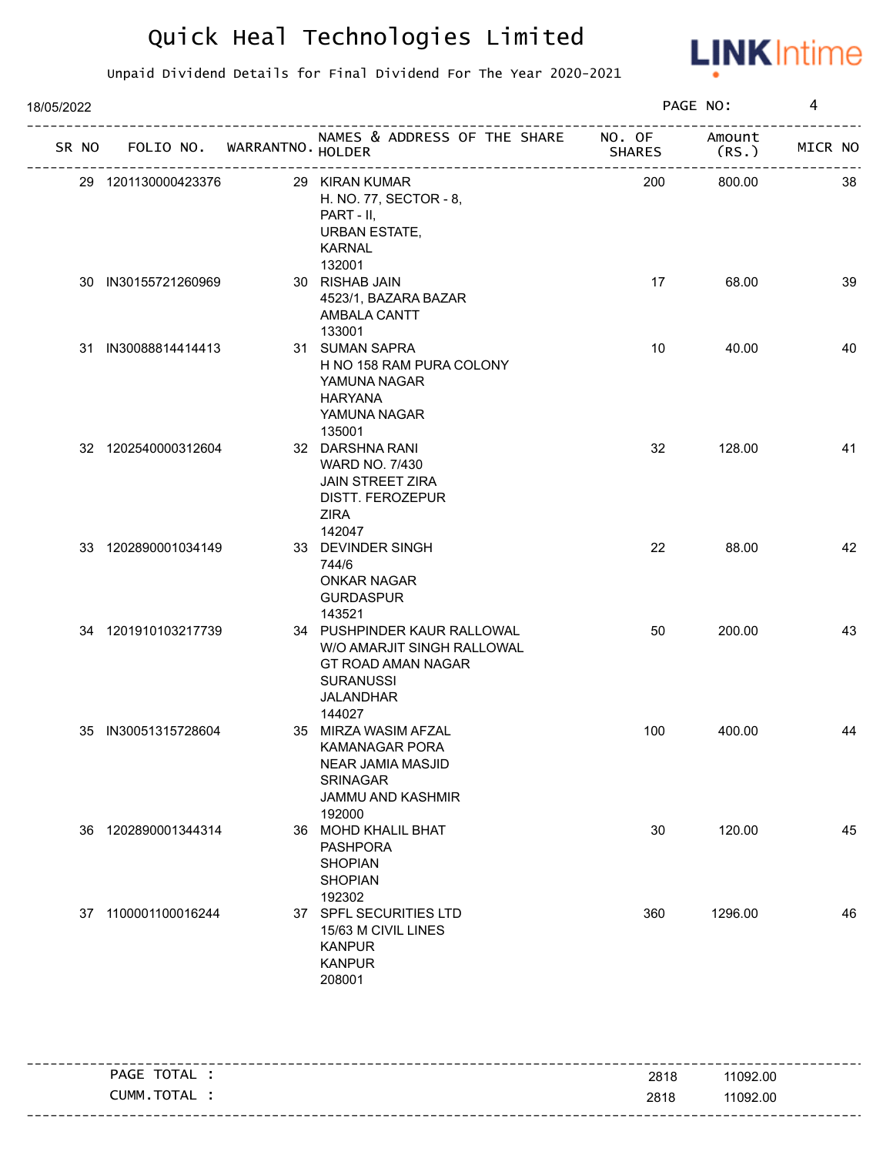

| 18/05/2022 |       |                     |                             |                                                                                                                             |        | PAGE NO:        | 4       |
|------------|-------|---------------------|-----------------------------|-----------------------------------------------------------------------------------------------------------------------------|--------|-----------------|---------|
|            | SR NO |                     | FOLIO NO. WARRANTNO. HOLDER | NAMES & ADDRESS OF THE SHARE NO. OF<br>--------------------------------                                                     | SHARES | Amount<br>(RS.) | MICR NO |
|            |       | 29 1201130000423376 |                             | 29 KIRAN KUMAR<br>H. NO. 77, SECTOR - 8,<br>PART - II,<br>URBAN ESTATE,<br>KARNAL<br>132001                                 | 200    | 800.00          | 38      |
|            |       | 30 IN30155721260969 |                             | 30 RISHAB JAIN<br>4523/1, BAZARA BAZAR<br>AMBALA CANTT<br>133001                                                            | 17     | 68.00           | 39      |
|            |       | 31 IN30088814414413 |                             | 31 SUMAN SAPRA<br>H NO 158 RAM PURA COLONY<br>YAMUNA NAGAR<br><b>HARYANA</b><br>YAMUNA NAGAR<br>135001                      | 10     | 40.00           | 40      |
|            |       | 32 1202540000312604 |                             | 32 DARSHNA RANI<br>WARD NO. 7/430<br><b>JAIN STREET ZIRA</b><br><b>DISTT. FEROZEPUR</b><br>ZIRA<br>142047                   | 32     | 128.00          | 41      |
|            |       | 33 1202890001034149 |                             | 33 DEVINDER SINGH<br>744/6<br><b>ONKAR NAGAR</b><br><b>GURDASPUR</b><br>143521                                              | 22     | 88.00           | 42      |
|            |       | 34 1201910103217739 |                             | 34 PUSHPINDER KAUR RALLOWAL<br>W/O AMARJIT SINGH RALLOWAL<br>GT ROAD AMAN NAGAR<br><b>SURANUSSI</b><br>JALANDHAR<br>144027  | 50     | 200.00          | 43      |
|            | 35    | IN30051315728604    |                             | 35 MIRZA WASIM AFZAL<br><b>KAMANAGAR PORA</b><br>NEAR JAMIA MASJID<br><b>SRINAGAR</b><br><b>JAMMU AND KASHMIR</b><br>192000 | 100    | 400.00          | 44      |
|            |       | 36 1202890001344314 |                             | 36 MOHD KHALIL BHAT<br><b>PASHPORA</b><br><b>SHOPIAN</b><br><b>SHOPIAN</b><br>192302                                        | 30     | 120.00          | 45      |
|            |       | 37 1100001100016244 |                             | 37 SPFL SECURITIES LTD<br>15/63 M CIVIL LINES<br><b>KANPUR</b><br><b>KANPUR</b><br>208001                                   | 360    | 1296.00         | 46      |

| PAGE TOTAL | 2818 | 11092.00 |
|------------|------|----------|
| CUMM.TOTAL | 2818 | 11092.00 |
|            |      |          |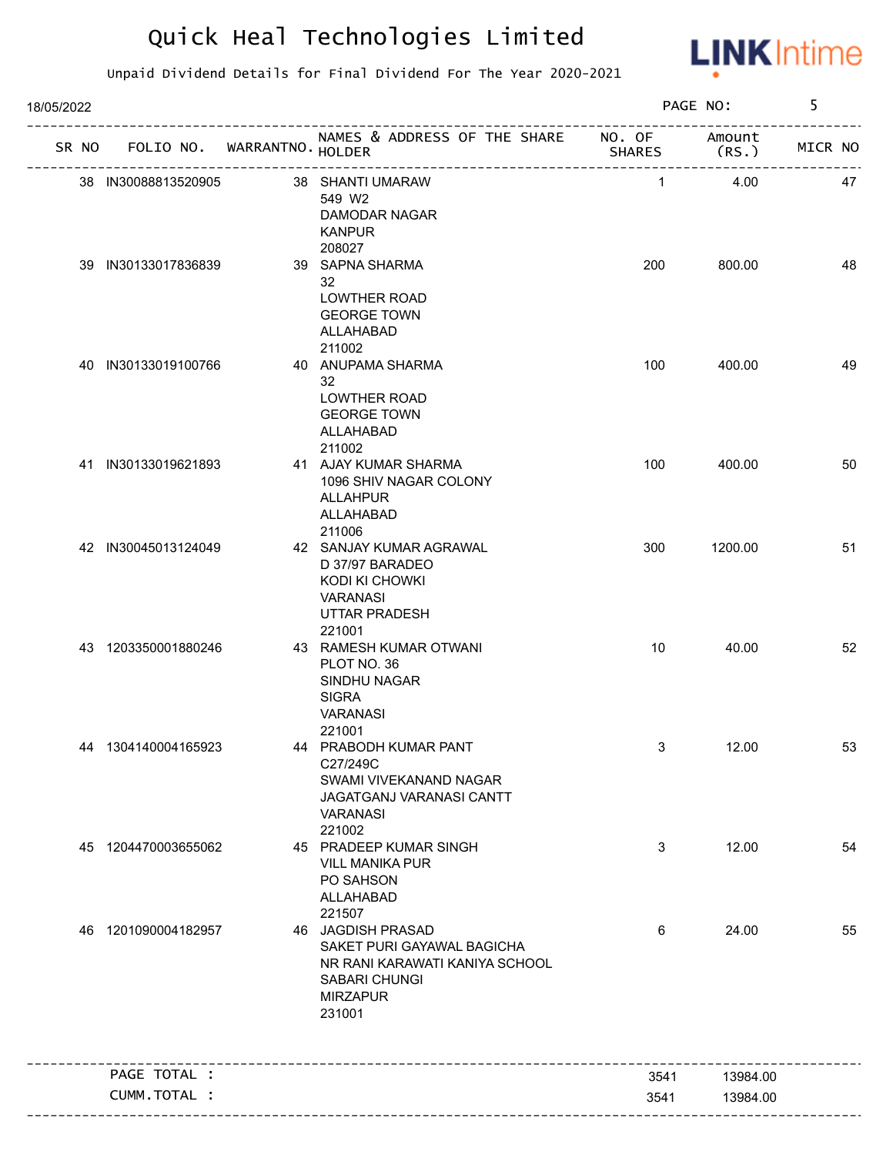

| 18/05/2022 |                     |                             |                                                                                                                                 |               | PAGE NO:       | 5       |    |
|------------|---------------------|-----------------------------|---------------------------------------------------------------------------------------------------------------------------------|---------------|----------------|---------|----|
| SR NO      |                     | FOLIO NO. WARRANTNO. HOLDER | NAMES & ADDRESS OF THE SHARE NO. OF                                                                                             | <b>SHARES</b> | Amount<br>(RS. | MICR NO |    |
|            | 38 IN30088813520905 |                             | 38 SHANTI UMARAW<br>549 W2<br>DAMODAR NAGAR<br><b>KANPUR</b><br>208027                                                          | $\mathbf{1}$  | 4.00           |         | 47 |
|            | 39 IN30133017836839 |                             | 39 SAPNA SHARMA<br>32<br><b>LOWTHER ROAD</b><br><b>GEORGE TOWN</b><br>ALLAHABAD<br>211002                                       | 200           | 800.00         |         | 48 |
|            | 40 IN30133019100766 |                             | 40 ANUPAMA SHARMA<br>32<br><b>LOWTHER ROAD</b><br><b>GEORGE TOWN</b><br>ALLAHABAD<br>211002                                     | 100           | 400.00         |         | 49 |
|            | 41 IN30133019621893 |                             | 41 AJAY KUMAR SHARMA<br>1096 SHIV NAGAR COLONY<br>ALLAHPUR<br>ALLAHABAD<br>211006                                               | 100           | 400.00         |         | 50 |
|            | 42 IN30045013124049 |                             | 42 SANJAY KUMAR AGRAWAL<br>D 37/97 BARADEO<br>KODI KI CHOWKI<br><b>VARANASI</b><br><b>UTTAR PRADESH</b><br>221001               | 300           | 1200.00        |         | 51 |
|            | 43 1203350001880246 |                             | 43 RAMESH KUMAR OTWANI<br>PLOT NO. 36<br>SINDHU NAGAR<br><b>SIGRA</b><br>VARANASI<br>221001                                     | 10            | 40.00          |         | 52 |
|            | 44 1304140004165923 |                             | 44 PRABODH KUMAR PANT<br>C27/249C<br>SWAMI VIVEKANAND NAGAR<br>JAGATGANJ VARANASI CANTT<br>VARANASI<br>221002                   | 3             | 12.00          |         | 53 |
|            | 45 1204470003655062 |                             | 45 PRADEEP KUMAR SINGH<br><b>VILL MANIKA PUR</b><br>PO SAHSON<br>ALLAHABAD<br>221507                                            | 3             | 12.00          |         | 54 |
|            | 46 1201090004182957 |                             | 46 JAGDISH PRASAD<br>SAKET PURI GAYAWAL BAGICHA<br>NR RANI KARAWATI KANIYA SCHOOL<br>SABARI CHUNGI<br><b>MIRZAPUR</b><br>231001 | 6             | 24.00          |         | 55 |
|            | PAGE TOTAL :        |                             |                                                                                                                                 | 3541          | 13984.00       |         |    |
|            | CUMM.TOTAL :        |                             |                                                                                                                                 | 3541          | 13984.00       |         |    |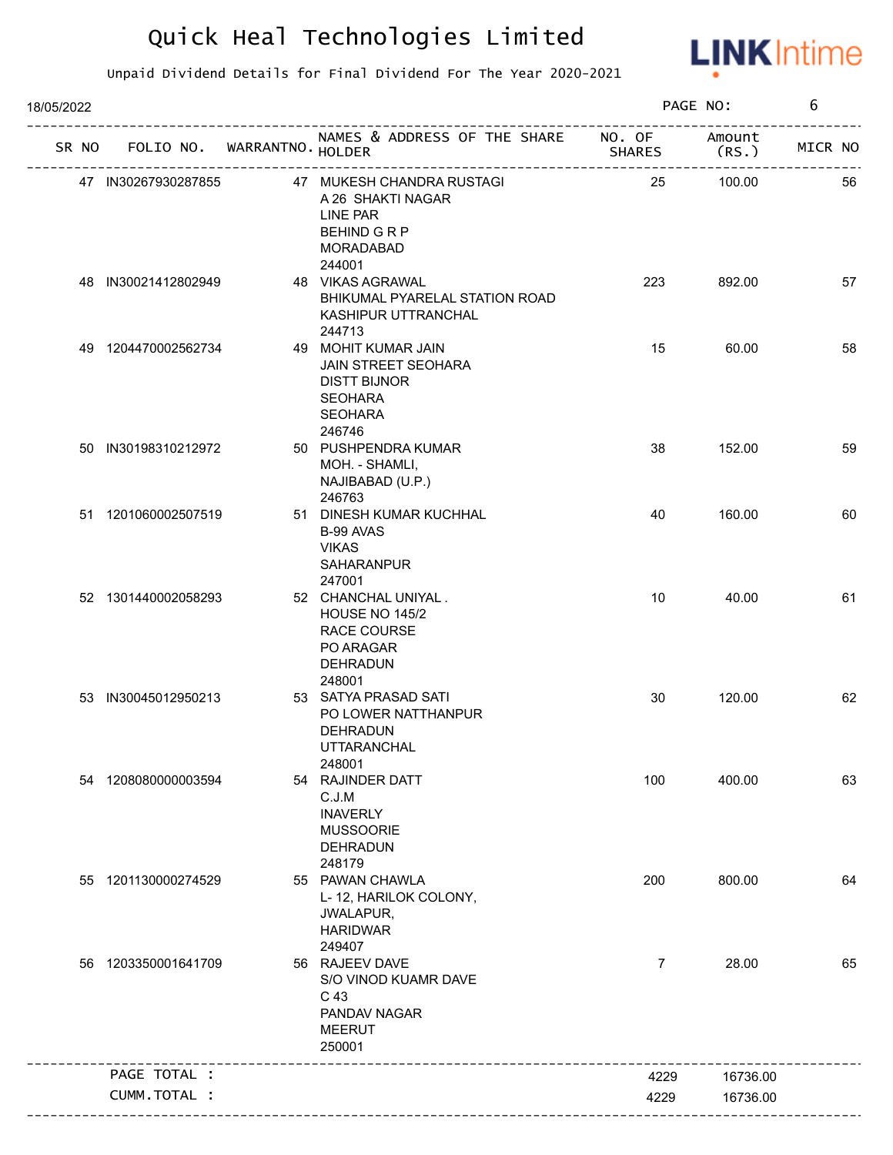

| 18/05/2022 |                     |                             |                                                                                                                        |                | PAGE NO:        | 6       |
|------------|---------------------|-----------------------------|------------------------------------------------------------------------------------------------------------------------|----------------|-----------------|---------|
| SR NO      |                     | FOLIO NO. WARRANTNO. HOLDER | NAMES & ADDRESS OF THE SHARE NO. OF                                                                                    | SHARES         | Amount<br>(RS.) | MICR NO |
|            | 47 IN30267930287855 |                             | 47 MUKESH CHANDRA RUSTAGI<br>A 26 SHAKTI NAGAR<br>LINE PAR<br>BEHIND G R P<br><b>MORADABAD</b>                         | 25             | 100.00          | 56      |
|            | 48 IN30021412802949 |                             | 244001<br>48 VIKAS AGRAWAL<br>BHIKUMAL PYARELAL STATION ROAD<br>KASHIPUR UTTRANCHAL<br>244713                          | 223            | 892.00          | 57      |
|            | 49 1204470002562734 |                             | 49 MOHIT KUMAR JAIN<br><b>JAIN STREET SEOHARA</b><br><b>DISTT BIJNOR</b><br><b>SEOHARA</b><br><b>SEOHARA</b><br>246746 | 15             | 60.00           | 58      |
|            | 50 IN30198310212972 |                             | 50 PUSHPENDRA KUMAR<br>MOH. - SHAMLI,<br>NAJIBABAD (U.P.)<br>246763                                                    | 38             | 152.00          | 59      |
|            | 51 1201060002507519 |                             | 51 DINESH KUMAR KUCHHAL<br>B-99 AVAS<br><b>VIKAS</b><br><b>SAHARANPUR</b><br>247001                                    | 40             | 160.00          | 60      |
|            | 52 1301440002058293 |                             | 52 CHANCHAL UNIYAL.<br><b>HOUSE NO 145/2</b><br><b>RACE COURSE</b><br>PO ARAGAR<br><b>DEHRADUN</b><br>248001           | 10             | 40.00           | 61      |
|            | 53 IN30045012950213 |                             | 53 SATYA PRASAD SATI<br>PO LOWER NATTHANPUR<br>DEHRADUN<br><b>UTTARANCHAL</b><br>248001                                | 30             | 120.00          | 62      |
|            | 54 1208080000003594 |                             | 54 RAJINDER DATT<br>C.J.M<br><b>INAVERLY</b><br><b>MUSSOORIE</b><br><b>DEHRADUN</b><br>248179                          | 100            | 400.00          | 63      |
|            | 55 1201130000274529 |                             | 55 PAWAN CHAWLA<br>L-12, HARILOK COLONY,<br>JWALAPUR,<br><b>HARIDWAR</b><br>249407                                     | 200            | 800.00          | 64      |
|            | 56 1203350001641709 |                             | 56 RAJEEV DAVE<br>S/O VINOD KUAMR DAVE<br>C 43<br>PANDAV NAGAR<br><b>MEERUT</b><br>250001                              | $\overline{7}$ | 28.00           | 65      |
|            | PAGE TOTAL :        |                             |                                                                                                                        | 4229           | 16736.00        |         |
|            | CUMM.TOTAL :        |                             |                                                                                                                        | 4229           | 16736.00        |         |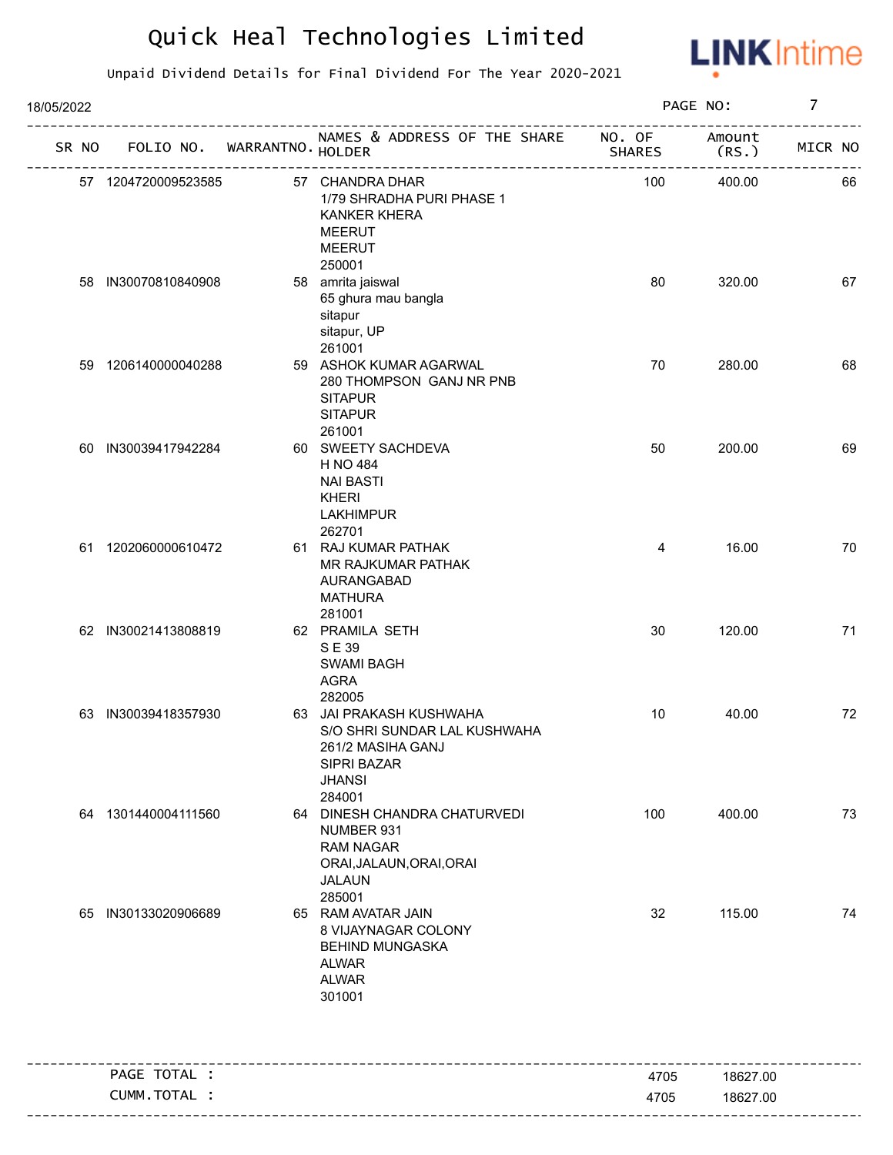

| 18/05/2022 |                             |                                                                                                                        |               | PAGE NO:        | $\overline{7}$ |
|------------|-----------------------------|------------------------------------------------------------------------------------------------------------------------|---------------|-----------------|----------------|
| SR NO      | FOLIO NO. WARRANTNO. HOLDER | NAMES & ADDRESS OF THE SHARE NO. OF<br>-----------------------------------                                             | <b>SHARES</b> | Amount<br>(RS.) | MICR NO        |
|            | 57 1204720009523585         | 57 CHANDRA DHAR<br>1/79 SHRADHA PURI PHASE 1<br><b>KANKER KHERA</b><br><b>MEERUT</b><br><b>MEERUT</b>                  | 100           | 400.00          | 66             |
|            | 58 IN30070810840908         | 250001<br>58 amrita jaiswal<br>65 ghura mau bangla<br>sitapur<br>sitapur, UP                                           | 80            | 320.00          | 67             |
|            | 59 1206140000040288         | 261001<br>59 ASHOK KUMAR AGARWAL<br>280 THOMPSON GANJ NR PNB<br><b>SITAPUR</b><br><b>SITAPUR</b><br>261001             | 70            | 280.00          | 68             |
|            | 60 IN30039417942284         | 60 SWEETY SACHDEVA<br>H NO 484<br><b>NAI BASTI</b><br><b>KHERI</b><br><b>LAKHIMPUR</b>                                 | 50            | 200.00          | 69             |
|            | 61 1202060000610472         | 262701<br>61 RAJ KUMAR PATHAK<br>MR RAJKUMAR PATHAK<br>AURANGABAD<br><b>MATHURA</b>                                    | 4             | 16.00           | 70             |
|            | 62 IN30021413808819         | 281001<br>62 PRAMILA SETH<br>SE 39<br><b>SWAMI BAGH</b><br><b>AGRA</b><br>282005                                       | 30            | 120.00          | 71             |
|            | 63 IN30039418357930         | 63 JAI PRAKASH KUSHWAHA<br>S/O SHRI SUNDAR LAL KUSHWAHA<br>261/2 MASIHA GANJ<br>SIPRI BAZAR<br><b>JHANSI</b><br>284001 | 10            | 40.00           | 72             |
|            | 64 1301440004111560         | 64 DINESH CHANDRA CHATURVEDI<br>NUMBER 931<br><b>RAM NAGAR</b><br>ORAI, JALAUN, ORAI, ORAI<br><b>JALAUN</b><br>285001  | 100           | 400.00          | 73             |
|            | 65 IN30133020906689         | 65 RAM AVATAR JAIN<br>8 VIJAYNAGAR COLONY<br><b>BEHIND MUNGASKA</b><br><b>ALWAR</b><br><b>ALWAR</b><br>301001          | 32            | 115.00          | 74             |
|            | PAGE TOTAL :                |                                                                                                                        | 4705          | 18627.00        |                |
|            | CUMM.TOTAL :                |                                                                                                                        | 4705          | 18627.00        |                |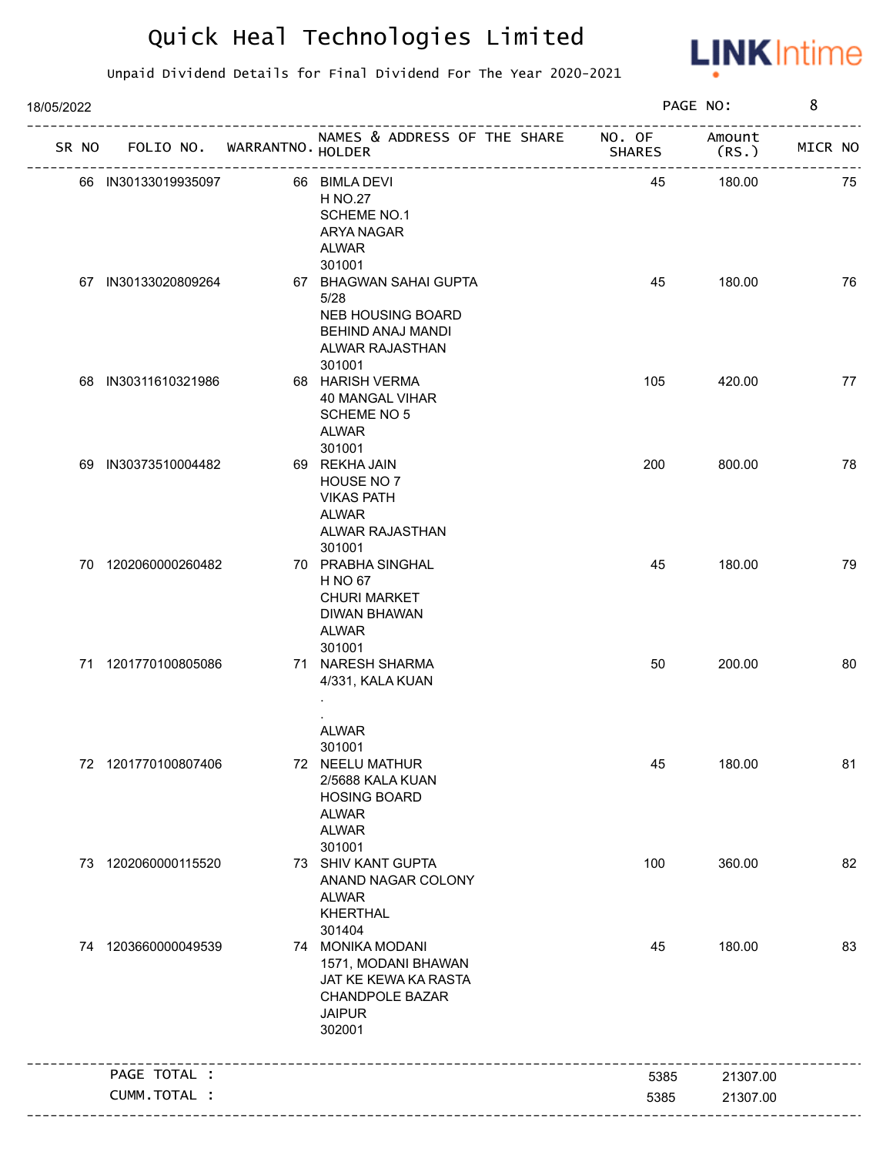

| 18/05/2022 |                     |                                   |                                                                                                                                |               | PAGE NO:        | 8       |
|------------|---------------------|-----------------------------------|--------------------------------------------------------------------------------------------------------------------------------|---------------|-----------------|---------|
|            |                     | SR NO FOLIO NO. WARRANTNO. HOLDER | NAMES & ADDRESS OF THE SHARE NO. OF                                                                                            | <b>SHARES</b> | Amount<br>(RS.) | MICR NO |
|            | 66 IN30133019935097 |                                   | 66 BIMLA DEVI<br>H NO.27<br><b>SCHEME NO.1</b><br>ARYA NAGAR<br><b>ALWAR</b>                                                   | 45            | 180.00          | 75      |
|            | 67 IN30133020809264 |                                   | 301001<br>67 BHAGWAN SAHAI GUPTA<br>5/28<br><b>NEB HOUSING BOARD</b><br>BEHIND ANAJ MANDI<br>ALWAR RAJASTHAN<br>301001         | 45            | 180.00          | 76      |
|            | 68 IN30311610321986 |                                   | 68 HARISH VERMA<br>40 MANGAL VIHAR<br><b>SCHEME NO 5</b><br>ALWAR                                                              | 105           | 420.00          | 77      |
|            | 69 IN30373510004482 |                                   | 301001<br>69 REKHA JAIN<br>HOUSE NO 7<br><b>VIKAS PATH</b><br>ALWAR<br>ALWAR RAJASTHAN<br>301001                               | 200           | 800.00          | 78      |
|            | 70 1202060000260482 |                                   | 70 PRABHA SINGHAL<br>H NO 67<br><b>CHURI MARKET</b><br>DIWAN BHAWAN<br>ALWAR<br>301001                                         | 45            | 180.00          | 79      |
|            | 71 1201770100805086 |                                   | 71 NARESH SHARMA<br>4/331, KALA KUAN                                                                                           | 50            | 200.00          | 80      |
|            | 72 1201770100807406 |                                   | <b>ALWAR</b><br>301001<br>72 NEELU MATHUR<br>2/5688 KALA KUAN<br><b>HOSING BOARD</b><br><b>ALWAR</b><br><b>ALWAR</b><br>301001 | 45            | 180.00          | 81      |
|            | 73 1202060000115520 |                                   | 73 SHIV KANT GUPTA<br>ANAND NAGAR COLONY<br><b>ALWAR</b><br><b>KHERTHAL</b><br>301404                                          | 100           | 360.00          | 82      |
|            | 74 1203660000049539 |                                   | 74 MONIKA MODANI<br>1571, MODANI BHAWAN<br>JAT KE KEWA KA RASTA<br><b>CHANDPOLE BAZAR</b><br><b>JAIPUR</b><br>302001           | 45            | 180.00          | 83      |
|            | PAGE TOTAL :        |                                   |                                                                                                                                | 5385          | 21307.00        |         |
|            | CUMM.TOTAL :        |                                   |                                                                                                                                | 5385          | 21307.00        |         |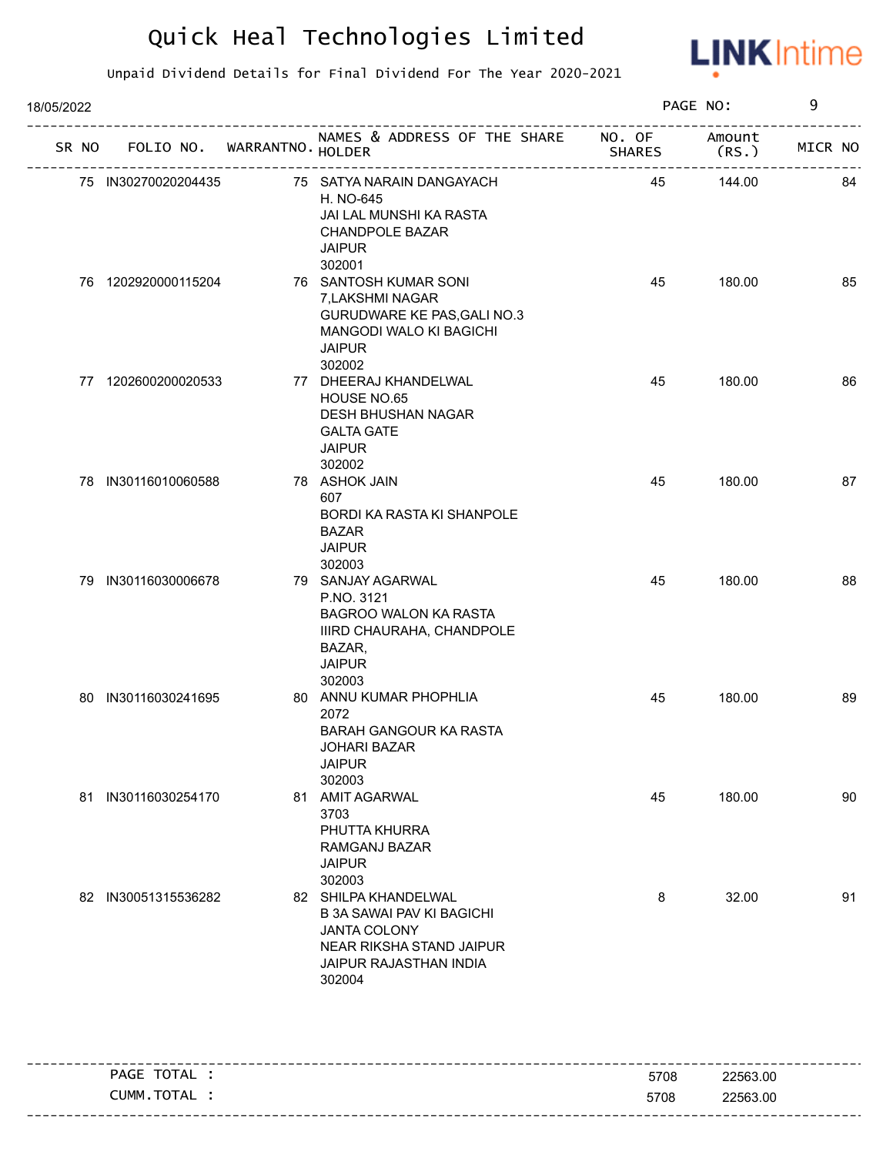

| 18/05/2022 |  |                     |                                   |                                                                                                                                                 |               | PAGE NO:        | 9       |    |
|------------|--|---------------------|-----------------------------------|-------------------------------------------------------------------------------------------------------------------------------------------------|---------------|-----------------|---------|----|
|            |  |                     | SR NO FOLIO NO. WARRANTNO. HOLDER | NAMES & ADDRESS OF THE SHARE NO. OF                                                                                                             | <b>SHARES</b> | Amount<br>(RS.) | MICR NO |    |
|            |  | 75 IN30270020204435 |                                   | 75 SATYA NARAIN DANGAYACH<br>H. NO-645<br>JAI LAL MUNSHI KA RASTA<br><b>CHANDPOLE BAZAR</b><br><b>JAIPUR</b><br>302001                          | 45            | 144.00          |         | 84 |
|            |  | 76 1202920000115204 |                                   | 76 SANTOSH KUMAR SONI<br>7, LAKSHMI NAGAR<br>GURUDWARE KE PAS, GALI NO.3<br>MANGODI WALO KI BAGICHI<br><b>JAIPUR</b><br>302002                  | 45            | 180.00          |         | 85 |
|            |  | 77 1202600200020533 |                                   | 77 DHEERAJ KHANDELWAL<br>HOUSE NO.65<br>DESH BHUSHAN NAGAR<br><b>GALTA GATE</b><br><b>JAIPUR</b><br>302002                                      | 45            | 180.00          |         | 86 |
|            |  | 78 IN30116010060588 |                                   | 78 ASHOK JAIN<br>607<br><b>BORDI KA RASTA KI SHANPOLE</b><br><b>BAZAR</b><br><b>JAIPUR</b><br>302003                                            | 45            | 180.00          |         | 87 |
|            |  | 79 IN30116030006678 |                                   | 79 SANJAY AGARWAL<br>P.NO. 3121<br>BAGROO WALON KA RASTA<br>IIIRD CHAURAHA, CHANDPOLE<br>BAZAR,<br><b>JAIPUR</b><br>302003                      | 45            | 180.00          |         | 88 |
|            |  | 80 IN30116030241695 |                                   | 80 ANNU KUMAR PHOPHLIA<br>2072<br>BARAH GANGOUR KA RASTA<br><b>JOHARI BAZAR</b><br><b>JAIPUR</b><br>302003                                      | 45            | 180.00          |         | 89 |
|            |  | 81 IN30116030254170 |                                   | 81 AMIT AGARWAL<br>3703<br>PHUTTA KHURRA<br>RAMGANJ BAZAR<br><b>JAIPUR</b><br>302003                                                            | 45            | 180.00          |         | 90 |
|            |  | 82 IN30051315536282 |                                   | 82 SHILPA KHANDELWAL<br><b>B 3A SAWAI PAV KI BAGICHI</b><br><b>JANTA COLONY</b><br>NEAR RIKSHA STAND JAIPUR<br>JAIPUR RAJASTHAN INDIA<br>302004 | 8             | 32.00           |         | 91 |
|            |  |                     |                                   |                                                                                                                                                 |               |                 |         |    |

| PAGE TOTAL . | 5708 | 22563.00 |
|--------------|------|----------|
| CUMM.TOTAL   | 5708 | 22563.00 |
|              |      |          |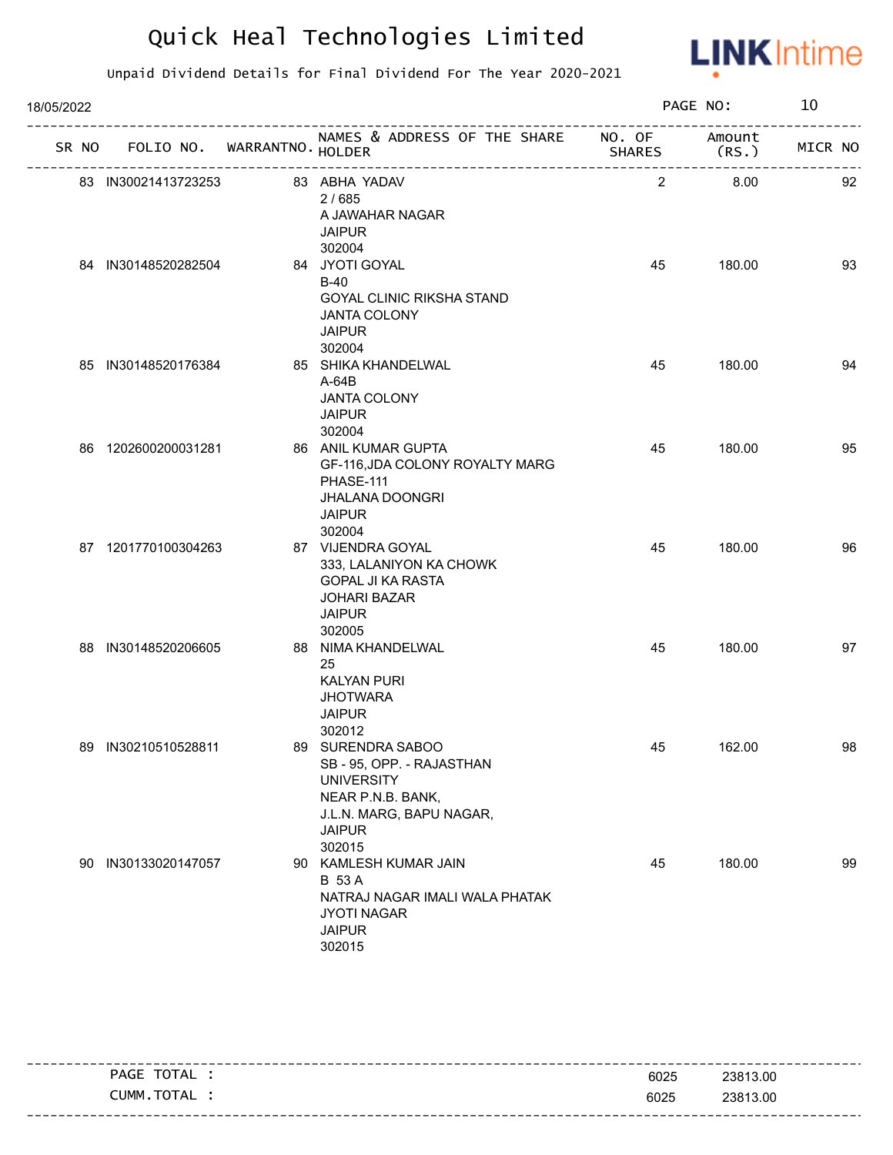

| 18/05/2022 | SR NO FOLIO NO. WARRANTNO. HOLDER<br>83 IN30021413723253<br>83 ABHA YADAV<br>2/685<br>A JAWAHAR NAGAR<br><b>JAIPUR</b><br>302004<br>84 IN30148520282504<br>84 JYOTI GOYAL<br>$B-40$<br><b>GOYAL CLINIC RIKSHA STAND</b><br><b>JANTA COLONY</b><br><b>JAIPUR</b><br>302004<br>85 IN30148520176384<br>85 SHIKA KHANDELWAL<br>A-64B<br><b>JANTA COLONY</b><br><b>JAIPUR</b><br>302004<br>86 1202600200031281<br>86 ANIL KUMAR GUPTA<br>PHASE-111<br><b>JHALANA DOONGRI</b><br><b>JAIPUR</b><br>302004<br>87 1201770100304263<br>87 VIJENDRA GOYAL<br>333, LALANIYON KA CHOWK<br>GOPAL JI KA RASTA<br><b>JOHARI BAZAR</b><br><b>JAIPUR</b><br>302005<br>88 IN30148520206605<br>88 NIMA KHANDELWAL<br>25<br><b>KALYAN PURI</b><br><b>JHOTWARA</b><br><b>JAIPUR</b><br>302012<br>89 SURENDRA SABOO<br>89 IN30210510528811<br>SB - 95, OPP. - RAJASTHAN |                     |  |                                                                                                                           | PAGE NO:       |                 | 10      |  |
|------------|--------------------------------------------------------------------------------------------------------------------------------------------------------------------------------------------------------------------------------------------------------------------------------------------------------------------------------------------------------------------------------------------------------------------------------------------------------------------------------------------------------------------------------------------------------------------------------------------------------------------------------------------------------------------------------------------------------------------------------------------------------------------------------------------------------------------------------------------------|---------------------|--|---------------------------------------------------------------------------------------------------------------------------|----------------|-----------------|---------|--|
|            |                                                                                                                                                                                                                                                                                                                                                                                                                                                                                                                                                                                                                                                                                                                                                                                                                                                  |                     |  | NAMES & ADDRESS OF THE SHARE NO. OF                                                                                       | SHARES         | Amount<br>(RS.) | MICR NO |  |
|            |                                                                                                                                                                                                                                                                                                                                                                                                                                                                                                                                                                                                                                                                                                                                                                                                                                                  |                     |  |                                                                                                                           | $\overline{2}$ | 8.00            | 92      |  |
|            |                                                                                                                                                                                                                                                                                                                                                                                                                                                                                                                                                                                                                                                                                                                                                                                                                                                  |                     |  |                                                                                                                           | 45             | 180.00          | 93      |  |
|            |                                                                                                                                                                                                                                                                                                                                                                                                                                                                                                                                                                                                                                                                                                                                                                                                                                                  |                     |  |                                                                                                                           | 45             | 180.00          | 94      |  |
|            |                                                                                                                                                                                                                                                                                                                                                                                                                                                                                                                                                                                                                                                                                                                                                                                                                                                  |                     |  | GF-116, JDA COLONY ROYALTY MARG                                                                                           | 45             | 180.00          | 95      |  |
|            |                                                                                                                                                                                                                                                                                                                                                                                                                                                                                                                                                                                                                                                                                                                                                                                                                                                  |                     |  |                                                                                                                           | 45             | 180.00          | 96      |  |
|            |                                                                                                                                                                                                                                                                                                                                                                                                                                                                                                                                                                                                                                                                                                                                                                                                                                                  |                     |  |                                                                                                                           | 45             | 180.00          | 97      |  |
|            |                                                                                                                                                                                                                                                                                                                                                                                                                                                                                                                                                                                                                                                                                                                                                                                                                                                  |                     |  | <b>UNIVERSITY</b><br>NEAR P.N.B. BANK,<br>J.L.N. MARG, BAPU NAGAR,<br><b>JAIPUR</b><br>302015                             | 45             | 162.00          | 98      |  |
|            |                                                                                                                                                                                                                                                                                                                                                                                                                                                                                                                                                                                                                                                                                                                                                                                                                                                  | 90 IN30133020147057 |  | 90 KAMLESH KUMAR JAIN<br><b>B</b> 53 A<br>NATRAJ NAGAR IMALI WALA PHATAK<br><b>JYOTI NAGAR</b><br><b>JAIPUR</b><br>302015 | 45             | 180.00          | 99      |  |

| _ _ _ _ _ _ _ _ |                |      |          |
|-----------------|----------------|------|----------|
|                 | PAGE TOTAL     | 6025 | 23813.00 |
|                 | TOTAL<br>CUMM. | 6025 | 23813.00 |
|                 |                |      |          |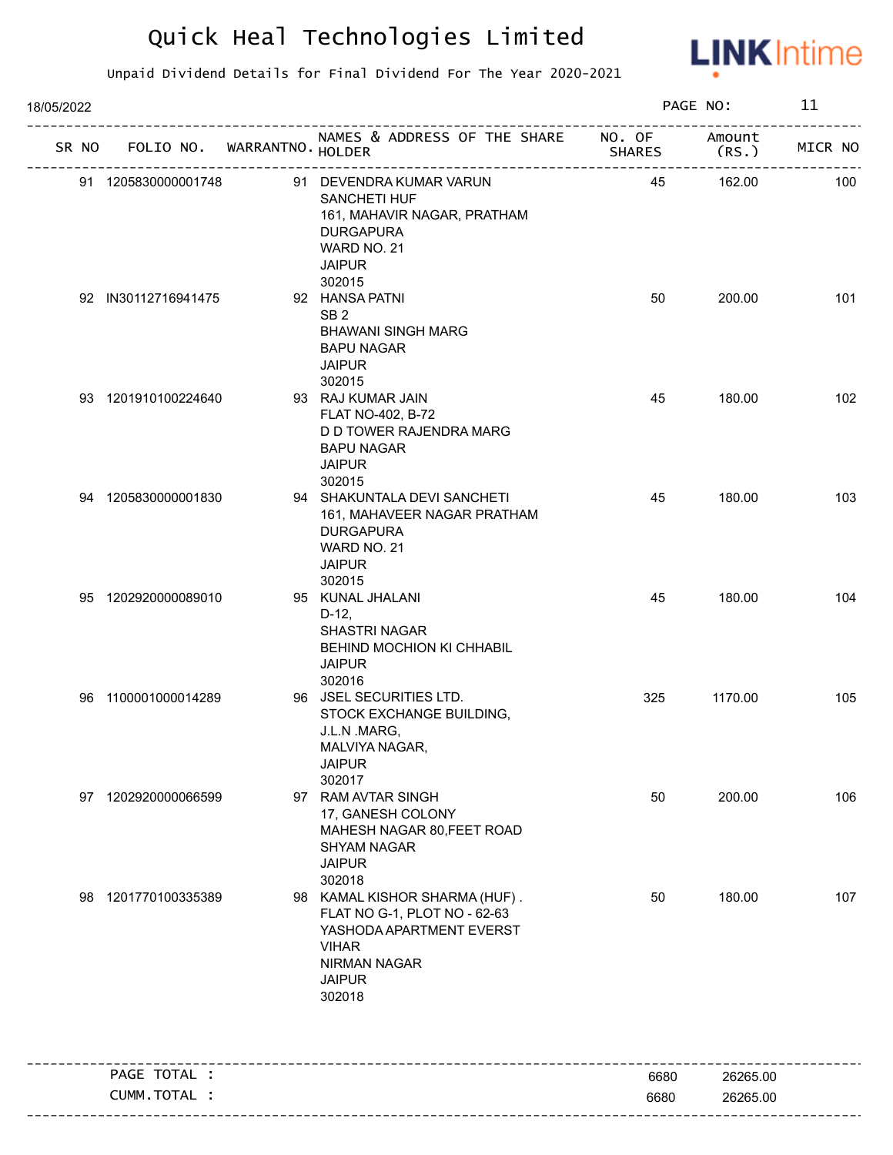

| 18/05/2022 |                             |                                                                                                                                                             |               | PAGE NO:        | 11      |
|------------|-----------------------------|-------------------------------------------------------------------------------------------------------------------------------------------------------------|---------------|-----------------|---------|
| SR NO      | FOLIO NO. WARRANTNO. HOLDER | NAMES & ADDRESS OF THE SHARE NO. OF                                                                                                                         | <b>SHARES</b> | Amount<br>(RS.) | MICR NO |
|            | 91 1205830000001748         | 91 DEVENDRA KUMAR VARUN<br>SANCHETI HUF<br>161, MAHAVIR NAGAR, PRATHAM<br><b>DURGAPURA</b><br>WARD NO. 21<br><b>JAIPUR</b><br>302015                        | 45            | 162.00          | 100     |
|            | 92 IN30112716941475         | 92 HANSA PATNI<br>SB <sub>2</sub><br><b>BHAWANI SINGH MARG</b><br><b>BAPU NAGAR</b><br><b>JAIPUR</b><br>302015                                              | 50            | 200.00          | 101     |
|            | 93 1201910100224640         | 93 RAJ KUMAR JAIN<br>FLAT NO-402, B-72<br>D D TOWER RAJENDRA MARG<br><b>BAPU NAGAR</b><br><b>JAIPUR</b><br>302015                                           | 45            | 180.00          | 102     |
|            | 94 1205830000001830         | 94 SHAKUNTALA DEVI SANCHETI<br>161, MAHAVEER NAGAR PRATHAM<br><b>DURGAPURA</b><br>WARD NO. 21<br><b>JAIPUR</b><br>302015                                    | 45            | 180.00          | 103     |
|            | 95 1202920000089010         | 95 KUNAL JHALANI<br>$D-12,$<br><b>SHASTRI NAGAR</b><br>BEHIND MOCHION KI CHHABIL<br><b>JAIPUR</b><br>302016                                                 | 45            | 180.00          | 104     |
| 96         | 1100001000014289            | 96 JSEL SECURITIES LTD.<br>STOCK EXCHANGE BUILDING,<br>J.L.N .MARG,<br>MALVIYA NAGAR,<br><b>JAIPUR</b><br>302017                                            | 325           | 1170.00         | 105     |
| 97         | 1202920000066599            | 97 RAM AVTAR SINGH<br>17, GANESH COLONY<br>MAHESH NAGAR 80, FEET ROAD<br><b>SHYAM NAGAR</b><br><b>JAIPUR</b><br>302018                                      | 50            | 200.00          | 106     |
| 98         | 1201770100335389            | 98 KAMAL KISHOR SHARMA (HUF).<br>FLAT NO G-1, PLOT NO - 62-63<br>YASHODA APARTMENT EVERST<br><b>VIHAR</b><br><b>NIRMAN NAGAR</b><br><b>JAIPUR</b><br>302018 | 50            | 180.00          | 107     |
|            | PAGE TOTAL :                |                                                                                                                                                             | 6680          | 26265.00        |         |
|            | CUMM.TOTAL :                |                                                                                                                                                             | 6680          | 26265.00        |         |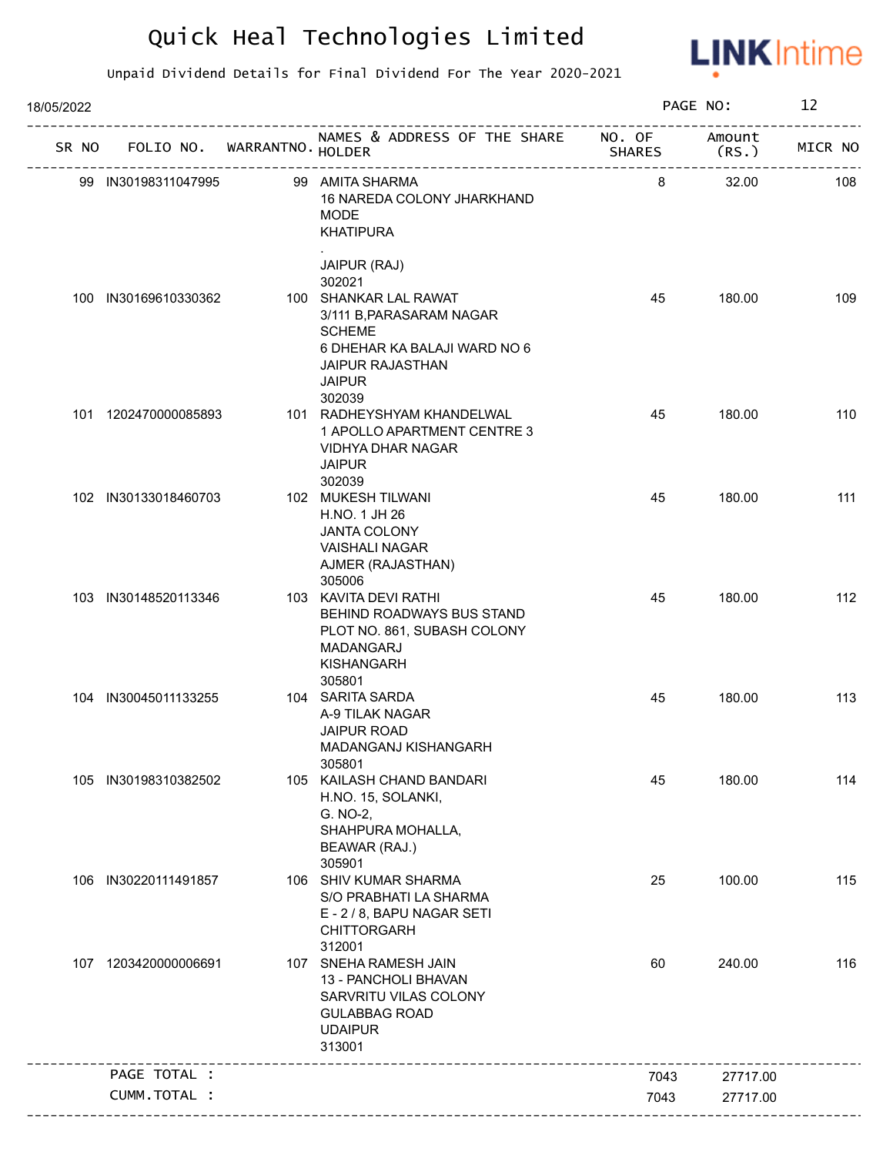

| 18/05/2022 |                      |                             |                                                                                                                                      |        | PAGE NO:        | 12      |
|------------|----------------------|-----------------------------|--------------------------------------------------------------------------------------------------------------------------------------|--------|-----------------|---------|
| SR NO      |                      | FOLIO NO. WARRANTNO. HOLDER | NAMES & ADDRESS OF THE SHARE NO. OF                                                                                                  | SHARES | Amount<br>(RS.) | MICR NO |
|            | 99 IN30198311047995  |                             | 99 AMITA SHARMA<br>16 NAREDA COLONY JHARKHAND<br><b>MODE</b><br><b>KHATIPURA</b>                                                     | 8      | 32.00           | 108     |
|            |                      |                             | JAIPUR (RAJ)<br>302021<br>100 SHANKAR LAL RAWAT                                                                                      |        |                 |         |
| 100        | IN30169610330362     |                             | 3/111 B, PARASARAM NAGAR<br><b>SCHEME</b><br>6 DHEHAR KA BALAJI WARD NO 6<br><b>JAIPUR RAJASTHAN</b><br><b>JAIPUR</b><br>302039      | 45     | 180.00          | 109     |
|            | 101 1202470000085893 |                             | 101 RADHEYSHYAM KHANDELWAL<br>1 APOLLO APARTMENT CENTRE 3<br><b>VIDHYA DHAR NAGAR</b><br><b>JAIPUR</b><br>302039                     | 45     | 180.00          | 110     |
|            | 102 IN30133018460703 |                             | 102 MUKESH TILWANI<br>H.NO. 1 JH 26<br><b>JANTA COLONY</b><br><b>VAISHALI NAGAR</b><br>AJMER (RAJASTHAN)<br>305006                   | 45     | 180.00          | 111     |
|            | 103 IN30148520113346 |                             | 103 KAVITA DEVI RATHI<br>BEHIND ROADWAYS BUS STAND<br>PLOT NO. 861, SUBASH COLONY<br><b>MADANGARJ</b><br><b>KISHANGARH</b><br>305801 | 45     | 180.00          | 112     |
|            | 104 IN30045011133255 |                             | 104 SARITA SARDA<br>A-9 TILAK NAGAR<br>JAIPUR ROAD<br>MADANGANJ KISHANGARH<br>305801                                                 | 45     | 180.00          | 113     |
| 105        | IN30198310382502     |                             | 105 KAILASH CHAND BANDARI<br>H.NO. 15, SOLANKI,<br>G. NO-2,<br>SHAHPURA MOHALLA,<br>BEAWAR (RAJ.)<br>305901                          | 45     | 180.00          | 114     |
| 106        | IN30220111491857     |                             | 106 SHIV KUMAR SHARMA<br>S/O PRABHATI LA SHARMA<br>E - 2 / 8, BAPU NAGAR SETI<br><b>CHITTORGARH</b><br>312001                        | 25     | 100.00          | 115     |
|            | 107 1203420000006691 |                             | 107 SNEHA RAMESH JAIN<br>13 - PANCHOLI BHAVAN<br>SARVRITU VILAS COLONY<br><b>GULABBAG ROAD</b><br><b>UDAIPUR</b><br>313001           | 60     | 240.00          | 116     |
|            | PAGE TOTAL :         |                             |                                                                                                                                      | 7043   | 27717.00        |         |
|            | CUMM.TOTAL :         |                             |                                                                                                                                      | 7043   | 27717.00        |         |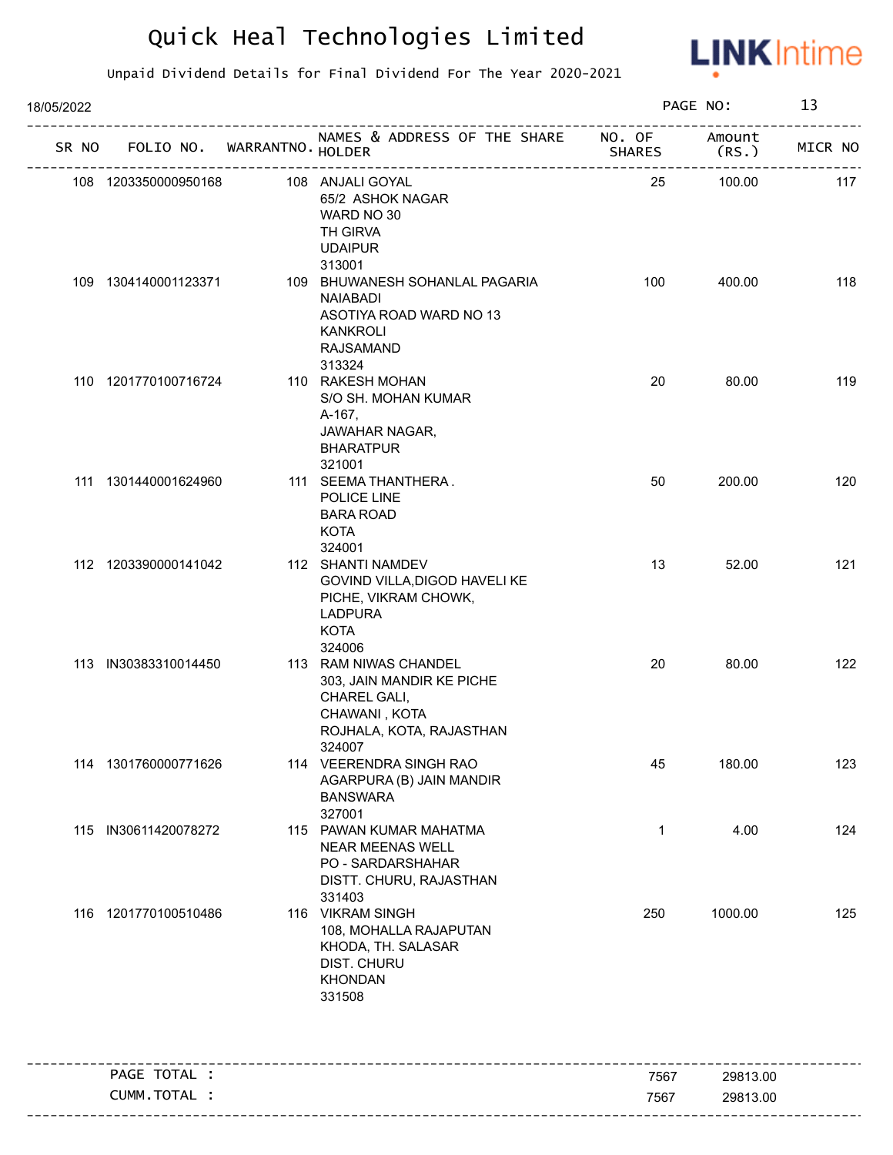

| 18/05/2022 |                      |                             |                                                                                                                                         |                         | PAGE NO:         | 13      |
|------------|----------------------|-----------------------------|-----------------------------------------------------------------------------------------------------------------------------------------|-------------------------|------------------|---------|
| SR NO      |                      | FOLIO NO. WARRANTNO. HOLDER | NAMES & ADDRESS OF THE SHARE<br>__________________________                                                                              | NO. OF<br><b>SHARES</b> | Amount<br>(RS. ) | MICR NO |
|            | 108 1203350000950168 |                             | 108 ANJALI GOYAL<br>65/2 ASHOK NAGAR<br>WARD NO 30<br>TH GIRVA<br><b>UDAIPUR</b>                                                        | 25                      | 100.00           | 117     |
|            | 109 1304140001123371 |                             | 313001<br>109 BHUWANESH SOHANLAL PAGARIA<br><b>NAIABADI</b><br>ASOTIYA ROAD WARD NO 13<br><b>KANKROLI</b><br><b>RAJSAMAND</b><br>313324 | 100                     | 400.00           | 118     |
|            | 110 1201770100716724 |                             | 110 RAKESH MOHAN<br>S/O SH. MOHAN KUMAR<br>A-167,<br><b>JAWAHAR NAGAR,</b><br><b>BHARATPUR</b><br>321001                                | 20                      | 80.00            | 119     |
|            | 111 1301440001624960 |                             | 111 SEEMA THANTHERA.<br>POLICE LINE<br><b>BARA ROAD</b><br><b>KOTA</b><br>324001                                                        | 50                      | 200.00           | 120     |
|            | 112 1203390000141042 |                             | 112 SHANTI NAMDEV<br>GOVIND VILLA, DIGOD HAVELI KE<br>PICHE, VIKRAM CHOWK,<br><b>LADPURA</b><br><b>KOTA</b><br>324006                   | 13                      | 52.00            | 121     |
|            | 113 IN30383310014450 |                             | 113 RAM NIWAS CHANDEL<br>303, JAIN MANDIR KE PICHE<br>CHAREL GALI,<br>CHAWANI, KOTA<br>ROJHALA, KOTA, RAJASTHAN<br>324007               | 20                      | 80.00            | 122     |
|            | 114 1301760000771626 |                             | 114 VEERENDRA SINGH RAO<br>AGARPURA (B) JAIN MANDIR<br><b>BANSWARA</b><br>327001                                                        | 45                      | 180.00           | 123     |
| 115        | IN30611420078272     |                             | 115 PAWAN KUMAR MAHATMA<br><b>NEAR MEENAS WELL</b><br>PO - SARDARSHAHAR<br>DISTT. CHURU, RAJASTHAN<br>331403                            | 1                       | 4.00             | 124     |
|            | 116 1201770100510486 |                             | 116 VIKRAM SINGH<br>108, MOHALLA RAJAPUTAN<br>KHODA, TH. SALASAR<br>DIST. CHURU<br><b>KHONDAN</b><br>331508                             | 250                     | 1000.00          | 125     |
|            | PAGE TOTAL :         |                             |                                                                                                                                         | 7567                    | 29813.00         |         |
|            | CUMM.TOTAL :         |                             |                                                                                                                                         | 7567                    | 29813.00         |         |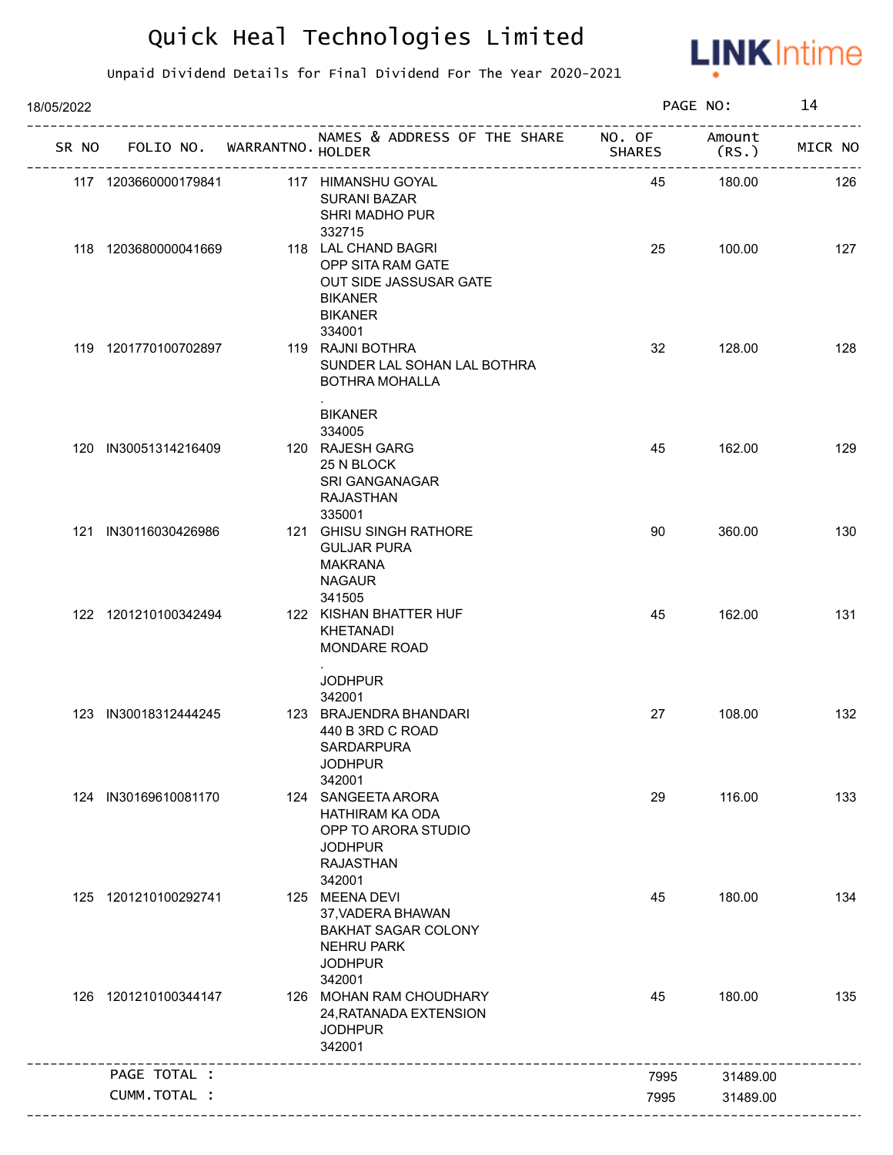

| 18/05/2022 |                      |                             |                                                                                                                    |               | PAGE NO:        | 14      |
|------------|----------------------|-----------------------------|--------------------------------------------------------------------------------------------------------------------|---------------|-----------------|---------|
| SR NO      |                      | FOLIO NO. WARRANTNO. HOLDER | NAMES & ADDRESS OF THE SHARE NO. OF<br>----------------------------------                                          | <b>SHARES</b> | Amount<br>(RS.) | MICR NO |
|            | 117 1203660000179841 |                             | 117 HIMANSHU GOYAL<br><b>SURANI BAZAR</b><br>SHRI MADHO PUR<br>332715                                              | 45            | 180.00          | 126     |
|            | 118 1203680000041669 |                             | 118 LAL CHAND BAGRI<br>OPP SITA RAM GATE<br>OUT SIDE JASSUSAR GATE<br><b>BIKANER</b><br><b>BIKANER</b>             | 25            | 100.00          | 127     |
|            | 119 1201770100702897 |                             | 334001<br>119 RAJNI BOTHRA<br>SUNDER LAL SOHAN LAL BOTHRA<br><b>BOTHRA MOHALLA</b><br>$\sim$                       | 32            | 128.00          | 128     |
|            | 120 IN30051314216409 |                             | <b>BIKANER</b><br>334005<br>120 RAJESH GARG<br>25 N BLOCK<br>SRI GANGANAGAR<br><b>RAJASTHAN</b>                    | 45            | 162.00          | 129     |
|            | 121 IN30116030426986 |                             | 335001<br>121 GHISU SINGH RATHORE<br><b>GULJAR PURA</b><br><b>MAKRANA</b><br><b>NAGAUR</b>                         | 90            | 360.00          | 130     |
|            | 122 1201210100342494 |                             | 341505<br>122 KISHAN BHATTER HUF<br>KHETANADI<br><b>MONDARE ROAD</b>                                               | 45            | 162.00          | 131     |
|            | 123 IN30018312444245 |                             | <b>JODHPUR</b><br>342001<br>123 BRAJENDRA BHANDARI                                                                 | 27            | 108.00          | 132     |
|            |                      |                             | 440 B 3RD C ROAD<br>SARDARPURA<br><b>JODHPUR</b><br>342001                                                         |               |                 |         |
|            | 124 IN30169610081170 |                             | 124 SANGEETA ARORA<br>HATHIRAM KA ODA<br>OPP TO ARORA STUDIO<br><b>JODHPUR</b><br><b>RAJASTHAN</b><br>342001       | 29            | 116.00          | 133     |
|            | 125 1201210100292741 |                             | 125 MEENA DEVI<br>37, VADERA BHAWAN<br><b>BAKHAT SAGAR COLONY</b><br><b>NEHRU PARK</b><br><b>JODHPUR</b><br>342001 | 45            | 180.00          | 134     |
|            | 126 1201210100344147 |                             | 126 MOHAN RAM CHOUDHARY<br>24, RATANADA EXTENSION<br><b>JODHPUR</b><br>342001                                      | 45            | 180.00          | 135     |
|            | PAGE TOTAL :         |                             |                                                                                                                    | 7995          | 31489.00        |         |
|            | CUMM.TOTAL :         |                             |                                                                                                                    | 7995          | 31489.00        |         |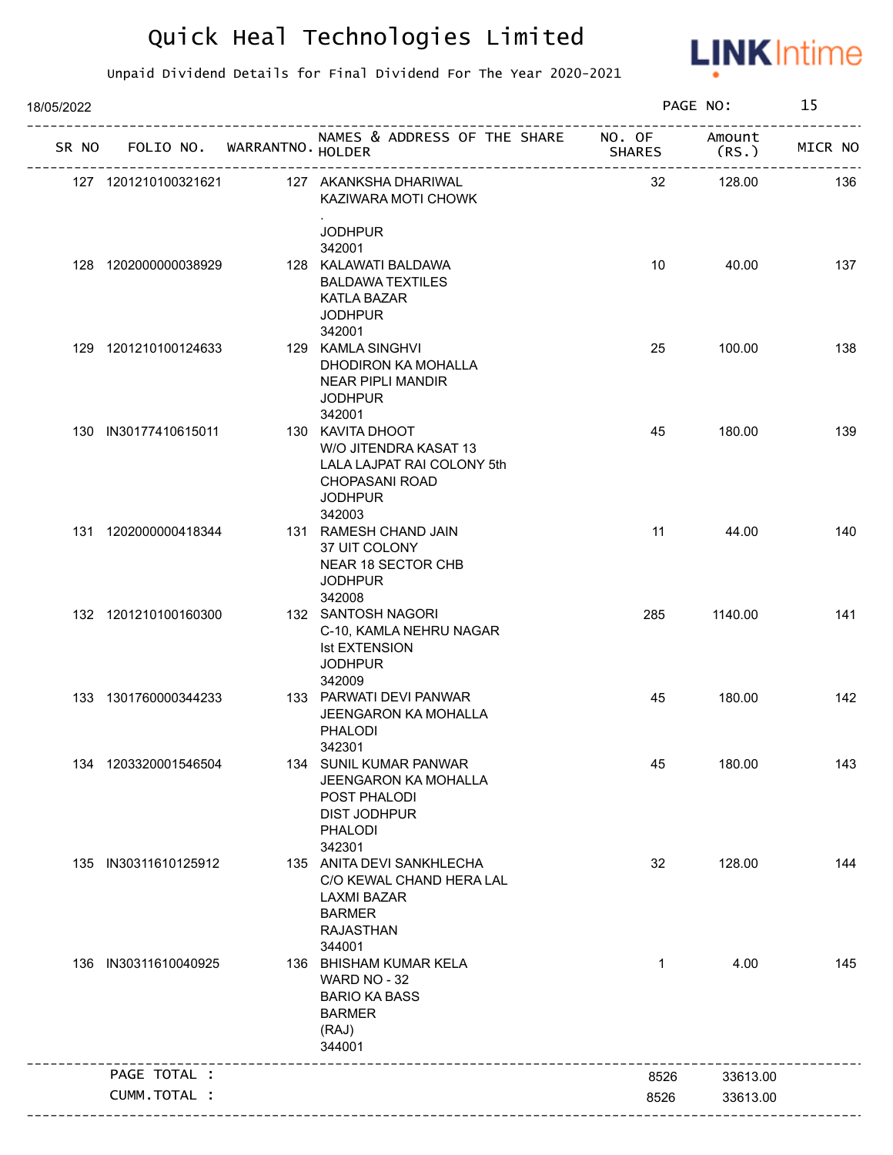

| 18/05/2022 |                             |                                                                                                                            |              | PAGE NO:        | 15      |
|------------|-----------------------------|----------------------------------------------------------------------------------------------------------------------------|--------------|-----------------|---------|
| SR NO      | FOLIO NO. WARRANTNO. HOLDER | NAMES & ADDRESS OF THE SHARE NO. OF<br>_______________________________                                                     | SHARES       | Amount<br>(RS.) | MICR NO |
|            | 127 1201210100321621        | 127 AKANKSHA DHARIWAL<br>KAZIWARA MOTI CHOWK                                                                               | 32           | 128.00          | 136     |
|            |                             | <b>JODHPUR</b>                                                                                                             |              |                 |         |
|            |                             | 342001                                                                                                                     |              |                 |         |
|            | 128 1202000000038929        | 128 KALAWATI BALDAWA<br><b>BALDAWA TEXTILES</b><br>KATLA BAZAR<br><b>JODHPUR</b><br>342001                                 | 10           | 40.00           | 137     |
|            | 129 1201210100124633        | 129 KAMLA SINGHVI<br>DHODIRON KA MOHALLA<br>NEAR PIPLI MANDIR<br><b>JODHPUR</b><br>342001                                  | 25           | 100.00          | 138     |
|            | 130 IN30177410615011        | 130 KAVITA DHOOT<br>W/O JITENDRA KASAT 13<br>LALA LAJPAT RAI COLONY 5th<br><b>CHOPASANI ROAD</b><br><b>JODHPUR</b>         | 45           | 180.00          | 139     |
|            | 131 1202000000418344        | 342003<br>131 RAMESH CHAND JAIN<br>37 UIT COLONY<br>NEAR 18 SECTOR CHB<br><b>JODHPUR</b><br>342008                         | 11           | 44.00           | 140     |
|            | 132 1201210100160300        | 132 SANTOSH NAGORI<br>C-10, KAMLA NEHRU NAGAR<br><b>Ist EXTENSION</b><br><b>JODHPUR</b><br>342009                          | 285          | 1140.00         | 141     |
|            | 133 1301760000344233        | 133 PARWATI DEVI PANWAR<br><b>JEENGARON KA MOHALLA</b><br><b>PHALODI</b><br>342301                                         | 45           | 180.00          | 142     |
|            | 134 1203320001546504        | 134 SUNIL KUMAR PANWAR<br>JEENGARON KA MOHALLA<br>POST PHALODI<br><b>DIST JODHPUR</b><br><b>PHALODI</b><br>342301          | 45           | 180.00          | 143     |
| 135        | IN30311610125912            | 135 ANITA DEVI SANKHLECHA<br>C/O KEWAL CHAND HERA LAL<br><b>LAXMI BAZAR</b><br><b>BARMER</b><br><b>RAJASTHAN</b><br>344001 | 32           | 128.00          | 144     |
|            | 136 IN30311610040925        | 136 BHISHAM KUMAR KELA<br>WARD NO - 32<br><b>BARIO KA BASS</b><br><b>BARMER</b><br>(RAJ)<br>344001                         | $\mathbf{1}$ | 4.00            | 145     |
|            | PAGE TOTAL :                |                                                                                                                            | 8526         | 33613.00        |         |
|            |                             |                                                                                                                            |              |                 |         |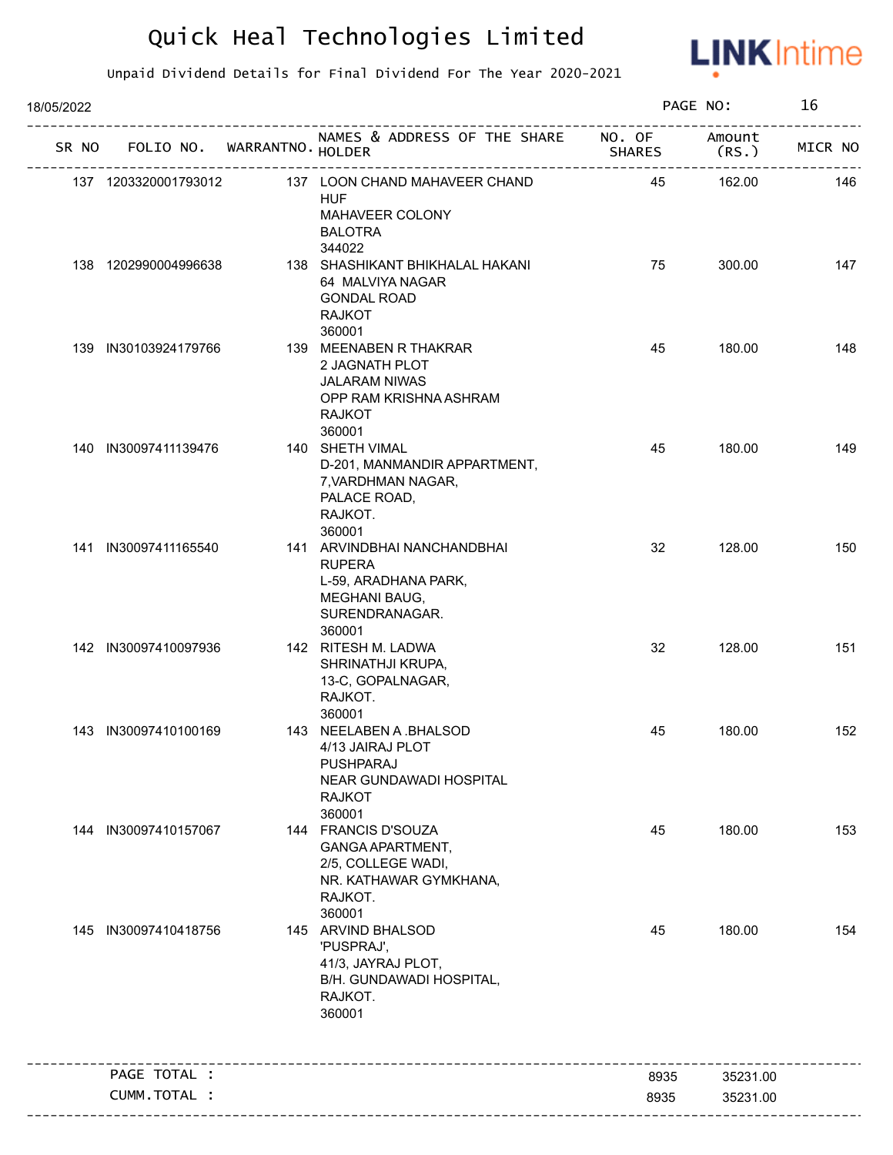

| 18/05/2022 |                             |                                                                                                                          |                         | PAGE NO:        | 16      |
|------------|-----------------------------|--------------------------------------------------------------------------------------------------------------------------|-------------------------|-----------------|---------|
| SR NO      | FOLIO NO. WARRANTNO. HOLDER | NAMES & ADDRESS OF THE SHARE                                                                                             | NO. OF<br><b>SHARES</b> | Amount<br>(RS.) | MICR NO |
|            | 137 1203320001793012        | 137 LOON CHAND MAHAVEER CHAND<br><b>HUF</b><br>MAHAVEER COLONY<br><b>BALOTRA</b><br>344022                               | 45                      | 162.00          | 146     |
|            | 138 1202990004996638        | 138 SHASHIKANT BHIKHALAL HAKANI<br>64 MALVIYA NAGAR<br><b>GONDAL ROAD</b><br><b>RAJKOT</b><br>360001                     | 75                      | 300.00          | 147     |
|            | 139 IN30103924179766        | 139 MEENABEN R THAKRAR<br>2 JAGNATH PLOT<br><b>JALARAM NIWAS</b><br>OPP RAM KRISHNA ASHRAM<br><b>RAJKOT</b><br>360001    | 45                      | 180.00          | 148     |
|            | 140 IN30097411139476        | 140 SHETH VIMAL<br>D-201, MANMANDIR APPARTMENT,<br>7, VARDHMAN NAGAR,<br>PALACE ROAD,<br>RAJKOT.<br>360001               | 45                      | 180.00          | 149     |
|            | 141 IN30097411165540        | 141 ARVINDBHAI NANCHANDBHAI<br><b>RUPERA</b><br>L-59, ARADHANA PARK,<br><b>MEGHANI BAUG,</b><br>SURENDRANAGAR.<br>360001 | 32                      | 128.00          | 150     |
|            | 142 IN30097410097936        | 142 RITESH M. LADWA<br>SHRINATHJI KRUPA,<br>13-C, GOPALNAGAR,<br>RAJKOT.<br>360001                                       | 32                      | 128.00          | 151     |
|            | 143 IN30097410100169        | 143 NEELABEN A .BHALSOD<br>4/13 JAIRAJ PLOT<br>PUSHPARAJ<br>NEAR GUNDAWADI HOSPITAL<br><b>RAJKOT</b><br>360001           | 45                      | 180.00          | 152     |
| 144        | IN30097410157067            | 144 FRANCIS D'SOUZA<br>GANGA APARTMENT,<br>2/5, COLLEGE WADI,<br>NR. KATHAWAR GYMKHANA,<br>RAJKOT.<br>360001             | 45                      | 180.00          | 153     |
|            | 145 IN30097410418756        | 145 ARVIND BHALSOD<br>'PUSPRAJ',<br>41/3, JAYRAJ PLOT,<br>B/H. GUNDAWADI HOSPITAL,<br>RAJKOT.<br>360001                  | 45                      | 180.00          | 154     |
|            | PAGE TOTAL :                |                                                                                                                          | 8935                    | 35231.00        |         |
|            | CUMM.TOTAL :                |                                                                                                                          | 8935                    | 35231.00        |         |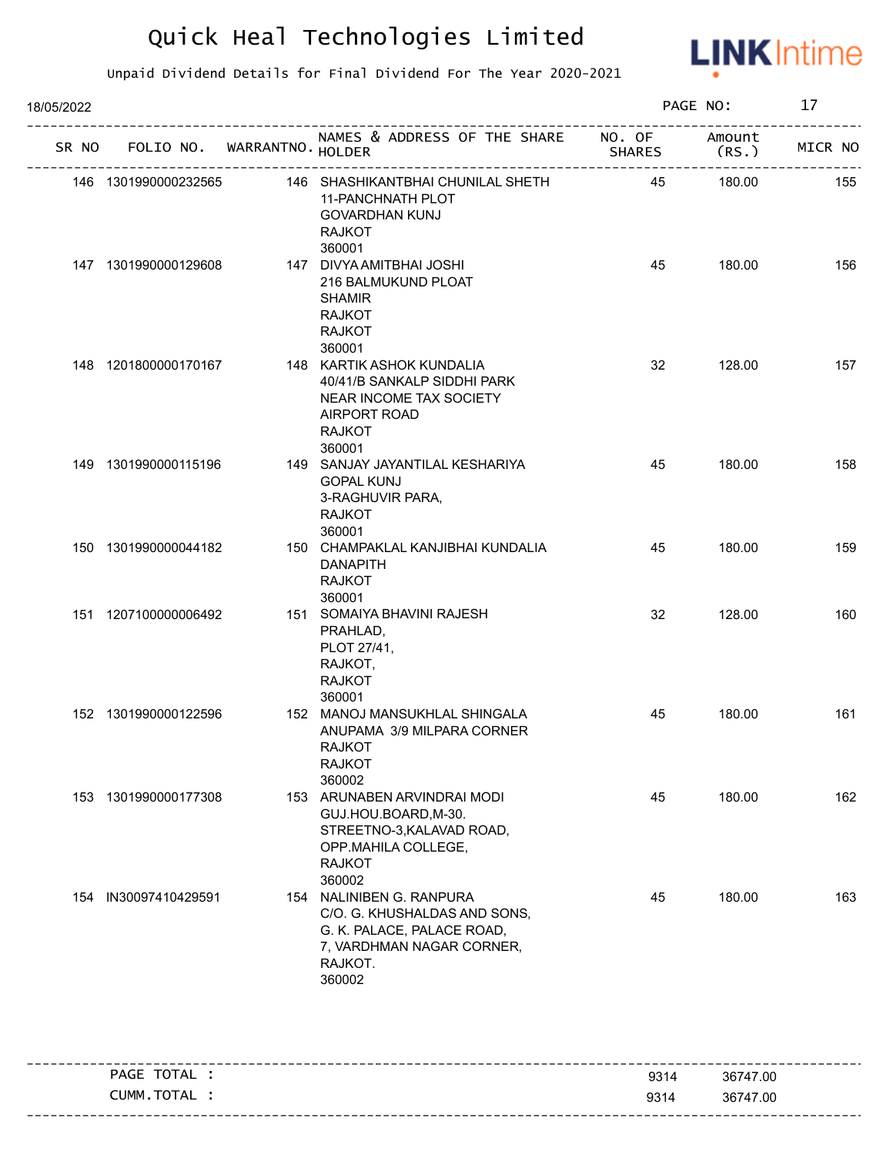

| 18/05/2022 |                      |                             |                                                                                                                                          |               | PAGE NO:        | 17      |
|------------|----------------------|-----------------------------|------------------------------------------------------------------------------------------------------------------------------------------|---------------|-----------------|---------|
| SR NO      |                      | FOLIO NO. WARRANTNO. HOLDER | NAMES & ADDRESS OF THE SHARE NO. OF                                                                                                      | <b>SHARES</b> | Amount<br>(RS.) | MICR NO |
|            | 146 1301990000232565 |                             | 146 SHASHIKANTBHAI CHUNILAL SHETH<br>11-PANCHNATH PLOT<br><b>GOVARDHAN KUNJ</b><br><b>RAJKOT</b><br>360001                               | 45            | 180.00          | 155     |
|            | 147 1301990000129608 |                             | 147 DIVYA AMITBHAI JOSHI<br>216 BALMUKUND PLOAT<br><b>SHAMIR</b><br><b>RAJKOT</b><br><b>RAJKOT</b><br>360001                             | 45            | 180.00          | 156     |
|            | 148 1201800000170167 |                             | 148 KARTIK ASHOK KUNDALIA<br>40/41/B SANKALP SIDDHI PARK<br>NEAR INCOME TAX SOCIETY<br>AIRPORT ROAD<br><b>RAJKOT</b><br>360001           | 32            | 128.00          | 157     |
|            | 149 1301990000115196 |                             | 149 SANJAY JAYANTILAL KESHARIYA<br><b>GOPAL KUNJ</b><br>3-RAGHUVIR PARA,<br><b>RAJKOT</b><br>360001                                      | 45            | 180.00          | 158     |
|            | 150 1301990000044182 |                             | 150 CHAMPAKLAL KANJIBHAI KUNDALIA<br><b>DANAPITH</b><br><b>RAJKOT</b><br>360001                                                          | 45            | 180.00          | 159     |
|            | 151 1207100000006492 |                             | 151 SOMAIYA BHAVINI RAJESH<br>PRAHLAD,<br>PLOT 27/41,<br>RAJKOT,<br><b>RAJKOT</b><br>360001                                              | 32            | 128.00          | 160     |
|            | 152 1301990000122596 |                             | 152 MANOJ MANSUKHLAL SHINGALA<br>ANUPAMA 3/9 MILPARA CORNER<br><b>RAJKOT</b><br><b>RAJKOT</b><br>360002                                  | 45            | 180.00          | 161     |
|            | 153 1301990000177308 |                             | 153 ARUNABEN ARVINDRAI MODI<br>GUJ.HOU.BOARD, M-30.<br>STREETNO-3, KALAVAD ROAD,<br>OPP.MAHILA COLLEGE,<br><b>RAJKOT</b><br>360002       | 45            | 180.00          | 162     |
|            | 154 IN30097410429591 |                             | 154 NALINIBEN G. RANPURA<br>C/O. G. KHUSHALDAS AND SONS,<br>G. K. PALACE, PALACE ROAD,<br>7, VARDHMAN NAGAR CORNER,<br>RAJKOT.<br>360002 | 45            | 180.00          | 163     |

| TOTAL<br>PAGE  | 9314 | 36747.00 |
|----------------|------|----------|
| TOTAL<br>CUMM. | 9314 | 36747.00 |
|                |      |          |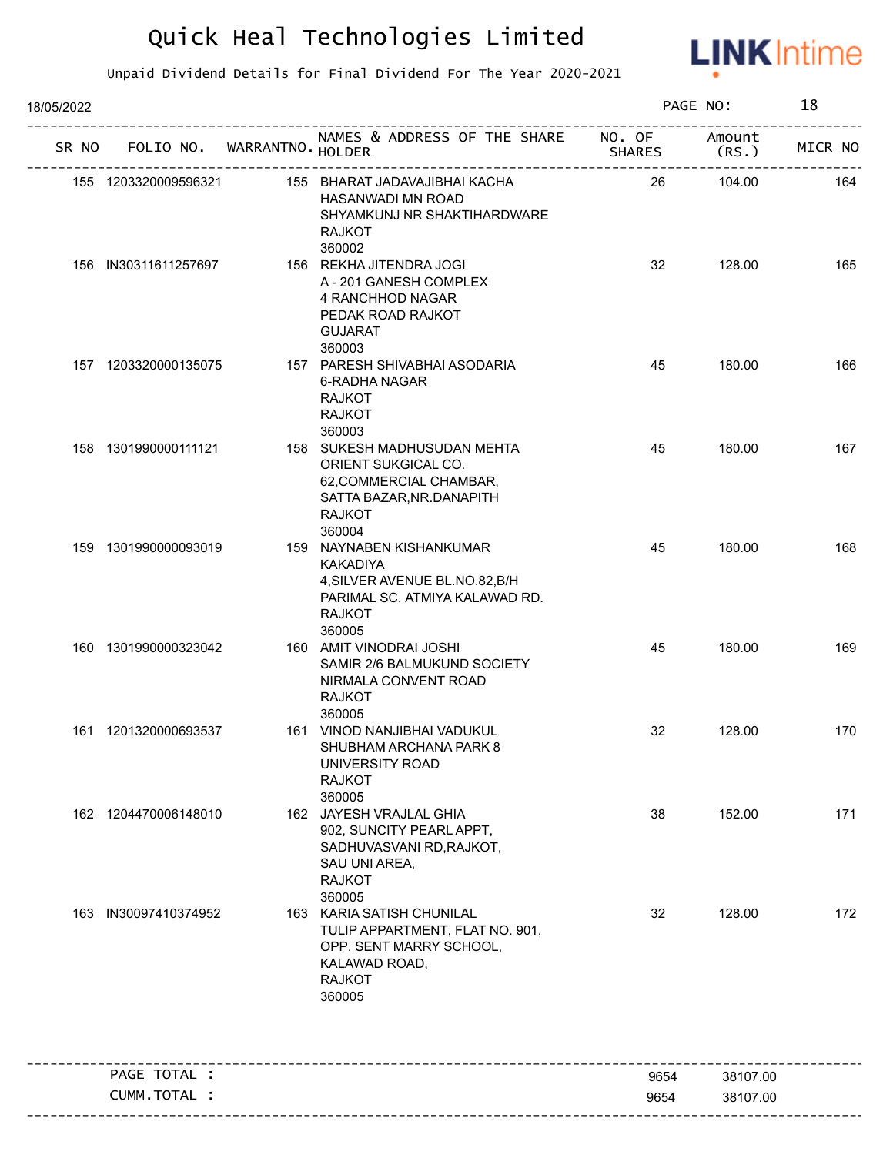

| 18/05/2022 |                             |                                                                                                                                            |                         | PAGE NO:        | 18      |
|------------|-----------------------------|--------------------------------------------------------------------------------------------------------------------------------------------|-------------------------|-----------------|---------|
| SR NO      | FOLIO NO. WARRANTNO. HOLDER | NAMES & ADDRESS OF THE SHARE                                                                                                               | NO. OF<br><b>SHARES</b> | Amount<br>(RS.) | MICR NO |
|            | 155 1203320009596321        | 155 BHARAT JADAVAJIBHAI KACHA<br>HASANWADI MN ROAD<br>SHYAMKUNJ NR SHAKTIHARDWARE<br><b>RAJKOT</b><br>360002                               | 26                      | 104.00          | 164     |
|            | 156 IN30311611257697        | 156 REKHA JITENDRA JOGI<br>A-201 GANESH COMPLEX<br>4 RANCHHOD NAGAR<br>PEDAK ROAD RAJKOT<br><b>GUJARAT</b>                                 | 32                      | 128.00          | 165     |
|            | 157 1203320000135075        | 360003<br>157 PARESH SHIVABHAI ASODARIA<br>6-RADHA NAGAR<br><b>RAJKOT</b><br><b>RAJKOT</b><br>360003                                       | 45                      | 180.00          | 166     |
|            | 158 1301990000111121        | 158 SUKESH MADHUSUDAN MEHTA<br>ORIENT SUKGICAL CO.<br>62, COMMERCIAL CHAMBAR,<br>SATTA BAZAR, NR. DANAPITH<br><b>RAJKOT</b><br>360004      | 45                      | 180.00          | 167     |
|            | 159 1301990000093019        | 159 NAYNABEN KISHANKUMAR<br><b>KAKADIYA</b><br>4, SILVER AVENUE BL.NO.82, B/H<br>PARIMAL SC. ATMIYA KALAWAD RD.<br><b>RAJKOT</b><br>360005 | 45                      | 180.00          | 168     |
|            | 160 1301990000323042        | 160 AMIT VINODRAI JOSHI<br>SAMIR 2/6 BALMUKUND SOCIETY<br>NIRMALA CONVENT ROAD<br><b>RAJKOT</b><br>360005                                  | 45                      | 180.00          | 169     |
|            | 161 1201320000693537        | 161 VINOD NANJIBHAI VADUKUL<br>SHUBHAM ARCHANA PARK 8<br><b>UNIVERSITY ROAD</b><br><b>RAJKOT</b><br>360005                                 | 32                      | 128.00          | 170     |
|            | 162 1204470006148010        | 162 JAYESH VRAJLAL GHIA<br>902, SUNCITY PEARL APPT,<br>SADHUVASVANI RD, RAJKOT,<br>SAU UNI AREA,<br><b>RAJKOT</b><br>360005                | 38                      | 152.00          | 171     |
|            | 163 IN30097410374952        | 163 KARIA SATISH CHUNILAL<br>TULIP APPARTMENT, FLAT NO. 901,<br>OPP. SENT MARRY SCHOOL,<br>KALAWAD ROAD,<br><b>RAJKOT</b><br>360005        | 32                      | 128.00          | 172     |
|            | PAGE TOTAL :                |                                                                                                                                            | 9654                    | 38107.00        |         |
|            | CUMM.TOTAL :                |                                                                                                                                            | 9654                    | 38107.00        |         |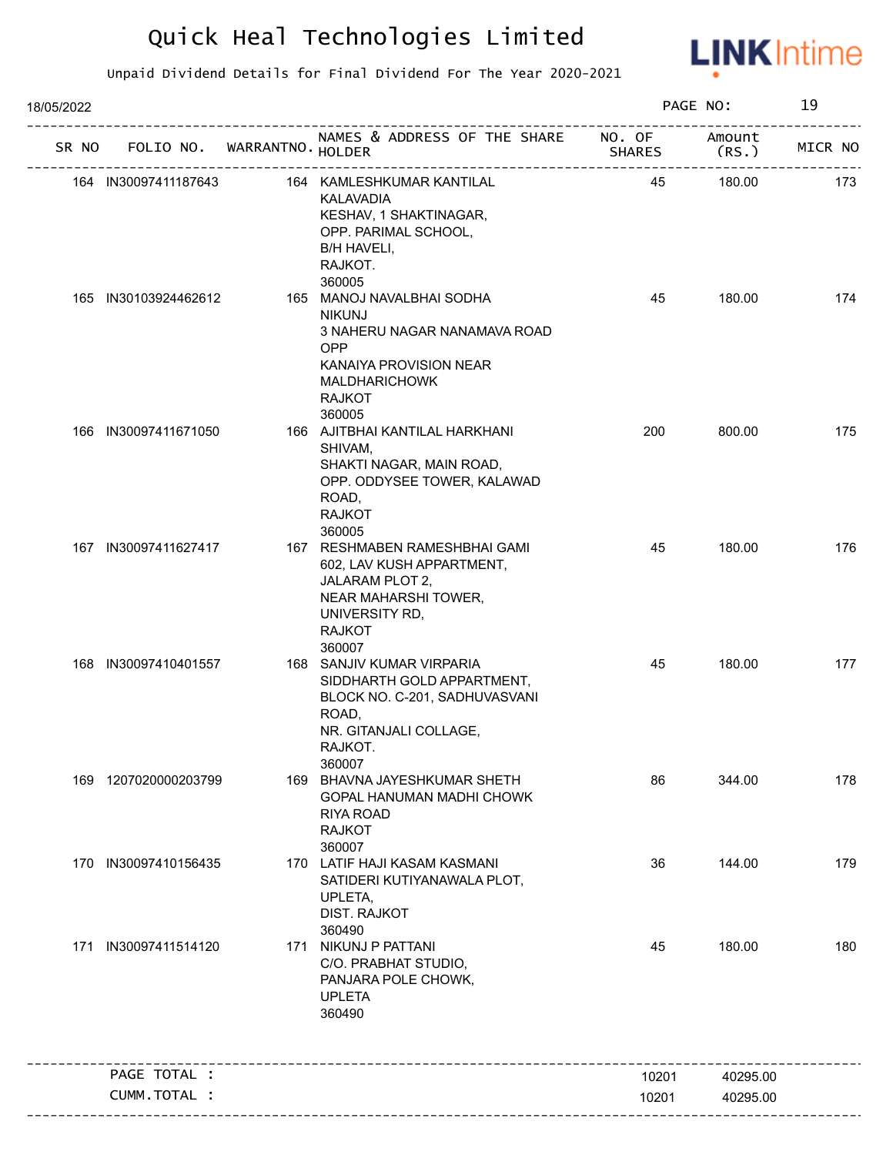

| 18/05/2022 | FOLIO NO. WARRANTNO. HOLDER<br>------------------------------<br>164 KAMLESHKUMAR KANTILAL<br>164 IN30097411187643<br>KALAVADIA<br>KESHAV, 1 SHAKTINAGAR,<br>OPP. PARIMAL SCHOOL,<br>B/H HAVELI,<br>RAJKOT.<br>360005<br>165 IN30103924462612<br>165 MANOJ NAVALBHAI SODHA<br><b>NIKUNJ</b><br>3 NAHERU NAGAR NANAMAVA ROAD<br>OPP<br>KANAIYA PROVISION NEAR<br><b>MALDHARICHOWK</b><br><b>RAJKOT</b><br>360005<br>166 AJITBHAI KANTILAL HARKHANI<br>IN30097411671050<br>SHIVAM,<br>SHAKTI NAGAR, MAIN ROAD,<br>OPP. ODDYSEE TOWER, KALAWAD<br>ROAD,<br><b>RAJKOT</b><br>360005<br>167 RESHMABEN RAMESHBHAI GAMI<br>167 IN30097411627417<br>602, LAV KUSH APPARTMENT,<br>JALARAM PLOT 2,<br>NEAR MAHARSHI TOWER,<br>UNIVERSITY RD,<br><b>RAJKOT</b><br>360007<br>168 IN30097410401557<br>168 SANJIV KUMAR VIRPARIA<br>SIDDHARTH GOLD APPARTMENT,<br>BLOCK NO. C-201, SADHUVASVANI<br>ROAD,<br>NR. GITANJALI COLLAGE,<br>RAJKOT.<br>360007<br>169 BHAVNA JAYESHKUMAR SHETH<br>169 1207020000203799<br>GOPAL HANUMAN MADHI CHOWK<br><b>RIYA ROAD</b><br><b>RAJKOT</b> |  | PAGE NO:                                                                                                |                         | 19              |         |
|------------|---------------------------------------------------------------------------------------------------------------------------------------------------------------------------------------------------------------------------------------------------------------------------------------------------------------------------------------------------------------------------------------------------------------------------------------------------------------------------------------------------------------------------------------------------------------------------------------------------------------------------------------------------------------------------------------------------------------------------------------------------------------------------------------------------------------------------------------------------------------------------------------------------------------------------------------------------------------------------------------------------------------------------------------------------------------------|--|---------------------------------------------------------------------------------------------------------|-------------------------|-----------------|---------|
| SR NO      |                                                                                                                                                                                                                                                                                                                                                                                                                                                                                                                                                                                                                                                                                                                                                                                                                                                                                                                                                                                                                                                                     |  | NAMES & ADDRESS OF THE SHARE                                                                            | NO. OF<br><b>SHARES</b> | Amount<br>(RS.) | MICR NO |
|            |                                                                                                                                                                                                                                                                                                                                                                                                                                                                                                                                                                                                                                                                                                                                                                                                                                                                                                                                                                                                                                                                     |  |                                                                                                         | 45                      | 180.00          | 173     |
|            |                                                                                                                                                                                                                                                                                                                                                                                                                                                                                                                                                                                                                                                                                                                                                                                                                                                                                                                                                                                                                                                                     |  |                                                                                                         | 45                      | 180.00          | 174     |
| 166        |                                                                                                                                                                                                                                                                                                                                                                                                                                                                                                                                                                                                                                                                                                                                                                                                                                                                                                                                                                                                                                                                     |  |                                                                                                         | 200                     | 800.00          | 175     |
|            |                                                                                                                                                                                                                                                                                                                                                                                                                                                                                                                                                                                                                                                                                                                                                                                                                                                                                                                                                                                                                                                                     |  |                                                                                                         | 45                      | 180.00          | 176     |
|            |                                                                                                                                                                                                                                                                                                                                                                                                                                                                                                                                                                                                                                                                                                                                                                                                                                                                                                                                                                                                                                                                     |  |                                                                                                         | 45                      | 180.00          | 177     |
|            |                                                                                                                                                                                                                                                                                                                                                                                                                                                                                                                                                                                                                                                                                                                                                                                                                                                                                                                                                                                                                                                                     |  | 360007                                                                                                  | 86                      | 344.00          | 178     |
|            | 170 IN30097410156435                                                                                                                                                                                                                                                                                                                                                                                                                                                                                                                                                                                                                                                                                                                                                                                                                                                                                                                                                                                                                                                |  | 170 LATIF HAJI KASAM KASMANI<br>SATIDERI KUTIYANAWALA PLOT,<br>UPLETA,<br><b>DIST. RAJKOT</b><br>360490 | 36                      | 144.00          | 179     |
| 171        | IN30097411514120                                                                                                                                                                                                                                                                                                                                                                                                                                                                                                                                                                                                                                                                                                                                                                                                                                                                                                                                                                                                                                                    |  | 171 NIKUNJ P PATTANI<br>C/O. PRABHAT STUDIO,<br>PANJARA POLE CHOWK,<br><b>UPLETA</b><br>360490          | 45                      | 180.00          | 180     |
|            | PAGE TOTAL :                                                                                                                                                                                                                                                                                                                                                                                                                                                                                                                                                                                                                                                                                                                                                                                                                                                                                                                                                                                                                                                        |  |                                                                                                         | 10201                   | 40295.00        |         |
|            | CUMM.TOTAL :                                                                                                                                                                                                                                                                                                                                                                                                                                                                                                                                                                                                                                                                                                                                                                                                                                                                                                                                                                                                                                                        |  |                                                                                                         | 10201                   | 40295.00        |         |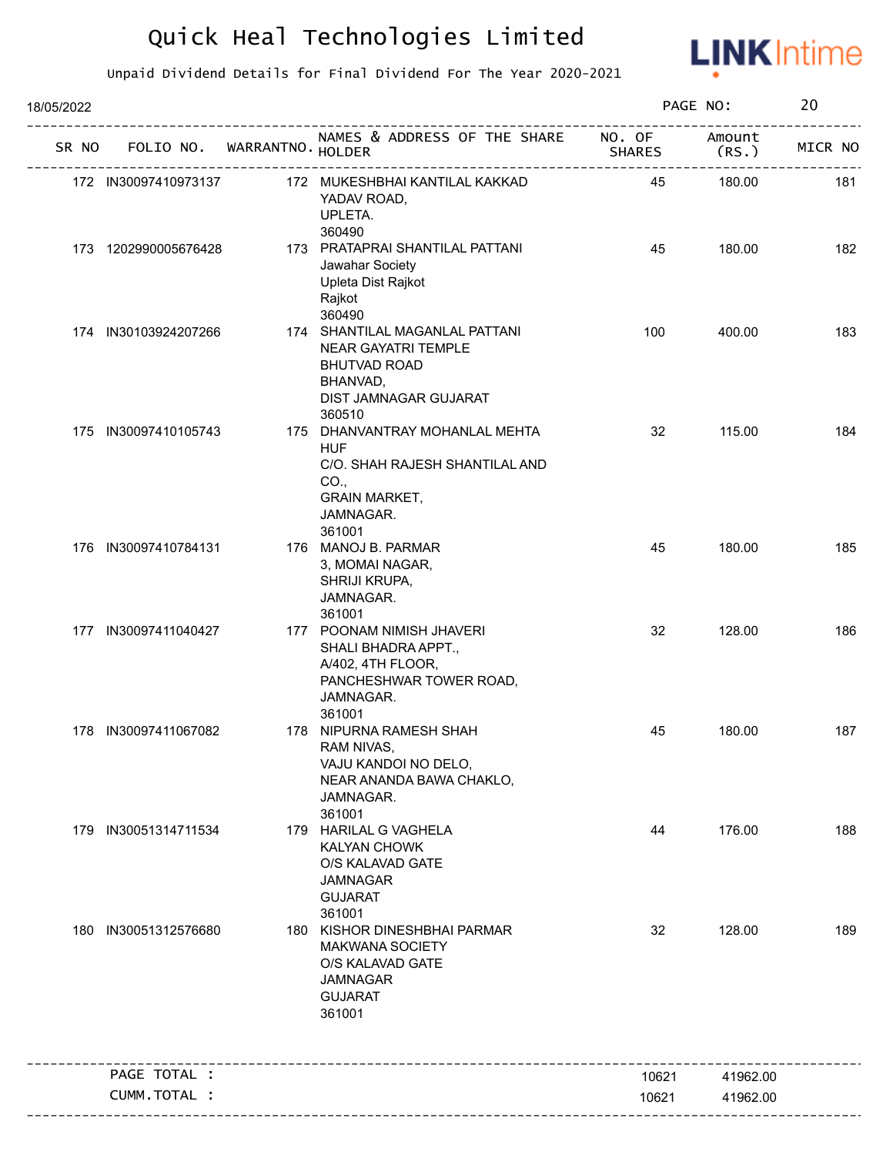

| 18/05/2022 |                             |                                                                                                                                       |                         | PAGE NO:        | 20      |
|------------|-----------------------------|---------------------------------------------------------------------------------------------------------------------------------------|-------------------------|-----------------|---------|
| SR NO      | FOLIO NO. WARRANTNO. HOLDER | NAMES & ADDRESS OF THE SHARE                                                                                                          | NO. OF<br><b>SHARES</b> | Amount<br>(RS.) | MICR NO |
|            | 172 IN30097410973137        | 172 MUKESHBHAI KANTILAL KAKKAD<br>YADAV ROAD,<br>UPLETA.<br>360490                                                                    | 45                      | 180.00          | 181     |
|            | 173 1202990005676428        | 173 PRATAPRAI SHANTILAL PATTANI<br>Jawahar Society<br>Upleta Dist Rajkot<br>Rajkot<br>360490                                          | 45                      | 180.00          | 182     |
|            | 174 IN30103924207266        | 174 SHANTILAL MAGANLAL PATTANI<br>NEAR GAYATRI TEMPLE<br><b>BHUTVAD ROAD</b><br>BHANVAD,<br>DIST JAMNAGAR GUJARAT<br>360510           | 100                     | 400.00          | 183     |
|            | 175 IN30097410105743        | 175 DHANVANTRAY MOHANLAL MEHTA<br><b>HUF</b><br>C/O. SHAH RAJESH SHANTILAL AND<br>CO.,<br><b>GRAIN MARKET,</b><br>JAMNAGAR.<br>361001 | 32                      | 115.00          | 184     |
|            | 176 IN30097410784131        | 176 MANOJ B. PARMAR<br>3, MOMAI NAGAR,<br>SHRIJI KRUPA,<br>JAMNAGAR.<br>361001                                                        | 45                      | 180.00          | 185     |
|            | 177 IN30097411040427        | 177 POONAM NIMISH JHAVERI<br>SHALI BHADRA APPT.,<br>A/402, 4TH FLOOR,<br>PANCHESHWAR TOWER ROAD,<br>JAMNAGAR.<br>361001               | 32                      | 128.00          | 186     |
|            | 178 IN30097411067082        | 178 NIPURNA RAMESH SHAH<br>RAM NIVAS,<br>VAJU KANDOI NO DELO,<br>NEAR ANANDA BAWA CHAKLO,<br>JAMNAGAR.<br>361001                      | 45                      | 180.00          | 187     |
| 179        | IN30051314711534            | 179 HARILAL G VAGHELA<br><b>KALYAN CHOWK</b><br>O/S KALAVAD GATE<br><b>JAMNAGAR</b><br><b>GUJARAT</b><br>361001                       | 44                      | 176.00          | 188     |
| 180        | IN30051312576680            | 180 KISHOR DINESHBHAI PARMAR<br>MAKWANA SOCIETY<br>O/S KALAVAD GATE<br><b>JAMNAGAR</b><br><b>GUJARAT</b><br>361001                    | 32                      | 128.00          | 189     |
|            | PAGE TOTAL :                |                                                                                                                                       | 10621                   | 41962.00        |         |
|            | CUMM.TOTAL :                |                                                                                                                                       | 10621                   | 41962.00        |         |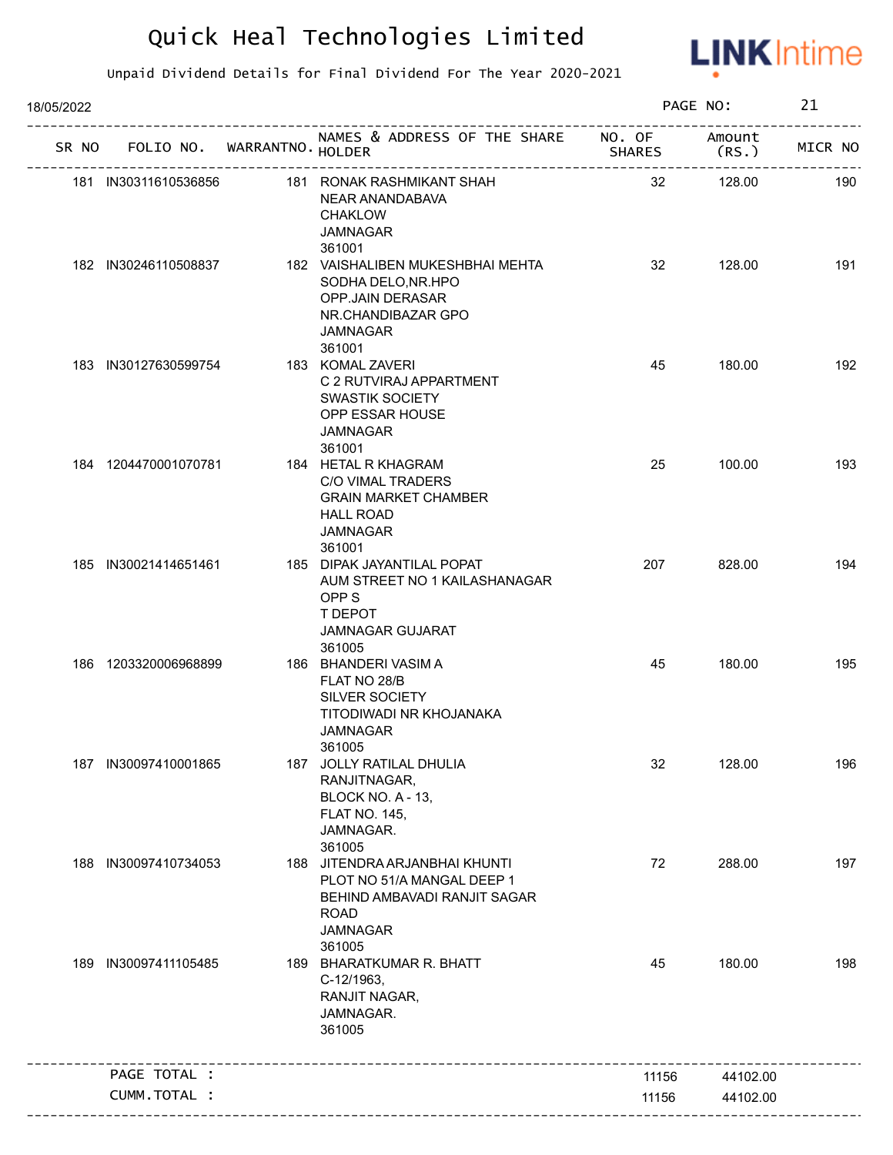

| 18/05/2022 |                             |                                                                                                                                         |        | PAGE NO:       | 21      |
|------------|-----------------------------|-----------------------------------------------------------------------------------------------------------------------------------------|--------|----------------|---------|
| SR NO      | FOLIO NO. WARRANTNO. HOLDER | NAMES & ADDRESS OF THE SHARE NO. OF                                                                                                     | SHARES | Amount<br>(RS. | MICR NO |
|            | 181 IN30311610536856        | 181 RONAK RASHMIKANT SHAH<br>NEAR ANANDABAVA<br><b>CHAKLOW</b><br><b>JAMNAGAR</b><br>361001                                             | 32     | 128.00         | 190     |
|            | 182 IN30246110508837        | 182 VAISHALIBEN MUKESHBHAI MEHTA<br>SODHA DELO, NR. HPO<br>OPP.JAIN DERASAR<br>NR.CHANDIBAZAR GPO<br><b>JAMNAGAR</b><br>361001          | 32     | 128.00         | 191     |
|            | 183 IN30127630599754        | 183 KOMAL ZAVERI<br>C 2 RUTVIRAJ APPARTMENT<br>SWASTIK SOCIETY<br>OPP ESSAR HOUSE<br><b>JAMNAGAR</b><br>361001                          | 45     | 180.00         | 192     |
|            | 184 1204470001070781        | 184 HETAL R KHAGRAM<br>C/O VIMAL TRADERS<br><b>GRAIN MARKET CHAMBER</b><br><b>HALL ROAD</b><br><b>JAMNAGAR</b><br>361001                | 25     | 100.00         | 193     |
|            | 185 IN30021414651461        | 185 DIPAK JAYANTILAL POPAT<br>AUM STREET NO 1 KAILASHANAGAR<br>OPP <sub>S</sub><br>T DEPOT<br><b>JAMNAGAR GUJARAT</b><br>361005         | 207    | 828.00         | 194     |
|            | 186 1203320006968899        | 186 BHANDERI VASIM A<br>FLAT NO 28/B<br><b>SILVER SOCIETY</b><br>TITODIWADI NR KHOJANAKA<br><b>JAMNAGAR</b><br>361005                   | 45     | 180.00         | 195     |
|            | 187 IN30097410001865        | 187 JOLLY RATILAL DHULIA<br>RANJITNAGAR,<br>BLOCK NO. A - 13,<br><b>FLAT NO. 145,</b><br>JAMNAGAR.<br>361005                            | 32     | 128.00         | 196     |
|            | 188 IN30097410734053        | 188 JITENDRA ARJANBHAI KHUNTI<br>PLOT NO 51/A MANGAL DEEP 1<br>BEHIND AMBAVADI RANJIT SAGAR<br><b>ROAD</b><br><b>JAMNAGAR</b><br>361005 | 72     | 288.00         | 197     |
| 189.       | IN30097411105485            | 189 BHARATKUMAR R. BHATT<br>C-12/1963,<br>RANJIT NAGAR,<br>JAMNAGAR.<br>361005                                                          | 45     | 180.00         | 198     |
|            | PAGE TOTAL :                |                                                                                                                                         | 11156  | 44102.00       |         |
|            | CUMM.TOTAL :                |                                                                                                                                         | 11156  | 44102.00       |         |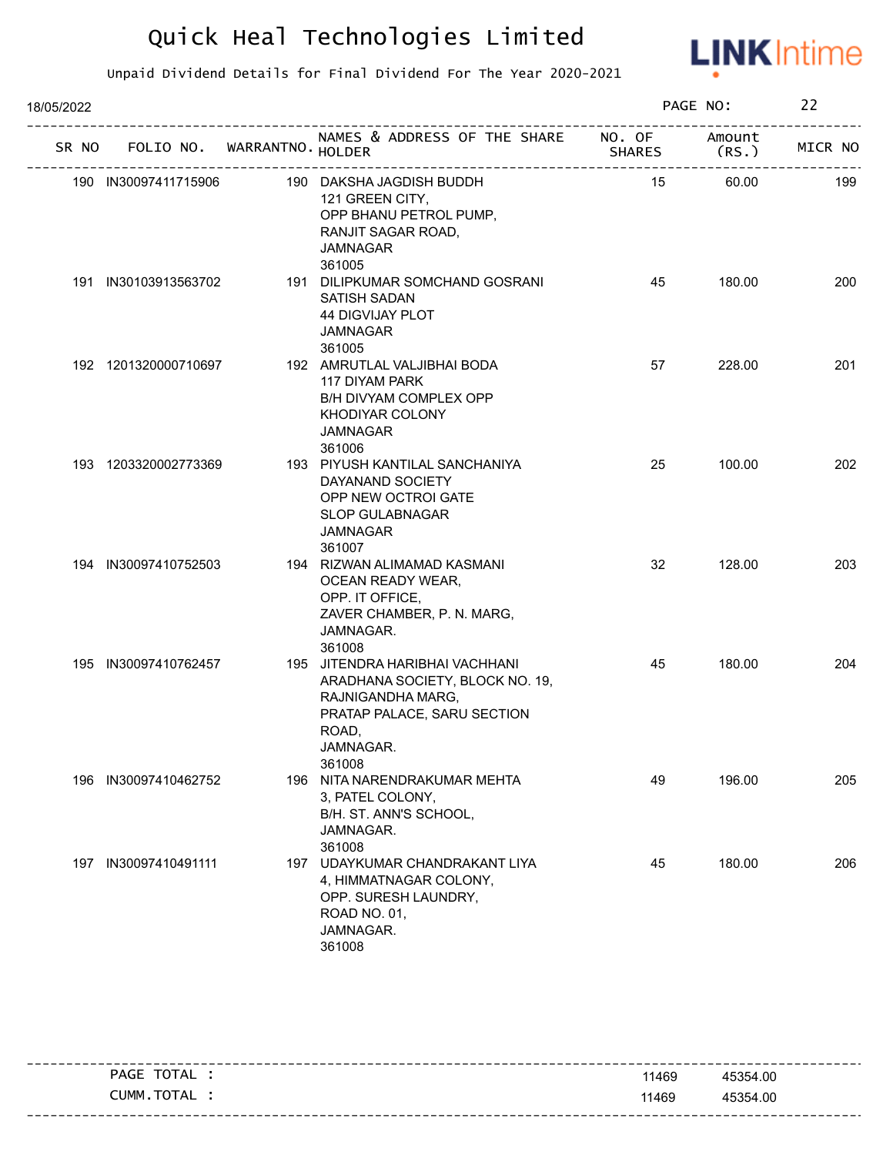

| 18/05/2022 |                      |                                   |                                                                                                                                                       |        | PAGE NO:        | 22      |
|------------|----------------------|-----------------------------------|-------------------------------------------------------------------------------------------------------------------------------------------------------|--------|-----------------|---------|
|            |                      | SR NO FOLIO NO. WARRANTNO. HOLDER | NAMES & ADDRESS OF THE SHARE NO. OF                                                                                                                   | SHARES | Amount<br>(RS.) | MICR NO |
|            | 190 IN30097411715906 |                                   | 190 DAKSHA JAGDISH BUDDH<br>121 GREEN CITY,<br>OPP BHANU PETROL PUMP,<br>RANJIT SAGAR ROAD,<br><b>JAMNAGAR</b><br>361005                              | 15     | 60.00           | 199     |
|            | 191 IN30103913563702 |                                   | 191 DILIPKUMAR SOMCHAND GOSRANI<br><b>SATISH SADAN</b><br><b>44 DIGVIJAY PLOT</b><br><b>JAMNAGAR</b><br>361005                                        | 45     | 180.00          | 200     |
|            | 192 1201320000710697 |                                   | 192 AMRUTLAL VALJIBHAI BODA<br>117 DIYAM PARK<br>B/H DIVYAM COMPLEX OPP<br>KHODIYAR COLONY<br><b>JAMNAGAR</b><br>361006                               | 57     | 228.00          | 201     |
|            | 193 1203320002773369 |                                   | 193 PIYUSH KANTILAL SANCHANIYA<br>DAYANAND SOCIETY<br>OPP NEW OCTROI GATE<br><b>SLOP GULABNAGAR</b><br><b>JAMNAGAR</b><br>361007                      | 25     | 100.00          | 202     |
|            | 194 IN30097410752503 |                                   | 194 RIZWAN ALIMAMAD KASMANI<br>OCEAN READY WEAR,<br>OPP. IT OFFICE,<br>ZAVER CHAMBER, P. N. MARG,<br>JAMNAGAR.<br>361008                              | 32     | 128.00          | 203     |
|            | 195 IN30097410762457 |                                   | 195 JITENDRA HARIBHAI VACHHANI<br>ARADHANA SOCIETY, BLOCK NO. 19,<br>RAJNIGANDHA MARG,<br>PRATAP PALACE, SARU SECTION<br>ROAD,<br>JAMNAGAR.<br>361008 | 45     | 180.00          | 204     |
|            | 196 IN30097410462752 |                                   | 196 NITA NARENDRAKUMAR MEHTA<br>3, PATEL COLONY,<br>B/H. ST. ANN'S SCHOOL,<br>JAMNAGAR.<br>361008                                                     | 49     | 196.00          | 205     |
|            | 197 IN30097410491111 |                                   | 197 UDAYKUMAR CHANDRAKANT LIYA<br>4, HIMMATNAGAR COLONY,<br>OPP. SURESH LAUNDRY,<br>ROAD NO. 01,<br>JAMNAGAR.<br>361008                               | 45     | 180.00          | 206     |

| PAGE TOTAL | 11469 | 45354.00 |
|------------|-------|----------|
| CUMM.TOTAL | 11469 | 45354.00 |
|            |       |          |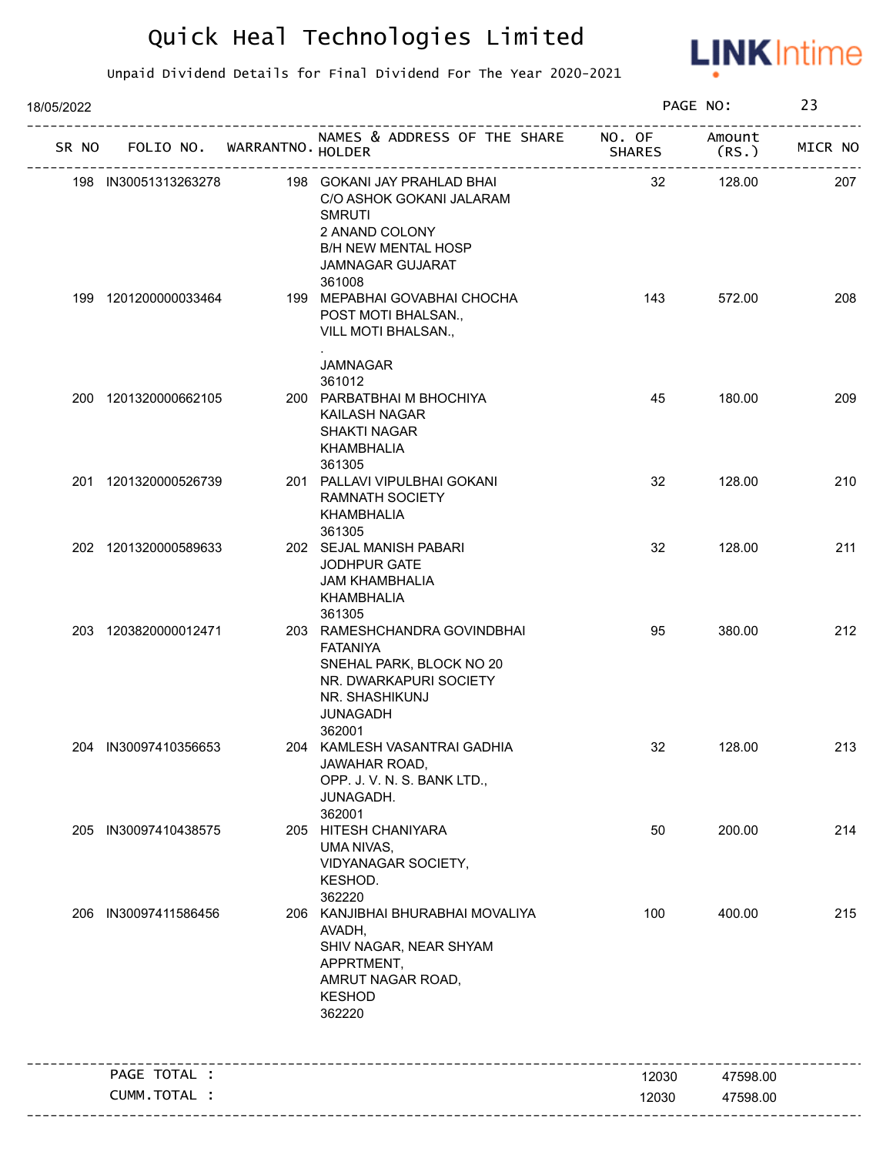

| 18/05/2022 |                             |                                                                                                                                                      |                         | PAGE NO:        | 23      |
|------------|-----------------------------|------------------------------------------------------------------------------------------------------------------------------------------------------|-------------------------|-----------------|---------|
| SR NO      | FOLIO NO. WARRANTNO. HOLDER | NAMES & ADDRESS OF THE SHARE                                                                                                                         | NO. OF<br><b>SHARES</b> | Amount<br>(RS.) | MICR NO |
|            | 198 IN30051313263278        | 198 GOKANI JAY PRAHLAD BHAI<br>C/O ASHOK GOKANI JALARAM<br><b>SMRUTI</b><br>2 ANAND COLONY<br><b>B/H NEW MENTAL HOSP</b><br><b>JAMNAGAR GUJARAT</b>  | 32                      | 128.00          | 207     |
|            | 199 1201200000033464        | 361008<br>199 MEPABHAI GOVABHAI CHOCHA<br>POST MOTI BHALSAN.,<br>VILL MOTI BHALSAN.,                                                                 | 143                     | 572.00          | 208     |
|            | 200 1201320000662105        | <b>JAMNAGAR</b><br>361012<br>200 PARBATBHAI M BHOCHIYA                                                                                               | 45                      | 180.00          | 209     |
|            |                             | KAILASH NAGAR<br>SHAKTI NAGAR<br>KHAMBHALIA<br>361305                                                                                                |                         |                 |         |
|            | 201 1201320000526739        | 201 PALLAVI VIPULBHAI GOKANI<br><b>RAMNATH SOCIETY</b><br>KHAMBHALIA<br>361305                                                                       | 32                      | 128.00          | 210     |
|            | 202 1201320000589633        | 202 SEJAL MANISH PABARI<br>JODHPUR GATE<br><b>JAM KHAMBHALIA</b><br>KHAMBHALIA<br>361305                                                             | 32                      | 128.00          | 211     |
|            | 203 1203820000012471        | 203 RAMESHCHANDRA GOVINDBHAI<br><b>FATANIYA</b><br>SNEHAL PARK, BLOCK NO 20<br>NR. DWARKAPURI SOCIETY<br>NR. SHASHIKUNJ<br><b>JUNAGADH</b><br>362001 | 95                      | 380.00          | 212     |
|            | 204 IN30097410356653        | 204 KAMLESH VASANTRAI GADHIA<br>JAWAHAR ROAD,<br>OPP. J. V. N. S. BANK LTD.,<br>JUNAGADH.<br>362001                                                  | 32                      | 128.00          | 213     |
| 205        | IN30097410438575            | 205 HITESH CHANIYARA<br>UMA NIVAS,<br>VIDYANAGAR SOCIETY,<br>KESHOD.<br>362220                                                                       | 50                      | 200.00          | 214     |
| 206        | IN30097411586456            | 206 KANJIBHAI BHURABHAI MOVALIYA<br>AVADH,<br>SHIV NAGAR, NEAR SHYAM<br>APPRTMENT,<br>AMRUT NAGAR ROAD,<br><b>KESHOD</b><br>362220                   | 100                     | 400.00          | 215     |
|            | PAGE TOTAL :                |                                                                                                                                                      | 12030                   | 47598.00        |         |
|            | CUMM.TOTAL :                |                                                                                                                                                      | 12030                   | 47598.00        |         |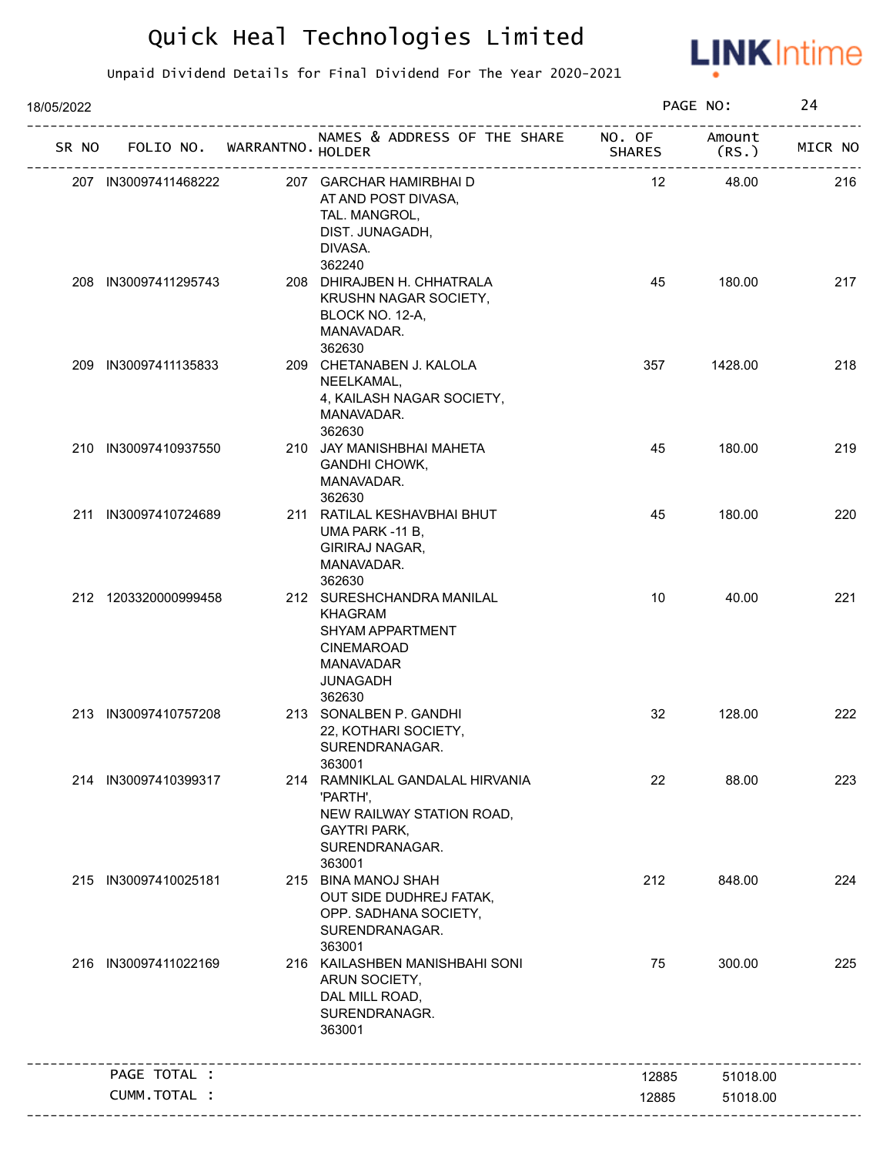

| 18/05/2022 |                             |                                                                                                                                       |               | PAGE NO:        | 24      |
|------------|-----------------------------|---------------------------------------------------------------------------------------------------------------------------------------|---------------|-----------------|---------|
| SR NO      | FOLIO NO. WARRANTNO. HOLDER | NAMES & ADDRESS OF THE SHARE NO. OF                                                                                                   | <b>SHARES</b> | Amount<br>(RS.) | MICR NO |
|            | 207 IN30097411468222        | 207 GARCHAR HAMIRBHAI D<br>AT AND POST DIVASA,<br>TAL. MANGROL,<br>DIST. JUNAGADH,<br>DIVASA.<br>362240                               | 12            | 48.00           | 216     |
|            | 208 IN30097411295743        | 208 DHIRAJBEN H. CHHATRALA<br>KRUSHN NAGAR SOCIETY,<br>BLOCK NO. 12-A,<br>MANAVADAR.<br>362630                                        | 45            | 180.00          | 217     |
|            | 209 IN30097411135833        | 209 CHETANABEN J. KALOLA<br>NEELKAMAL,<br>4, KAILASH NAGAR SOCIETY,<br>MANAVADAR.<br>362630                                           | 357           | 1428.00         | 218     |
|            | 210 IN30097410937550        | 210 JAY MANISHBHAI MAHETA<br>GANDHI CHOWK,<br>MANAVADAR.<br>362630                                                                    | 45            | 180.00          | 219     |
|            | 211 IN30097410724689        | 211 RATILAL KESHAVBHAI BHUT<br>UMA PARK -11 B,<br>GIRIRAJ NAGAR,<br>MANAVADAR.<br>362630                                              | 45            | 180.00          | 220     |
|            | 212 1203320000999458        | 212 SURESHCHANDRA MANILAL<br><b>KHAGRAM</b><br>SHYAM APPARTMENT<br><b>CINEMAROAD</b><br><b>MANAVADAR</b><br><b>JUNAGADH</b><br>362630 | 10            | 40.00           | 221     |
|            | 213 IN30097410757208        | 213 SONALBEN P. GANDHI<br>22, KOTHARI SOCIETY,<br>SURENDRANAGAR.<br>363001                                                            | 32            | 128.00          | 222     |
|            | 214 IN30097410399317        | 214 RAMNIKLAL GANDALAL HIRVANIA<br>'PARTH',<br>NEW RAILWAY STATION ROAD,<br><b>GAYTRI PARK,</b><br>SURENDRANAGAR.<br>363001           | 22            | 88.00           | 223     |
|            | 215 IN30097410025181        | 215 BINA MANOJ SHAH<br>OUT SIDE DUDHREJ FATAK,<br>OPP. SADHANA SOCIETY,<br>SURENDRANAGAR.<br>363001                                   | 212           | 848.00          | 224     |
|            | 216 IN30097411022169        | 216 KAILASHBEN MANISHBAHI SONI<br>ARUN SOCIETY,<br>DAL MILL ROAD,<br>SURENDRANAGR.<br>363001                                          | 75            | 300.00          | 225     |
|            | PAGE TOTAL :                |                                                                                                                                       | 12885         | 51018.00        |         |
|            | CUMM.TOTAL :                |                                                                                                                                       | 12885         | 51018.00        |         |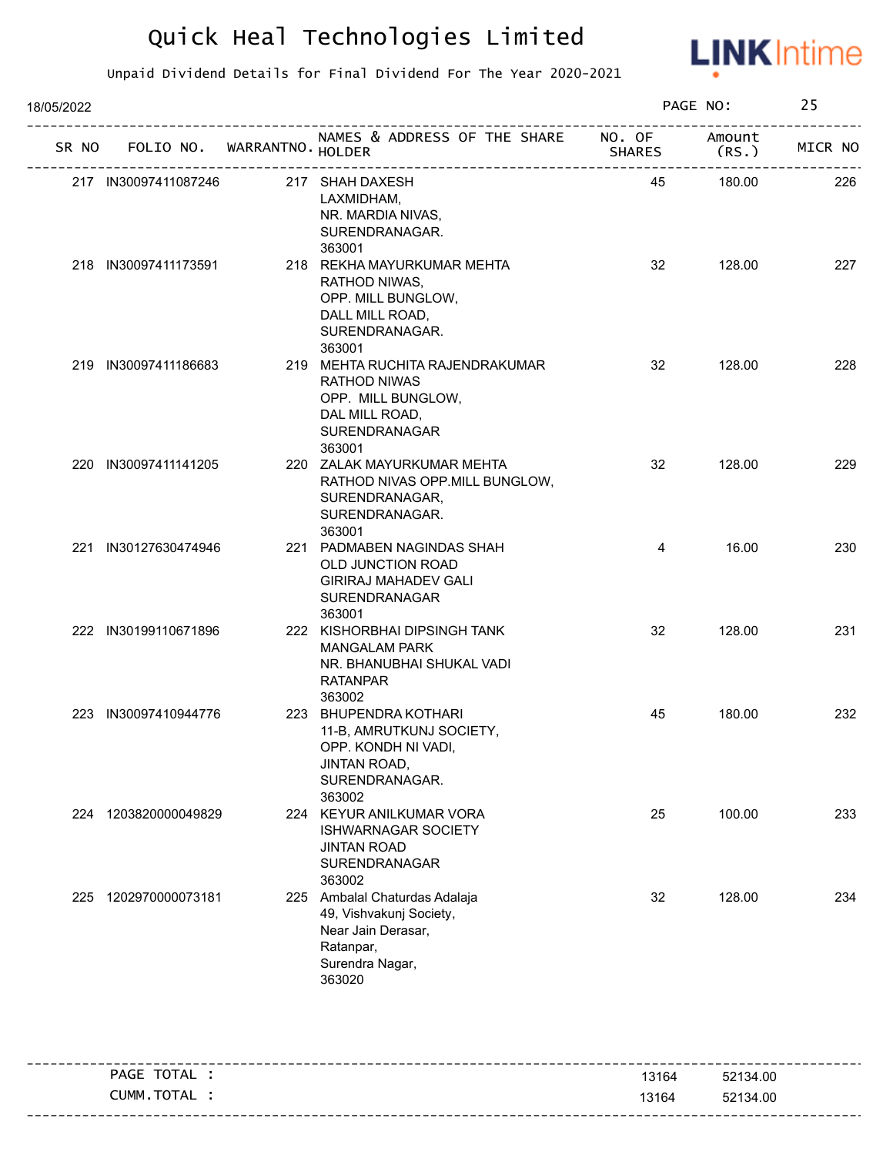

| 18/05/2022 |                      |                             |                                                                                                                          |        | PAGE NO:        | 25      |
|------------|----------------------|-----------------------------|--------------------------------------------------------------------------------------------------------------------------|--------|-----------------|---------|
| SR NO      |                      | FOLIO NO. WARRANTNO. HOLDER | NAMES & ADDRESS OF THE SHARE NO. OF<br>אאת<br>-------------------------------                                            | SHARES | Amount<br>(RS.) | MICR NO |
|            | 217 IN30097411087246 |                             | 217 SHAH DAXESH<br>LAXMIDHAM,<br>NR. MARDIA NIVAS,<br>SURENDRANAGAR.<br>363001                                           | 45     | 180.00          | 226     |
|            | 218 IN30097411173591 |                             | 218 REKHA MAYURKUMAR MEHTA<br>RATHOD NIWAS,<br>OPP. MILL BUNGLOW,<br>DALL MILL ROAD,<br>SURENDRANAGAR.<br>363001         | 32     | 128.00          | 227     |
|            | 219 IN30097411186683 |                             | 219 MEHTA RUCHITA RAJENDRAKUMAR<br>RATHOD NIWAS<br>OPP. MILL BUNGLOW,<br>DAL MILL ROAD,<br>SURENDRANAGAR<br>363001       | 32     | 128.00          | 228     |
|            | 220 IN30097411141205 |                             | 220 ZALAK MAYURKUMAR MEHTA<br>RATHOD NIVAS OPP.MILL BUNGLOW,<br>SURENDRANAGAR,<br>SURENDRANAGAR.<br>363001               | 32     | 128.00          | 229     |
|            | 221 IN30127630474946 |                             | 221 PADMABEN NAGINDAS SHAH<br>OLD JUNCTION ROAD<br><b>GIRIRAJ MAHADEV GALI</b><br>SURENDRANAGAR<br>363001                | 4      | 16.00           | 230     |
|            | 222 IN30199110671896 |                             | 222 KISHORBHAI DIPSINGH TANK<br><b>MANGALAM PARK</b><br>NR. BHANUBHAI SHUKAL VADI<br><b>RATANPAR</b><br>363002           | 32     | 128.00          | 231     |
|            | 223 IN30097410944776 |                             | 223 BHUPENDRA KOTHARI<br>11-B, AMRUTKUNJ SOCIETY,<br>OPP. KONDH NI VADI,<br>JINTAN ROAD,<br>SURENDRANAGAR.<br>363002     | 45     | 180.00          | 232     |
|            | 224 1203820000049829 |                             | 224 KEYUR ANILKUMAR VORA<br><b>ISHWARNAGAR SOCIETY</b><br><b>JINTAN ROAD</b><br>SURENDRANAGAR<br>363002                  | 25     | 100.00          | 233     |
| 225        | 1202970000073181     |                             | 225 Ambalal Chaturdas Adalaja<br>49, Vishvakunj Society,<br>Near Jain Derasar,<br>Ratanpar,<br>Surendra Nagar,<br>363020 | 32     | 128.00          | 234     |

|            |       | ---------------------------------- |
|------------|-------|------------------------------------|
| PAGE TOTAL | 13164 | 52134.00                           |
| CUMM.TOTAL | 13164 | 52134.00                           |
|            |       |                                    |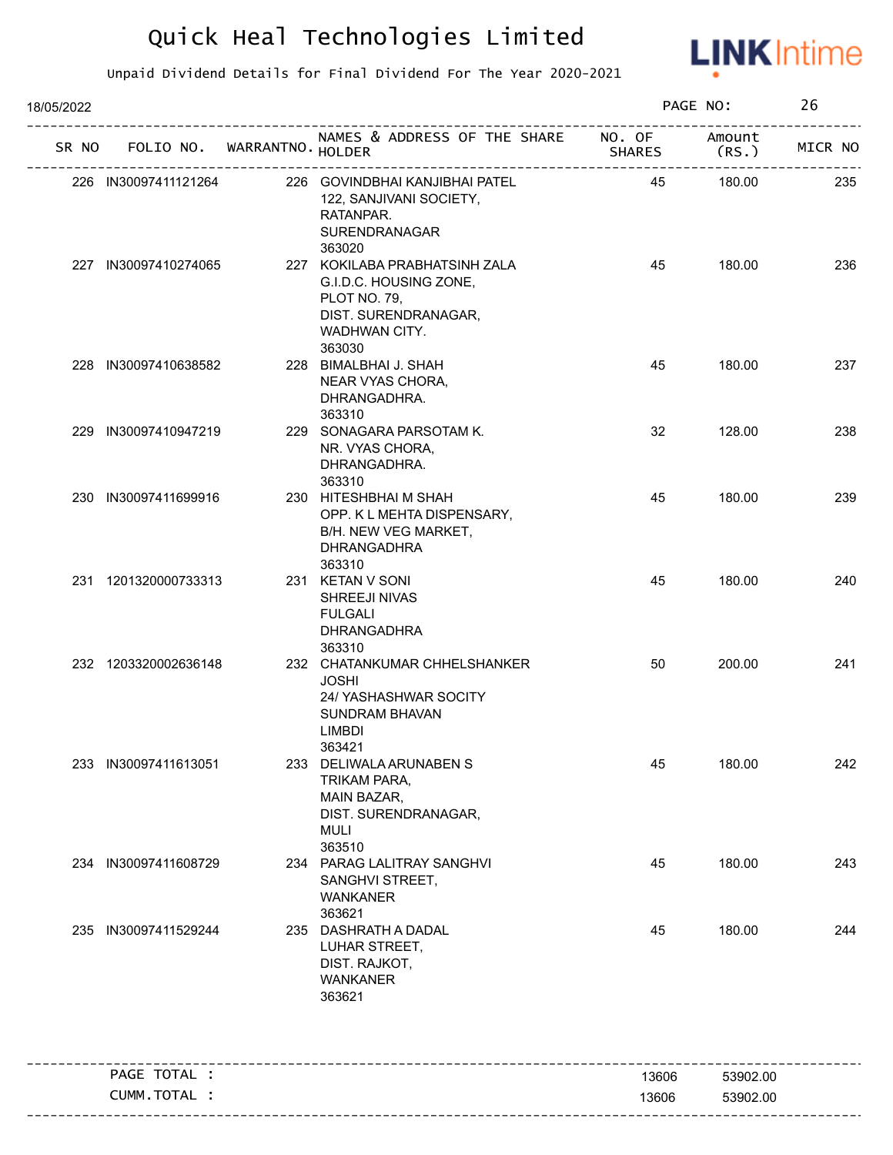

| 18/05/2022 |                      |                             |                                                                                                                            |               | PAGE NO:        | 26      |
|------------|----------------------|-----------------------------|----------------------------------------------------------------------------------------------------------------------------|---------------|-----------------|---------|
| SR NO      |                      | FOLIO NO. WARRANTNO. HOLDER | NAMES & ADDRESS OF THE SHARE NO. OF                                                                                        | <b>SHARES</b> | Amount<br>(RS.) | MICR NO |
|            | 226 IN30097411121264 |                             | 226 GOVINDBHAI KANJIBHAI PATEL<br>122, SANJIVANI SOCIETY,<br>RATANPAR.<br>SURENDRANAGAR<br>363020                          | 45            | 180.00          | 235     |
|            | 227 IN30097410274065 |                             | 227 KOKILABA PRABHATSINH ZALA<br>G.I.D.C. HOUSING ZONE,<br>PLOT NO. 79,<br>DIST. SURENDRANAGAR,<br>WADHWAN CITY.<br>363030 | 45            | 180.00          | 236     |
|            | 228 IN30097410638582 |                             | 228 BIMALBHAI J. SHAH<br>NEAR VYAS CHORA,<br>DHRANGADHRA.<br>363310                                                        | 45            | 180.00          | 237     |
|            | 229 IN30097410947219 |                             | 229 SONAGARA PARSOTAM K.<br>NR. VYAS CHORA,<br>DHRANGADHRA.<br>363310                                                      | 32            | 128.00          | 238     |
|            | 230 IN30097411699916 |                             | 230 HITESHBHAI M SHAH<br>OPP. K L MEHTA DISPENSARY,<br>B/H. NEW VEG MARKET,<br><b>DHRANGADHRA</b><br>363310                | 45            | 180.00          | 239     |
|            | 231 1201320000733313 |                             | 231 KETAN V SONI<br>SHREEJI NIVAS<br><b>FULGALI</b><br>DHRANGADHRA<br>363310                                               | 45            | 180.00          | 240     |
|            | 232 1203320002636148 |                             | 232 CHATANKUMAR CHHELSHANKER<br><b>JOSHI</b><br>24/ YASHASHWAR SOCITY<br><b>SUNDRAM BHAVAN</b><br><b>LIMBDI</b><br>363421  | 50            | 200.00          | 241     |
|            | 233 IN30097411613051 |                             | 233 DELIWALA ARUNABEN S<br>TRIKAM PARA,<br>MAIN BAZAR,<br>DIST. SURENDRANAGAR,<br><b>MULI</b><br>363510                    | 45            | 180.00          | 242     |
|            | 234 IN30097411608729 |                             | 234 PARAG LALITRAY SANGHVI<br>SANGHVI STREET,<br><b>WANKANER</b><br>363621                                                 | 45            | 180.00          | 243     |
|            | 235 IN30097411529244 | 235                         | DASHRATH A DADAL<br>LUHAR STREET,<br>DIST. RAJKOT,<br><b>WANKANER</b><br>363621                                            | 45            | 180.00          | 244     |
|            | PAGE TOTAL :         |                             |                                                                                                                            | 13606         | 53902.00        |         |
|            | CUMM.TOTAL :         |                             |                                                                                                                            | 13606         | 53902.00        |         |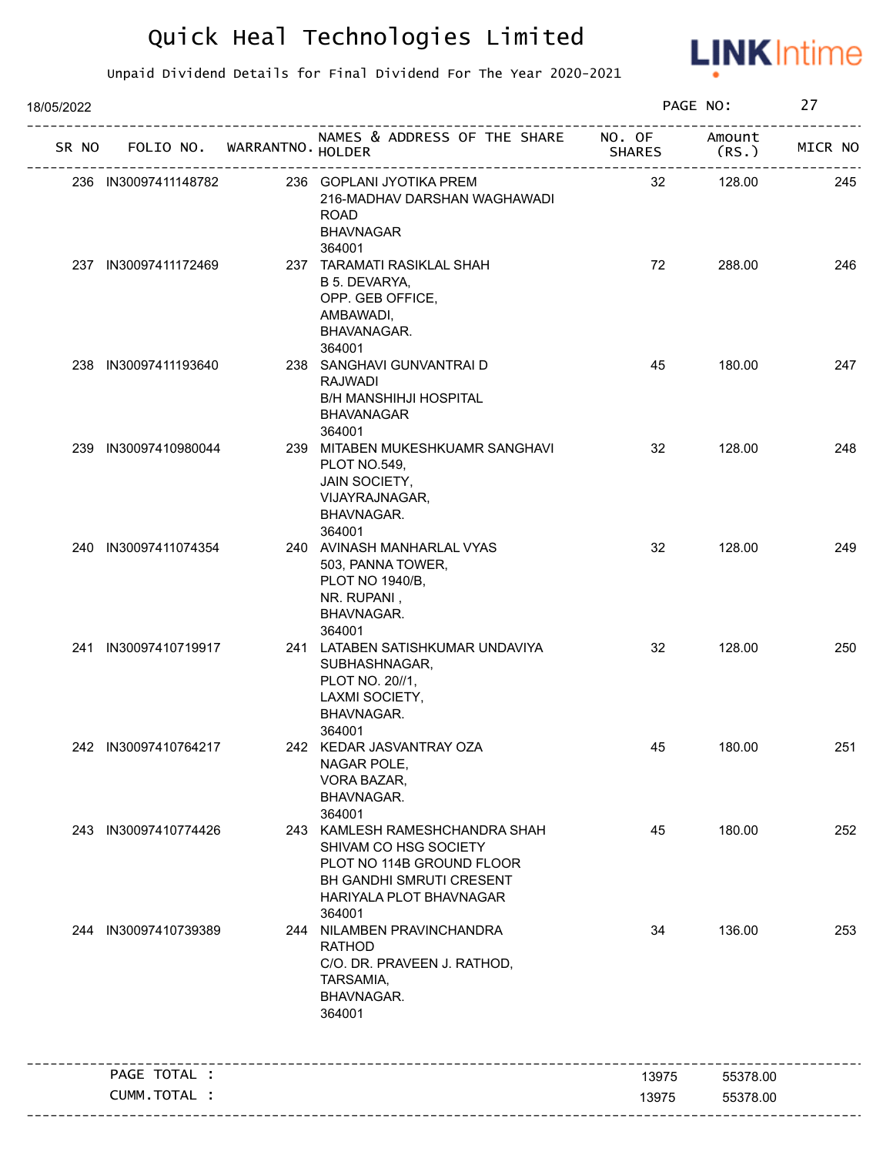

| 18/05/2022 |                             |                                                                                                                                                       |                         | PAGE NO:         | 27      |
|------------|-----------------------------|-------------------------------------------------------------------------------------------------------------------------------------------------------|-------------------------|------------------|---------|
| SR NO      | FOLIO NO. WARRANTNO. HOLDER | NAMES & ADDRESS OF THE SHARE                                                                                                                          | NO. OF<br><b>SHARES</b> | Amount<br>(RS. ) | MICR NO |
|            | 236 IN30097411148782        | 236 GOPLANI JYOTIKA PREM<br>216-MADHAV DARSHAN WAGHAWADI<br><b>ROAD</b><br><b>BHAVNAGAR</b>                                                           | 32                      | 128.00           | 245     |
|            | 237 IN30097411172469        | 364001<br>237 TARAMATI RASIKLAL SHAH<br>B 5. DEVARYA,<br>OPP. GEB OFFICE,<br>AMBAWADI,<br>BHAVANAGAR.<br>364001                                       | 72                      | 288.00           | 246     |
|            | 238 IN30097411193640        | 238 SANGHAVI GUNVANTRAI D<br><b>RAJWADI</b><br><b>B/H MANSHIHJI HOSPITAL</b><br><b>BHAVANAGAR</b><br>364001                                           | 45                      | 180.00           | 247     |
|            | 239 IN30097410980044        | 239 MITABEN MUKESHKUAMR SANGHAVI<br>PLOT NO.549,<br>JAIN SOCIETY,<br>VIJAYRAJNAGAR,<br>BHAVNAGAR.<br>364001                                           | 32                      | 128.00           | 248     |
|            | 240 IN30097411074354        | 240 AVINASH MANHARLAL VYAS<br>503, PANNA TOWER,<br>PLOT NO 1940/B,<br>NR. RUPANI,<br>BHAVNAGAR.<br>364001                                             | 32                      | 128.00           | 249     |
|            | 241 IN30097410719917        | 241 LATABEN SATISHKUMAR UNDAVIYA<br>SUBHASHNAGAR,<br>PLOT NO. 20//1,<br>LAXMI SOCIETY,<br>BHAVNAGAR.<br>364001                                        | 32                      | 128.00           | 250     |
|            | 242 IN30097410764217        | 242 KEDAR JASVANTRAY OZA<br>NAGAR POLE,<br>VORA BAZAR,<br>BHAVNAGAR.<br>364001                                                                        | 45                      | 180.00           | 251     |
|            | 243 IN30097410774426        | 243 KAMLESH RAMESHCHANDRA SHAH<br>SHIVAM CO HSG SOCIETY<br>PLOT NO 114B GROUND FLOOR<br>BH GANDHI SMRUTI CRESENT<br>HARIYALA PLOT BHAVNAGAR<br>364001 | 45                      | 180.00           | 252     |
|            | 244 IN30097410739389        | 244 NILAMBEN PRAVINCHANDRA<br><b>RATHOD</b><br>C/O. DR. PRAVEEN J. RATHOD,<br>TARSAMIA,<br>BHAVNAGAR.<br>364001                                       | 34                      | 136.00           | 253     |
|            | PAGE TOTAL :                |                                                                                                                                                       | 13975                   | 55378.00         |         |
|            | CUMM.TOTAL :                |                                                                                                                                                       | 13975                   | 55378.00         |         |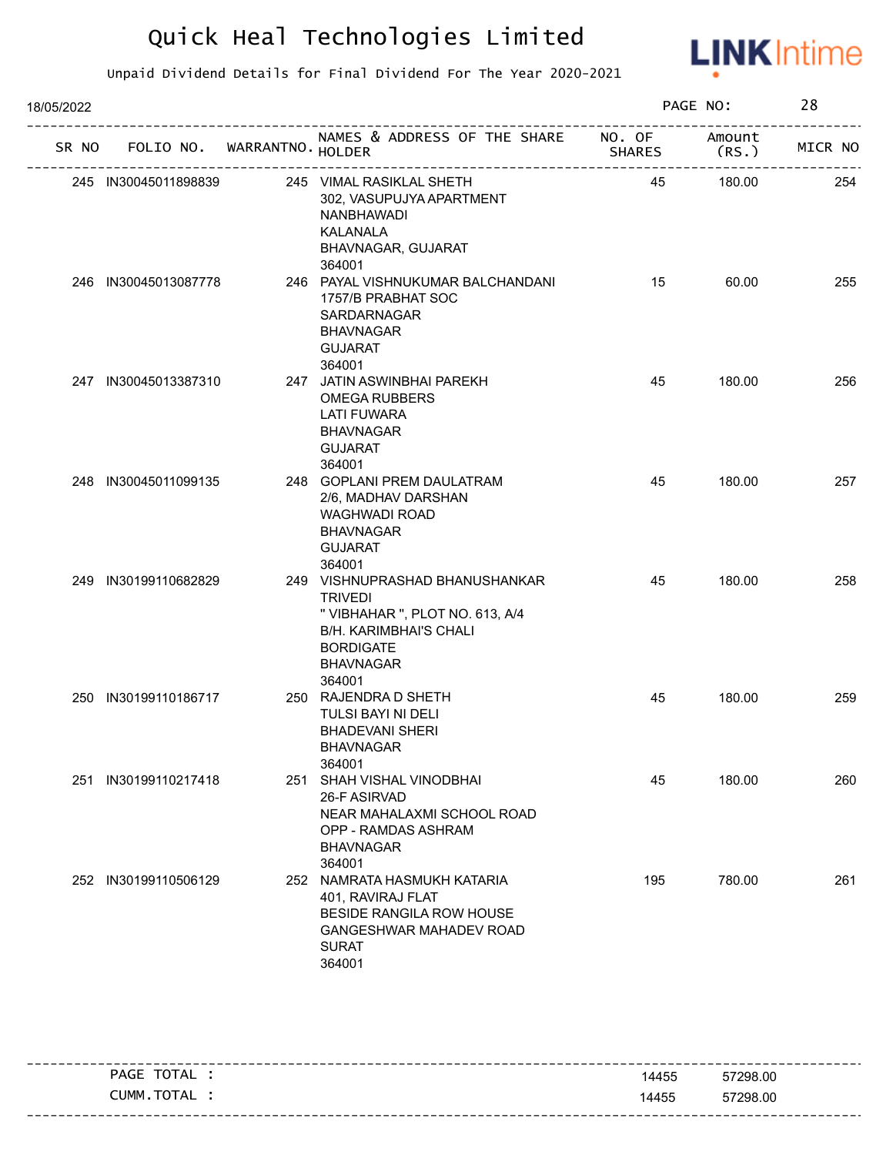

| 18/05/2022 |                             |                                                                                                                                                                        |               | PAGE NO:        | 28      |
|------------|-----------------------------|------------------------------------------------------------------------------------------------------------------------------------------------------------------------|---------------|-----------------|---------|
| SR NO      | FOLIO NO. WARRANTNO. HOLDER | NAMES & ADDRESS OF THE SHARE NO. OF                                                                                                                                    | <b>SHARES</b> | Amount<br>(RS.) | MICR NO |
|            | 245 IN30045011898839        | 245 VIMAL RASIKLAL SHETH<br>302, VASUPUJYA APARTMENT<br>NANBHAWADI<br>KALANALA<br>BHAVNAGAR, GUJARAT<br>364001                                                         | 45            | 180.00          | 254     |
|            | 246 IN30045013087778        | 246 PAYAL VISHNUKUMAR BALCHANDANI<br>1757/B PRABHAT SOC<br>SARDARNAGAR<br><b>BHAVNAGAR</b><br><b>GUJARAT</b><br>364001                                                 | 15            | 60.00           | 255     |
|            | 247 IN30045013387310        | 247 JATIN ASWINBHAI PAREKH<br><b>OMEGA RUBBERS</b><br><b>LATI FUWARA</b><br><b>BHAVNAGAR</b><br><b>GUJARAT</b><br>364001                                               | 45            | 180.00          | 256     |
|            | 248 IN30045011099135        | 248 GOPLANI PREM DAULATRAM<br>2/6, MADHAV DARSHAN<br>WAGHWADI ROAD<br><b>BHAVNAGAR</b><br><b>GUJARAT</b><br>364001                                                     | 45            | 180.00          | 257     |
|            | 249 IN30199110682829        | 249 VISHNUPRASHAD BHANUSHANKAR<br><b>TRIVEDI</b><br>" VIBHAHAR ", PLOT NO. 613, A/4<br><b>B/H. KARIMBHAI'S CHALI</b><br><b>BORDIGATE</b><br><b>BHAVNAGAR</b><br>364001 | 45            | 180.00          | 258     |
|            | 250 IN30199110186717        | 250 RAJENDRA D SHETH<br>TULSI BAYI NI DELI<br><b>BHADEVANI SHERI</b><br><b>BHAVNAGAR</b><br>364001                                                                     | 45            | 180.00          | 259     |
| 251        | IN30199110217418            | 251 SHAH VISHAL VINODBHAI<br>26-F ASIRVAD<br>NEAR MAHALAXMI SCHOOL ROAD<br>OPP - RAMDAS ASHRAM<br><b>BHAVNAGAR</b><br>364001                                           | 45            | 180.00          | 260     |
|            | 252 IN30199110506129        | 252 NAMRATA HASMUKH KATARIA<br>401, RAVIRAJ FLAT<br>BESIDE RANGILA ROW HOUSE<br><b>GANGESHWAR MAHADEV ROAD</b><br><b>SURAT</b><br>364001                               | 195           | 780.00          | 261     |

| TOTAL<br>PAGE | 14455 | 57298.00 |
|---------------|-------|----------|
| CUMM.TOTAL    | 14455 | 57298.00 |
|               |       |          |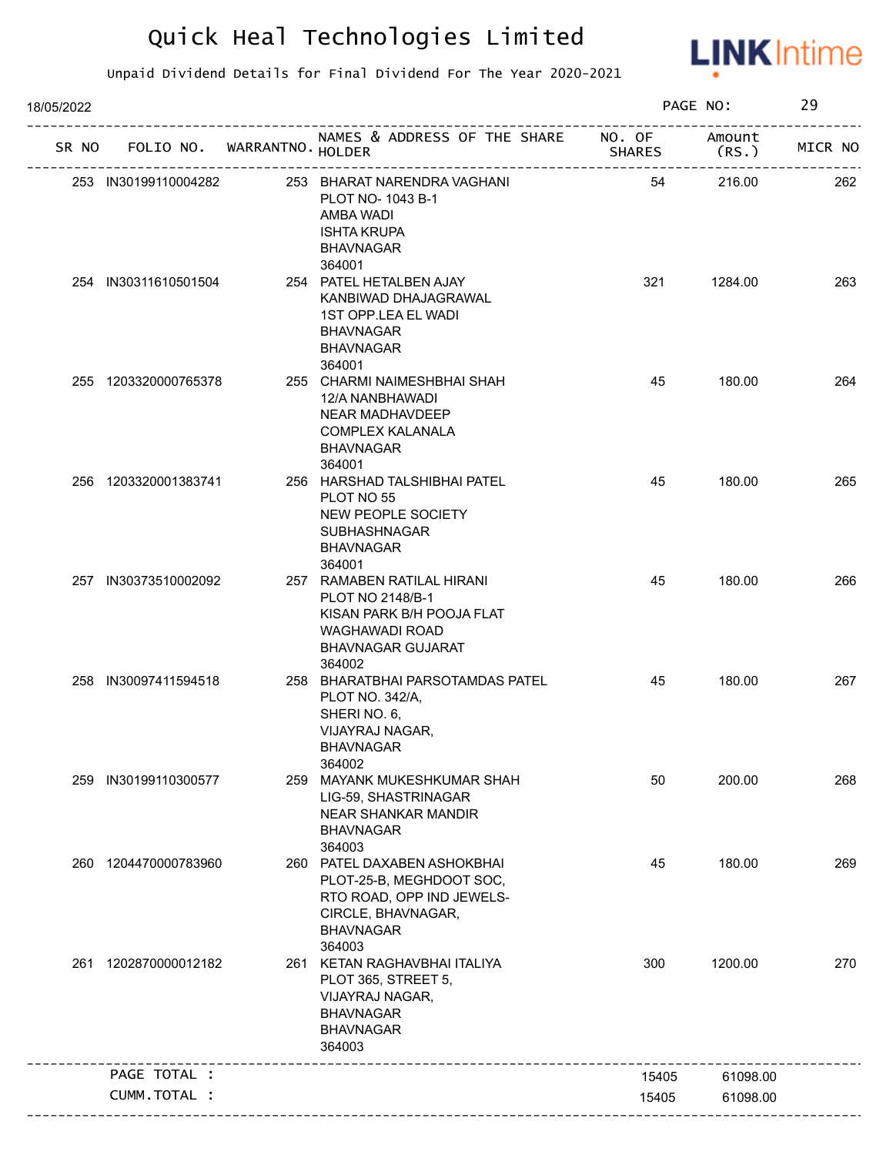

| 18/05/2022 |                             |                                                                                                                                          |               | PAGE NO:        | 29      |
|------------|-----------------------------|------------------------------------------------------------------------------------------------------------------------------------------|---------------|-----------------|---------|
| SR NO      | FOLIO NO. WARRANTNO. HOLDER | NAMES & ADDRESS OF THE SHARE NO. OF                                                                                                      | <b>SHARES</b> | Amount<br>(RS.) | MICR NO |
|            | 253 IN30199110004282        | 253 BHARAT NARENDRA VAGHANI<br>PLOT NO-1043 B-1<br>AMBA WADI<br><b>ISHTA KRUPA</b><br><b>BHAVNAGAR</b>                                   | 54            | 216.00          | 262     |
|            | 254 IN30311610501504        | 364001<br>254 PATEL HETALBEN AJAY<br>KANBIWAD DHAJAGRAWAL<br>1ST OPP.LEA EL WADI<br><b>BHAVNAGAR</b><br><b>BHAVNAGAR</b><br>364001       | 321           | 1284.00         | 263     |
|            | 255 1203320000765378        | 255 CHARMI NAIMESHBHAI SHAH<br>12/A NANBHAWADI<br>NEAR MADHAVDEEP<br><b>COMPLEX KALANALA</b><br><b>BHAVNAGAR</b><br>364001               | 45            | 180.00          | 264     |
|            | 256 1203320001383741        | 256 HARSHAD TALSHIBHAI PATEL<br>PLOT NO 55<br>NEW PEOPLE SOCIETY<br><b>SUBHASHNAGAR</b><br><b>BHAVNAGAR</b><br>364001                    | 45            | 180.00          | 265     |
|            | 257 IN30373510002092        | 257 RAMABEN RATILAL HIRANI<br>PLOT NO 2148/B-1<br>KISAN PARK B/H POOJA FLAT<br>WAGHAWADI ROAD<br><b>BHAVNAGAR GUJARAT</b><br>364002      | 45            | 180.00          | 266     |
|            | 258 IN30097411594518        | 258 BHARATBHAI PARSOTAMDAS PATEL<br>PLOT NO. 342/A,<br>SHERINO. 6,<br>VIJAYRAJ NAGAR,<br><b>BHAVNAGAR</b><br>364002                      | 45            | 180.00          | 267     |
| 259        | IN30199110300577            | 259 MAYANK MUKESHKUMAR SHAH<br>LIG-59, SHASTRINAGAR<br><b>NEAR SHANKAR MANDIR</b><br><b>BHAVNAGAR</b><br>364003                          | 50            | 200.00          | 268     |
|            | 260 1204470000783960        | 260 PATEL DAXABEN ASHOKBHAI<br>PLOT-25-B, MEGHDOOT SOC,<br>RTO ROAD, OPP IND JEWELS-<br>CIRCLE, BHAVNAGAR,<br><b>BHAVNAGAR</b><br>364003 | 45            | 180.00          | 269     |
| 261        | 1202870000012182            | 261 KETAN RAGHAVBHAI ITALIYA<br>PLOT 365, STREET 5,<br>VIJAYRAJ NAGAR,<br><b>BHAVNAGAR</b><br><b>BHAVNAGAR</b><br>364003                 | 300           | 1200.00         | 270     |
|            | PAGE TOTAL :                |                                                                                                                                          | 15405         | 61098.00        |         |
|            | CUMM.TOTAL :                |                                                                                                                                          | 15405         | 61098.00        |         |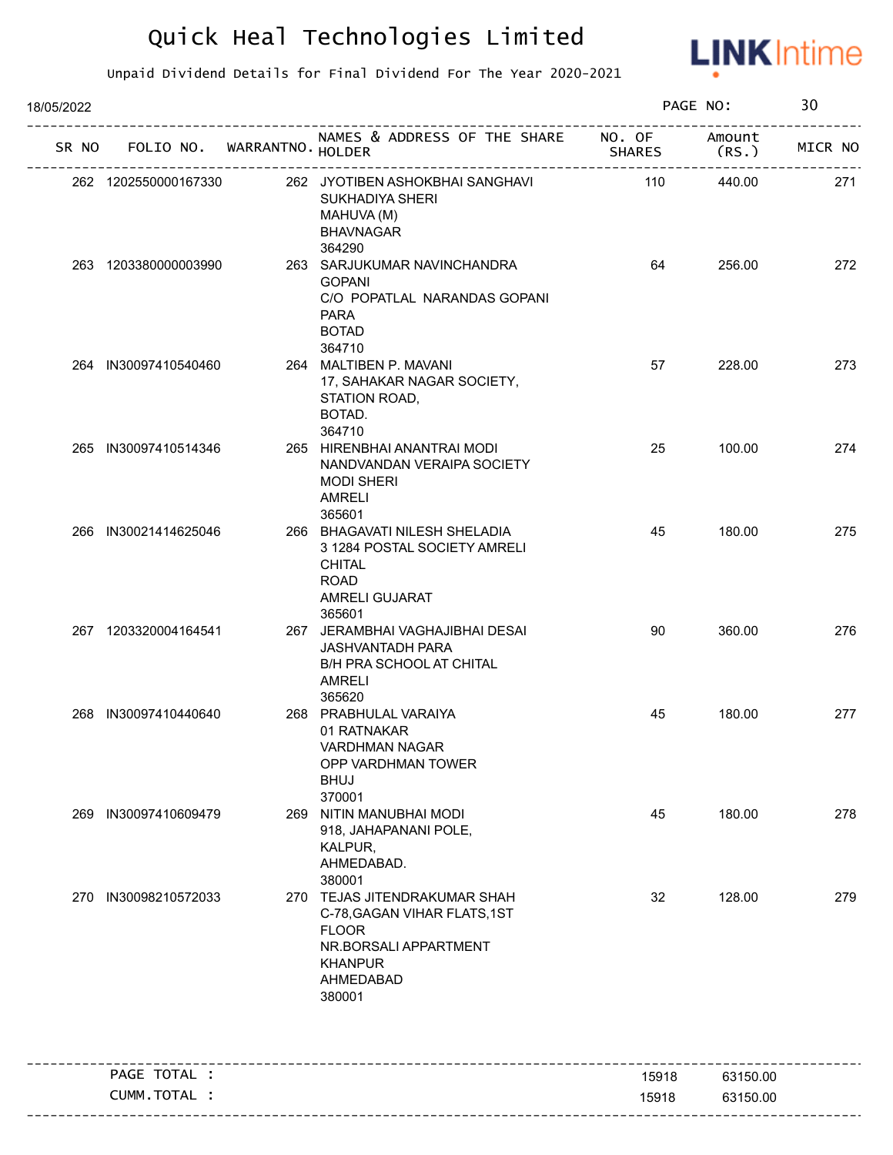

| 18/05/2022 |                             |                                                                                                                                                |               | PAGE NO:        | 30      |
|------------|-----------------------------|------------------------------------------------------------------------------------------------------------------------------------------------|---------------|-----------------|---------|
| SR NO      | FOLIO NO. WARRANTNO. HOLDER | NAMES & ADDRESS OF THE SHARE NO. OF                                                                                                            | <b>SHARES</b> | Amount<br>(RS.) | MICR NO |
|            | 262 1202550000167330        | 262 JYOTIBEN ASHOKBHAI SANGHAVI<br>SUKHADIYA SHERI<br>MAHUVA (M)<br><b>BHAVNAGAR</b><br>364290                                                 | 110           | 440.00          | 271     |
|            | 263 1203380000003990        | 263 SARJUKUMAR NAVINCHANDRA<br><b>GOPANI</b><br>C/O POPATLAL NARANDAS GOPANI<br><b>PARA</b><br><b>BOTAD</b>                                    | 64            | 256.00          | 272     |
|            | 264 IN30097410540460        | 364710<br>264 MALTIBEN P. MAVANI<br>17, SAHAKAR NAGAR SOCIETY,<br>STATION ROAD,<br>BOTAD.<br>364710                                            | 57            | 228.00          | 273     |
|            | 265 IN30097410514346        | 265 HIRENBHAI ANANTRAI MODI<br>NANDVANDAN VERAIPA SOCIETY<br><b>MODI SHERI</b><br><b>AMRELI</b><br>365601                                      | 25            | 100.00          | 274     |
|            | 266 IN30021414625046        | 266 BHAGAVATI NILESH SHELADIA<br>3 1284 POSTAL SOCIETY AMRELI<br><b>CHITAL</b><br><b>ROAD</b><br>AMRELI GUJARAT<br>365601                      | 45            | 180.00          | 275     |
|            | 267 1203320004164541        | 267 JERAMBHAI VAGHAJIBHAI DESAI<br><b>JASHVANTADH PARA</b><br><b>B/H PRA SCHOOL AT CHITAL</b><br><b>AMRELI</b><br>365620                       | 90            | 360.00          | 276     |
|            | 268 IN30097410440640        | 268 PRABHULAL VARAIYA<br>01 RATNAKAR<br><b>VARDHMAN NAGAR</b><br>OPP VARDHMAN TOWER<br><b>BHUJ</b><br>370001                                   | 45            | 180.00          | 277     |
|            | 269 IN30097410609479        | 269 NITIN MANUBHAI MODI<br>918, JAHAPANANI POLE,<br>KALPUR,<br>AHMEDABAD.<br>380001                                                            | 45            | 180.00          | 278     |
|            | 270 IN30098210572033        | 270 TEJAS JITENDRAKUMAR SHAH<br>C-78, GAGAN VIHAR FLATS, 1ST<br><b>FLOOR</b><br>NR.BORSALI APPARTMENT<br><b>KHANPUR</b><br>AHMEDABAD<br>380001 | 32            | 128.00          | 279     |
|            | PAGE TOTAL :                |                                                                                                                                                | 15918         | 63150.00        |         |
|            | CUMM. TOTAL :               |                                                                                                                                                | 15918         | 63150.00        |         |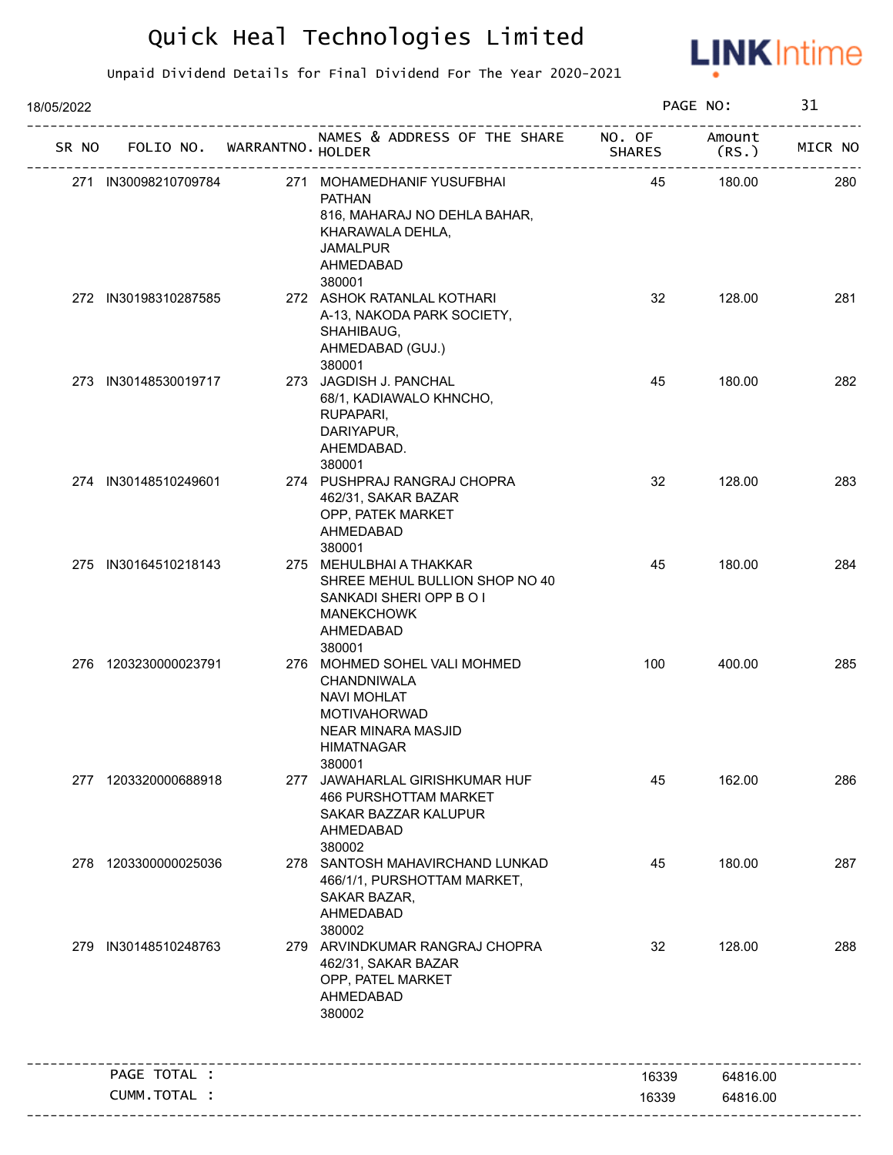

| 18/05/2022 |                      |                             |                                                                                                                                                      |                         | PAGE NO:        | 31      |
|------------|----------------------|-----------------------------|------------------------------------------------------------------------------------------------------------------------------------------------------|-------------------------|-----------------|---------|
| SR NO      |                      | FOLIO NO. WARRANTNO. HOLDER | NAMES & ADDRESS OF THE SHARE                                                                                                                         | NO. OF<br><b>SHARES</b> | Amount<br>(RS.) | MICR NO |
|            | 271 IN30098210709784 |                             | 271 MOHAMEDHANIF YUSUFBHAI<br><b>PATHAN</b><br>816, MAHARAJ NO DEHLA BAHAR,<br>KHARAWALA DEHLA,<br><b>JAMALPUR</b><br>AHMEDABAD<br>380001            | 45                      | 180.00          | 280     |
|            | 272 IN30198310287585 |                             | 272 ASHOK RATANLAL KOTHARI<br>A-13, NAKODA PARK SOCIETY,<br>SHAHIBAUG,<br>AHMEDABAD (GUJ.)<br>380001                                                 | 32                      | 128.00          | 281     |
|            | 273 IN30148530019717 |                             | 273 JAGDISH J. PANCHAL<br>68/1, KADIAWALO KHNCHO,<br>RUPAPARI,<br>DARIYAPUR,<br>AHEMDABAD.<br>380001                                                 | 45                      | 180.00          | 282     |
|            | 274 IN30148510249601 |                             | 274 PUSHPRAJ RANGRAJ CHOPRA<br>462/31, SAKAR BAZAR<br>OPP, PATEK MARKET<br>AHMEDABAD<br>380001                                                       | 32                      | 128.00          | 283     |
|            | 275 IN30164510218143 |                             | 275 MEHULBHAI A THAKKAR<br>SHREE MEHUL BULLION SHOP NO 40<br>SANKADI SHERI OPP B O I<br><b>MANEKCHOWK</b><br>AHMEDABAD<br>380001                     | 45                      | 180.00          | 284     |
|            | 276 1203230000023791 |                             | 276 MOHMED SOHEL VALI MOHMED<br>CHANDNIWALA<br><b>NAVI MOHLAT</b><br><b>MOTIVAHORWAD</b><br><b>NEAR MINARA MASJID</b><br><b>HIMATNAGAR</b><br>380001 | 100                     | 400.00          | 285     |
|            | 277 1203320000688918 |                             | 277 JAWAHARLAL GIRISHKUMAR HUF<br><b>466 PURSHOTTAM MARKET</b><br>SAKAR BAZZAR KALUPUR<br>AHMEDABAD<br>380002                                        | 45                      | 162.00          | 286     |
|            | 278 1203300000025036 |                             | 278 SANTOSH MAHAVIRCHAND LUNKAD<br>466/1/1, PURSHOTTAM MARKET,<br>SAKAR BAZAR,<br>AHMEDABAD<br>380002                                                | 45                      | 180.00          | 287     |
|            | 279 IN30148510248763 |                             | 279 ARVINDKUMAR RANGRAJ CHOPRA<br>462/31, SAKAR BAZAR<br>OPP, PATEL MARKET<br>AHMEDABAD<br>380002                                                    | 32                      | 128.00          | 288     |
|            | PAGE TOTAL :         |                             |                                                                                                                                                      | 16339                   | 64816.00        |         |
|            | CUMM.TOTAL :         |                             |                                                                                                                                                      | 16339                   | 64816.00        |         |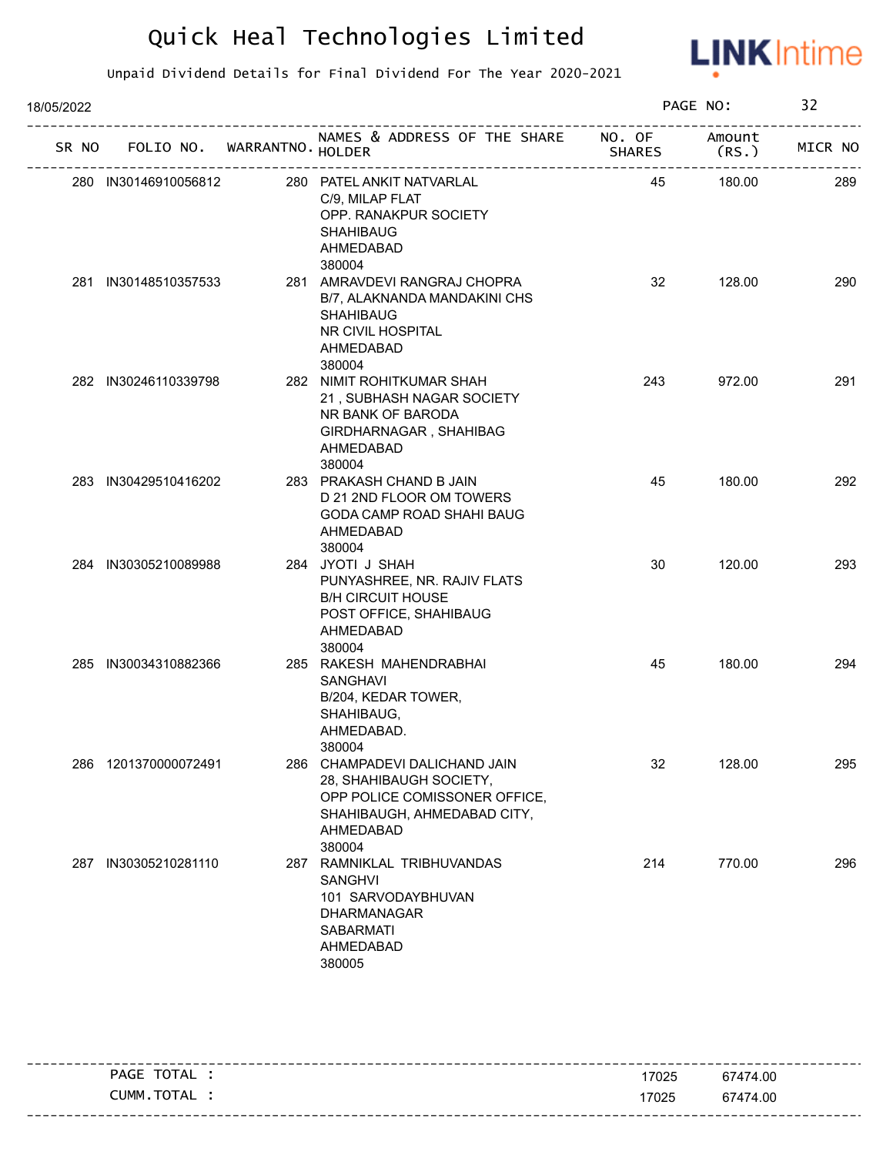

| 18/05/2022 |     |                      |                                   |                                                                                                                                                 |               | PAGE NO:       | 32      |
|------------|-----|----------------------|-----------------------------------|-------------------------------------------------------------------------------------------------------------------------------------------------|---------------|----------------|---------|
|            |     |                      | SR NO FOLIO NO. WARRANTNO. HOLDER | NAMES & ADDRESS OF THE SHARE NO. OF                                                                                                             | <b>SHARES</b> | Amount<br>(RS. | MICR NO |
|            |     | 280 IN30146910056812 |                                   | 280 PATEL ANKIT NATVARLAL<br>C/9, MILAP FLAT<br>OPP. RANAKPUR SOCIETY<br><b>SHAHIBAUG</b><br>AHMEDABAD<br>380004                                | 45            | 180.00         | 289     |
|            |     | 281 IN30148510357533 |                                   | 281 AMRAVDEVI RANGRAJ CHOPRA<br>B/7, ALAKNANDA MANDAKINI CHS<br><b>SHAHIBAUG</b><br>NR CIVIL HOSPITAL<br>AHMEDABAD<br>380004                    | 32            | 128.00         | 290     |
|            |     | 282 IN30246110339798 |                                   | 282 NIMIT ROHITKUMAR SHAH<br>21, SUBHASH NAGAR SOCIETY<br>NR BANK OF BARODA<br>GIRDHARNAGAR, SHAHIBAG<br>AHMEDABAD<br>380004                    | 243           | 972.00         | 291     |
|            |     | 283 IN30429510416202 |                                   | 283 PRAKASH CHAND B JAIN<br>D 21 2ND FLOOR OM TOWERS<br><b>GODA CAMP ROAD SHAHI BAUG</b><br>AHMEDABAD<br>380004                                 | 45            | 180.00         | 292     |
|            |     | 284 IN30305210089988 |                                   | 284 JYOTI J SHAH<br>PUNYASHREE, NR. RAJIV FLATS<br><b>B/H CIRCUIT HOUSE</b><br>POST OFFICE, SHAHIBAUG<br>AHMEDABAD<br>380004                    | 30            | 120.00         | 293     |
|            |     | 285 IN30034310882366 |                                   | 285 RAKESH MAHENDRABHAI<br><b>SANGHAVI</b><br>B/204, KEDAR TOWER,<br>SHAHIBAUG,<br>AHMEDABAD.<br>380004                                         | 45            | 180.00         | 294     |
|            |     | 286 1201370000072491 |                                   | 286 CHAMPADEVI DALICHAND JAIN<br>28, SHAHIBAUGH SOCIETY,<br>OPP POLICE COMISSONER OFFICE,<br>SHAHIBAUGH, AHMEDABAD CITY,<br>AHMEDABAD<br>380004 | 32            | 128.00         | 295     |
|            | 287 | IN30305210281110     |                                   | 287 RAMNIKLAL TRIBHUVANDAS<br><b>SANGHVI</b><br>101 SARVODAYBHUVAN<br><b>DHARMANAGAR</b><br><b>SABARMATI</b><br>AHMEDABAD<br>380005             | 214           | 770.00         | 296     |

| TOTAL<br>PAGE  | 17025 | 67474.00                            |
|----------------|-------|-------------------------------------|
| TOTAL<br>CUMM. | 17025 | 67474.00                            |
|                |       | ------------------------<br>- - - - |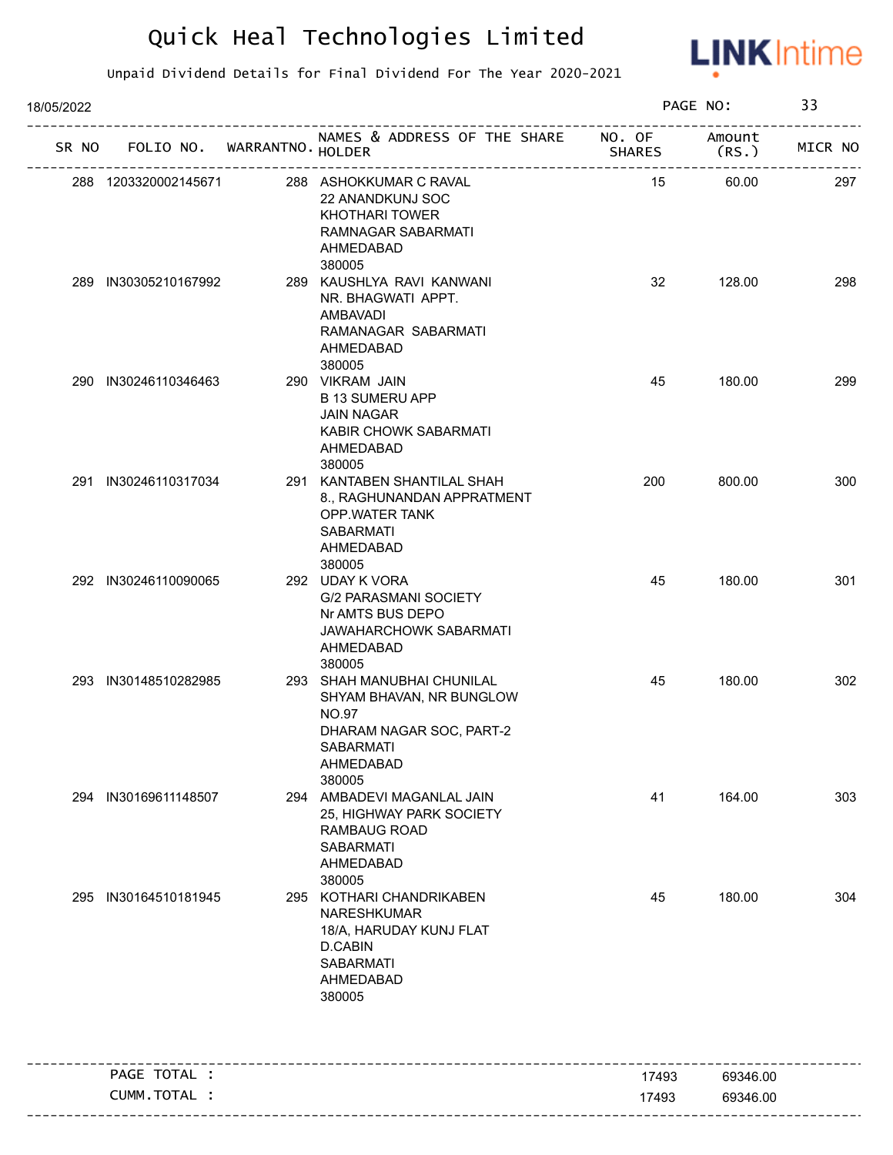

| 18/05/2022 |                                   |                                                                                                                                        |               | PAGE NO:       | 33      |
|------------|-----------------------------------|----------------------------------------------------------------------------------------------------------------------------------------|---------------|----------------|---------|
|            | SR NO FOLIO NO. WARRANTNO. HOLDER | NAMES & ADDRESS OF THE SHARE NO. OF<br>------------------------                                                                        | <b>SHARES</b> | Amount<br>(RS. | MICR NO |
|            | 288 1203320002145671              | 288 ASHOKKUMAR C RAVAL<br>22 ANANDKUNJ SOC<br><b>KHOTHARI TOWER</b><br>RAMNAGAR SABARMATI<br>AHMEDABAD                                 | 15            | 60.00          | 297     |
|            | 289 IN30305210167992              | 380005<br>289 KAUSHLYA RAVI KANWANI<br>NR. BHAGWATI APPT.<br>AMBAVADI<br>RAMANAGAR SABARMATI<br>AHMEDABAD<br>380005                    | 32            | 128.00         | 298     |
|            | 290 IN30246110346463              | 290 VIKRAM JAIN<br><b>B 13 SUMERU APP</b><br><b>JAIN NAGAR</b><br>KABIR CHOWK SABARMATI<br>AHMEDABAD<br>380005                         | 45            | 180.00         | 299     |
|            | 291 IN30246110317034              | 291 KANTABEN SHANTILAL SHAH<br>8., RAGHUNANDAN APPRATMENT<br>OPP.WATER TANK<br><b>SABARMATI</b><br>AHMEDABAD<br>380005                 | 200           | 800.00         | 300     |
|            | 292 IN30246110090065              | 292 UDAY K VORA<br><b>G/2 PARASMANI SOCIETY</b><br>Nr AMTS BUS DEPO<br>JAWAHARCHOWK SABARMATI<br>AHMEDABAD<br>380005                   | 45            | 180.00         | 301     |
|            | 293 IN30148510282985              | 293 SHAH MANUBHAI CHUNILAL<br>SHYAM BHAVAN, NR BUNGLOW<br><b>NO.97</b><br>DHARAM NAGAR SOC, PART-2<br>SABARMATI<br>AHMEDABAD<br>380005 | 45            | 180.00         | 302     |
|            | 294 IN30169611148507              | 294 AMBADEVI MAGANLAL JAIN<br>25, HIGHWAY PARK SOCIETY<br>RAMBAUG ROAD<br><b>SABARMATI</b><br><b>AHMEDABAD</b><br>380005               | 41            | 164.00         | 303     |
| 295        | IN30164510181945                  | 295 KOTHARI CHANDRIKABEN<br>NARESHKUMAR<br>18/A, HARUDAY KUNJ FLAT<br>D.CABIN<br><b>SABARMATI</b><br>AHMEDABAD<br>380005               | 45            | 180.00         | 304     |
|            | PAGE TOTAL :                      |                                                                                                                                        | 17493         | 69346.00       |         |
|            | CUMM.TOTAL :                      |                                                                                                                                        | 17493         | 69346.00       |         |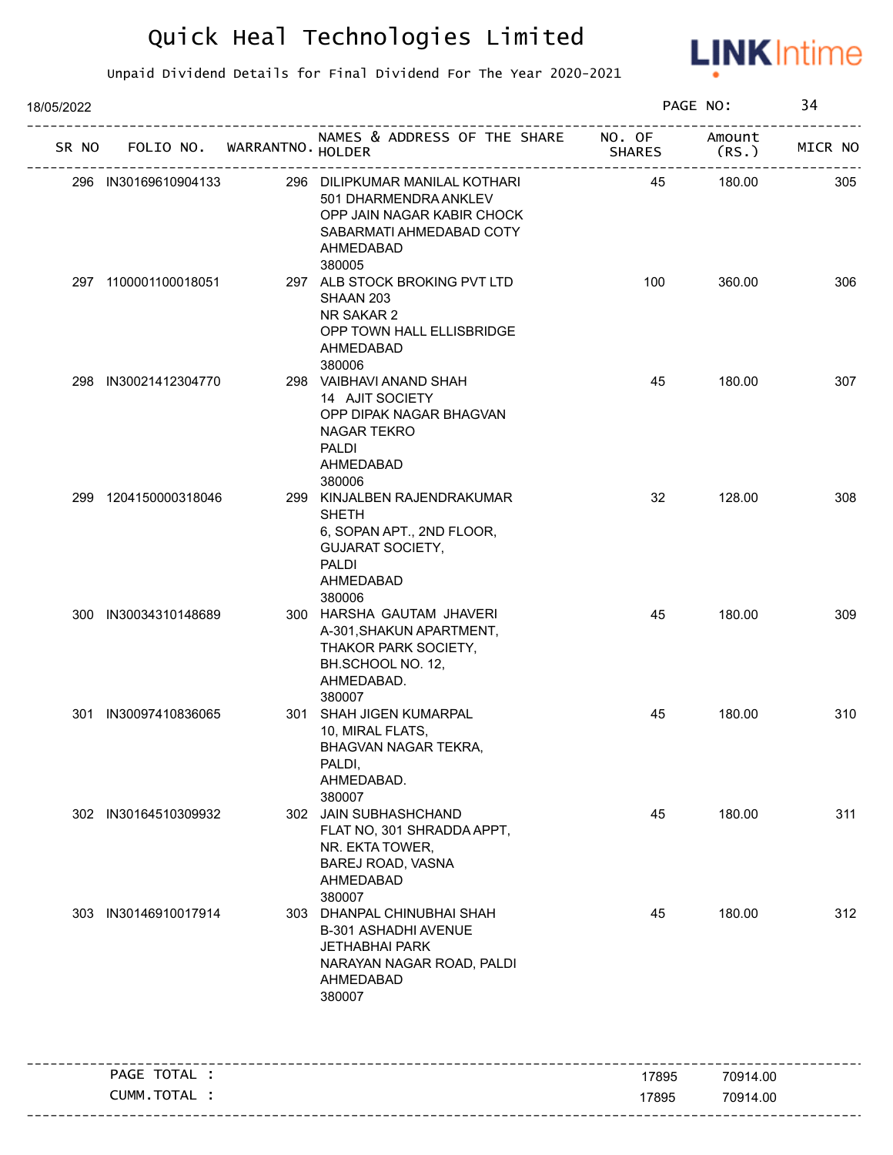

| 18/05/2022 |                                   |                                                                                                                                            |                                                  | PAGE NO:       | 34      |
|------------|-----------------------------------|--------------------------------------------------------------------------------------------------------------------------------------------|--------------------------------------------------|----------------|---------|
|            | SR NO FOLIO NO. WARRANTNO. HOLDER | NAMES & ADDRESS OF THE SHARE NO. OF                                                                                                        | <b>SHARES</b><br>. _ _ _ _ _ _ _ _ _ _ _ _ _ _ _ | Amount<br>(RS. | MICR NO |
|            | 296 IN30169610904133              | 296 DILIPKUMAR MANILAL KOTHARI<br>501 DHARMENDRA ANKLEV<br>OPP JAIN NAGAR KABIR CHOCK<br>SABARMATI AHMEDABAD COTY<br>AHMEDABAD<br>380005   | 45                                               | 180.00         | 305     |
|            | 297 1100001100018051              | 297 ALB STOCK BROKING PVT LTD<br>SHAAN 203<br>NR SAKAR 2<br>OPP TOWN HALL ELLISBRIDGE<br>AHMEDABAD<br>380006                               | 100                                              | 360.00         | 306     |
|            | 298 IN30021412304770              | 298 VAIBHAVI ANAND SHAH<br>14 AJIT SOCIETY<br>OPP DIPAK NAGAR BHAGVAN<br>NAGAR TEKRO<br>PALDI<br>AHMEDABAD                                 | 45                                               | 180.00         | 307     |
|            | 299 1204150000318046              | 380006<br>299 KINJALBEN RAJENDRAKUMAR<br><b>SHETH</b><br>6, SOPAN APT., 2ND FLOOR,<br><b>GUJARAT SOCIETY,</b><br><b>PALDI</b><br>AHMEDABAD | 32                                               | 128.00         | 308     |
|            | 300 IN30034310148689              | 380006<br>300 HARSHA GAUTAM JHAVERI<br>A-301, SHAKUN APARTMENT,<br>THAKOR PARK SOCIETY,<br>BH.SCHOOL NO. 12,<br>AHMEDABAD.<br>380007       | 45                                               | 180.00         | 309     |
|            | 301 IN30097410836065              | 301 SHAH JIGEN KUMARPAL<br>10, MIRAL FLATS,<br>BHAGVAN NAGAR TEKRA,<br>PALDI,<br>AHMEDABAD.<br>380007                                      | 45                                               | 180.00         | 310     |
|            | 302 IN30164510309932              | 302 JAIN SUBHASHCHAND<br>FLAT NO, 301 SHRADDA APPT,<br>NR. EKTA TOWER,<br>BAREJ ROAD, VASNA<br>AHMEDABAD<br>380007                         | 45                                               | 180.00         | 311     |
| 303        | IN30146910017914                  | 303 DHANPAL CHINUBHAI SHAH<br><b>B-301 ASHADHI AVENUE</b><br><b>JETHABHAI PARK</b><br>NARAYAN NAGAR ROAD, PALDI<br>AHMEDABAD<br>380007     | 45                                               | 180.00         | 312     |
|            | PAGE TOTAL :                      |                                                                                                                                            | 17895                                            | 70914.00       |         |
|            | CUMM.TOTAL :                      |                                                                                                                                            | 17895                                            | 70914.00       |         |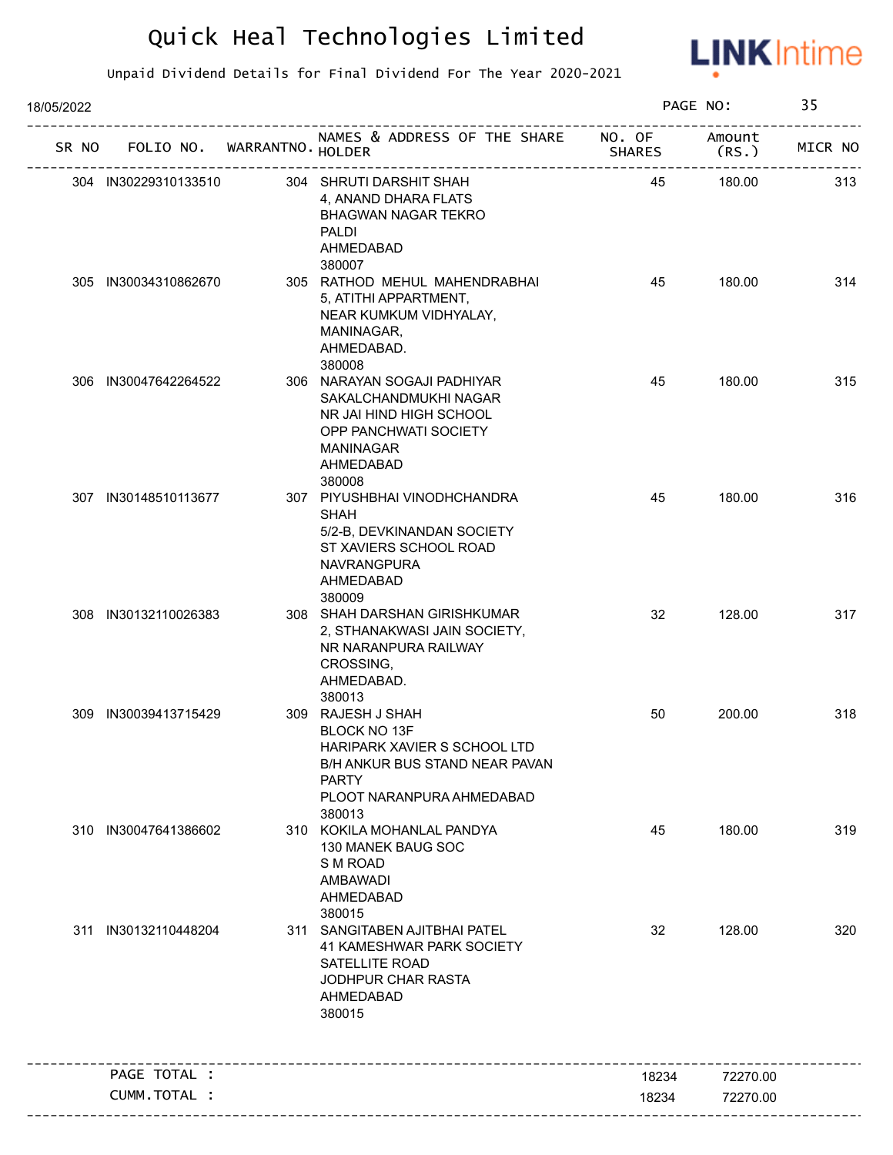

| 18/05/2022 |                      |                             |                                                                                                                                                            |               | PAGE NO:        | 35      |
|------------|----------------------|-----------------------------|------------------------------------------------------------------------------------------------------------------------------------------------------------|---------------|-----------------|---------|
| SR NO      |                      | FOLIO NO. WARRANTNO. HOLDER | NAMES & ADDRESS OF THE SHARE NO. OF                                                                                                                        | <b>SHARES</b> | Amount<br>(RS.) | MICR NO |
|            | 304 IN30229310133510 |                             | 304 SHRUTI DARSHIT SHAH<br>4, ANAND DHARA FLATS<br><b>BHAGWAN NAGAR TEKRO</b><br><b>PALDI</b><br>AHMEDABAD                                                 | 45            | 180.00          | 313     |
|            | 305 IN30034310862670 |                             | 380007<br>305 RATHOD MEHUL MAHENDRABHAI<br>5, ATITHI APPARTMENT,<br>NEAR KUMKUM VIDHYALAY,<br>MANINAGAR,<br>AHMEDABAD.<br>380008                           | 45            | 180.00          | 314     |
|            | 306 IN30047642264522 |                             | 306 NARAYAN SOGAJI PADHIYAR<br>SAKALCHANDMUKHI NAGAR<br>NR JAI HIND HIGH SCHOOL<br>OPP PANCHWATI SOCIETY<br>MANINAGAR<br>AHMEDABAD<br>380008               | 45            | 180.00          | 315     |
|            | 307 IN30148510113677 |                             | 307 PIYUSHBHAI VINODHCHANDRA<br><b>SHAH</b><br>5/2-B, DEVKINANDAN SOCIETY<br>ST XAVIERS SCHOOL ROAD<br>NAVRANGPURA<br>AHMEDABAD<br>380009                  | 45            | 180.00          | 316     |
|            | 308 IN30132110026383 |                             | 308 SHAH DARSHAN GIRISHKUMAR<br>2, STHANAKWASI JAIN SOCIETY,<br>NR NARANPURA RAILWAY<br>CROSSING,<br>AHMEDABAD.<br>380013                                  | 32            | 128.00          | 317     |
|            | 309 IN30039413715429 |                             | 309 RAJESH J SHAH<br>BLOCK NO 13F<br>HARIPARK XAVIER S SCHOOL LTD<br>B/H ANKUR BUS STAND NEAR PAVAN<br><b>PARTY</b><br>PLOOT NARANPURA AHMEDABAD<br>380013 | 50            | 200.00          | 318     |
|            | 310 IN30047641386602 |                             | 310 KOKILA MOHANLAL PANDYA<br>130 MANEK BAUG SOC<br>S M ROAD<br>AMBAWADI<br>AHMEDABAD<br>380015                                                            | 45            | 180.00          | 319     |
|            | 311 IN30132110448204 |                             | 311 SANGITABEN AJITBHAI PATEL<br>41 KAMESHWAR PARK SOCIETY<br>SATELLITE ROAD<br>JODHPUR CHAR RASTA<br>AHMEDABAD<br>380015                                  | 32            | 128.00          | 320     |
|            | PAGE TOTAL :         |                             |                                                                                                                                                            | 18234         | 72270.00        |         |
|            | CUMM.TOTAL :         |                             |                                                                                                                                                            | 18234         | 72270.00        |         |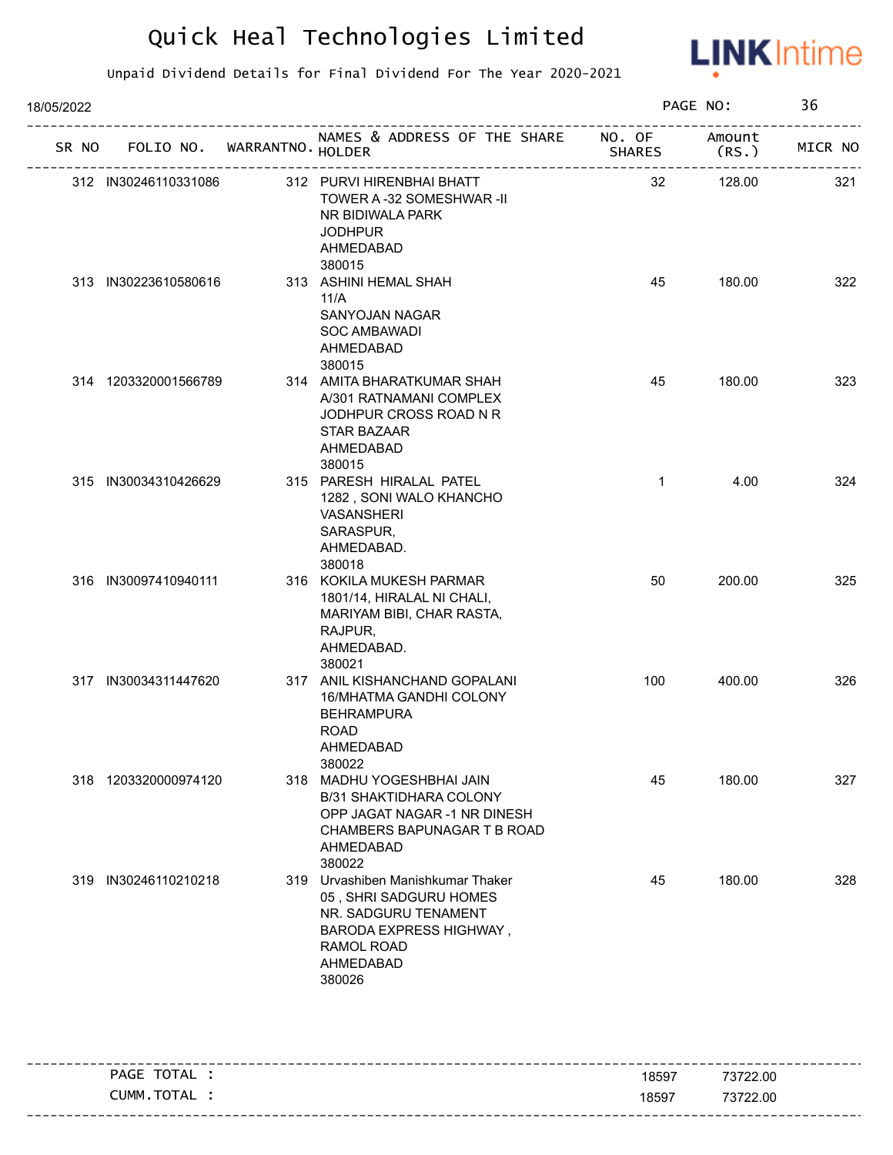

| 18/05/2022 |                      |                             |                                                                                                                                                            |              | PAGE NO:         | 36      |
|------------|----------------------|-----------------------------|------------------------------------------------------------------------------------------------------------------------------------------------------------|--------------|------------------|---------|
| SR NO      |                      | FOLIO NO. WARRANTNO. HOLDER | NAMES & ADDRESS OF THE SHARE NO. OF<br>--------------------------------------                                                                              | SHARES       | Amount<br>(RS. ) | MICR NO |
|            | 312 IN30246110331086 |                             | 312 PURVI HIRENBHAI BHATT<br>TOWER A -32 SOMESHWAR -II<br>NR BIDIWALA PARK<br><b>JODHPUR</b><br>AHMEDABAD<br>380015                                        | 32           | 128.00           | 321     |
|            | 313 IN30223610580616 |                             | 313 ASHINI HEMAL SHAH<br>11/A<br>SANYOJAN NAGAR<br><b>SOC AMBAWADI</b><br>AHMEDABAD<br>380015                                                              | 45           | 180.00           | 322     |
|            | 314 1203320001566789 |                             | 314 AMITA BHARATKUMAR SHAH<br>A/301 RATNAMANI COMPLEX<br>JODHPUR CROSS ROAD N R<br><b>STAR BAZAAR</b><br>AHMEDABAD<br>380015                               | 45           | 180.00           | 323     |
|            | 315 IN30034310426629 |                             | 315 PARESH HIRALAL PATEL<br>1282, SONI WALO KHANCHO<br><b>VASANSHERI</b><br>SARASPUR,<br>AHMEDABAD.<br>380018                                              | $\mathbf{1}$ | 4.00             | 324     |
|            | 316 IN30097410940111 |                             | 316 KOKILA MUKESH PARMAR<br>1801/14, HIRALAL NI CHALI,<br>MARIYAM BIBI, CHAR RASTA,<br>RAJPUR,<br>AHMEDABAD.<br>380021                                     | 50           | 200.00           | 325     |
|            | 317 IN30034311447620 |                             | 317 ANIL KISHANCHAND GOPALANI<br>16/MHATMA GANDHI COLONY<br><b>BEHRAMPURA</b><br><b>ROAD</b><br>AHMEDABAD<br>380022                                        | 100          | 400.00           | 326     |
|            | 318 1203320000974120 |                             | 318 MADHU YOGESHBHAI JAIN<br>B/31 SHAKTIDHARA COLONY<br>OPP JAGAT NAGAR -1 NR DINESH<br>CHAMBERS BAPUNAGAR T B ROAD<br>AHMEDABAD<br>380022                 | 45           | 180.00           | 327     |
|            | 319 IN30246110210218 |                             | 319 Urvashiben Manishkumar Thaker<br>05, SHRI SADGURU HOMES<br>NR. SADGURU TENAMENT<br><b>BARODA EXPRESS HIGHWAY,</b><br>RAMOL ROAD<br>AHMEDABAD<br>380026 | 45           | 180.00           | 328     |

| TOTAL<br>PAGE  | 18597 | 73722.00 |
|----------------|-------|----------|
| TOTAL<br>CUMM. | 18597 | 73722.00 |
|                |       |          |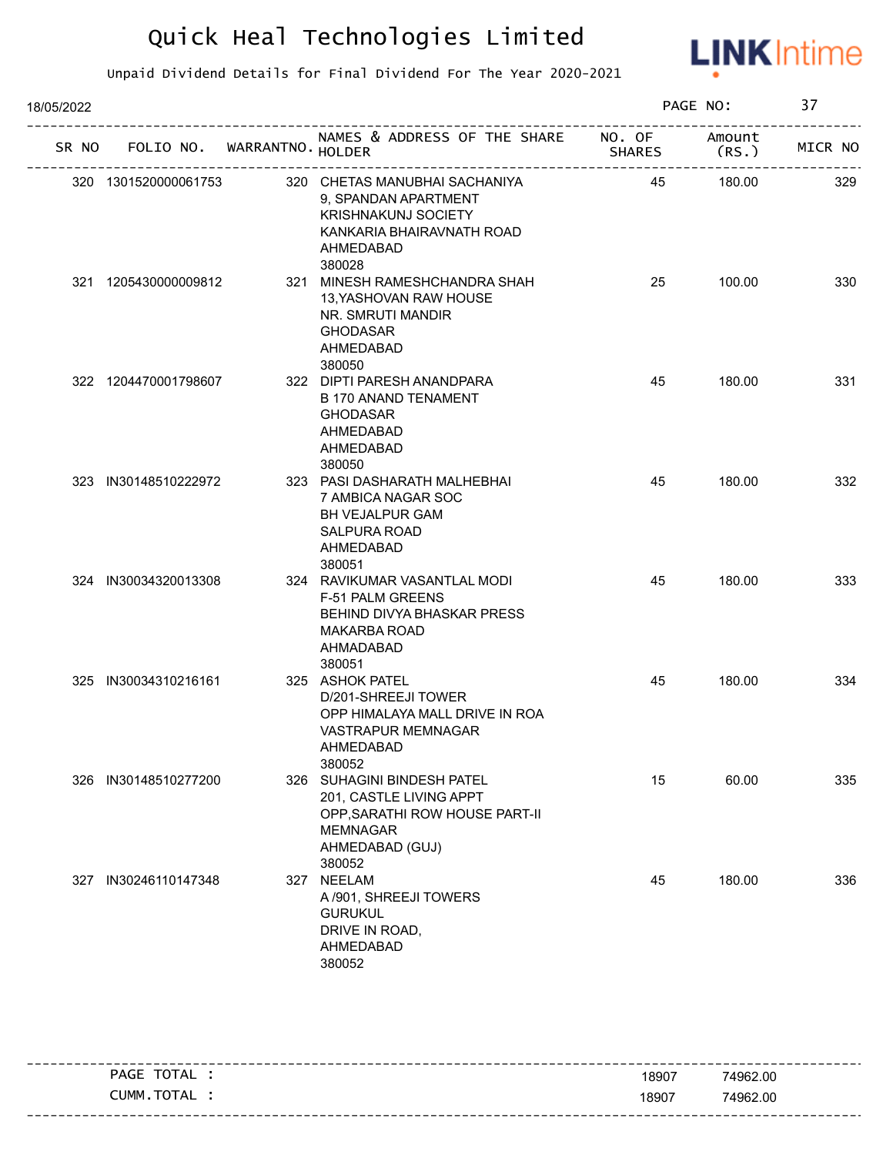

| 18/05/2022 | FOLIO NO. WARRANTNO. HOLDER<br>SR NO<br>320 CHETAS MANUBHAI SACHANIYA<br>320 1301520000061753<br>9, SPANDAN APARTMENT<br><b>KRISHNAKUNJ SOCIETY</b><br>KANKARIA BHAIRAVNATH ROAD<br>AHMEDABAD<br>380028<br>321 1205430000009812<br>321 MINESH RAMESHCHANDRA SHAH<br>13, YASHOVAN RAW HOUSE<br>NR. SMRUTI MANDIR<br><b>GHODASAR</b><br>AHMEDABAD<br>380050<br>322 DIPTI PARESH ANANDPARA<br>322 1204470001798607<br><b>B 170 ANAND TENAMENT</b><br>GHODASAR<br>AHMEDABAD<br>AHMEDABAD<br>380050<br>323 IN30148510222972<br>323 PASI DASHARATH MALHEBHAI<br>7 AMBICA NAGAR SOC<br><b>BH VEJALPUR GAM</b><br>SALPURA ROAD<br>AHMEDABAD<br>380051<br>324 IN30034320013308<br>324 RAVIKUMAR VASANTLAL MODI<br>F-51 PALM GREENS<br>BEHIND DIVYA BHASKAR PRESS<br><b>MAKARBA ROAD</b><br>AHMADABAD<br>380051<br>325 IN30034310216161<br>325 ASHOK PATEL<br>D/201-SHREEJI TOWER<br>OPP HIMALAYA MALL DRIVE IN ROA<br>VASTRAPUR MEMNAGAR<br>AHMEDABAD<br>380052<br>IN30148510277200<br>326 SUHAGINI BINDESH PATEL<br>326<br>201, CASTLE LIVING APPT<br>OPP, SARATHI ROW HOUSE PART-II<br><b>MEMNAGAR</b><br>AHMEDABAD (GUJ)<br>380052 |  |  |                                                                                                | PAGE NO: |                 | 37      |  |
|------------|------------------------------------------------------------------------------------------------------------------------------------------------------------------------------------------------------------------------------------------------------------------------------------------------------------------------------------------------------------------------------------------------------------------------------------------------------------------------------------------------------------------------------------------------------------------------------------------------------------------------------------------------------------------------------------------------------------------------------------------------------------------------------------------------------------------------------------------------------------------------------------------------------------------------------------------------------------------------------------------------------------------------------------------------------------------------------------------------------------------------------|--|--|------------------------------------------------------------------------------------------------|----------|-----------------|---------|--|
|            |                                                                                                                                                                                                                                                                                                                                                                                                                                                                                                                                                                                                                                                                                                                                                                                                                                                                                                                                                                                                                                                                                                                              |  |  | NAMES & ADDRESS OF THE SHARE NO. OF                                                            | SHARES   | Amount<br>(RS.) | MICR NO |  |
|            |                                                                                                                                                                                                                                                                                                                                                                                                                                                                                                                                                                                                                                                                                                                                                                                                                                                                                                                                                                                                                                                                                                                              |  |  |                                                                                                | 45       | 180.00          | 329     |  |
|            |                                                                                                                                                                                                                                                                                                                                                                                                                                                                                                                                                                                                                                                                                                                                                                                                                                                                                                                                                                                                                                                                                                                              |  |  |                                                                                                | 25       | 100.00          | 330     |  |
|            |                                                                                                                                                                                                                                                                                                                                                                                                                                                                                                                                                                                                                                                                                                                                                                                                                                                                                                                                                                                                                                                                                                                              |  |  |                                                                                                | 45       | 180.00          | 331     |  |
|            |                                                                                                                                                                                                                                                                                                                                                                                                                                                                                                                                                                                                                                                                                                                                                                                                                                                                                                                                                                                                                                                                                                                              |  |  |                                                                                                | 45       | 180.00          | 332     |  |
|            |                                                                                                                                                                                                                                                                                                                                                                                                                                                                                                                                                                                                                                                                                                                                                                                                                                                                                                                                                                                                                                                                                                                              |  |  |                                                                                                | 45       | 180.00          | 333     |  |
|            |                                                                                                                                                                                                                                                                                                                                                                                                                                                                                                                                                                                                                                                                                                                                                                                                                                                                                                                                                                                                                                                                                                                              |  |  |                                                                                                | 45       | 180.00          | 334     |  |
|            |                                                                                                                                                                                                                                                                                                                                                                                                                                                                                                                                                                                                                                                                                                                                                                                                                                                                                                                                                                                                                                                                                                                              |  |  |                                                                                                | 15       | 60.00           | 335     |  |
| 327        | IN30246110147348                                                                                                                                                                                                                                                                                                                                                                                                                                                                                                                                                                                                                                                                                                                                                                                                                                                                                                                                                                                                                                                                                                             |  |  | 327 NEELAM<br>A/901, SHREEJI TOWERS<br><b>GURUKUL</b><br>DRIVE IN ROAD,<br>AHMEDABAD<br>380052 | 45       | 180.00          | 336     |  |

| TOTAL<br><b>PAGE</b> | 18907 | 74962.00                          |
|----------------------|-------|-----------------------------------|
| TOTAL<br>CUMM.       | 18907 | 74962.00                          |
|                      |       | --------------------------------- |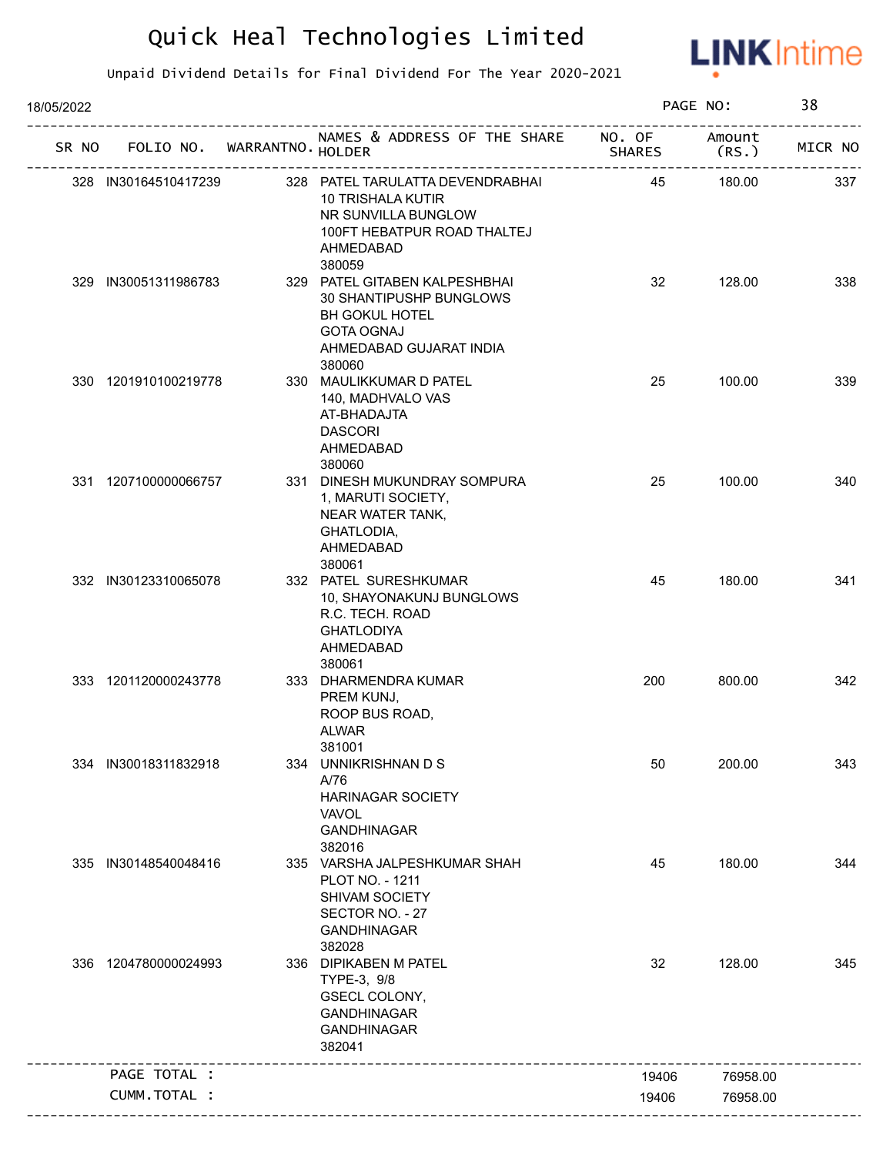

| 18/05/2022 |                                   |                                                                                                                                                       |               | PAGE NO:       | 38      |
|------------|-----------------------------------|-------------------------------------------------------------------------------------------------------------------------------------------------------|---------------|----------------|---------|
|            | SR NO FOLIO NO. WARRANTNO. HOLDER | NAMES & ADDRESS OF THE SHARE NO. OF                                                                                                                   | <b>SHARES</b> | Amount<br>(RS. | MICR NO |
|            | 328 IN30164510417239              | 328 PATEL TARULATTA DEVENDRABHAI<br>10 TRISHALA KUTIR<br>NR SUNVILLA BUNGLOW<br>100FT HEBATPUR ROAD THALTEJ<br>AHMEDABAD                              | 45            | 180.00         | 337     |
|            | 329 IN30051311986783              | 380059<br>329 PATEL GITABEN KALPESHBHAI<br>30 SHANTIPUSHP BUNGLOWS<br><b>BH GOKUL HOTEL</b><br><b>GOTA OGNAJ</b><br>AHMEDABAD GUJARAT INDIA<br>380060 | 32            | 128.00         | 338     |
|            | 330 1201910100219778              | 330 MAULIKKUMAR D PATEL<br>140, MADHVALO VAS<br>AT-BHADAJTA<br><b>DASCORI</b><br>AHMEDABAD<br>380060                                                  | 25            | 100.00         | 339     |
|            | 331 1207100000066757              | 331 DINESH MUKUNDRAY SOMPURA<br>1, MARUTI SOCIETY,<br>NEAR WATER TANK,<br>GHATLODIA,<br>AHMEDABAD<br>380061                                           | 25            | 100.00         | 340     |
|            | 332 IN30123310065078              | 332 PATEL SURESHKUMAR<br>10, SHAYONAKUNJ BUNGLOWS<br>R.C. TECH. ROAD<br><b>GHATLODIYA</b><br>AHMEDABAD<br>380061                                      | 45            | 180.00         | 341     |
|            | 333 1201120000243778              | 333 DHARMENDRA KUMAR<br>PREM KUNJ,<br>ROOP BUS ROAD,<br><b>ALWAR</b><br>381001                                                                        | 200           | 800.00         | 342     |
|            | 334 IN30018311832918              | 334 UNNIKRISHNAN D S<br>A/76<br><b>HARINAGAR SOCIETY</b><br>VAVOL<br><b>GANDHINAGAR</b><br>382016                                                     | 50            | 200.00         | 343     |
| 335        | IN30148540048416                  | 335 VARSHA JALPESHKUMAR SHAH<br>PLOT NO. - 1211<br>SHIVAM SOCIETY<br>SECTOR NO. - 27<br><b>GANDHINAGAR</b><br>382028                                  | 45            | 180.00         | 344     |
|            | 336 1204780000024993              | 336 DIPIKABEN M PATEL<br>TYPE-3, 9/8<br>GSECL COLONY,<br><b>GANDHINAGAR</b><br><b>GANDHINAGAR</b><br>382041                                           | 32            | 128.00         | 345     |
|            | PAGE TOTAL :                      |                                                                                                                                                       | 19406         | 76958.00       |         |
|            | CUMM.TOTAL :                      |                                                                                                                                                       | 19406         | 76958.00       |         |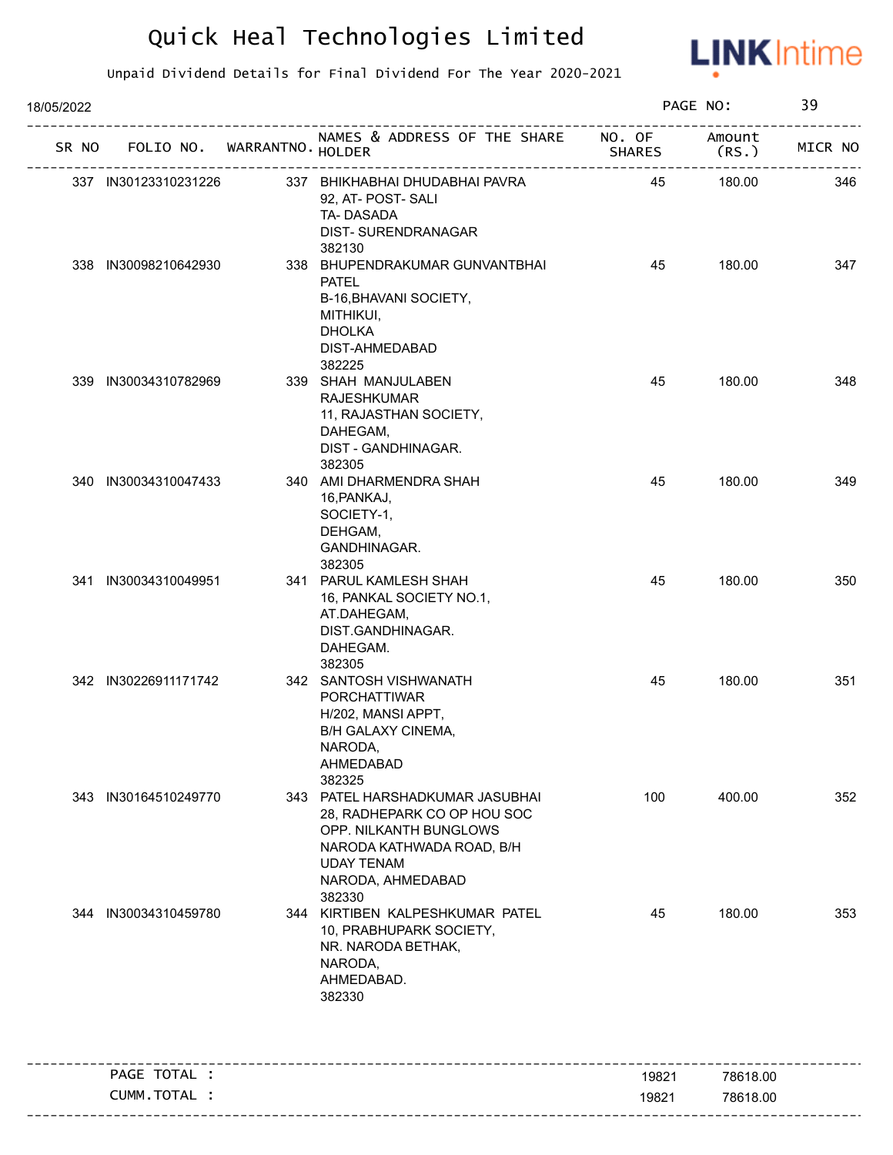

| 18/05/2022 |                             |                                                                                                                                                                           |                         | PAGE NO:        | 39      |
|------------|-----------------------------|---------------------------------------------------------------------------------------------------------------------------------------------------------------------------|-------------------------|-----------------|---------|
| SR NO      | FOLIO NO. WARRANTNO. HOLDER | NAMES & ADDRESS OF THE SHARE                                                                                                                                              | NO. OF<br><b>SHARES</b> | Amount<br>(RS.) | MICR NO |
|            | 337 IN30123310231226        | 337 BHIKHABHAI DHUDABHAI PAVRA<br>92, AT- POST- SALI<br>TA-DASADA<br>DIST-SURENDRANAGAR<br>382130                                                                         | 45                      | 180.00          | 346     |
|            | 338 IN30098210642930        | 338 BHUPENDRAKUMAR GUNVANTBHAI<br><b>PATEL</b><br>B-16, BHAVANI SOCIETY,<br>MITHIKUI,<br><b>DHOLKA</b><br>DIST-AHMEDABAD<br>382225                                        | 45                      | 180.00          | 347     |
|            | 339 IN30034310782969        | 339 SHAH MANJULABEN<br><b>RAJESHKUMAR</b><br>11, RAJASTHAN SOCIETY,<br>DAHEGAM,<br>DIST - GANDHINAGAR.<br>382305                                                          | 45                      | 180.00          | 348     |
|            | 340 IN30034310047433        | 340 AMI DHARMENDRA SHAH<br>16, PANKAJ,<br>SOCIETY-1,<br>DEHGAM,<br>GANDHINAGAR.<br>382305                                                                                 | 45                      | 180.00          | 349     |
|            | 341 IN30034310049951        | 341 PARUL KAMLESH SHAH<br>16, PANKAL SOCIETY NO.1,<br>AT.DAHEGAM,<br>DIST.GANDHINAGAR.<br>DAHEGAM.<br>382305                                                              | 45                      | 180.00          | 350     |
|            | 342 IN30226911171742        | 342 SANTOSH VISHWANATH<br><b>PORCHATTIWAR</b><br>H/202, MANSI APPT,<br>B/H GALAXY CINEMA,<br>NARODA,<br>AHMEDABAD<br>382325                                               | 45                      | 180.00          | 351     |
|            | 343 IN30164510249770        | 343 PATEL HARSHADKUMAR JASUBHAI<br>28, RADHEPARK CO OP HOU SOC<br>OPP. NILKANTH BUNGLOWS<br>NARODA KATHWADA ROAD, B/H<br><b>UDAY TENAM</b><br>NARODA, AHMEDABAD<br>382330 | 100                     | 400.00          | 352     |
|            | 344 IN30034310459780        | 344 KIRTIBEN KALPESHKUMAR PATEL<br>10, PRABHUPARK SOCIETY,<br>NR. NARODA BETHAK,<br>NARODA,<br>AHMEDABAD.<br>382330                                                       | 45                      | 180.00          | 353     |
|            | PAGE TOTAL :                |                                                                                                                                                                           | 19821                   | 78618.00        |         |
|            | CUMM.TOTAL :                |                                                                                                                                                                           | 19821                   | 78618.00        |         |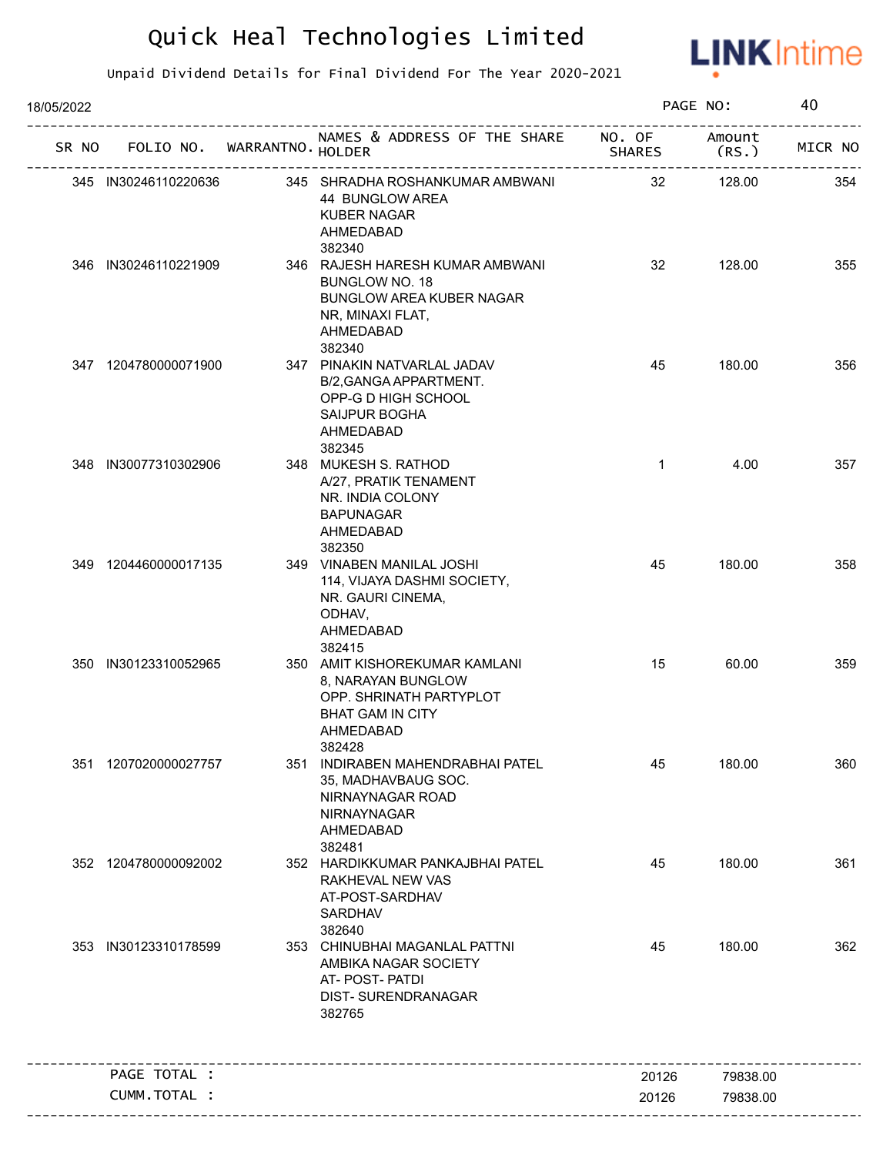

| 18/05/2022 |                             |                                                                                                                                  |                         | PAGE NO:        | 40      |
|------------|-----------------------------|----------------------------------------------------------------------------------------------------------------------------------|-------------------------|-----------------|---------|
| SR NO      | FOLIO NO. WARRANTNO. HOLDER | NAMES & ADDRESS OF THE SHARE                                                                                                     | NO. OF<br><b>SHARES</b> | Amount<br>(RS.) | MICR NO |
|            | 345 IN30246110220636        | 345 SHRADHA ROSHANKUMAR AMBWANI<br>44 BUNGLOW AREA<br><b>KUBER NAGAR</b><br>AHMEDABAD<br>382340                                  | 32                      | 128.00          | 354     |
|            | 346 IN30246110221909        | 346 RAJESH HARESH KUMAR AMBWANI<br>BUNGLOW NO. 18<br><b>BUNGLOW AREA KUBER NAGAR</b><br>NR, MINAXI FLAT,<br>AHMEDABAD<br>382340  | 32                      | 128.00          | 355     |
|            | 347 1204780000071900        | 347 PINAKIN NATVARLAL JADAV<br>B/2, GANGA APPARTMENT.<br>OPP-G D HIGH SCHOOL<br><b>SAIJPUR BOGHA</b><br>AHMEDABAD<br>382345      | 45                      | 180.00          | 356     |
|            | 348 IN30077310302906        | 348 MUKESH S. RATHOD<br>A/27, PRATIK TENAMENT<br>NR. INDIA COLONY<br><b>BAPUNAGAR</b><br>AHMEDABAD<br>382350                     | $\mathbf{1}$            | 4.00            | 357     |
|            | 349 1204460000017135        | 349 VINABEN MANILAL JOSHI<br>114, VIJAYA DASHMI SOCIETY,<br>NR. GAURI CINEMA,<br>ODHAV,<br>AHMEDABAD<br>382415                   | 45                      | 180.00          | 358     |
|            | 350 IN30123310052965        | 350 AMIT KISHOREKUMAR KAMLANI<br>8, NARAYAN BUNGLOW<br>OPP. SHRINATH PARTYPLOT<br><b>BHAT GAM IN CITY</b><br>AHMEDABAD<br>382428 | 15                      | 60.00           | 359     |
|            | 351 1207020000027757        | 351 INDIRABEN MAHENDRABHAI PATEL<br>35, MADHAVBAUG SOC.<br>NIRNAYNAGAR ROAD<br>NIRNAYNAGAR<br>AHMEDABAD<br>382481                | 45                      | 180.00          | 360     |
|            | 352 1204780000092002        | 352 HARDIKKUMAR PANKAJBHAI PATEL<br>RAKHEVAL NEW VAS<br>AT-POST-SARDHAV<br><b>SARDHAV</b><br>382640                              | 45                      | 180.00          | 361     |
|            | 353 IN30123310178599        | 353 CHINUBHAI MAGANLAL PATTNI<br>AMBIKA NAGAR SOCIETY<br>AT- POST- PATDI<br><b>DIST- SURENDRANAGAR</b><br>382765                 | 45                      | 180.00          | 362     |
|            | PAGE TOTAL :                |                                                                                                                                  | 20126                   | 79838.00        |         |
|            | CUMM.TOTAL :                |                                                                                                                                  | 20126                   | 79838.00        |         |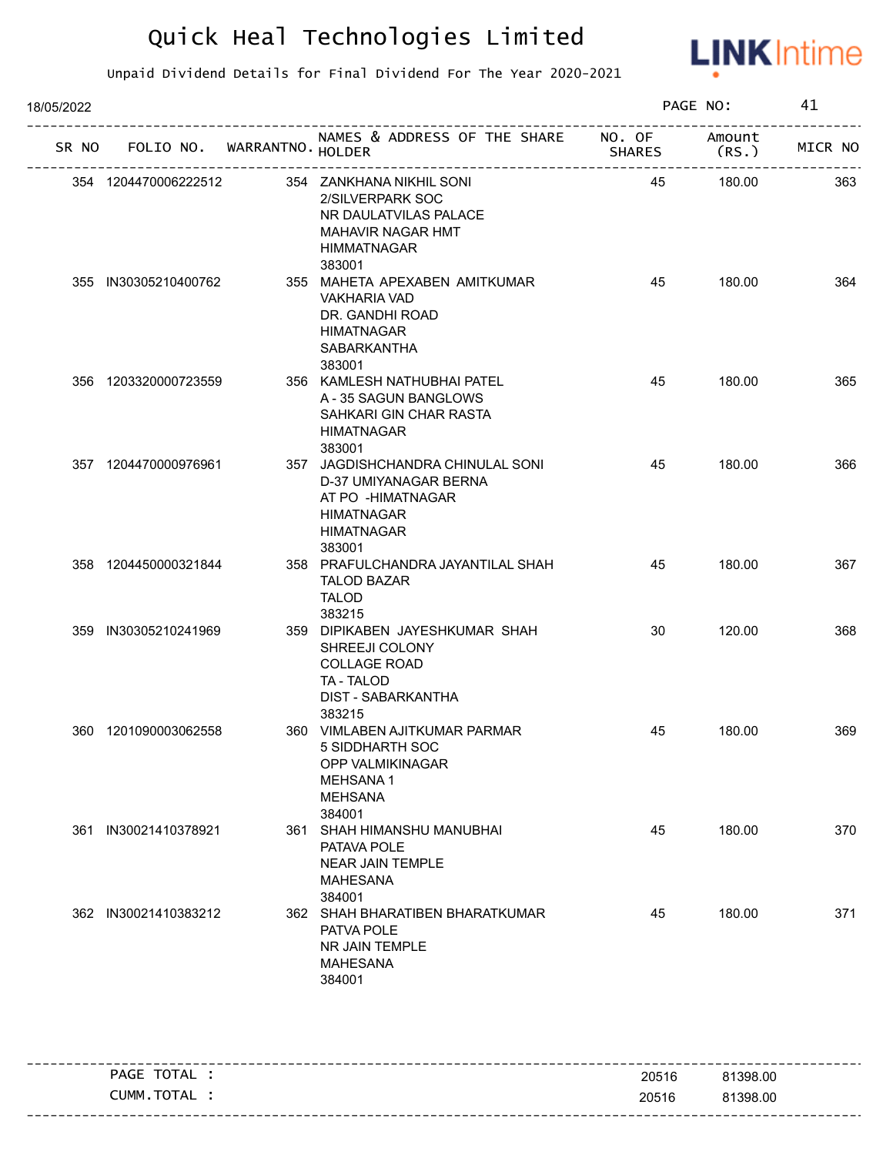

| 18/05/2022 |                      |                            |                                                                                                                                    |               | PAGE NO:       | 41      |
|------------|----------------------|----------------------------|------------------------------------------------------------------------------------------------------------------------------------|---------------|----------------|---------|
| SR NO      |                      | FOLIO NO. WARRANTNO HOLDER | NAMES & ADDRESS OF THE SHARE NO. OF                                                                                                | <b>SHARES</b> | Amount<br>(RS. | MICR NO |
|            | 354 1204470006222512 |                            | 354 ZANKHANA NIKHIL SONI<br>2/SILVERPARK SOC<br>NR DAULATVILAS PALACE<br>MAHAVIR NAGAR HMT<br><b>HIMMATNAGAR</b><br>383001         | 45            | 180.00         | 363     |
|            | 355 IN30305210400762 |                            | 355 MAHETA APEXABEN AMITKUMAR<br><b>VAKHARIA VAD</b><br>DR. GANDHI ROAD<br><b>HIMATNAGAR</b><br><b>SABARKANTHA</b><br>383001       | 45            | 180.00         | 364     |
|            | 356 1203320000723559 |                            | 356 KAMLESH NATHUBHAI PATEL<br>A - 35 SAGUN BANGLOWS<br>SAHKARI GIN CHAR RASTA<br><b>HIMATNAGAR</b><br>383001                      | 45            | 180.00         | 365     |
|            | 357 1204470000976961 |                            | 357 JAGDISHCHANDRA CHINULAL SONI<br>D-37 UMIYANAGAR BERNA<br>AT PO -HIMATNAGAR<br><b>HIMATNAGAR</b><br><b>HIMATNAGAR</b><br>383001 | 45            | 180.00         | 366     |
|            | 358 1204450000321844 |                            | 358 PRAFULCHANDRA JAYANTILAL SHAH<br><b>TALOD BAZAR</b><br><b>TALOD</b><br>383215                                                  | 45            | 180.00         | 367     |
|            | 359 IN30305210241969 |                            | 359 DIPIKABEN JAYESHKUMAR SHAH<br>SHREEJI COLONY<br><b>COLLAGE ROAD</b><br>TA - TALOD<br><b>DIST - SABARKANTHA</b><br>383215       | 30            | 120.00         | 368     |
|            | 360 1201090003062558 |                            | 360 VIMLABEN AJITKUMAR PARMAR<br>5 SIDDHARTH SOC<br>OPP VALMIKINAGAR<br><b>MEHSANA1</b><br><b>MEHSANA</b><br>384001                | 45            | 180.00         | 369     |
|            | 361 IN30021410378921 |                            | 361 SHAH HIMANSHU MANUBHAI<br>PATAVA POLE<br><b>NEAR JAIN TEMPLE</b><br><b>MAHESANA</b><br>384001                                  | 45            | 180.00         | 370     |
|            | 362 IN30021410383212 |                            | 362 SHAH BHARATIBEN BHARATKUMAR<br>PATVA POLE<br>NR JAIN TEMPLE<br><b>MAHESANA</b><br>384001                                       | 45            | 180.00         | 371     |

| TOTAL<br>PAGE | 20516 | 81398.00 |
|---------------|-------|----------|
| CUMM.TOTAL    | 20516 | 81398.00 |
|               |       |          |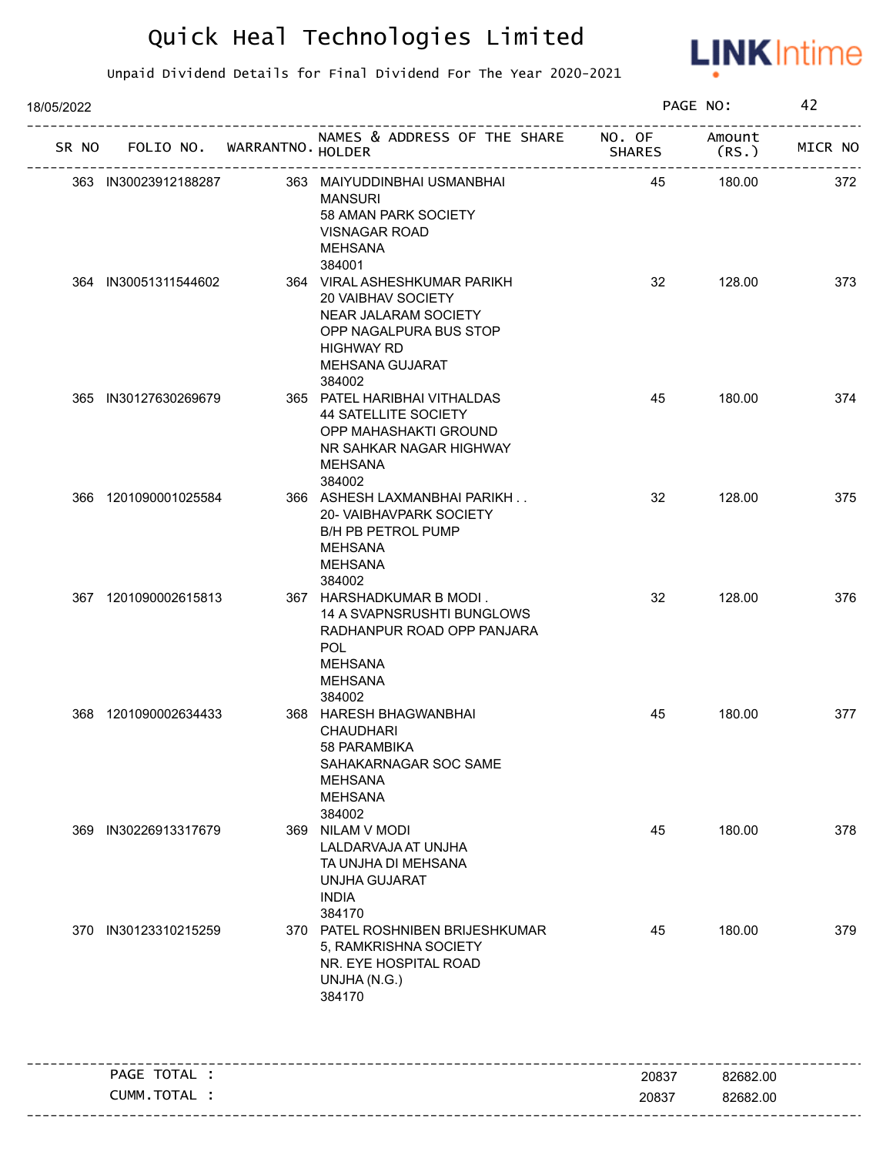

| 18/05/2022 |                                   |  | PAGE NO:                                                                                                                                                                |               | 42       |         |
|------------|-----------------------------------|--|-------------------------------------------------------------------------------------------------------------------------------------------------------------------------|---------------|----------|---------|
|            | SR NO FOLIO NO. WARRANTNO. HOLDER |  | NAMES & ADDRESS OF THE SHARE NO. OF Amount                                                                                                                              | <b>SHARES</b> | (RS.     | MICR NO |
|            | 363 IN30023912188287              |  | 363 MAIYUDDINBHAI USMANBHAI<br><b>MANSURI</b><br>58 AMAN PARK SOCIETY<br>VISNAGAR ROAD<br>MEHSANA                                                                       | 45            | 180.00   | 372     |
|            | 364 IN30051311544602              |  | 384001<br>364 VIRAL ASHESHKUMAR PARIKH<br>20 VAIBHAV SOCIETY<br>NEAR JALARAM SOCIETY<br>OPP NAGALPURA BUS STOP<br><b>HIGHWAY RD</b><br><b>MEHSANA GUJARAT</b><br>384002 | 32            | 128.00   | 373     |
|            | 365 IN30127630269679              |  | 365 PATEL HARIBHAI VITHALDAS<br><b>44 SATELLITE SOCIETY</b><br>OPP MAHASHAKTI GROUND<br>NR SAHKAR NAGAR HIGHWAY<br>MEHSANA<br>384002                                    | 45            | 180.00   | 374     |
|            | 366 1201090001025584              |  | 366 ASHESH LAXMANBHAI PARIKH<br>20- VAIBHAVPARK SOCIETY<br>B/H PB PETROL PUMP<br>MEHSANA<br>MEHSANA<br>384002                                                           | 32            | 128.00   | 375     |
|            | 367 1201090002615813              |  | 367 HARSHADKUMAR B MODI.<br>14 A SVAPNSRUSHTI BUNGLOWS<br>RADHANPUR ROAD OPP PANJARA<br><b>POL</b><br><b>MEHSANA</b><br>MEHSANA<br>384002                               | 32            | 128.00   | 376     |
|            | 368 1201090002634433              |  | 368 HARESH BHAGWANBHAI<br><b>CHAUDHARI</b><br>58 PARAMBIKA<br>SAHAKARNAGAR SOC SAME<br><b>MEHSANA</b><br><b>MEHSANA</b><br>384002                                       | 45            | 180.00   | 377     |
| 369        | IN30226913317679                  |  | 369 NILAM V MODI<br>LALDARVAJA AT UNJHA<br>TA UNJHA DI MEHSANA<br>UNJHA GUJARAT<br><b>INDIA</b><br>384170                                                               | 45            | 180.00   | 378     |
|            | 370 IN30123310215259              |  | 370 PATEL ROSHNIBEN BRIJESHKUMAR<br>5, RAMKRISHNA SOCIETY<br>NR. EYE HOSPITAL ROAD<br>UNJHA (N.G.)<br>384170                                                            | 45            | 180.00   | 379     |
|            | PAGE TOTAL :                      |  |                                                                                                                                                                         | 20837         | 82682.00 |         |
|            | CUMM.TOTAL :                      |  |                                                                                                                                                                         | 20837         | 82682.00 |         |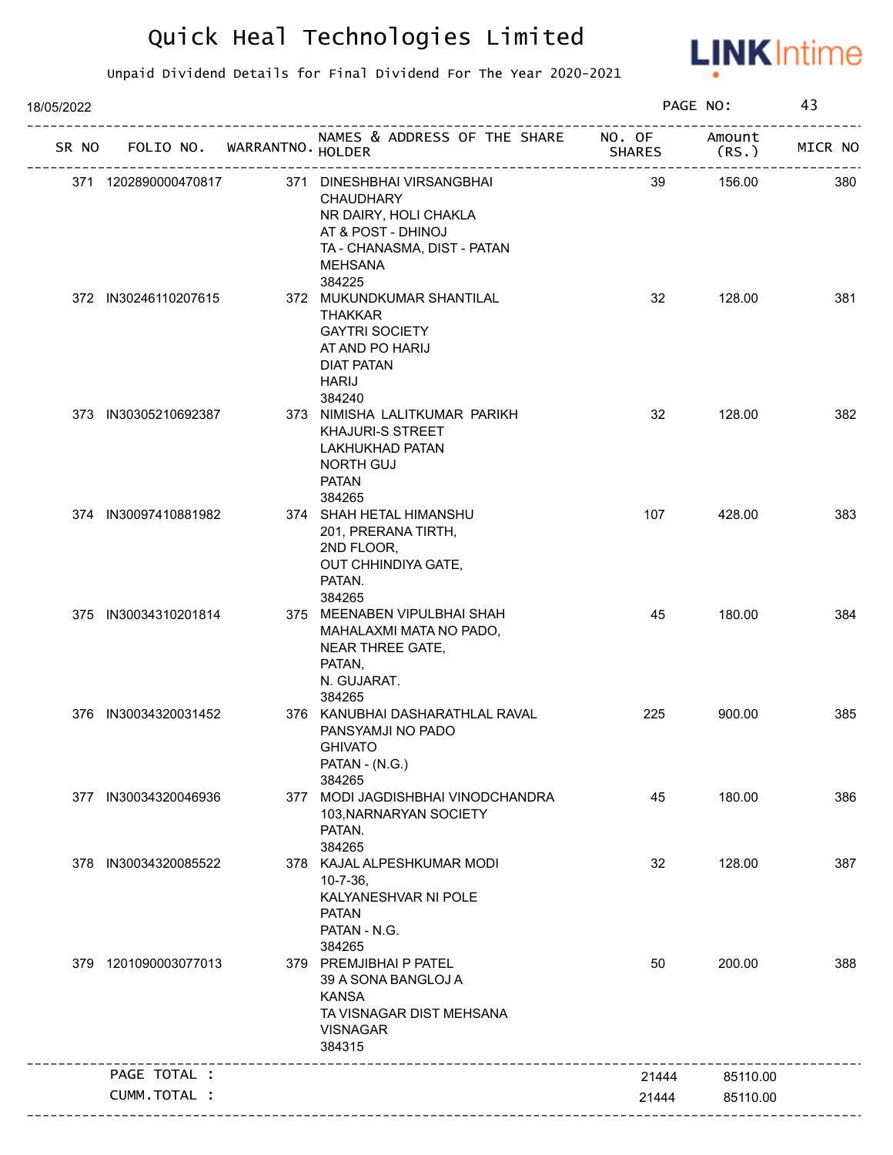

| 18/05/2022 |                             |                                                                                                                                                          |                  | PAGE NO:        | 43      |
|------------|-----------------------------|----------------------------------------------------------------------------------------------------------------------------------------------------------|------------------|-----------------|---------|
| SR NO      | FOLIO NO. WARRANTNO. HOLDER | NAMES & ADDRESS OF THE SHARE                                                                                                                             | NO. OF<br>SHARES | Amount<br>(RS.) | MICR NO |
|            | 371 1202890000470817        | 371 DINESHBHAI VIRSANGBHAI<br><b>CHAUDHARY</b><br>NR DAIRY, HOLI CHAKLA<br>AT & POST - DHINOJ<br>TA - CHANASMA, DIST - PATAN<br><b>MEHSANA</b><br>384225 | 39               | 156.00          | 380     |
|            | 372 IN30246110207615        | 372 MUKUNDKUMAR SHANTILAL<br><b>THAKKAR</b><br><b>GAYTRI SOCIETY</b><br>AT AND PO HARIJ<br>DIAT PATAN<br><b>HARIJ</b><br>384240                          | 32               | 128.00          | 381     |
|            | 373 IN30305210692387        | 373 NIMISHA LALITKUMAR PARIKH<br>KHAJURI-S STREET<br>LAKHUKHAD PATAN<br><b>NORTH GUJ</b><br><b>PATAN</b><br>384265                                       | 32               | 128.00          | 382     |
|            | 374 IN30097410881982        | 374 SHAH HETAL HIMANSHU<br>201, PRERANA TIRTH,<br>2ND FLOOR,<br>OUT CHHINDIYA GATE,<br>PATAN.<br>384265                                                  | 107              | 428.00          | 383     |
|            | 375 IN30034310201814        | 375 MEENABEN VIPULBHAI SHAH<br>MAHALAXMI MATA NO PADO,<br>NEAR THREE GATE,<br>PATAN,<br>N. GUJARAT.<br>384265                                            | 45               | 180.00          | 384     |
|            | 376 IN30034320031452        | 376 KANUBHAI DASHARATHLAL RAVAL<br>PANSYAMJI NO PADO<br><b>GHIVATO</b><br>PATAN - (N.G.)<br>384265                                                       | 225              | 900.00          | 385     |
| 377        | IN30034320046936            | 377 MODI JAGDISHBHAI VINODCHANDRA<br>103, NARNARYAN SOCIETY<br>PATAN.<br>384265                                                                          | 45               | 180.00          | 386     |
|            | 378 IN30034320085522        | 378 KAJAL ALPESHKUMAR MODI<br>$10 - 7 - 36$ ,<br>KALYANESHVAR NI POLE<br><b>PATAN</b><br>PATAN - N.G.<br>384265                                          | 32               | 128.00          | 387     |
|            | 379 1201090003077013        | 379 PREMJIBHAI P PATEL<br>39 A SONA BANGLOJ A<br><b>KANSA</b><br>TA VISNAGAR DIST MEHSANA<br><b>VISNAGAR</b><br>384315                                   | 50               | 200.00          | 388     |
|            | PAGE TOTAL :                |                                                                                                                                                          | 21444            | 85110.00        |         |
|            | CUMM.TOTAL :                |                                                                                                                                                          | 21444            | 85110.00        |         |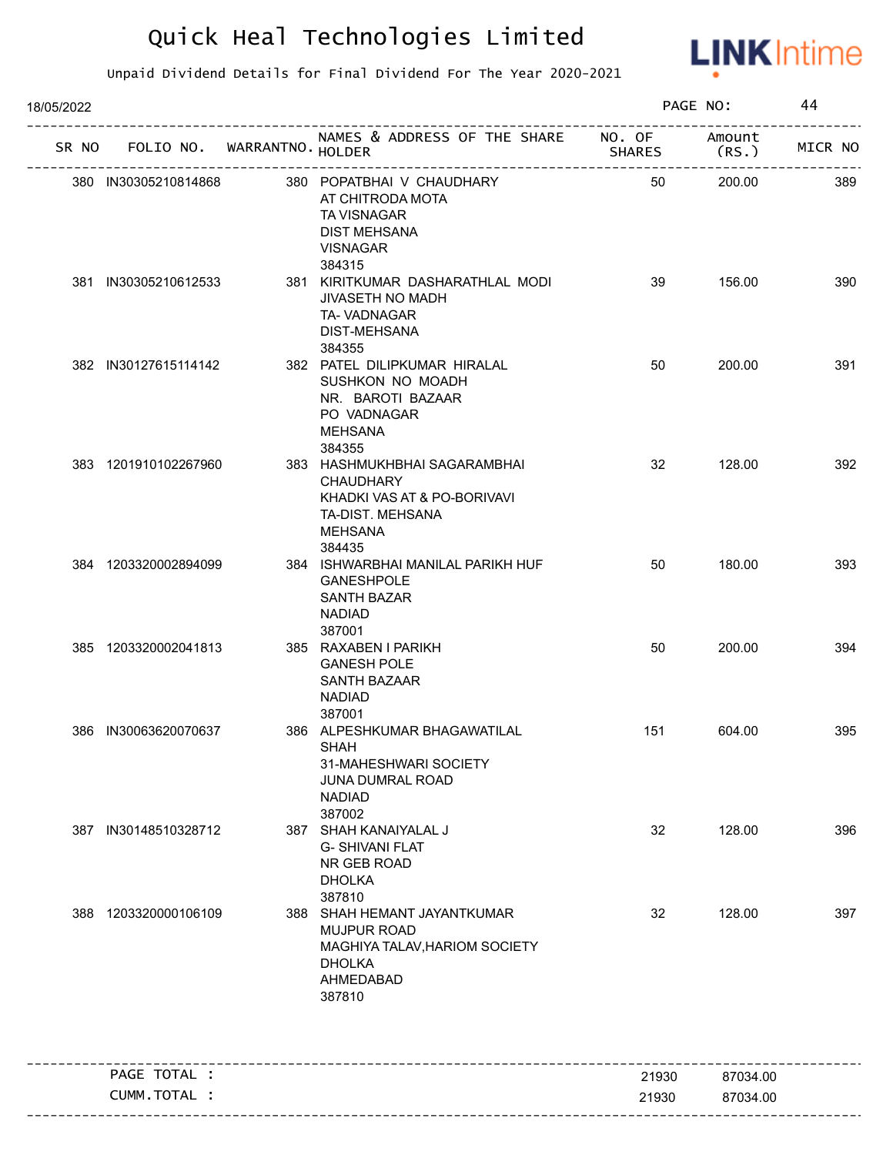

| 18/05/2022 |                                   |                                                                                                                                 |               | PAGE NO:       | 44      |
|------------|-----------------------------------|---------------------------------------------------------------------------------------------------------------------------------|---------------|----------------|---------|
|            | SR NO FOLIO NO. WARRANTNO. HOLDER | NAMES & ADDRESS OF THE SHARE NO. OF                                                                                             | <b>SHARES</b> | Amount<br>(RS. | MICR NO |
|            | 380 IN30305210814868              | 380 POPATBHAI V CHAUDHARY<br>AT CHITRODA MOTA<br>TA VISNAGAR<br><b>DIST MEHSANA</b><br><b>VISNAGAR</b><br>384315                | 50            | 200.00         | 389     |
|            | 381 IN30305210612533              | 381 KIRITKUMAR DASHARATHLAL MODI<br>JIVASETH NO MADH<br>TA-VADNAGAR<br>DIST-MEHSANA<br>384355                                   | 39            | 156.00         | 390     |
|            | 382 IN30127615114142              | 382 PATEL DILIPKUMAR HIRALAL<br>SUSHKON NO MOADH<br>NR. BAROTI BAZAAR<br>PO VADNAGAR<br><b>MEHSANA</b><br>384355                | 50            | 200.00         | 391     |
|            | 383 1201910102267960              | 383 HASHMUKHBHAI SAGARAMBHAI<br><b>CHAUDHARY</b><br>KHADKI VAS AT & PO-BORIVAVI<br>TA-DIST. MEHSANA<br><b>MEHSANA</b><br>384435 | 32            | 128.00         | 392     |
|            | 384 1203320002894099              | 384 ISHWARBHAI MANILAL PARIKH HUF<br><b>GANESHPOLE</b><br>SANTH BAZAR<br><b>NADIAD</b><br>387001                                | 50            | 180.00         | 393     |
|            | 385 1203320002041813              | 385 RAXABEN I PARIKH<br><b>GANESH POLE</b><br>SANTH BAZAAR<br><b>NADIAD</b><br>387001                                           | 50            | 200.00         | 394     |
|            | 386 IN30063620070637              | 386 ALPESHKUMAR BHAGAWATILAL<br><b>SHAH</b><br>31-MAHESHWARI SOCIETY<br>JUNA DUMRAL ROAD<br><b>NADIAD</b><br>387002             | 151           | 604.00         | 395     |
|            | 387 IN30148510328712              | 387 SHAH KANAIYALAL J<br><b>G-SHIVANI FLAT</b><br>NR GEB ROAD<br><b>DHOLKA</b><br>387810                                        | 32            | 128.00         | 396     |
|            | 388 1203320000106109              | 388 SHAH HEMANT JAYANTKUMAR<br><b>MUJPUR ROAD</b><br>MAGHIYA TALAV, HARIOM SOCIETY<br><b>DHOLKA</b><br>AHMEDABAD<br>387810      | 32            | 128.00         | 397     |
|            | PAGE TOTAL :                      |                                                                                                                                 | 21930         | 87034.00       |         |
|            | CUMM.TOTAL :                      |                                                                                                                                 | 21930         | 87034.00       |         |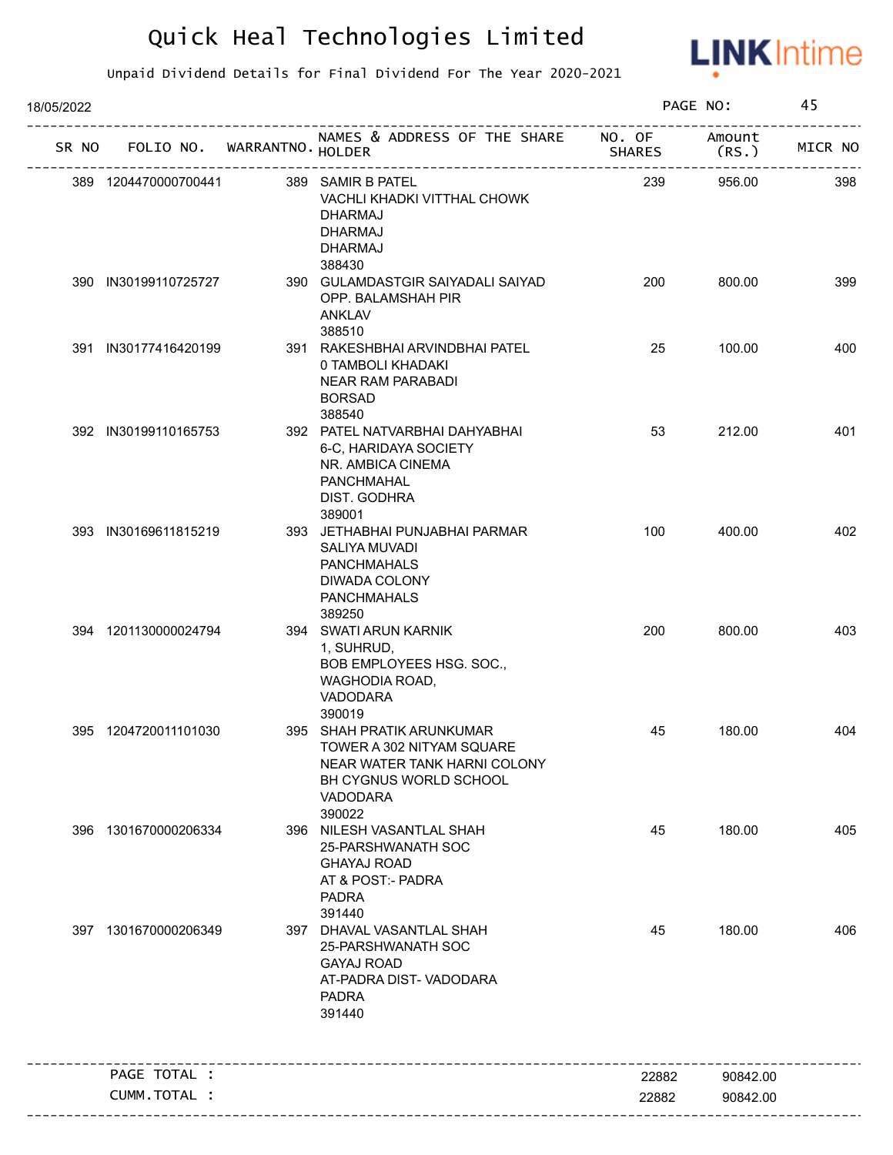

| 18/05/2022 | SR NO FOLIO NO. WARRANTNO. HOLDER<br>389 1204470000700441<br>389 SAMIR B PATEL<br>VACHLI KHADKI VITTHAL CHOWK<br><b>DHARMAJ</b><br><b>DHARMAJ</b><br><b>DHARMAJ</b><br>388430<br>390 IN30199110725727<br>390 GULAMDASTGIR SAIYADALI SAIYAD<br>OPP. BALAMSHAH PIR<br><b>ANKLAV</b><br>388510<br>391 IN30177416420199<br>391 RAKESHBHAI ARVINDBHAI PATEL<br>0 TAMBOLI KHADAKI<br>NEAR RAM PARABADI<br><b>BORSAD</b><br>388540<br>392 IN30199110165753<br>392 PATEL NATVARBHAI DAHYABHAI<br>6-C, HARIDAYA SOCIETY<br>NR. AMBICA CINEMA<br>PANCHMAHAL<br>DIST. GODHRA<br>389001<br>393 IN30169611815219<br>393 JETHABHAI PUNJABHAI PARMAR<br>SALIYA MUVADI<br><b>PANCHMAHALS</b><br>DIWADA COLONY<br><b>PANCHMAHALS</b><br>389250<br>394 SWATI ARUN KARNIK<br>394 1201130000024794<br>1, SUHRUD,<br>BOB EMPLOYEES HSG. SOC.,<br>WAGHODIA ROAD,<br>VADODARA<br>390019<br>395 1204720011101030<br>395 SHAH PRATIK ARUNKUMAR<br>TOWER A 302 NITYAM SQUARE<br>NEAR WATER TANK HARNI COLONY<br>BH CYGNUS WORLD SCHOOL<br>VADODARA<br>390022<br>396 1301670000206334<br>396 NILESH VASANTLAL SHAH<br>25-PARSHWANATH SOC<br><b>GHAYAJ ROAD</b><br>AT & POST:- PADRA<br><b>PADRA</b><br>391440<br>397 1301670000206349<br>397 DHAVAL VASANTLAL SHAH<br>25-PARSHWANATH SOC<br><b>GAYAJ ROAD</b><br>AT-PADRA DIST-VADODARA<br><b>PADRA</b><br>391440 |  | PAGE NO:                            |               | 45             |         |
|------------|----------------------------------------------------------------------------------------------------------------------------------------------------------------------------------------------------------------------------------------------------------------------------------------------------------------------------------------------------------------------------------------------------------------------------------------------------------------------------------------------------------------------------------------------------------------------------------------------------------------------------------------------------------------------------------------------------------------------------------------------------------------------------------------------------------------------------------------------------------------------------------------------------------------------------------------------------------------------------------------------------------------------------------------------------------------------------------------------------------------------------------------------------------------------------------------------------------------------------------------------------------------------------------------------------------------------------------------|--|-------------------------------------|---------------|----------------|---------|
|            |                                                                                                                                                                                                                                                                                                                                                                                                                                                                                                                                                                                                                                                                                                                                                                                                                                                                                                                                                                                                                                                                                                                                                                                                                                                                                                                                        |  | NAMES & ADDRESS OF THE SHARE NO. OF | <b>SHARES</b> | Amount<br>(RS. | MICR NO |
|            |                                                                                                                                                                                                                                                                                                                                                                                                                                                                                                                                                                                                                                                                                                                                                                                                                                                                                                                                                                                                                                                                                                                                                                                                                                                                                                                                        |  |                                     | 239           | 956.00         | 398     |
|            |                                                                                                                                                                                                                                                                                                                                                                                                                                                                                                                                                                                                                                                                                                                                                                                                                                                                                                                                                                                                                                                                                                                                                                                                                                                                                                                                        |  |                                     | 200           | 800.00         | 399     |
|            |                                                                                                                                                                                                                                                                                                                                                                                                                                                                                                                                                                                                                                                                                                                                                                                                                                                                                                                                                                                                                                                                                                                                                                                                                                                                                                                                        |  |                                     | 25            | 100.00         | 400     |
|            |                                                                                                                                                                                                                                                                                                                                                                                                                                                                                                                                                                                                                                                                                                                                                                                                                                                                                                                                                                                                                                                                                                                                                                                                                                                                                                                                        |  |                                     | 53            | 212.00         | 401     |
|            |                                                                                                                                                                                                                                                                                                                                                                                                                                                                                                                                                                                                                                                                                                                                                                                                                                                                                                                                                                                                                                                                                                                                                                                                                                                                                                                                        |  |                                     | 100           | 400.00         | 402     |
|            |                                                                                                                                                                                                                                                                                                                                                                                                                                                                                                                                                                                                                                                                                                                                                                                                                                                                                                                                                                                                                                                                                                                                                                                                                                                                                                                                        |  |                                     | 200           | 800.00         | 403     |
|            |                                                                                                                                                                                                                                                                                                                                                                                                                                                                                                                                                                                                                                                                                                                                                                                                                                                                                                                                                                                                                                                                                                                                                                                                                                                                                                                                        |  |                                     | 45            | 180.00         | 404     |
|            |                                                                                                                                                                                                                                                                                                                                                                                                                                                                                                                                                                                                                                                                                                                                                                                                                                                                                                                                                                                                                                                                                                                                                                                                                                                                                                                                        |  |                                     | 45            | 180.00         | 405     |
|            |                                                                                                                                                                                                                                                                                                                                                                                                                                                                                                                                                                                                                                                                                                                                                                                                                                                                                                                                                                                                                                                                                                                                                                                                                                                                                                                                        |  |                                     | 45            | 180.00         | 406     |
|            | PAGE TOTAL :                                                                                                                                                                                                                                                                                                                                                                                                                                                                                                                                                                                                                                                                                                                                                                                                                                                                                                                                                                                                                                                                                                                                                                                                                                                                                                                           |  |                                     | 22882         | 90842.00       |         |
|            | CUMM.TOTAL :                                                                                                                                                                                                                                                                                                                                                                                                                                                                                                                                                                                                                                                                                                                                                                                                                                                                                                                                                                                                                                                                                                                                                                                                                                                                                                                           |  |                                     | 22882         | 90842.00       |         |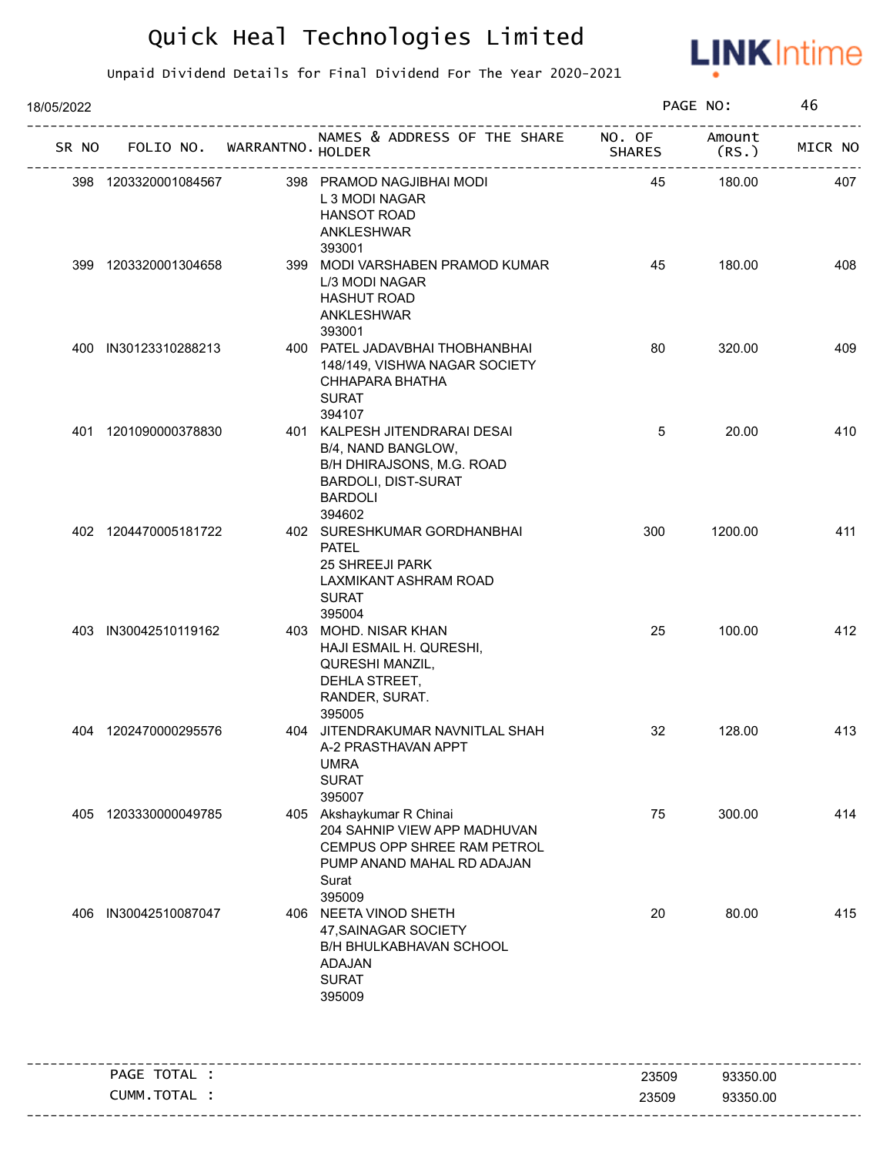

| 18/05/2022 | FOLIO NO. WARRANTNO. HOLDER<br>398 PRAMOD NAGJIBHAI MODI<br>398 1203320001084567<br>L 3 MODI NAGAR<br><b>HANSOT ROAD</b><br>ANKLESHWAR<br>393001<br>399 1203320001304658<br>399 MODI VARSHABEN PRAMOD KUMAR<br>L/3 MODI NAGAR<br><b>HASHUT ROAD</b><br>ANKLESHWAR<br>393001<br>400 IN30123310288213<br>400 PATEL JADAVBHAI THOBHANBHAI<br>148/149, VISHWA NAGAR SOCIETY<br>CHHAPARA BHATHA<br><b>SURAT</b><br>394107<br>401 1201090000378830<br>401 KALPESH JITENDRARAI DESAI<br>B/4, NAND BANGLOW,<br>B/H DHIRAJSONS, M.G. ROAD<br><b>BARDOLI, DIST-SURAT</b><br><b>BARDOLI</b><br>394602<br>402 1204470005181722<br>402 SURESHKUMAR GORDHANBHAI<br><b>PATEL</b><br>25 SHREEJI PARK<br>LAXMIKANT ASHRAM ROAD<br><b>SURAT</b><br>395004<br>403 IN30042510119162<br>403 MOHD. NISAR KHAN<br>HAJI ESMAIL H. QURESHI,<br>QURESHI MANZIL,<br>DEHLA STREET,<br>RANDER, SURAT.<br>395005<br>404 1202470000295576<br>404 JITENDRAKUMAR NAVNITLAL SHAH<br>A-2 PRASTHAVAN APPT<br><b>UMRA</b><br><b>SURAT</b><br>395007<br>1203330000049785<br>405 Akshaykumar R Chinai<br>204 SAHNIP VIEW APP MADHUVAN<br>CEMPUS OPP SHREE RAM PETROL<br>PUMP ANAND MAHAL RD ADAJAN<br>Surat<br>395009<br>IN30042510087047<br>406 NEETA VINOD SHETH<br>47, SAINAGAR SOCIETY<br><b>B/H BHULKABHAVAN SCHOOL</b> |  |                                  |                         | PAGE NO:        | 46      |
|------------|---------------------------------------------------------------------------------------------------------------------------------------------------------------------------------------------------------------------------------------------------------------------------------------------------------------------------------------------------------------------------------------------------------------------------------------------------------------------------------------------------------------------------------------------------------------------------------------------------------------------------------------------------------------------------------------------------------------------------------------------------------------------------------------------------------------------------------------------------------------------------------------------------------------------------------------------------------------------------------------------------------------------------------------------------------------------------------------------------------------------------------------------------------------------------------------------------------------------------------------------------------------------------------------|--|----------------------------------|-------------------------|-----------------|---------|
| SR NO      |                                                                                                                                                                                                                                                                                                                                                                                                                                                                                                                                                                                                                                                                                                                                                                                                                                                                                                                                                                                                                                                                                                                                                                                                                                                                                       |  | NAMES & ADDRESS OF THE SHARE     | NO. OF<br><b>SHARES</b> | Amount<br>(RS.) | MICR NO |
|            |                                                                                                                                                                                                                                                                                                                                                                                                                                                                                                                                                                                                                                                                                                                                                                                                                                                                                                                                                                                                                                                                                                                                                                                                                                                                                       |  |                                  | 45                      | 180.00          | 407     |
|            |                                                                                                                                                                                                                                                                                                                                                                                                                                                                                                                                                                                                                                                                                                                                                                                                                                                                                                                                                                                                                                                                                                                                                                                                                                                                                       |  |                                  | 45                      | 180.00          | 408     |
|            |                                                                                                                                                                                                                                                                                                                                                                                                                                                                                                                                                                                                                                                                                                                                                                                                                                                                                                                                                                                                                                                                                                                                                                                                                                                                                       |  |                                  | 80                      | 320.00          | 409     |
|            |                                                                                                                                                                                                                                                                                                                                                                                                                                                                                                                                                                                                                                                                                                                                                                                                                                                                                                                                                                                                                                                                                                                                                                                                                                                                                       |  |                                  | 5                       | 20.00           | 410     |
|            |                                                                                                                                                                                                                                                                                                                                                                                                                                                                                                                                                                                                                                                                                                                                                                                                                                                                                                                                                                                                                                                                                                                                                                                                                                                                                       |  |                                  | 300                     | 1200.00         | 411     |
|            |                                                                                                                                                                                                                                                                                                                                                                                                                                                                                                                                                                                                                                                                                                                                                                                                                                                                                                                                                                                                                                                                                                                                                                                                                                                                                       |  |                                  | 25                      | 100.00          | 412     |
|            |                                                                                                                                                                                                                                                                                                                                                                                                                                                                                                                                                                                                                                                                                                                                                                                                                                                                                                                                                                                                                                                                                                                                                                                                                                                                                       |  |                                  | 32                      | 128.00          | 413     |
| 405        |                                                                                                                                                                                                                                                                                                                                                                                                                                                                                                                                                                                                                                                                                                                                                                                                                                                                                                                                                                                                                                                                                                                                                                                                                                                                                       |  |                                  | 75                      | 300.00          | 414     |
| 406        |                                                                                                                                                                                                                                                                                                                                                                                                                                                                                                                                                                                                                                                                                                                                                                                                                                                                                                                                                                                                                                                                                                                                                                                                                                                                                       |  | ADAJAN<br><b>SURAT</b><br>395009 | 20                      | 80.00           | 415     |
|            | PAGE TOTAL :                                                                                                                                                                                                                                                                                                                                                                                                                                                                                                                                                                                                                                                                                                                                                                                                                                                                                                                                                                                                                                                                                                                                                                                                                                                                          |  |                                  | 23509                   | 93350.00        |         |
|            | CUMM.TOTAL :                                                                                                                                                                                                                                                                                                                                                                                                                                                                                                                                                                                                                                                                                                                                                                                                                                                                                                                                                                                                                                                                                                                                                                                                                                                                          |  |                                  | 23509                   | 93350.00        |         |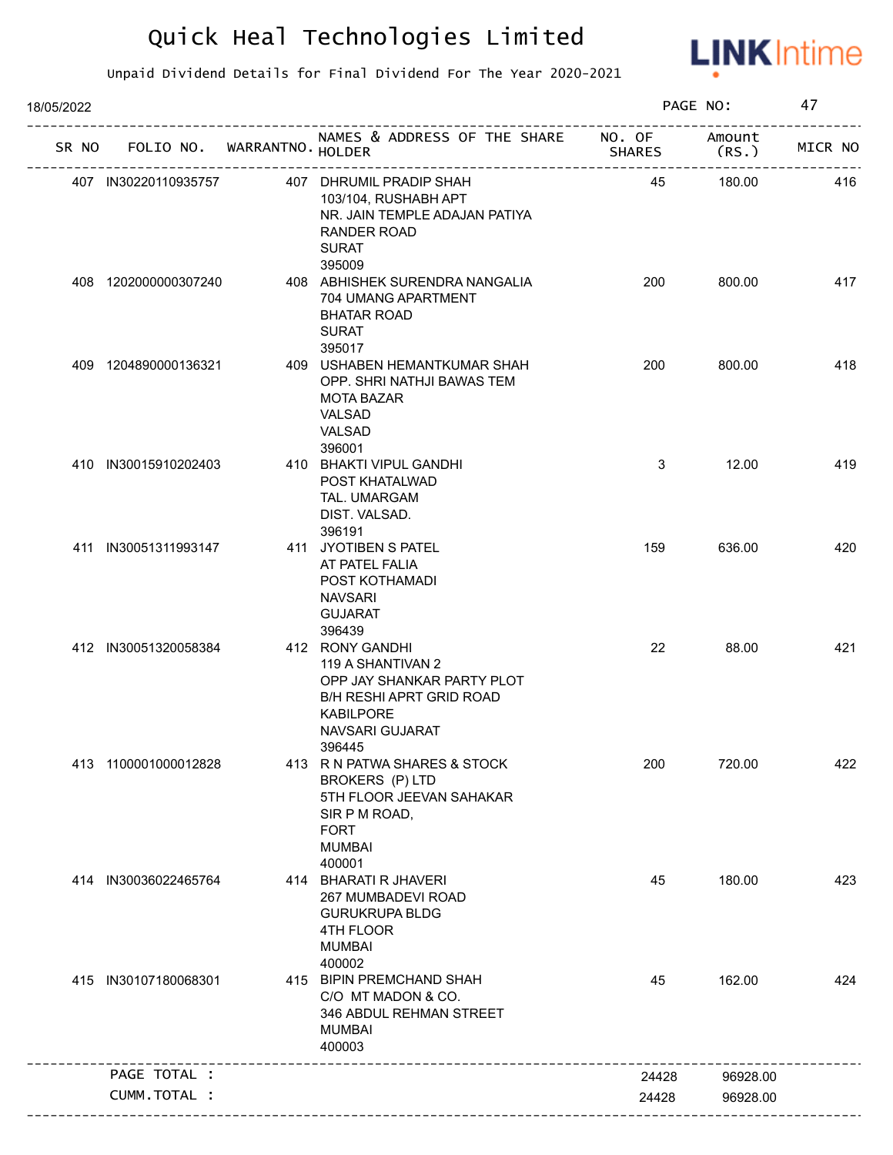

| 18/05/2022 |                             |                                                                                                                                                        |        | PAGE NO:        | 47      |
|------------|-----------------------------|--------------------------------------------------------------------------------------------------------------------------------------------------------|--------|-----------------|---------|
| SR NO      | FOLIO NO. WARRANTNO. HOLDER | NAMES & ADDRESS OF THE SHARE NO. OF                                                                                                                    | SHARES | Amount<br>(RS.) | MICR NO |
|            | 407 IN30220110935757        | 407 DHRUMIL PRADIP SHAH<br>103/104, RUSHABH APT<br>NR. JAIN TEMPLE ADAJAN PATIYA<br>RANDER ROAD<br><b>SURAT</b>                                        | 45     | 180.00          | 416     |
|            | 408 1202000000307240        | 395009<br>408 ABHISHEK SURENDRA NANGALIA<br>704 UMANG APARTMENT<br><b>BHATAR ROAD</b><br><b>SURAT</b><br>395017                                        | 200    | 800.00          | 417     |
|            | 409 1204890000136321        | 409 USHABEN HEMANTKUMAR SHAH<br>OPP. SHRI NATHJI BAWAS TEM<br><b>MOTA BAZAR</b><br>VALSAD<br>VALSAD<br>396001                                          | 200    | 800.00          | 418     |
|            | 410 IN30015910202403        | 410 BHAKTI VIPUL GANDHI<br>POST KHATALWAD<br>TAL. UMARGAM<br>DIST. VALSAD.<br>396191                                                                   | 3      | 12.00           | 419     |
|            | 411 IN30051311993147        | 411 JYOTIBEN S PATEL<br>AT PATEL FALIA<br>POST KOTHAMADI<br><b>NAVSARI</b><br><b>GUJARAT</b><br>396439                                                 | 159    | 636.00          | 420     |
|            | 412 IN30051320058384        | 412 RONY GANDHI<br>119 A SHANTIVAN 2<br>OPP JAY SHANKAR PARTY PLOT<br><b>B/H RESHI APRT GRID ROAD</b><br><b>KABILPORE</b><br>NAVSARI GUJARAT<br>396445 | 22     | 88.00           | 421     |
|            | 413 1100001000012828        | 413 R N PATWA SHARES & STOCK<br><b>BROKERS (P) LTD</b><br>5TH FLOOR JEEVAN SAHAKAR<br>SIR P M ROAD,<br><b>FORT</b><br><b>MUMBAI</b><br>400001          | 200    | 720.00          | 422     |
|            | 414 IN30036022465764        | 414 BHARATI R JHAVERI<br>267 MUMBADEVI ROAD<br><b>GURUKRUPA BLDG</b><br>4TH FLOOR<br><b>MUMBAI</b><br>400002                                           | 45     | 180.00          | 423     |
|            | 415 IN30107180068301        | 415 BIPIN PREMCHAND SHAH<br>C/O MT MADON & CO.<br>346 ABDUL REHMAN STREET<br><b>MUMBAI</b><br>400003<br>_____________________                          | 45     | 162.00          | 424     |
|            | PAGE TOTAL :                |                                                                                                                                                        | 24428  | 96928.00        |         |
|            | CUMM.TOTAL :                |                                                                                                                                                        | 24428  | 96928.00        |         |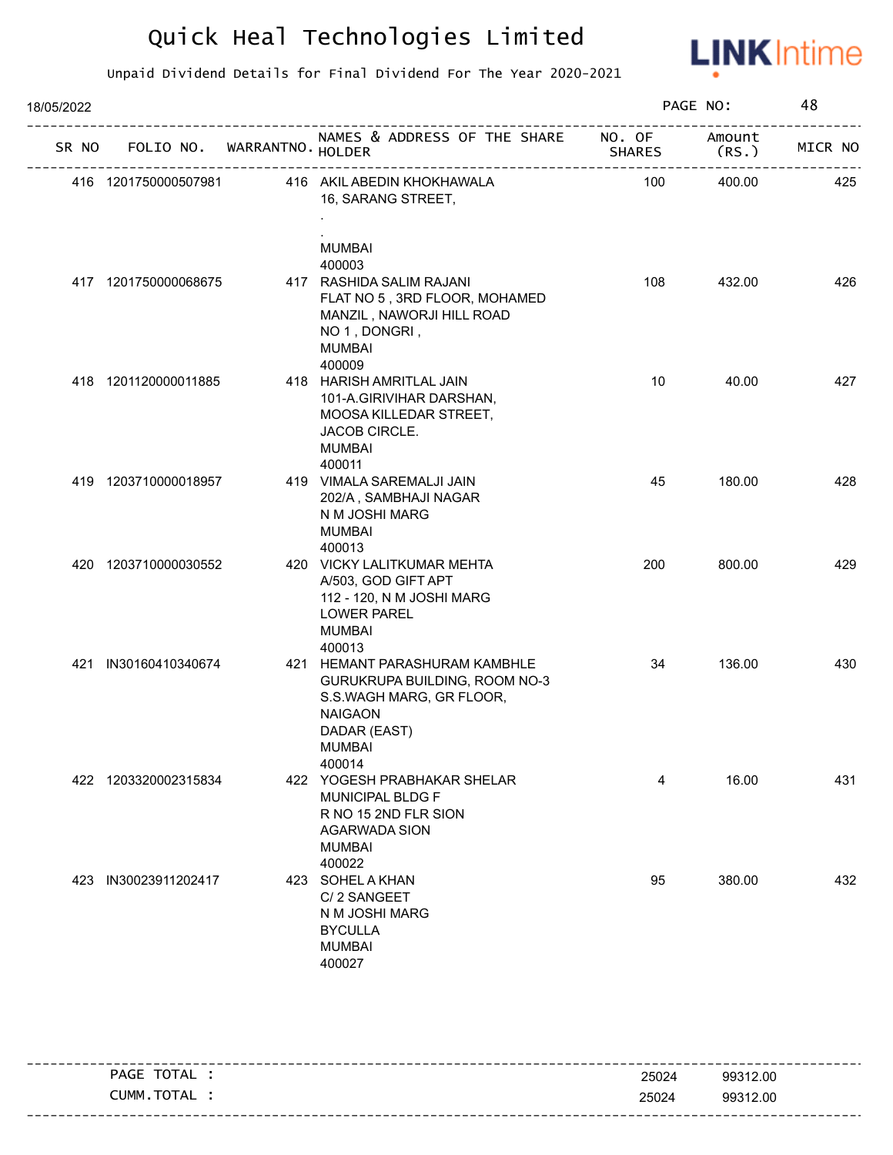

| 18/05/2022 |                      |                             |                                                                                                                                                         |               | PAGE NO:        |         |
|------------|----------------------|-----------------------------|---------------------------------------------------------------------------------------------------------------------------------------------------------|---------------|-----------------|---------|
| SR NO      |                      | FOLIO NO. WARRANTNO. HOLDER | NAMES & ADDRESS OF THE SHARE NO. OF                                                                                                                     | <b>SHARES</b> | Amount<br>(RS.) | MICR NO |
|            | 416 1201750000507981 |                             | 416 AKIL ABEDIN KHOKHAWALA<br>16, SARANG STREET,<br><b>MUMBAI</b>                                                                                       | 100           | 400.00          | 425     |
|            | 417 1201750000068675 |                             | 400003<br>417 RASHIDA SALIM RAJANI<br>FLAT NO 5, 3RD FLOOR, MOHAMED<br>MANZIL, NAWORJI HILL ROAD<br>NO 1, DONGRI,<br><b>MUMBAI</b><br>400009            | 108           | 432.00          | 426     |
|            | 418 1201120000011885 |                             | 418 HARISH AMRITLAL JAIN<br>101-A.GIRIVIHAR DARSHAN,<br>MOOSA KILLEDAR STREET,<br>JACOB CIRCLE.<br><b>MUMBAI</b><br>400011                              | 10            | 40.00           | 427     |
|            | 419 1203710000018957 |                             | 419 VIMALA SAREMALJI JAIN<br>202/A, SAMBHAJI NAGAR<br>N M JOSHI MARG<br>MUMBAI<br>400013                                                                | 45            | 180.00          | 428     |
|            | 420 1203710000030552 |                             | 420 VICKY LALITKUMAR MEHTA<br>A/503, GOD GIFT APT<br>112 - 120, N M JOSHI MARG<br><b>LOWER PAREL</b><br><b>MUMBAI</b><br>400013                         | 200           | 800.00          | 429     |
| 421        | IN30160410340674     |                             | 421 HEMANT PARASHURAM KAMBHLE<br>GURUKRUPA BUILDING, ROOM NO-3<br>S.S.WAGH MARG, GR FLOOR,<br><b>NAIGAON</b><br>DADAR (EAST)<br><b>MUMBAI</b><br>400014 | 34            | 136.00          | 430     |
|            | 422 1203320002315834 |                             | 422 YOGESH PRABHAKAR SHELAR<br><b>MUNICIPAL BLDG F</b><br>R NO 15 2ND FLR SION<br><b>AGARWADA SION</b><br><b>MUMBAI</b><br>400022                       | 4             | 16.00           | 431     |
|            | 423 IN30023911202417 |                             | 423 SOHEL A KHAN<br>C/2 SANGEET<br>N M JOSHI MARG<br><b>BYCULLA</b><br><b>MUMBAI</b><br>400027                                                          | 95            | 380.00          | 432     |

|                |       | -----------------------           |
|----------------|-------|-----------------------------------|
| TOTAL<br>PAGE  | 25024 | 99312.00                          |
| TOTAL<br>CUMM. | 25024 | 99312.00                          |
|                |       | --------------------------------- |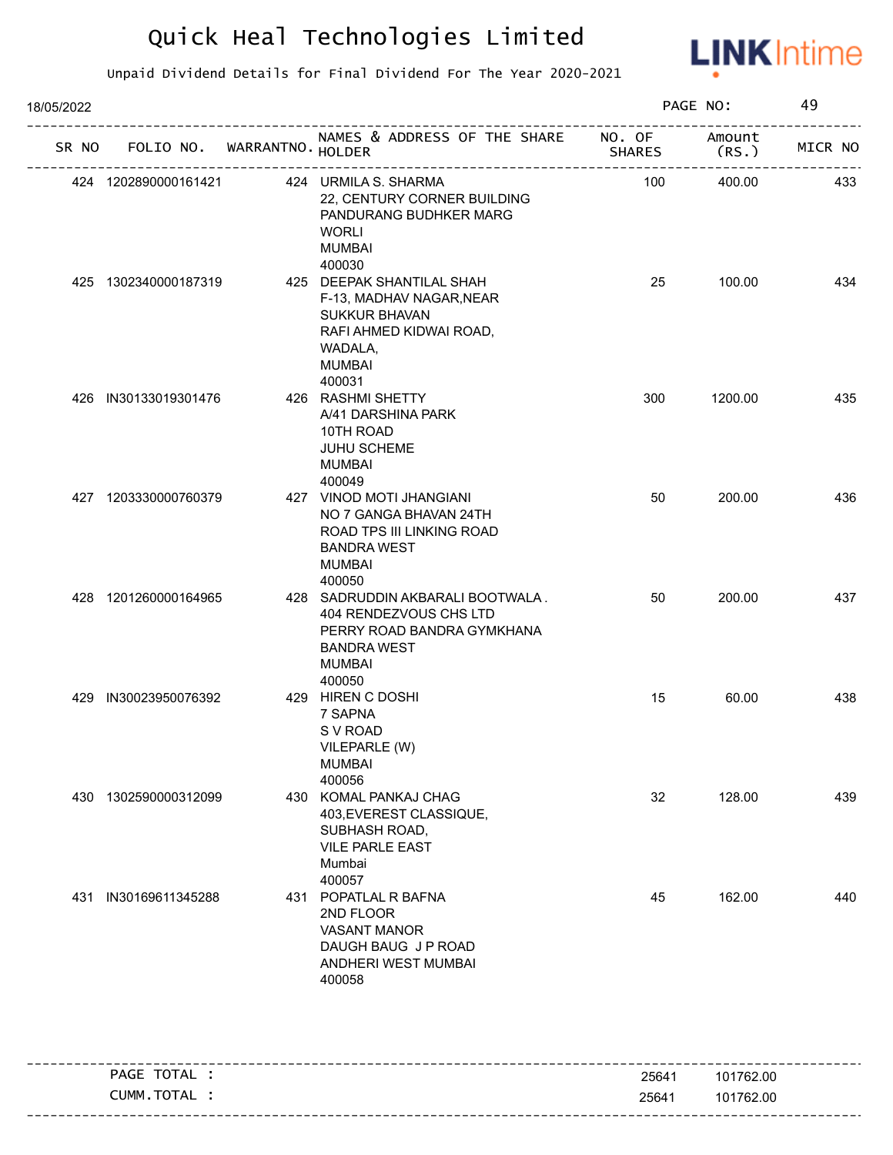

| 18/05/2022 |                      |                                   |                                                                                                                                           |        | PAGE NO:        | 49      |
|------------|----------------------|-----------------------------------|-------------------------------------------------------------------------------------------------------------------------------------------|--------|-----------------|---------|
|            |                      | SR NO FOLIO NO. WARRANTNO. HOLDER | NAMES & ADDRESS OF THE SHARE NO. OF                                                                                                       | SHARES | Amount<br>(RS.) | MICR NO |
|            | 424 1202890000161421 |                                   | 424 URMILA S. SHARMA<br>22, CENTURY CORNER BUILDING<br>PANDURANG BUDHKER MARG<br><b>WORLI</b><br><b>MUMBAI</b><br>400030                  | 100    | 400.00          | 433     |
|            | 425 1302340000187319 |                                   | 425 DEEPAK SHANTILAL SHAH<br>F-13, MADHAV NAGAR, NEAR<br>SUKKUR BHAVAN<br>RAFI AHMED KIDWAI ROAD,<br>WADALA,<br><b>MUMBAI</b><br>400031   | 25     | 100.00          | 434     |
|            | 426 IN30133019301476 |                                   | 426 RASHMI SHETTY<br>A/41 DARSHINA PARK<br>10TH ROAD<br><b>JUHU SCHEME</b><br><b>MUMBAI</b><br>400049                                     | 300    | 1200.00         | 435     |
|            | 427 1203330000760379 |                                   | 427 VINOD MOTI JHANGIANI<br>NO 7 GANGA BHAVAN 24TH<br>ROAD TPS III LINKING ROAD<br><b>BANDRA WEST</b><br><b>MUMBAI</b><br>400050          | 50     | 200.00          | 436     |
|            | 428 1201260000164965 |                                   | 428 SADRUDDIN AKBARALI BOOTWALA.<br>404 RENDEZVOUS CHS LTD<br>PERRY ROAD BANDRA GYMKHANA<br><b>BANDRA WEST</b><br><b>MUMBAI</b><br>400050 | 50     | 200.00          | 437     |
|            | 429 IN30023950076392 |                                   | 429 HIREN C DOSHI<br>7 SAPNA<br>S V ROAD<br>VILEPARLE (W)<br><b>MUMBAI</b><br>400056                                                      | 15     | 60.00           | 438     |
|            | 430 1302590000312099 |                                   | 430 KOMAL PANKAJ CHAG<br>403, EVEREST CLASSIQUE,<br>SUBHASH ROAD,<br><b>VILE PARLE EAST</b><br>Mumbai<br>400057                           | 32     | 128.00          | 439     |
|            | 431 IN30169611345288 |                                   | 431 POPATLAL R BAFNA<br>2ND FLOOR<br>VASANT MANOR<br>DAUGH BAUG J P ROAD<br>ANDHERI WEST MUMBAI<br>400058                                 | 45     | 162.00          | 440     |

| PAGE TOTAL | 25641 | 101762.00 |
|------------|-------|-----------|
| CUMM.TOTAL | 25641 | 101762.00 |
|            |       |           |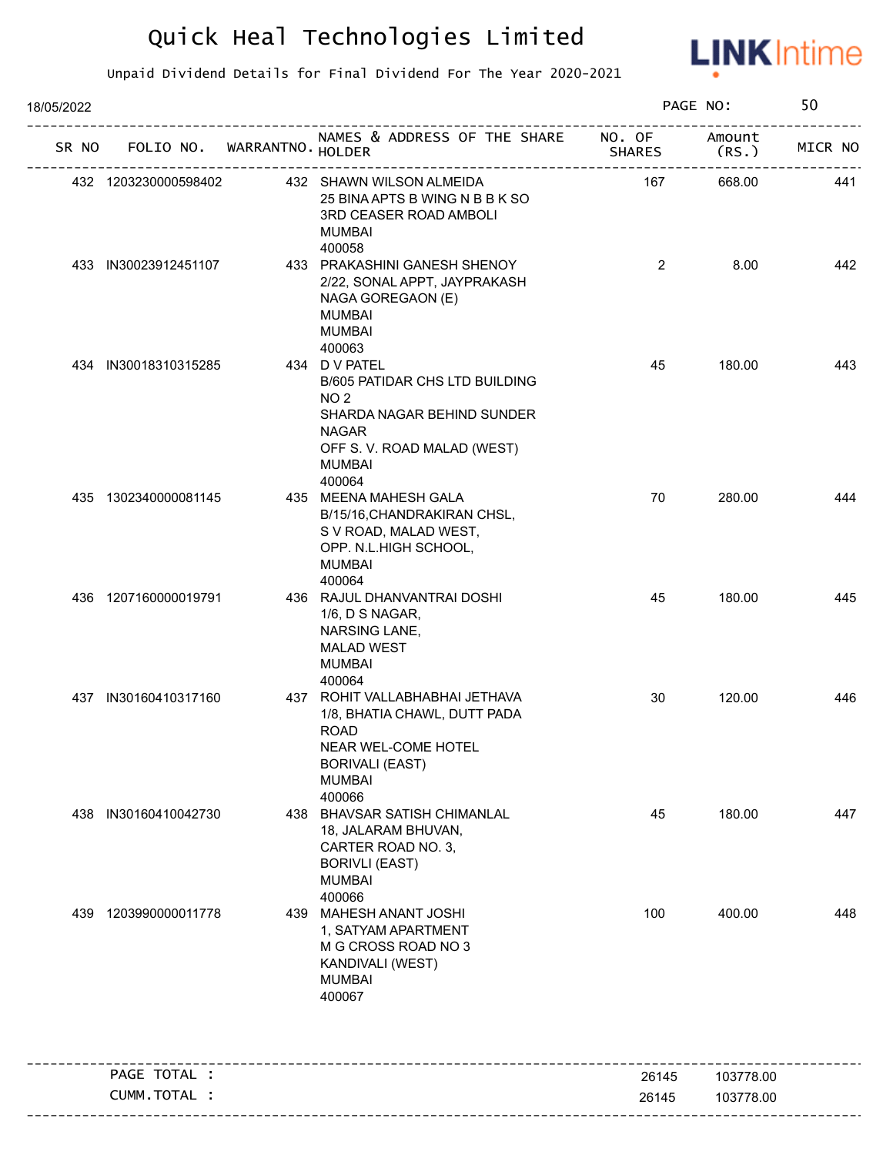

| 18/05/2022 |                             |                                                                                                                                                                            |                  | PAGE NO:         | 50      |
|------------|-----------------------------|----------------------------------------------------------------------------------------------------------------------------------------------------------------------------|------------------|------------------|---------|
| SR NO      | FOLIO NO. WARRANTNO. HOLDER | NAMES & ADDRESS OF THE SHARE<br>--------------------                                                                                                                       | NO. OF<br>SHARES | Amount<br>(RS. ) | MICR NO |
|            | 432 1203230000598402        | 432 SHAWN WILSON ALMEIDA<br>25 BINA APTS B WING N B B K SO<br>3RD CEASER ROAD AMBOLI<br><b>MUMBAI</b><br>400058                                                            | 167              | 668.00           | 441     |
|            | 433 IN30023912451107        | 433 PRAKASHINI GANESH SHENOY<br>2/22, SONAL APPT, JAYPRAKASH<br>NAGA GOREGAON (E)<br><b>MUMBAI</b><br><b>MUMBAI</b>                                                        | $\overline{2}$   | 8.00             | 442     |
|            | 434 IN30018310315285        | 400063<br>434 D V PATEL<br>B/605 PATIDAR CHS LTD BUILDING<br>NO <sub>2</sub><br>SHARDA NAGAR BEHIND SUNDER<br><b>NAGAR</b><br>OFF S. V. ROAD MALAD (WEST)<br><b>MUMBAI</b> | 45               | 180.00           | 443     |
|            | 435 1302340000081145        | 400064<br>435 MEENA MAHESH GALA<br>B/15/16, CHANDRAKIRAN CHSL,<br>S V ROAD, MALAD WEST,<br>OPP. N.L.HIGH SCHOOL,<br><b>MUMBAI</b><br>400064                                | 70               | 280.00           | 444     |
|            | 436 1207160000019791        | 436 RAJUL DHANVANTRAI DOSHI<br>1/6, D S NAGAR,<br>NARSING LANE,<br><b>MALAD WEST</b><br><b>MUMBAI</b><br>400064                                                            | 45               | 180.00           | 445     |
|            | 437 IN30160410317160        | 437 ROHIT VALLABHABHAI JETHAVA<br>1/8, BHATIA CHAWL, DUTT PADA<br><b>ROAD</b><br>NEAR WEL-COME HOTEL<br><b>BORIVALI (EAST)</b><br><b>MUMBAI</b><br>400066                  | 30               | 120.00           | 446     |
|            | 438 IN30160410042730        | 438 BHAVSAR SATISH CHIMANLAL<br>18, JALARAM BHUVAN,<br>CARTER ROAD NO. 3,<br><b>BORIVLI (EAST)</b><br><b>MUMBAI</b><br>400066                                              | 45               | 180.00           | 447     |
| 439        | 1203990000011778            | 439 MAHESH ANANT JOSHI<br>1, SATYAM APARTMENT<br>M G CROSS ROAD NO 3<br>KANDIVALI (WEST)<br><b>MUMBAI</b><br>400067                                                        | 100              | 400.00           | 448     |
|            | PAGE TOTAL :                |                                                                                                                                                                            | 26145            | 103778.00        |         |
|            | CUMM.TOTAL :                |                                                                                                                                                                            | 26145            | 103778.00        |         |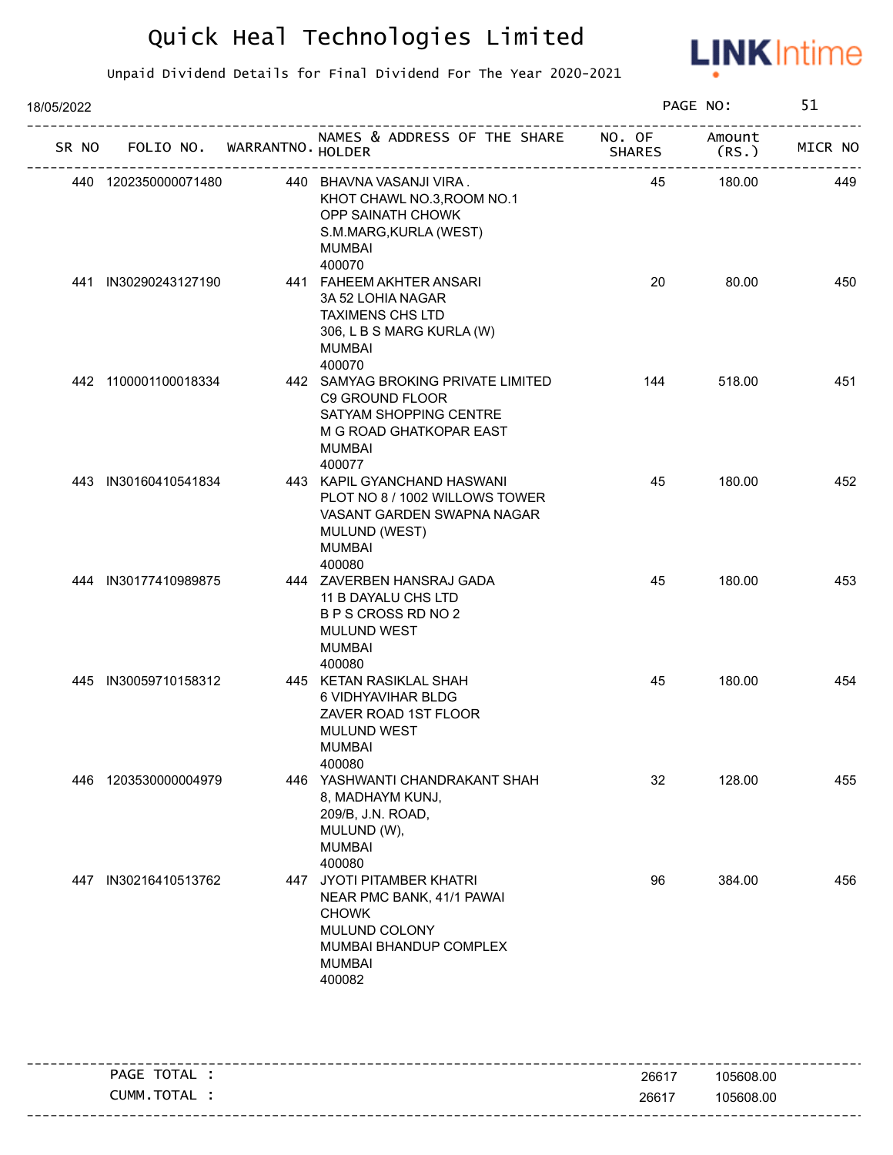

| 18/05/2022 |       |                      |                             |                                                                                                                                                |        | PAGE NO:       | 51      |
|------------|-------|----------------------|-----------------------------|------------------------------------------------------------------------------------------------------------------------------------------------|--------|----------------|---------|
|            | SR NO |                      | FOLIO NO. WARRANTNO. HOLDER | NAMES & ADDRESS OF THE SHARE NO. OF                                                                                                            | SHARES | Amount<br>(RS. | MICR NO |
|            |       | 440 1202350000071480 |                             | 440 BHAVNA VASANJI VIRA.<br>KHOT CHAWL NO.3, ROOM NO.1<br>OPP SAINATH CHOWK<br>S.M.MARG, KURLA (WEST)<br>MUMBAI<br>400070                      | 45     | 180.00         | 449     |
|            |       | 441 IN30290243127190 |                             | 441 FAHEEM AKHTER ANSARI<br>3A 52 LOHIA NAGAR<br><b>TAXIMENS CHS LTD</b><br>306, L B S MARG KURLA (W)<br><b>MUMBAI</b><br>400070               | 20     | 80.00          | 450     |
|            |       | 442 1100001100018334 |                             | 442 SAMYAG BROKING PRIVATE LIMITED<br>C9 GROUND FLOOR<br>SATYAM SHOPPING CENTRE<br>M G ROAD GHATKOPAR EAST<br>MUMBAI<br>400077                 | 144    | 518.00         | 451     |
|            |       | 443 IN30160410541834 |                             | 443 KAPIL GYANCHAND HASWANI<br>PLOT NO 8 / 1002 WILLOWS TOWER<br>VASANT GARDEN SWAPNA NAGAR<br><b>MULUND (WEST)</b><br><b>MUMBAI</b><br>400080 | 45     | 180.00         | 452     |
|            |       | 444 IN30177410989875 |                             | 444 ZAVERBEN HANSRAJ GADA<br>11 B DAYALU CHS LTD<br>B P S CROSS RD NO 2<br><b>MULUND WEST</b><br><b>MUMBAI</b><br>400080                       | 45     | 180.00         | 453     |
|            |       | 445 IN30059710158312 |                             | 445 KETAN RASIKLAL SHAH<br>6 VIDHYAVIHAR BLDG<br>ZAVER ROAD 1ST FLOOR<br><b>MULUND WEST</b><br><b>MUMBAI</b><br>400080                         | 45     | 180.00         | 454     |
|            | 446   | 1203530000004979     |                             | 446 YASHWANTI CHANDRAKANT SHAH<br>8, MADHAYM KUNJ,<br>209/B, J.N. ROAD,<br>MULUND (W),<br><b>MUMBAI</b><br>400080                              | 32     | 128.00         | 455     |
|            | 447   | IN30216410513762     |                             | 447 JYOTI PITAMBER KHATRI<br>NEAR PMC BANK, 41/1 PAWAI<br><b>CHOWK</b><br>MULUND COLONY<br>MUMBAI BHANDUP COMPLEX<br>MUMBAI<br>400082          | 96     | 384.00         | 456     |
|            |       |                      |                             |                                                                                                                                                |        |                |         |

| TOTAL<br>PAGE | 26617 | 105608.00 |
|---------------|-------|-----------|
| TOTAL<br>NMM. | 26617 | 105608.00 |
|               |       |           |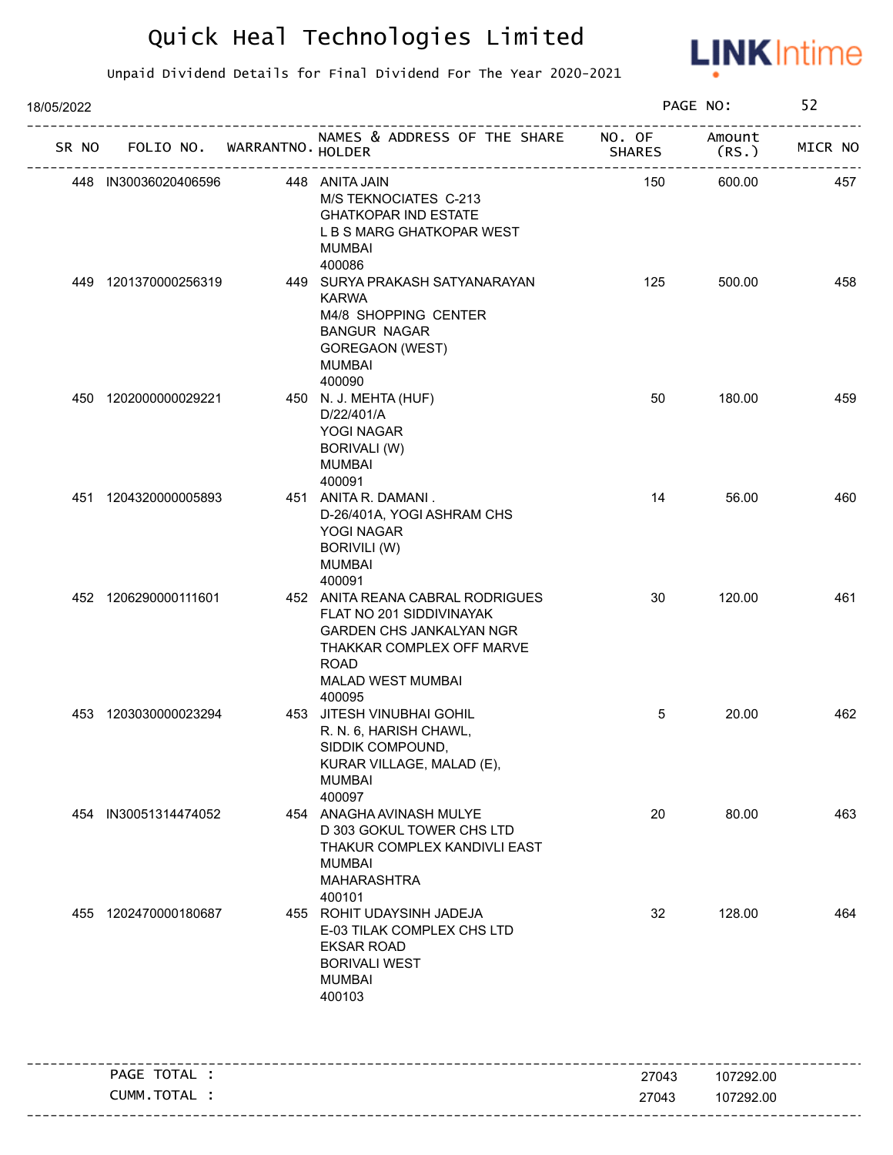

| 18/05/2022 |                             |                                                                                                                                                                                   |                         | PAGE NO:        | 52      |
|------------|-----------------------------|-----------------------------------------------------------------------------------------------------------------------------------------------------------------------------------|-------------------------|-----------------|---------|
| SR NO      | FOLIO NO. WARRANTNO. HOLDER | NAMES & ADDRESS OF THE SHARE                                                                                                                                                      | NO. OF<br><b>SHARES</b> | Amount<br>(RS.) | MICR NO |
|            | 448 IN30036020406596        | 448 ANITA JAIN<br>M/S TEKNOCIATES C-213<br><b>GHATKOPAR IND ESTATE</b><br>L B S MARG GHATKOPAR WEST<br><b>MUMBAI</b>                                                              | 150                     | 600.00          | 457     |
|            | 449 1201370000256319        | 400086<br>449 SURYA PRAKASH SATYANARAYAN<br><b>KARWA</b><br>M4/8 SHOPPING CENTER<br><b>BANGUR NAGAR</b><br>GOREGAON (WEST)<br><b>MUMBAI</b><br>400090                             | 125                     | 500.00          | 458     |
|            | 450 1202000000029221        | 450 N. J. MEHTA (HUF)<br>D/22/401/A<br>YOGI NAGAR<br><b>BORIVALI (W)</b><br><b>MUMBAI</b><br>400091                                                                               | 50                      | 180.00          | 459     |
|            | 451 1204320000005893        | 451 ANITA R. DAMANI.<br>D-26/401A, YOGI ASHRAM CHS<br>YOGI NAGAR<br><b>BORIVILI (W)</b><br><b>MUMBAI</b><br>400091                                                                | 14                      | 56.00           | 460     |
|            | 452 1206290000111601        | 452 ANITA REANA CABRAL RODRIGUES<br>FLAT NO 201 SIDDIVINAYAK<br><b>GARDEN CHS JANKALYAN NGR</b><br>THAKKAR COMPLEX OFF MARVE<br><b>ROAD</b><br><b>MALAD WEST MUMBAI</b><br>400095 | 30                      | 120.00          | 461     |
|            | 453 1203030000023294        | 453 JITESH VINUBHAI GOHIL<br>R. N. 6, HARISH CHAWL,<br>SIDDIK COMPOUND,<br>KURAR VILLAGE, MALAD (E),<br><b>MUMBAI</b><br>400097                                                   | 5                       | 20.00           | 462     |
| 454        | IN30051314474052            | 454 ANAGHA AVINASH MULYE<br>D 303 GOKUL TOWER CHS LTD<br>THAKUR COMPLEX KANDIVLI EAST<br><b>MUMBAI</b><br><b>MAHARASHTRA</b><br>400101                                            | 20                      | 80.00           | 463     |
|            | 455 1202470000180687        | 455 ROHIT UDAYSINH JADEJA<br>E-03 TILAK COMPLEX CHS LTD<br><b>EKSAR ROAD</b><br><b>BORIVALI WEST</b><br><b>MUMBAI</b><br>400103                                                   | 32                      | 128.00          | 464     |
|            | PAGE TOTAL :                |                                                                                                                                                                                   | 27043                   | 107292.00       |         |
|            | CUMM.TOTAL :                |                                                                                                                                                                                   | 27043                   | 107292.00       |         |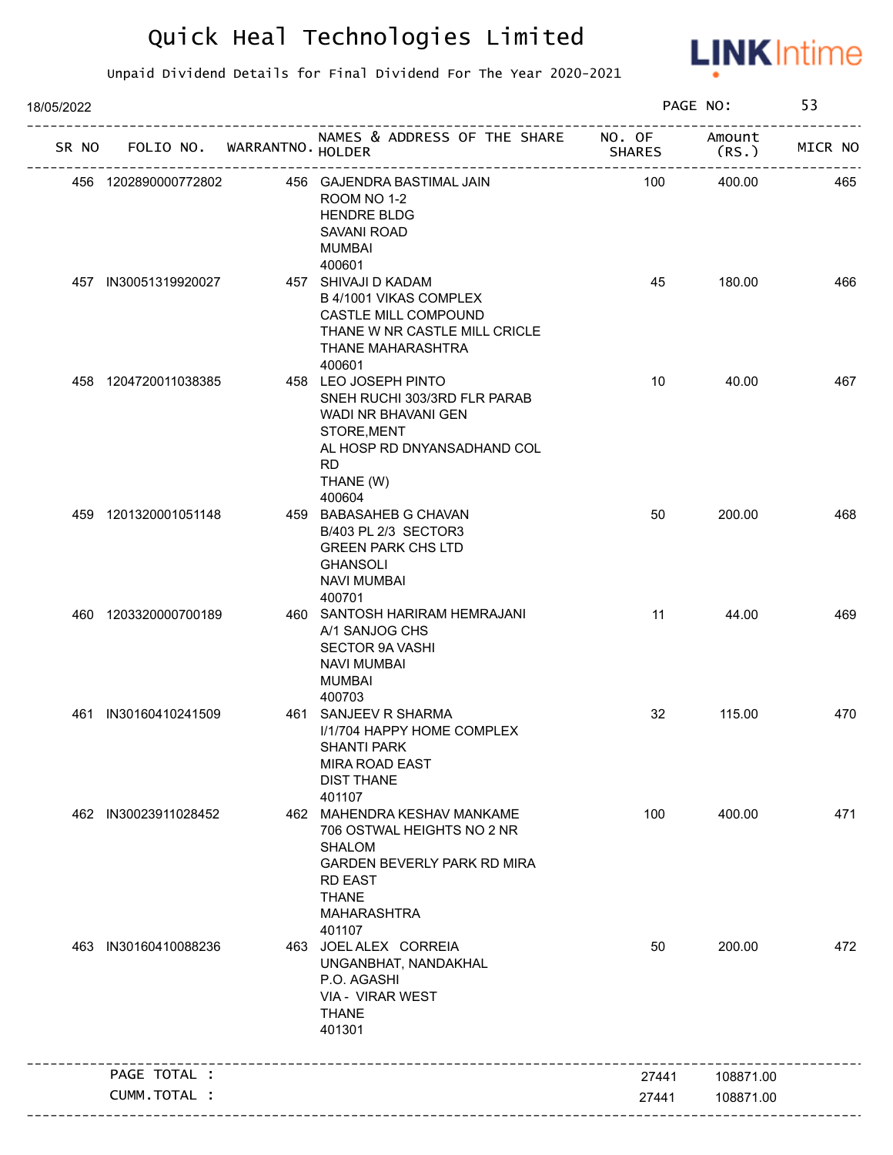

| 18/05/2022 |                      |                             |                                                                                                                                                                             |               | PAGE NO:       | 53      |
|------------|----------------------|-----------------------------|-----------------------------------------------------------------------------------------------------------------------------------------------------------------------------|---------------|----------------|---------|
| SR NO      |                      | FOLIO NO. WARRANTNO. HOLDER | NAMES & ADDRESS OF THE SHARE NO. OF                                                                                                                                         | <b>SHARES</b> | Amount<br>(RS. | MICR NO |
|            | 456 1202890000772802 |                             | 456 GAJENDRA BASTIMAL JAIN<br>ROOM NO 1-2<br><b>HENDRE BLDG</b><br>SAVANI ROAD<br><b>MUMBAI</b><br>400601                                                                   | 100           | 400.00         | 465     |
|            | 457 IN30051319920027 |                             | 457 SHIVAJI D KADAM<br>B 4/1001 VIKAS COMPLEX<br>CASTLE MILL COMPOUND<br>THANE W NR CASTLE MILL CRICLE<br>THANE MAHARASHTRA<br>400601                                       | 45            | 180.00         | 466     |
|            | 458 1204720011038385 |                             | 458 LEO JOSEPH PINTO<br>SNEH RUCHI 303/3RD FLR PARAB<br>WADI NR BHAVANI GEN<br>STORE, MENT<br>AL HOSP RD DNYANSADHAND COL<br><b>RD</b><br>THANE (W)                         | 10            | 40.00          | 467     |
|            | 459 1201320001051148 |                             | 400604<br>459 BABASAHEB G CHAVAN<br>B/403 PL 2/3 SECTOR3<br><b>GREEN PARK CHS LTD</b><br><b>GHANSOLI</b><br><b>NAVI MUMBAI</b><br>400701                                    | 50            | 200.00         | 468     |
|            | 460 1203320000700189 |                             | 460 SANTOSH HARIRAM HEMRAJANI<br>A/1 SANJOG CHS<br>SECTOR 9A VASHI<br><b>NAVI MUMBAI</b><br><b>MUMBAI</b><br>400703                                                         | 11            | 44.00          | 469     |
| 461        | IN30160410241509     |                             | 461 SANJEEV R SHARMA<br>I/1/704 HAPPY HOME COMPLEX<br>SHANTI PARK<br>MIRA ROAD EAST<br><b>DIST THANE</b><br>401107                                                          | 32            | 115.00         | 470     |
|            | 462 IN30023911028452 |                             | 462 MAHENDRA KESHAV MANKAME<br>706 OSTWAL HEIGHTS NO 2 NR<br><b>SHALOM</b><br>GARDEN BEVERLY PARK RD MIRA<br><b>RD EAST</b><br><b>THANE</b><br><b>MAHARASHTRA</b><br>401107 | 100           | 400.00         | 471     |
| 463        | IN30160410088236     |                             | 463 JOEL ALEX CORREIA<br>UNGANBHAT, NANDAKHAL<br>P.O. AGASHI<br>VIA - VIRAR WEST<br><b>THANE</b><br>401301                                                                  | 50            | 200.00         | 472     |
|            | PAGE TOTAL :         |                             |                                                                                                                                                                             | 27441         | 108871.00      |         |
|            | CUMM.TOTAL :         |                             |                                                                                                                                                                             | 27441         | 108871.00      |         |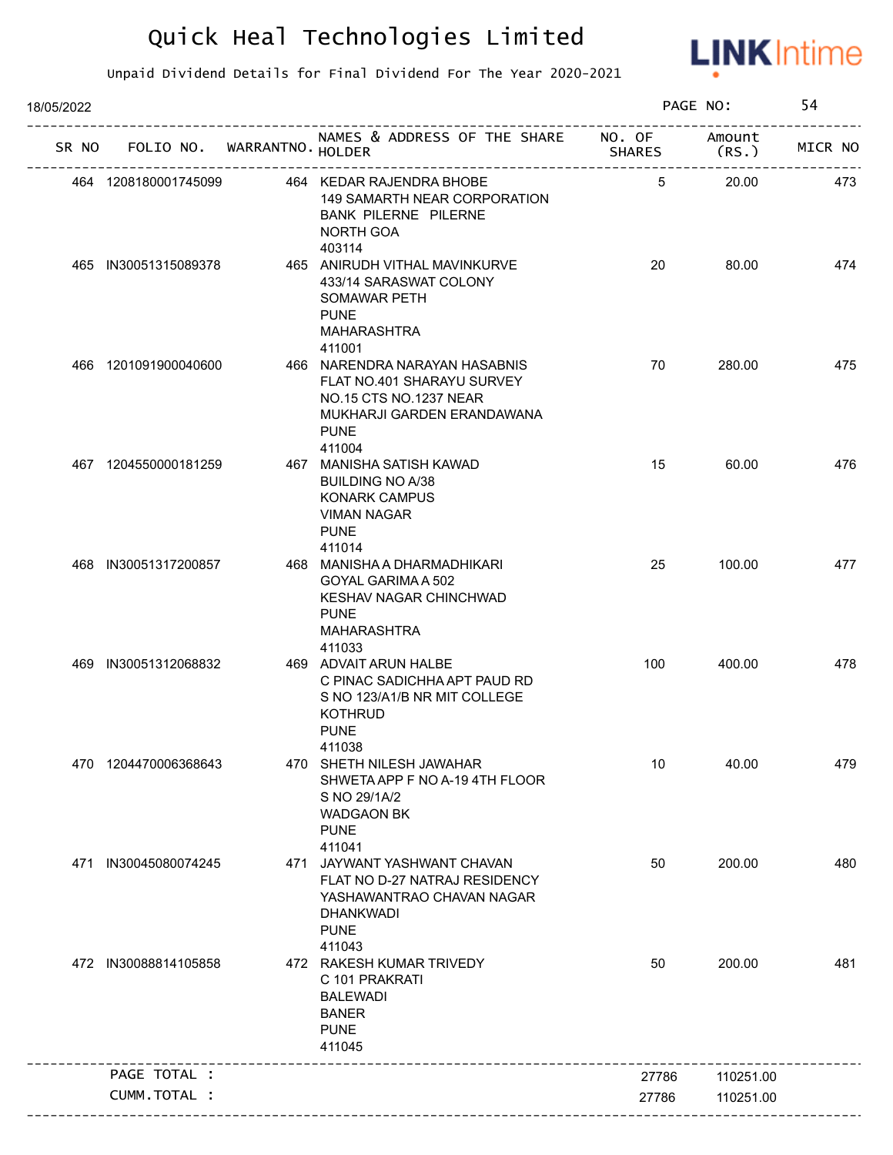

| 18/05/2022 |                      |                                   |                                                                                                                                                        |                         | PAGE NO:       | 54      |
|------------|----------------------|-----------------------------------|--------------------------------------------------------------------------------------------------------------------------------------------------------|-------------------------|----------------|---------|
|            |                      | SR NO FOLIO NO. WARRANTNO. HOLDER | NAMES & ADDRESS OF THE SHARE                                                                                                                           | NO. OF<br><b>SHARES</b> | Amount<br>(RS. | MICR NO |
|            | 464 1208180001745099 |                                   | 464 KEDAR RAJENDRA BHOBE<br>149 SAMARTH NEAR CORPORATION<br><b>BANK PILERNE PILERNE</b><br><b>NORTH GOA</b>                                            | 5                       | 20.00          | 473     |
|            | 465 IN30051315089378 |                                   | 403114<br>465 ANIRUDH VITHAL MAVINKURVE<br>433/14 SARASWAT COLONY<br>SOMAWAR PETH<br><b>PUNE</b><br><b>MAHARASHTRA</b>                                 | 20                      | 80.00          | 474     |
|            | 466 1201091900040600 |                                   | 411001<br>466 NARENDRA NARAYAN HASABNIS<br>FLAT NO.401 SHARAYU SURVEY<br>NO.15 CTS NO.1237 NEAR<br>MUKHARJI GARDEN ERANDAWANA<br><b>PUNE</b><br>411004 | 70                      | 280.00         | 475     |
|            | 467 1204550000181259 |                                   | 467 MANISHA SATISH KAWAD<br><b>BUILDING NO A/38</b><br><b>KONARK CAMPUS</b><br><b>VIMAN NAGAR</b><br><b>PUNE</b><br>411014                             | 15                      | 60.00          | 476     |
|            | 468 IN30051317200857 |                                   | 468 MANISHA A DHARMADHIKARI<br>GOYAL GARIMA A 502<br>KESHAV NAGAR CHINCHWAD<br><b>PUNE</b><br>MAHARASHTRA<br>411033                                    | 25                      | 100.00         | 477     |
|            | 469 IN30051312068832 |                                   | 469 ADVAIT ARUN HALBE<br>C PINAC SADICHHA APT PAUD RD<br>S NO 123/A1/B NR MIT COLLEGE<br><b>KOTHRUD</b><br><b>PUNE</b><br>411038                       | 100                     | 400.00         | 478     |
|            | 470 1204470006368643 |                                   | 470 SHETH NILESH JAWAHAR<br>SHWETA APP F NO A-19 4TH FLOOR<br>S NO 29/1A/2<br><b>WADGAON BK</b><br><b>PUNE</b><br>411041                               | 10                      | 40.00          | 479     |
| 471        | IN30045080074245     |                                   | 471 JAYWANT YASHWANT CHAVAN<br>FLAT NO D-27 NATRAJ RESIDENCY<br>YASHAWANTRAO CHAVAN NAGAR<br><b>DHANKWADI</b><br><b>PUNE</b><br>411043                 | 50                      | 200.00         | 480     |
|            | 472 IN30088814105858 |                                   | 472 RAKESH KUMAR TRIVEDY<br>C 101 PRAKRATI<br><b>BALEWADI</b><br><b>BANER</b><br><b>PUNE</b><br>411045                                                 | 50                      | 200.00         | 481     |
|            | PAGE TOTAL :         |                                   |                                                                                                                                                        | 27786                   | 110251.00      |         |
|            | CUMM.TOTAL :         |                                   |                                                                                                                                                        |                         | 110251.00      |         |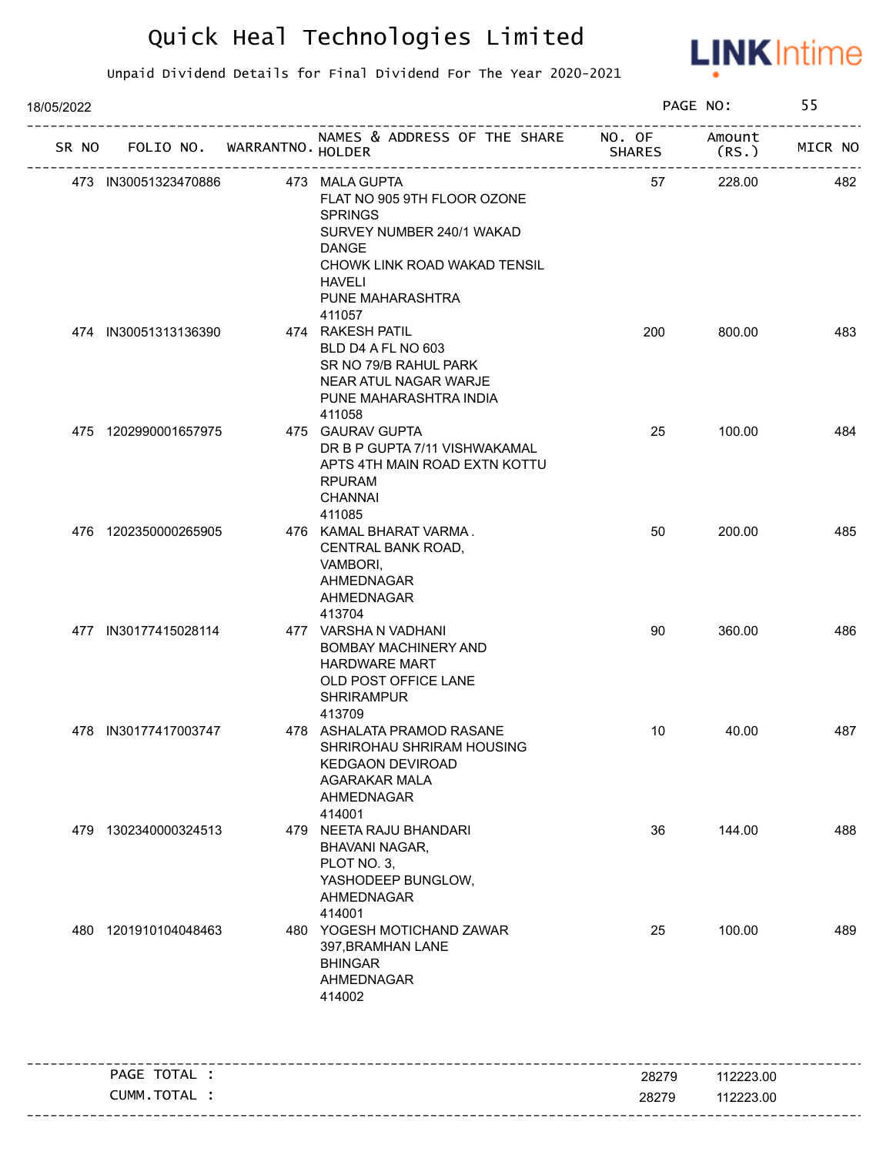

| 18/05/2022 |                             |                                                                                                                                                                                   |        | PAGE NO:        | 55      |
|------------|-----------------------------|-----------------------------------------------------------------------------------------------------------------------------------------------------------------------------------|--------|-----------------|---------|
| SR NO      | FOLIO NO. WARRANTNO. HOLDER | NAMES & ADDRESS OF THE SHARE NO. OF                                                                                                                                               | SHARES | Amount<br>(RS.) | MICR NO |
|            | 473 IN30051323470886        | 473 MALA GUPTA<br>FLAT NO 905 9TH FLOOR OZONE<br><b>SPRINGS</b><br>SURVEY NUMBER 240/1 WAKAD<br><b>DANGE</b><br>CHOWK LINK ROAD WAKAD TENSIL<br><b>HAVELI</b><br>PUNE MAHARASHTRA | 57     | 228.00          | 482     |
|            | 474 IN30051313136390        | 411057<br>474 RAKESH PATIL<br>BLD D4 A FL NO 603<br>SR NO 79/B RAHUL PARK<br>NEAR ATUL NAGAR WARJE<br>PUNE MAHARASHTRA INDIA<br>411058                                            | 200    | 800.00          | 483     |
|            | 475 1202990001657975        | 475 GAURAV GUPTA<br>DR B P GUPTA 7/11 VISHWAKAMAL<br>APTS 4TH MAIN ROAD EXTN KOTTU<br><b>RPURAM</b><br><b>CHANNAI</b><br>411085                                                   | 25     | 100.00          | 484     |
|            | 476 1202350000265905        | 476 KAMAL BHARAT VARMA.<br>CENTRAL BANK ROAD,<br>VAMBORI,<br>AHMEDNAGAR<br>AHMEDNAGAR<br>413704                                                                                   | 50     | 200.00          | 485     |
|            | 477 IN30177415028114        | 477 VARSHA N VADHANI<br><b>BOMBAY MACHINERY AND</b><br><b>HARDWARE MART</b><br>OLD POST OFFICE LANE<br><b>SHRIRAMPUR</b><br>413709                                                | 90     | 360.00          | 486     |
|            | 478 IN30177417003747        | 478 ASHALATA PRAMOD RASANE<br>SHRIROHAU SHRIRAM HOUSING<br><b>KEDGAON DEVIROAD</b><br><b>AGARAKAR MALA</b><br>AHMEDNAGAR<br>414001                                                | 10     | 40.00           | 487     |
| 479        | 1302340000324513            | 479 NEETA RAJU BHANDARI<br>BHAVANI NAGAR,<br>PLOT NO. 3,<br>YASHODEEP BUNGLOW,<br>AHMEDNAGAR<br>414001                                                                            | 36     | 144.00          | 488     |
| 480        | 1201910104048463            | 480 YOGESH MOTICHAND ZAWAR<br>397, BRAMHAN LANE<br><b>BHINGAR</b><br>AHMEDNAGAR<br>414002                                                                                         | 25     | 100.00          | 489     |
|            | PAGE TOTAL :                |                                                                                                                                                                                   | 28279  | 112223.00       |         |
|            | CUMM.TOTAL :                |                                                                                                                                                                                   | 28279  | 112223.00       |         |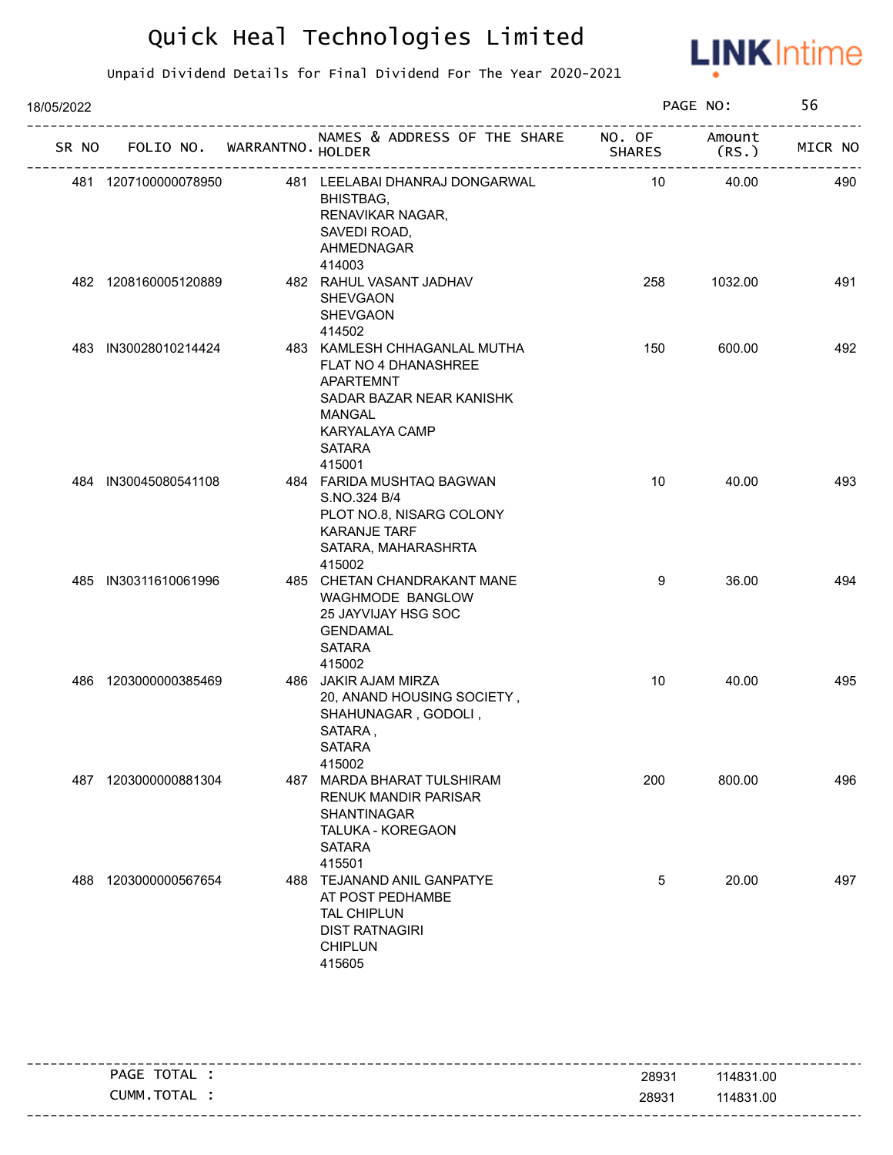

| 18/05/2022 |                      |                             |                                                                                                                                                             |               | PAGE NO:        | 56      |
|------------|----------------------|-----------------------------|-------------------------------------------------------------------------------------------------------------------------------------------------------------|---------------|-----------------|---------|
| SR NO      |                      | FOLIO NO. WARRANTNO. HOLDER | NAMES & ADDRESS OF THE SHARE NO. OF                                                                                                                         | <b>SHARES</b> | Amount<br>(RS.) | MICR NO |
|            | 481 1207100000078950 |                             | 481 LEELABAI DHANRAJ DONGARWAL<br>BHISTBAG,<br>RENAVIKAR NAGAR,<br>SAVEDI ROAD,<br>AHMEDNAGAR<br>414003                                                     | 10            | 40.00           | 490     |
|            | 482 1208160005120889 |                             | 482 RAHUL VASANT JADHAV<br><b>SHEVGAON</b><br><b>SHEVGAON</b><br>414502                                                                                     | 258           | 1032.00         | 491     |
|            | 483 IN30028010214424 |                             | 483 KAMLESH CHHAGANLAL MUTHA<br>FLAT NO 4 DHANASHREE<br>APARTEMNT<br>SADAR BAZAR NEAR KANISHK<br>MANGAL<br><b>KARYALAYA CAMP</b><br><b>SATARA</b><br>415001 | 150           | 600.00          | 492     |
|            | 484 IN30045080541108 |                             | 484 FARIDA MUSHTAQ BAGWAN<br>S.NO.324 B/4<br>PLOT NO.8, NISARG COLONY<br><b>KARANJE TARF</b><br>SATARA, MAHARASHRTA<br>415002                               | 10            | 40.00           | 493     |
|            | 485 IN30311610061996 |                             | 485 CHETAN CHANDRAKANT MANE<br>WAGHMODE BANGLOW<br>25 JAYVIJAY HSG SOC<br><b>GENDAMAL</b><br><b>SATARA</b><br>415002                                        | 9             | 36.00           | 494     |
| 486        | 1203000000385469     |                             | 486 JAKIR AJAM MIRZA<br>20, ANAND HOUSING SOCIETY,<br>SHAHUNAGAR, GODOLI,<br>SATARA,<br><b>SATARA</b><br>415002                                             | 10            | 40.00           | 495     |
| 487        | 1203000000881304     |                             | 487 MARDA BHARAT TULSHIRAM<br><b>RENUK MANDIR PARISAR</b><br>SHANTINAGAR<br>TALUKA - KOREGAON<br><b>SATARA</b><br>415501                                    | 200           | 800.00          | 496     |
| 488        | 1203000000567654     |                             | 488 TEJANAND ANIL GANPATYE<br>AT POST PEDHAMBE<br>TAL CHIPLUN<br><b>DIST RATNAGIRI</b><br><b>CHIPLUN</b><br>415605                                          | 5             | 20.00           | 497     |

|                 | PAGE TOTAL | 28931 | 114831.00 |
|-----------------|------------|-------|-----------|
|                 | CUMM.TOTAL | 28931 | 114831.00 |
| _ _ _ _ _ _ _ _ |            |       |           |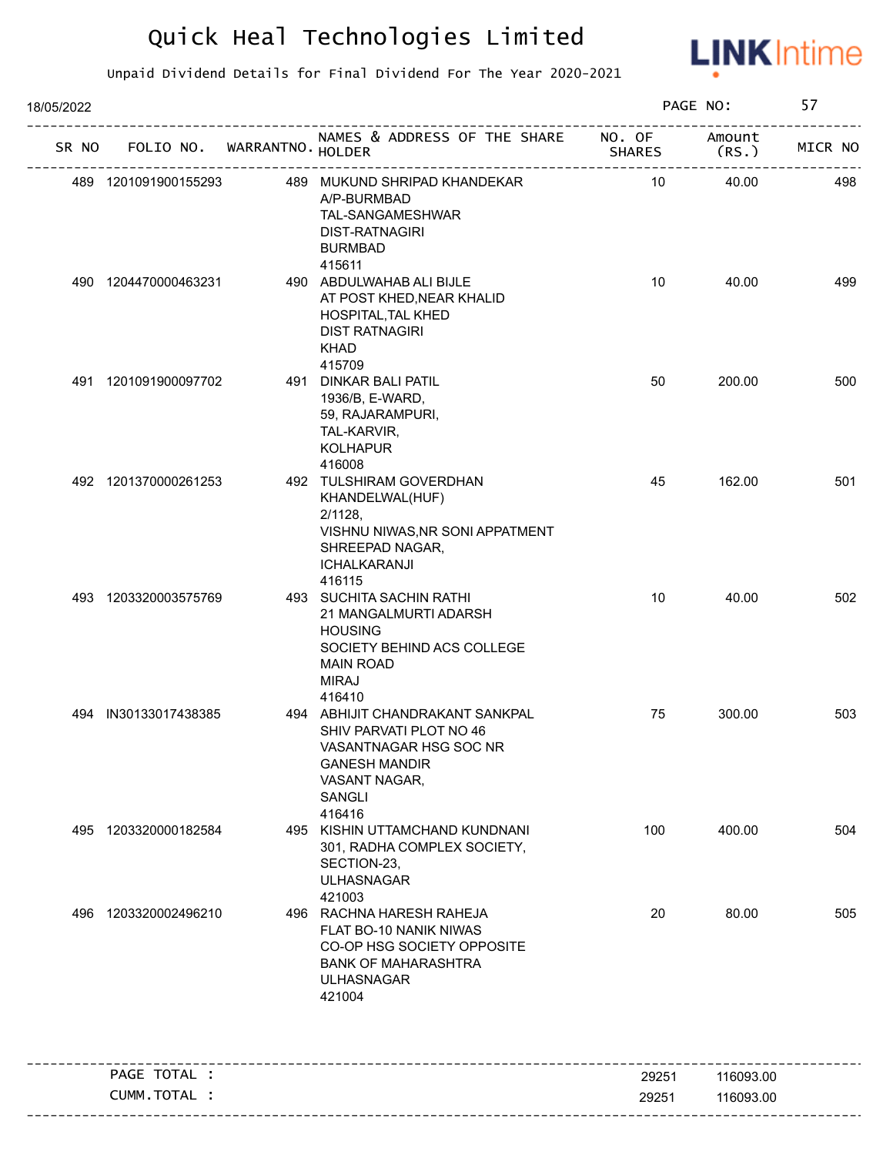

| 18/05/2022 |                             |                                                                                                                                                   |                         | PAGE NO:        | 57      |
|------------|-----------------------------|---------------------------------------------------------------------------------------------------------------------------------------------------|-------------------------|-----------------|---------|
| SR NO      | FOLIO NO. WARRANTNO. HOLDER | NAMES & ADDRESS OF THE SHARE                                                                                                                      | NO. OF<br><b>SHARES</b> | Amount<br>(RS.) | MICR NO |
|            | 489 1201091900155293        | 489 MUKUND SHRIPAD KHANDEKAR<br>A/P-BURMBAD<br>TAL-SANGAMESHWAR<br><b>DIST-RATNAGIRI</b><br><b>BURMBAD</b>                                        | 10                      | 40.00           | 498     |
|            | 490 1204470000463231        | 415611<br>490 ABDULWAHAB ALI BIJLE<br>AT POST KHED, NEAR KHALID<br>HOSPITAL, TAL KHED<br><b>DIST RATNAGIRI</b><br><b>KHAD</b><br>415709           | 10                      | 40.00           | 499     |
|            | 491 1201091900097702        | 491 DINKAR BALI PATIL<br>1936/B, E-WARD,<br>59, RAJARAMPURI,<br>TAL-KARVIR,<br><b>KOLHAPUR</b><br>416008                                          | 50                      | 200.00          | 500     |
|            | 492 1201370000261253        | 492 TULSHIRAM GOVERDHAN<br>KHANDELWAL(HUF)<br>$2/1128$ .<br>VISHNU NIWAS, NR SONI APPATMENT<br>SHREEPAD NAGAR,<br><b>ICHALKARANJI</b><br>416115   | 45                      | 162.00          | 501     |
|            | 493 1203320003575769        | 493 SUCHITA SACHIN RATHI<br>21 MANGALMURTI ADARSH<br><b>HOUSING</b><br>SOCIETY BEHIND ACS COLLEGE<br><b>MAIN ROAD</b><br><b>MIRAJ</b><br>416410   | 10                      | 40.00           | 502     |
|            | 494 IN30133017438385        | 494 ABHIJIT CHANDRAKANT SANKPAL<br>SHIV PARVATI PLOT NO 46<br>VASANTNAGAR HSG SOC NR<br><b>GANESH MANDIR</b><br>VASANT NAGAR,<br>SANGLI<br>416416 | 75                      | 300.00          | 503     |
|            | 495 1203320000182584        | 495 KISHIN UTTAMCHAND KUNDNANI<br>301, RADHA COMPLEX SOCIETY,<br>SECTION-23,<br><b>ULHASNAGAR</b><br>421003                                       | 100                     | 400.00          | 504     |
| 496        | 1203320002496210            | 496 RACHNA HARESH RAHEJA<br>FLAT BO-10 NANIK NIWAS<br>CO-OP HSG SOCIETY OPPOSITE<br><b>BANK OF MAHARASHTRA</b><br><b>ULHASNAGAR</b><br>421004     | 20                      | 80.00           | 505     |
|            | PAGE TOTAL :                |                                                                                                                                                   | 29251                   | 116093.00       |         |
|            | CUMM.TOTAL :                |                                                                                                                                                   | 29251                   | 116093.00       |         |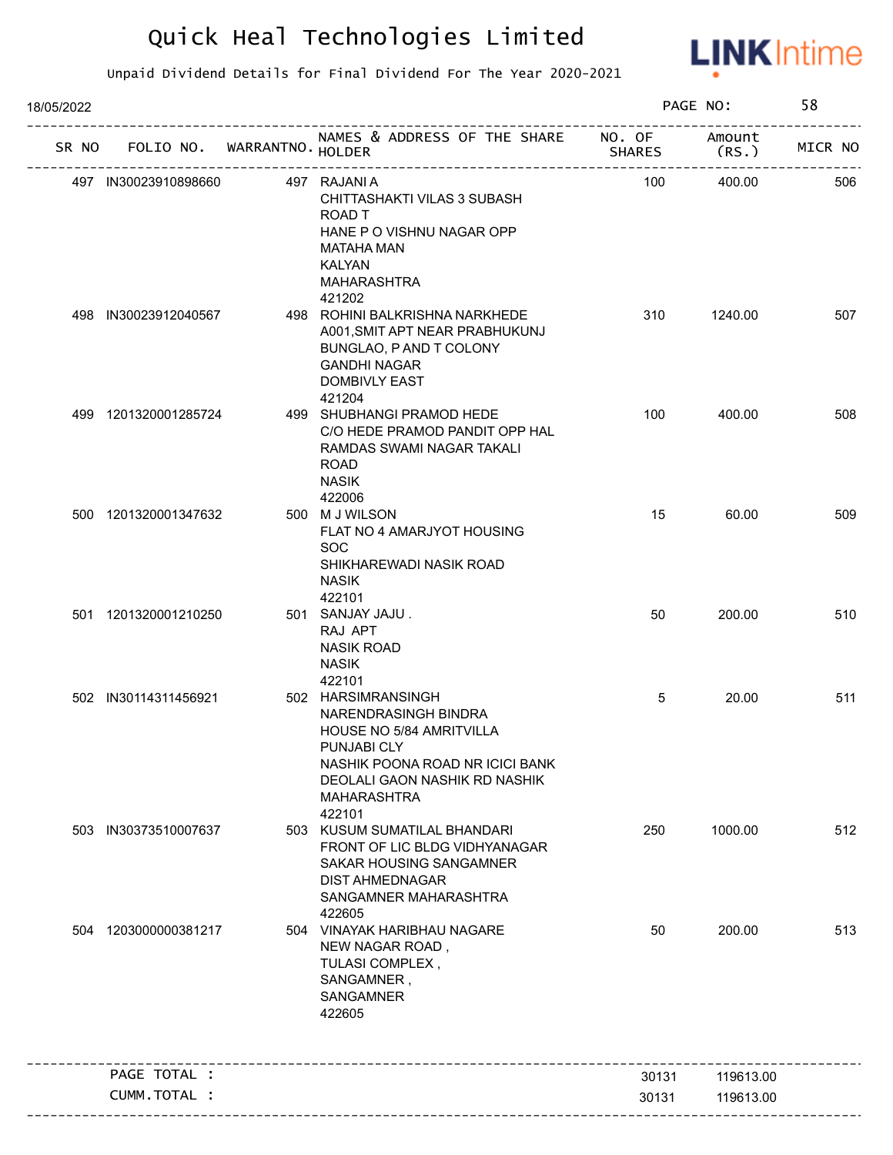

| 18/05/2022 |                      |                             |                                                                                                                                                                                    |               | PAGE NO:        | 58      |
|------------|----------------------|-----------------------------|------------------------------------------------------------------------------------------------------------------------------------------------------------------------------------|---------------|-----------------|---------|
| SR NO      |                      | FOLIO NO. WARRANTNO. HOLDER | NAMES & ADDRESS OF THE SHARE NO. OF                                                                                                                                                | <b>SHARES</b> | Amount<br>(RS.) | MICR NO |
|            | 497 IN30023910898660 | ----------------            | 497 RAJANI A<br>CHITTASHAKTI VILAS 3 SUBASH<br>ROAD T<br>HANE P O VISHNU NAGAR OPP<br>MATAHA MAN<br>KALYAN<br>MAHARASHTRA<br>421202                                                | 100           | 400.00          | 506     |
|            | 498 IN30023912040567 |                             | 498 ROHINI BALKRISHNA NARKHEDE<br>A001, SMIT APT NEAR PRABHUKUNJ<br>BUNGLAO, P AND T COLONY<br><b>GANDHI NAGAR</b><br><b>DOMBIVLY EAST</b><br>421204                               | 310           | 1240.00         | 507     |
|            | 499 1201320001285724 |                             | 499 SHUBHANGI PRAMOD HEDE<br>C/O HEDE PRAMOD PANDIT OPP HAL<br>RAMDAS SWAMI NAGAR TAKALI<br><b>ROAD</b><br><b>NASIK</b><br>422006                                                  | 100           | 400.00          | 508     |
|            | 500 1201320001347632 |                             | 500 M J WILSON<br>FLAT NO 4 AMARJYOT HOUSING<br><b>SOC</b><br>SHIKHAREWADI NASIK ROAD<br><b>NASIK</b><br>422101                                                                    | 15            | 60.00           | 509     |
|            | 501 1201320001210250 |                             | 501 SANJAY JAJU.<br>RAJ APT<br><b>NASIK ROAD</b><br><b>NASIK</b><br>422101                                                                                                         | 50            | 200.00          | 510     |
|            | 502 IN30114311456921 |                             | 502 HARSIMRANSINGH<br>NARENDRASINGH BINDRA<br>HOUSE NO 5/84 AMRITVILLA<br>PUNJABI CLY<br>NASHIK POONA ROAD NR ICICI BANK<br>DEOLALI GAON NASHIK RD NASHIK<br>MAHARASHTRA<br>422101 | 5             | 20.00           | 511     |
|            | 503 IN30373510007637 |                             | 503 KUSUM SUMATILAL BHANDARI<br>FRONT OF LIC BLDG VIDHYANAGAR<br>SAKAR HOUSING SANGAMNER<br><b>DIST AHMEDNAGAR</b><br>SANGAMNER MAHARASHTRA<br>422605                              | 250           | 1000.00         | 512     |
| 504        | 1203000000381217     |                             | 504 VINAYAK HARIBHAU NAGARE<br>NEW NAGAR ROAD,<br>TULASI COMPLEX,<br>SANGAMNER,<br>SANGAMNER<br>422605                                                                             | 50            | 200.00          | 513     |
|            | PAGE TOTAL :         |                             |                                                                                                                                                                                    | 30131         | 119613.00       |         |
|            | CUMM.TOTAL :         |                             |                                                                                                                                                                                    | 30131         | 119613.00       |         |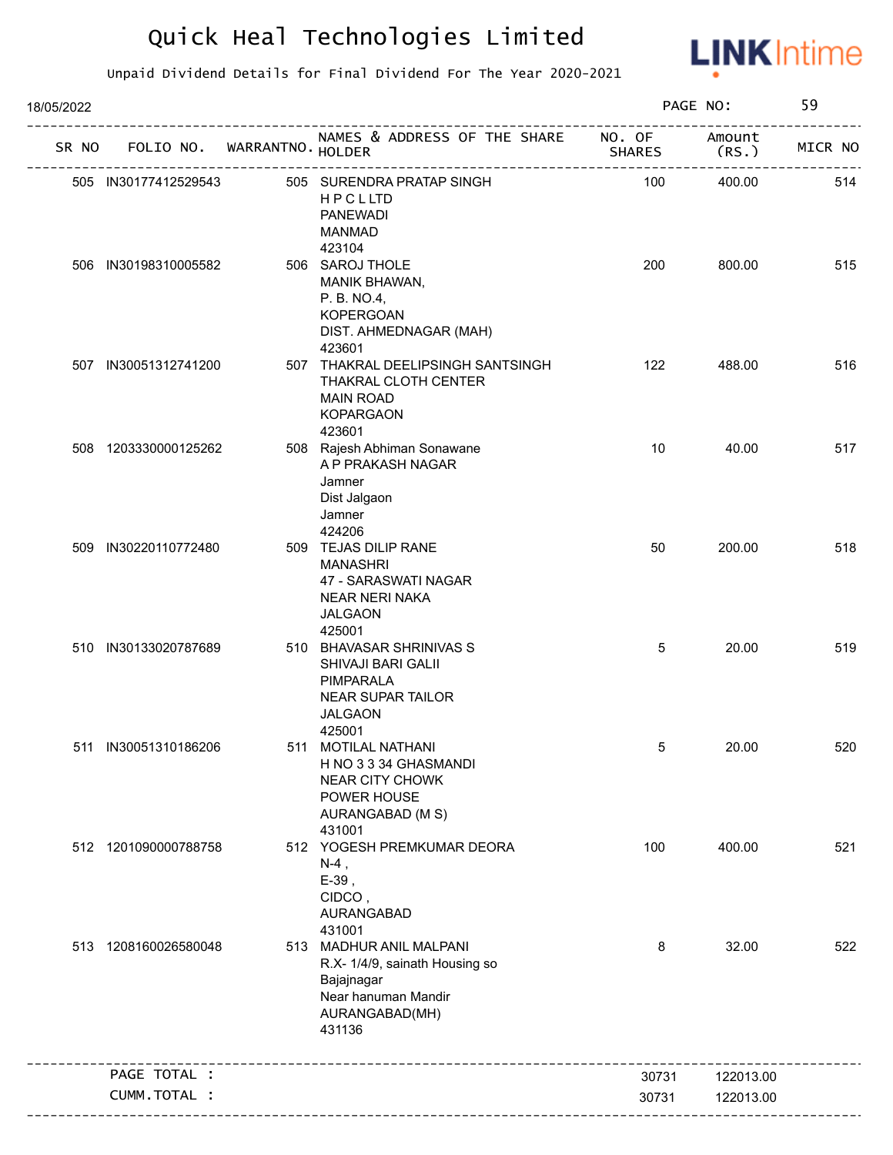

| 18/05/2022 |                             |                                                                                                                            |               | PAGE NO:        | 59      |
|------------|-----------------------------|----------------------------------------------------------------------------------------------------------------------------|---------------|-----------------|---------|
| SR NO      | FOLIO NO. WARRANTNO. HOLDER | NAMES & ADDRESS OF THE SHARE NO. OF                                                                                        | <b>SHARES</b> | Amount<br>(RS.) | MICR NO |
|            | 505 IN30177412529543        | 505 SURENDRA PRATAP SINGH<br>HPCLLTD<br><b>PANEWADI</b><br><b>MANMAD</b>                                                   | 100           | 400.00          | 514     |
|            | 506 IN30198310005582        | 423104<br>506 SAROJ THOLE<br>MANIK BHAWAN,<br>P. B. NO.4,<br><b>KOPERGOAN</b><br>DIST. AHMEDNAGAR (MAH)<br>423601          | 200           | 800.00          | 515     |
|            | 507 IN30051312741200        | 507 THAKRAL DEELIPSINGH SANTSINGH<br>THAKRAL CLOTH CENTER<br><b>MAIN ROAD</b><br><b>KOPARGAON</b><br>423601                | 122           | 488.00          | 516     |
|            | 508 1203330000125262        | 508 Rajesh Abhiman Sonawane<br>A P PRAKASH NAGAR<br>Jamner<br>Dist Jalgaon<br>Jamner<br>424206                             | 10            | 40.00           | 517     |
|            | 509 IN30220110772480        | 509 TEJAS DILIP RANE<br><b>MANASHRI</b><br>47 - SARASWATI NAGAR<br><b>NEAR NERI NAKA</b><br><b>JALGAON</b><br>425001       | 50            | 200.00          | 518     |
|            | 510 IN30133020787689        | 510 BHAVASAR SHRINIVAS S<br>SHIVAJI BARI GALII<br>PIMPARALA<br><b>NEAR SUPAR TAILOR</b><br><b>JALGAON</b><br>425001        | 5             | 20.00           | 519     |
|            | 511 IN30051310186206        | 511 MOTILAL NATHANI<br>H NO 3 3 34 GHASMANDI<br><b>NEAR CITY CHOWK</b><br>POWER HOUSE<br>AURANGABAD (M S)<br>431001        | 5             | 20.00           | 520     |
|            | 512 1201090000788758        | 512 YOGESH PREMKUMAR DEORA<br>$N-4$ ,<br>$E-39$ ,<br>CIDCO,<br>AURANGABAD<br>431001                                        | 100           | 400.00          | 521     |
|            | 513 1208160026580048        | 513 MADHUR ANIL MALPANI<br>R.X- 1/4/9, sainath Housing so<br>Bajajnagar<br>Near hanuman Mandir<br>AURANGABAD(MH)<br>431136 | 8             | 32.00           | 522     |
|            | PAGE TOTAL :                | _______________________________                                                                                            | 30731         | 122013.00       |         |
|            | CUMM.TOTAL :                |                                                                                                                            | 30731         | 122013.00       |         |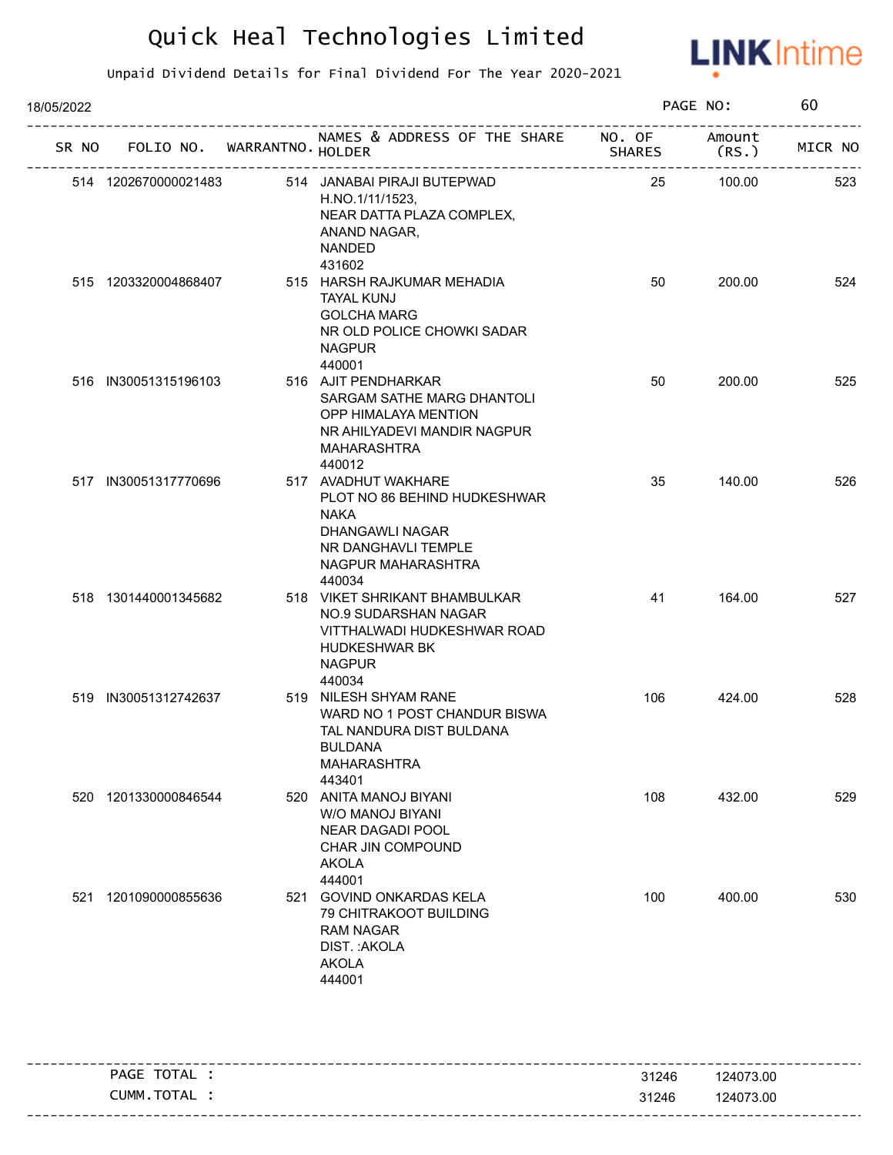

| 18/05/2022 |       |                      |                             |                                                                                                                                              |        | PAGE NO:        | 60      |
|------------|-------|----------------------|-----------------------------|----------------------------------------------------------------------------------------------------------------------------------------------|--------|-----------------|---------|
|            | SR NO |                      | FOLIO NO. WARRANTNO. HOLDER | NAMES & ADDRESS OF THE SHARE NO. OF                                                                                                          | SHARES | Amount<br>(RS.) | MICR NO |
|            |       | 514 1202670000021483 |                             | 514 JANABAI PIRAJI BUTEPWAD<br>H.NO.1/11/1523,<br>NEAR DATTA PLAZA COMPLEX,<br>ANAND NAGAR,<br><b>NANDED</b><br>431602                       | 25     | 100.00          | 523     |
|            |       | 515 1203320004868407 |                             | 515 HARSH RAJKUMAR MEHADIA<br><b>TAYAL KUNJ</b><br><b>GOLCHA MARG</b><br>NR OLD POLICE CHOWKI SADAR<br><b>NAGPUR</b><br>440001               | 50     | 200.00          | 524     |
|            |       | 516 IN30051315196103 |                             | 516 AJIT PENDHARKAR<br>SARGAM SATHE MARG DHANTOLI<br>OPP HIMALAYA MENTION<br>NR AHILYADEVI MANDIR NAGPUR<br><b>MAHARASHTRA</b><br>440012     | 50     | 200.00          | 525     |
|            |       | 517 IN30051317770696 |                             | 517 AVADHUT WAKHARE<br>PLOT NO 86 BEHIND HUDKESHWAR<br><b>NAKA</b><br>DHANGAWLI NAGAR<br>NR DANGHAVLI TEMPLE<br>NAGPUR MAHARASHTRA<br>440034 | 35     | 140.00          | 526     |
|            |       | 518 1301440001345682 |                             | 518 VIKET SHRIKANT BHAMBULKAR<br>NO.9 SUDARSHAN NAGAR<br>VITTHALWADI HUDKESHWAR ROAD<br><b>HUDKESHWAR BK</b><br><b>NAGPUR</b><br>440034      | 41     | 164.00          | 527     |
|            |       | 519 IN30051312742637 |                             | 519 NILESH SHYAM RANE<br>WARD NO 1 POST CHANDUR BISWA<br>TAL NANDURA DIST BULDANA<br><b>BULDANA</b><br><b>MAHARASHTRA</b><br>443401          | 106    | 424.00          | 528     |
|            |       | 520 1201330000846544 |                             | 520 ANITA MANOJ BIYANI<br>W/O MANOJ BIYANI<br>NEAR DAGADI POOL<br>CHAR JIN COMPOUND<br><b>AKOLA</b><br>444001                                | 108    | 432.00          | 529     |
|            | 521   | 1201090000855636     |                             | 521 GOVIND ONKARDAS KELA<br>79 CHITRAKOOT BUILDING<br><b>RAM NAGAR</b><br>DIST.: AKOLA<br><b>AKOLA</b><br>444001                             | 100    | 400.00          | 530     |
|            |       |                      |                             |                                                                                                                                              |        |                 |         |

|                             |       | ---------------------          |
|-----------------------------|-------|--------------------------------|
| TOTAL<br><b>PAGE</b>        | 31246 | 124073.00                      |
| <b>TOTAL</b><br><b>JUMM</b> | 31246 | 124073.00                      |
|                             |       | ------------------------------ |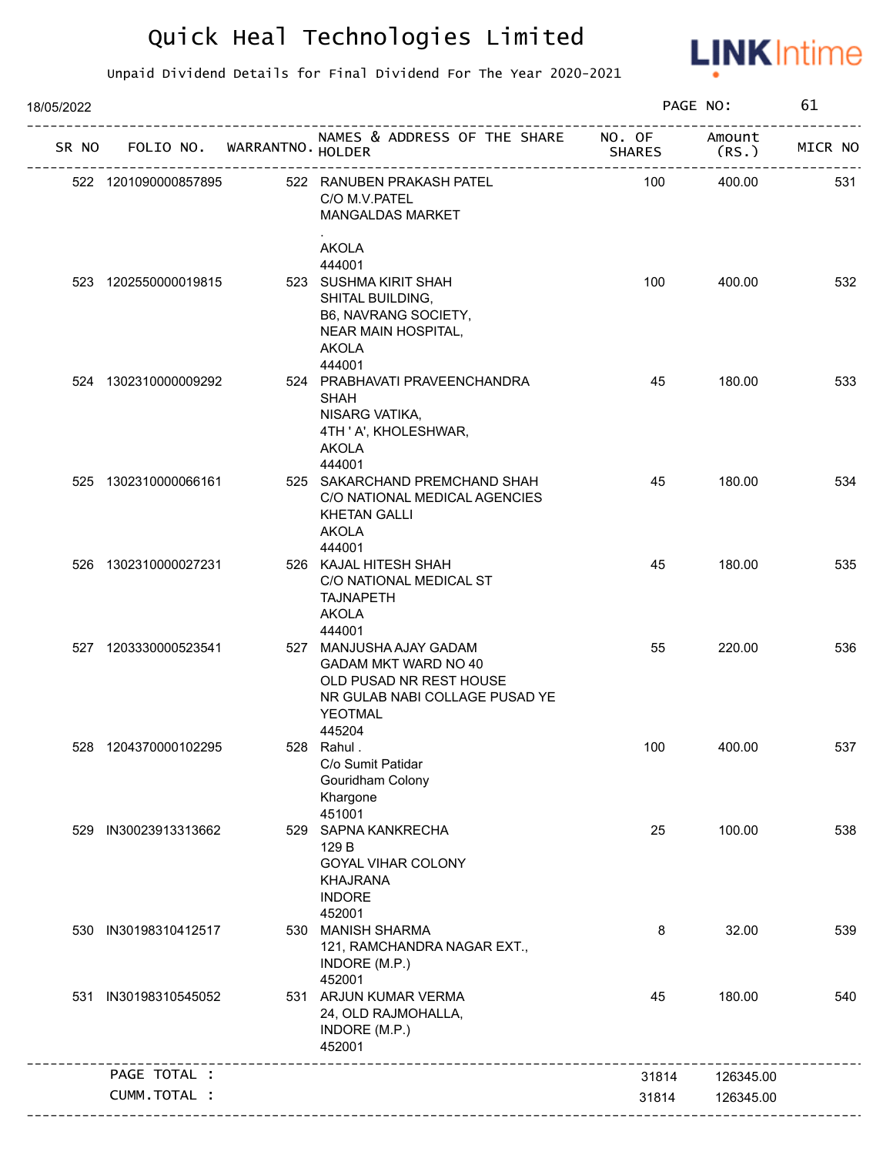

| 18/05/2022 |                            |                                                                                                                                          |                         | PAGE NO:        | 61      |
|------------|----------------------------|------------------------------------------------------------------------------------------------------------------------------------------|-------------------------|-----------------|---------|
| SR NO      | FOLIO NO. WARRANTNO HOLDER | NAMES & ADDRESS OF THE SHARE                                                                                                             | NO. OF<br><b>SHARES</b> | Amount<br>(RS.) | MICR NO |
|            | 522 1201090000857895       | 522 RANUBEN PRAKASH PATEL<br>C/O M.V.PATEL<br><b>MANGALDAS MARKET</b>                                                                    | 100                     | 400.00          | 531     |
|            |                            | <b>AKOLA</b><br>444001                                                                                                                   |                         |                 |         |
|            | 523 1202550000019815       | 523 SUSHMA KIRIT SHAH<br>SHITAL BUILDING,<br>B6, NAVRANG SOCIETY,<br>NEAR MAIN HOSPITAL,<br><b>AKOLA</b><br>444001                       | 100                     | 400.00          | 532     |
|            | 524 1302310000009292       | 524 PRABHAVATI PRAVEENCHANDRA<br>SHAH<br>NISARG VATIKA,<br>4TH ' A', KHOLESHWAR,<br><b>AKOLA</b><br>444001                               | 45                      | 180.00          | 533     |
|            | 525 1302310000066161       | 525 SAKARCHAND PREMCHAND SHAH<br>C/O NATIONAL MEDICAL AGENCIES<br><b>KHETAN GALLI</b><br><b>AKOLA</b><br>444001                          | 45                      | 180.00          | 534     |
|            | 526 1302310000027231       | 526 KAJAL HITESH SHAH<br>C/O NATIONAL MEDICAL ST<br><b>TAJNAPETH</b><br><b>AKOLA</b><br>444001                                           | 45                      | 180.00          | 535     |
|            | 527 1203330000523541       | 527 MANJUSHA AJAY GADAM<br>GADAM MKT WARD NO 40<br>OLD PUSAD NR REST HOUSE<br>NR GULAB NABI COLLAGE PUSAD YE<br><b>YEOTMAL</b><br>445204 | 55                      | 220.00          | 536     |
|            | 528 1204370000102295       | 528 Rahul.<br>C/o Sumit Patidar<br>Gouridham Colony<br>Khargone<br>451001                                                                | 100                     | 400.00          | 537     |
| 529        | IN30023913313662           | 529 SAPNA KANKRECHA<br>129 B<br><b>GOYAL VIHAR COLONY</b><br><b>KHAJRANA</b><br><b>INDORE</b><br>452001                                  | 25                      | 100.00          | 538     |
|            | 530 IN30198310412517       | 530 MANISH SHARMA<br>121, RAMCHANDRA NAGAR EXT.,<br>INDORE (M.P.)<br>452001                                                              | 8                       | 32.00           | 539     |
| 531        | IN30198310545052           | 531 ARJUN KUMAR VERMA<br>24, OLD RAJMOHALLA,<br>INDORE (M.P.)<br>452001                                                                  | 45                      | 180.00          | 540     |
|            | PAGE TOTAL :               |                                                                                                                                          | 31814                   | 126345.00       |         |
|            | CUMM.TOTAL :               |                                                                                                                                          | 31814                   | 126345.00       |         |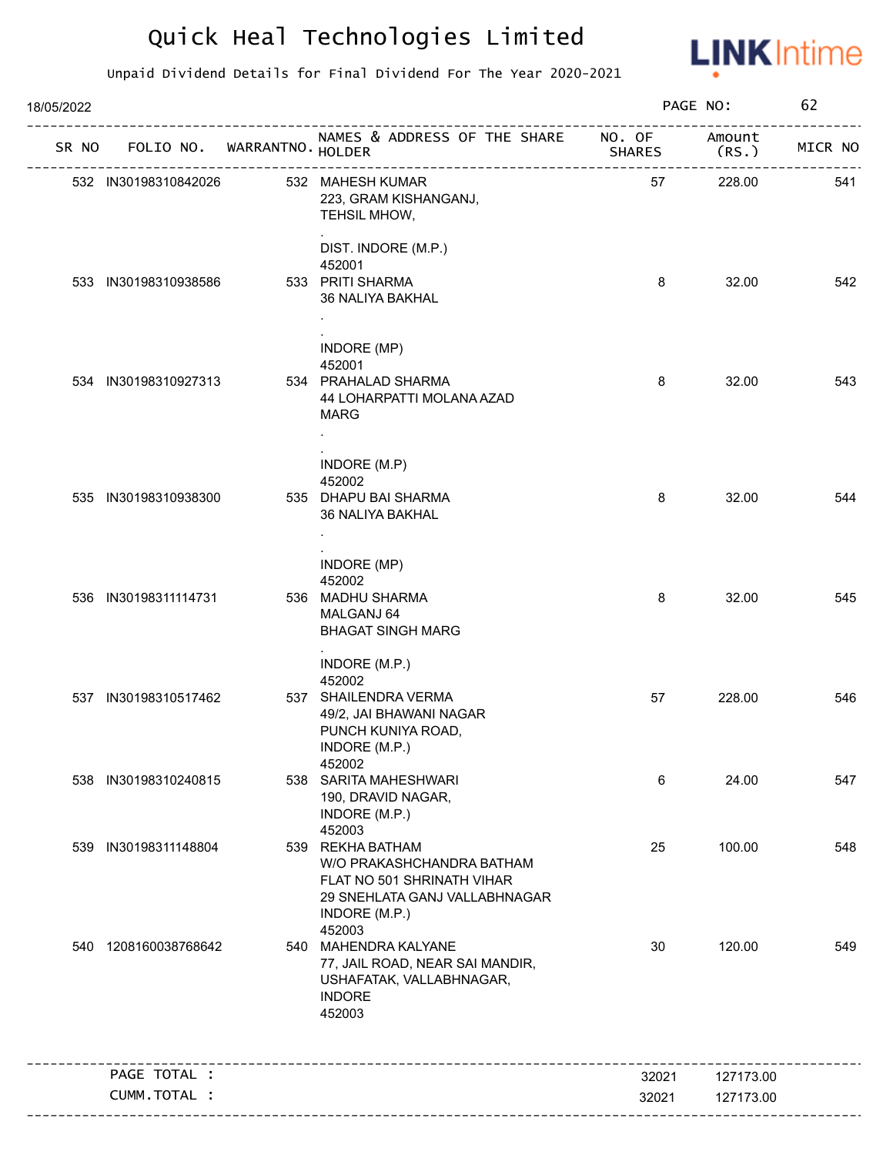

| 18/05/2022 |                      |                            |                                                                                                                                                   |                | PAGE NO:               | 62      |
|------------|----------------------|----------------------------|---------------------------------------------------------------------------------------------------------------------------------------------------|----------------|------------------------|---------|
| SR NO      |                      | FOLIO NO. WARRANTNO HOLDER | NAMES & ADDRESS OF THE SHARE NO. OF<br>۱۸۱۸ د<br>-----------------------------                                                                    | <b>SHARES</b>  | Amount<br>(RS.)        | MICR NO |
|            | 532 IN30198310842026 |                            | 532 MAHESH KUMAR<br>223, GRAM KISHANGANJ,<br>TEHSIL MHOW,                                                                                         | 57             | 228.00                 | 541     |
|            |                      |                            | DIST. INDORE (M.P.)<br>452001                                                                                                                     |                |                        |         |
|            | 533 IN30198310938586 |                            | 533 PRITI SHARMA<br>36 NALIYA BAKHAL                                                                                                              | 8              | 32.00                  | 542     |
|            | 534 IN30198310927313 |                            | INDORE (MP)<br>452001<br>534 PRAHALAD SHARMA<br>44 LOHARPATTI MOLANA AZAD                                                                         | 8              | 32.00                  | 543     |
|            |                      |                            | <b>MARG</b><br>$\sim$                                                                                                                             |                |                        |         |
|            |                      |                            | INDORE (M.P)<br>452002                                                                                                                            |                |                        |         |
|            | 535 IN30198310938300 |                            | 535 DHAPU BAI SHARMA<br>36 NALIYA BAKHAL                                                                                                          | 8              | 32.00                  | 544     |
|            |                      |                            | INDORE (MP)<br>452002                                                                                                                             |                |                        |         |
|            | 536 IN30198311114731 |                            | 536 MADHU SHARMA<br>MALGANJ 64<br><b>BHAGAT SINGH MARG</b>                                                                                        | 8              | 32.00                  | 545     |
|            |                      |                            | INDORE (M.P.)                                                                                                                                     |                |                        |         |
|            | 537 IN30198310517462 |                            | 452002<br>537 SHAILENDRA VERMA<br>49/2, JAI BHAWANI NAGAR<br>PUNCH KUNIYA ROAD,<br>INDORE (M.P.)                                                  | 57             | 228.00                 | 546     |
|            | 538 IN30198310240815 |                            | 452002<br>538 SARITA MAHESHWARI<br>190, DRAVID NAGAR,<br>INDORE (M.P.)                                                                            | 6              | 24.00                  | 547     |
| 539        | IN30198311148804     |                            | 452003<br>539 REKHA BATHAM<br>W/O PRAKASHCHANDRA BATHAM<br>FLAT NO 501 SHRINATH VIHAR<br>29 SNEHLATA GANJ VALLABHNAGAR<br>INDORE (M.P.)<br>452003 | 25             | 100.00                 | 548     |
|            | 540 1208160038768642 |                            | 540 MAHENDRA KALYANE<br>77, JAIL ROAD, NEAR SAI MANDIR,<br>USHAFATAK, VALLABHNAGAR,<br><b>INDORE</b><br>452003                                    | 30             | 120.00                 | 549     |
|            | PAGE TOTAL :         |                            | _______________________________                                                                                                                   |                |                        |         |
|            | CUMM.TOTAL :         |                            |                                                                                                                                                   | 32021<br>32021 | 127173.00<br>127173.00 |         |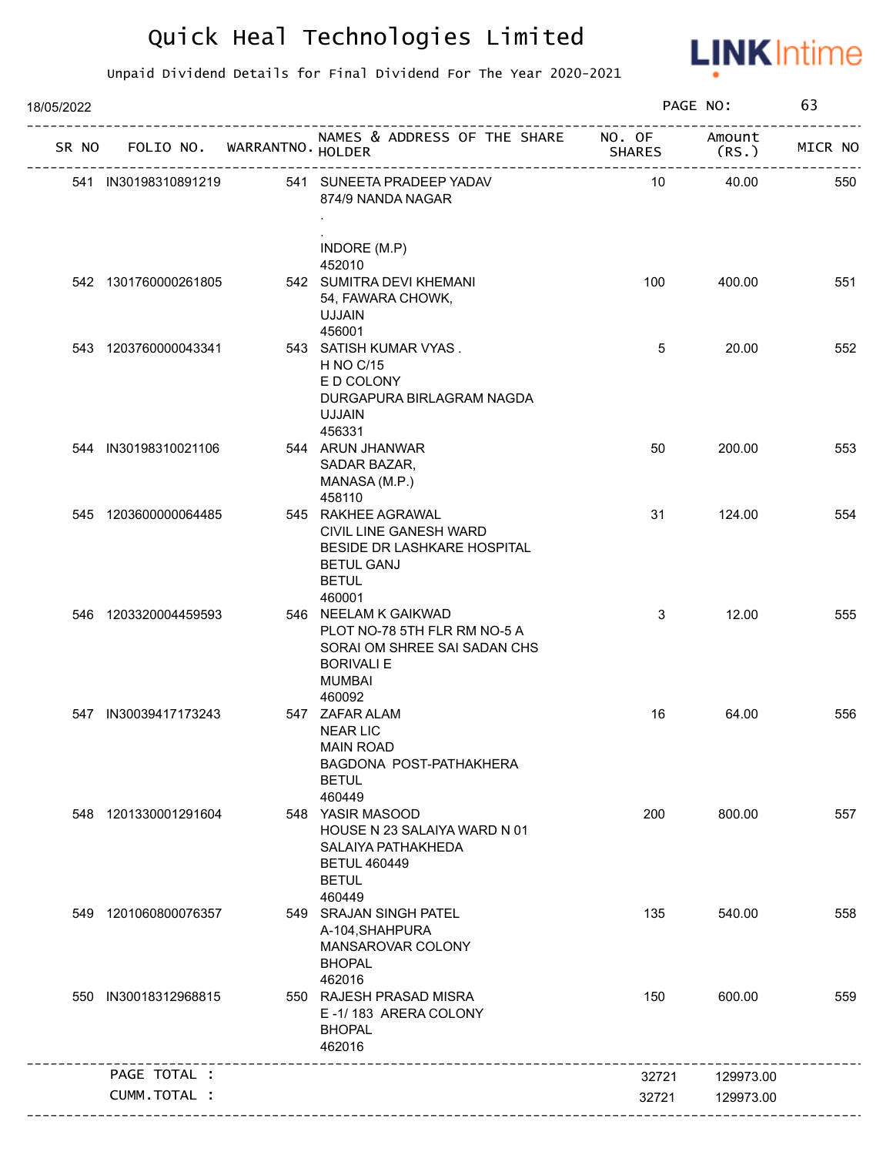

| 18/05/2022 |                             |                                                                                                                            |                         | PAGE NO:        | 63      |
|------------|-----------------------------|----------------------------------------------------------------------------------------------------------------------------|-------------------------|-----------------|---------|
| SR NO      | FOLIO NO. WARRANTNO. HOLDER | NAMES & ADDRESS OF THE SHARE                                                                                               | NO. OF<br><b>SHARES</b> | Amount<br>(RS.) | MICR NO |
|            | 541 IN30198310891219        | 541 SUNEETA PRADEEP YADAV<br>874/9 NANDA NAGAR                                                                             | 10                      | 40.00           | 550     |
|            |                             | INDORE (M.P)<br>452010                                                                                                     |                         |                 |         |
|            | 542 1301760000261805        | 542 SUMITRA DEVI KHEMANI<br>54, FAWARA CHOWK,<br><b>UJJAIN</b><br>456001                                                   | 100                     | 400.00          | 551     |
|            | 543 1203760000043341        | 543 SATISH KUMAR VYAS.<br><b>H NO C/15</b><br>E D COLONY<br>DURGAPURA BIRLAGRAM NAGDA<br><b>UJJAIN</b><br>456331           | 5                       | 20.00           | 552     |
|            | 544 IN30198310021106        | 544 ARUN JHANWAR<br>SADAR BAZAR,<br>MANASA (M.P.)<br>458110                                                                | 50                      | 200.00          | 553     |
|            | 545 1203600000064485        | 545 RAKHEE AGRAWAL<br>CIVIL LINE GANESH WARD<br>BESIDE DR LASHKARE HOSPITAL<br><b>BETUL GANJ</b><br><b>BETUL</b><br>460001 | 31                      | 124.00          | 554     |
|            | 546 1203320004459593        | 546 NEELAM K GAIKWAD<br>PLOT NO-78 5TH FLR RM NO-5 A<br>SORAI OM SHREE SAI SADAN CHS<br><b>BORIVALI E</b><br><b>MUMBAI</b> | 3                       | 12.00           | 555     |
|            | 547 IN30039417173243        | 460092<br>547 ZAFAR ALAM<br><b>NEAR LIC</b><br><b>MAIN ROAD</b><br>BAGDONA POST-PATHAKHERA<br><b>BETUL</b><br>460449       | 16                      | 64.00           | 556     |
|            | 548 1201330001291604        | 548 YASIR MASOOD<br>HOUSE N 23 SALAIYA WARD N 01<br>SALAIYA PATHAKHEDA<br><b>BETUL 460449</b><br><b>BETUL</b><br>460449    | 200                     | 800.00          | 557     |
|            | 549 1201060800076357        | 549 SRAJAN SINGH PATEL<br>A-104, SHAHPURA<br>MANSAROVAR COLONY<br><b>BHOPAL</b><br>462016                                  | 135                     | 540.00          | 558     |
|            | 550 IN30018312968815        | 550 RAJESH PRASAD MISRA<br>E-1/183 ARERA COLONY<br><b>BHOPAL</b><br>462016                                                 | 150                     | 600.00          | 559     |
|            | PAGE TOTAL :                |                                                                                                                            | 32721                   | 129973.00       |         |
|            | CUMM.TOTAL :                |                                                                                                                            | 32721                   | 129973.00       |         |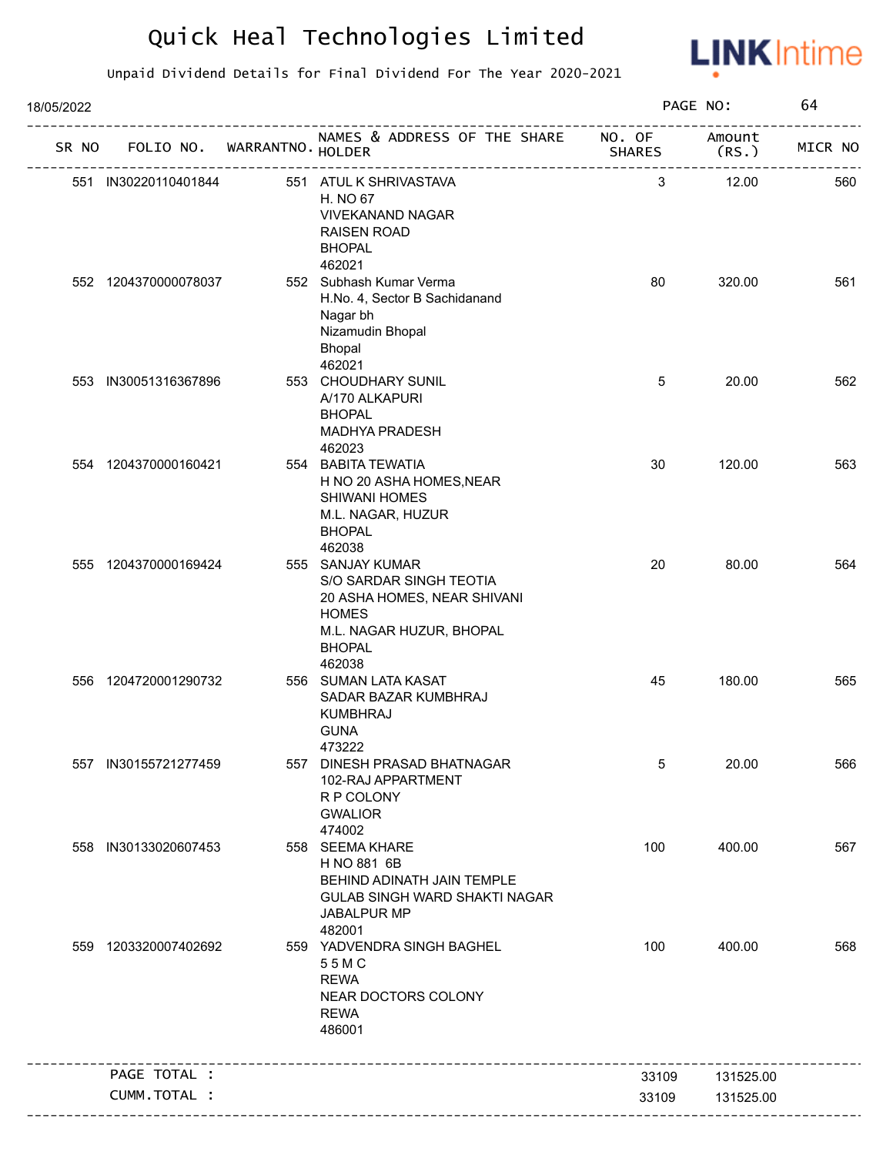

| 18/05/2022 |                             |                                                                                                                                                   |               | PAGE NO:        | 64      |
|------------|-----------------------------|---------------------------------------------------------------------------------------------------------------------------------------------------|---------------|-----------------|---------|
| SR NO      | FOLIO NO. WARRANTNO. HOLDER | NAMES & ADDRESS OF THE SHARE NO. OF                                                                                                               | <b>SHARES</b> | Amount<br>(RS.) | MICR NO |
|            | 551 IN30220110401844        | 551 ATUL K SHRIVASTAVA<br>H. NO 67<br><b>VIVEKANAND NAGAR</b><br><b>RAISEN ROAD</b><br><b>BHOPAL</b>                                              | 3             | 12.00           | 560     |
|            | 552 1204370000078037        | 462021<br>552 Subhash Kumar Verma<br>H.No. 4, Sector B Sachidanand<br>Nagar bh<br>Nizamudin Bhopal<br>Bhopal                                      | 80            | 320.00          | 561     |
|            | 553 IN30051316367896        | 462021<br>553 CHOUDHARY SUNIL<br>A/170 ALKAPURI<br><b>BHOPAL</b><br>MADHYA PRADESH<br>462023                                                      | 5             | 20.00           | 562     |
|            | 554 1204370000160421        | 554 BABITA TEWATIA<br>H NO 20 ASHA HOMES, NEAR<br>SHIWANI HOMES<br>M.L. NAGAR, HUZUR<br><b>BHOPAL</b><br>462038                                   | 30            | 120.00          | 563     |
|            | 555 1204370000169424        | 555 SANJAY KUMAR<br>S/O SARDAR SINGH TEOTIA<br>20 ASHA HOMES, NEAR SHIVANI<br><b>HOMES</b><br>M.L. NAGAR HUZUR, BHOPAL<br><b>BHOPAL</b><br>462038 | 20            | 80.00           | 564     |
|            | 556 1204720001290732        | 556 SUMAN LATA KASAT<br>SADAR BAZAR KUMBHRAJ<br><b>KUMBHRAJ</b><br><b>GUNA</b><br>473222                                                          | 45            | 180.00          | 565     |
|            | 557 IN30155721277459        | 557 DINESH PRASAD BHATNAGAR<br>102-RAJ APPARTMENT<br>R P COLONY<br><b>GWALIOR</b><br>474002                                                       | 5             | 20.00           | 566     |
|            | 558 IN30133020607453        | 558 SEEMA KHARE<br>H NO 881 6B<br>BEHIND ADINATH JAIN TEMPLE<br>GULAB SINGH WARD SHAKTI NAGAR<br>JABALPUR MP<br>482001                            | 100           | 400.00          | 567     |
|            | 559 1203320007402692        | 559 YADVENDRA SINGH BAGHEL<br>55MC<br><b>REWA</b><br>NEAR DOCTORS COLONY<br><b>REWA</b><br>486001                                                 | 100           | 400.00          | 568     |
|            | PAGE TOTAL :                |                                                                                                                                                   | 33109         | 131525.00       |         |
|            | CUMM.TOTAL :                |                                                                                                                                                   | 33109         | 131525.00       |         |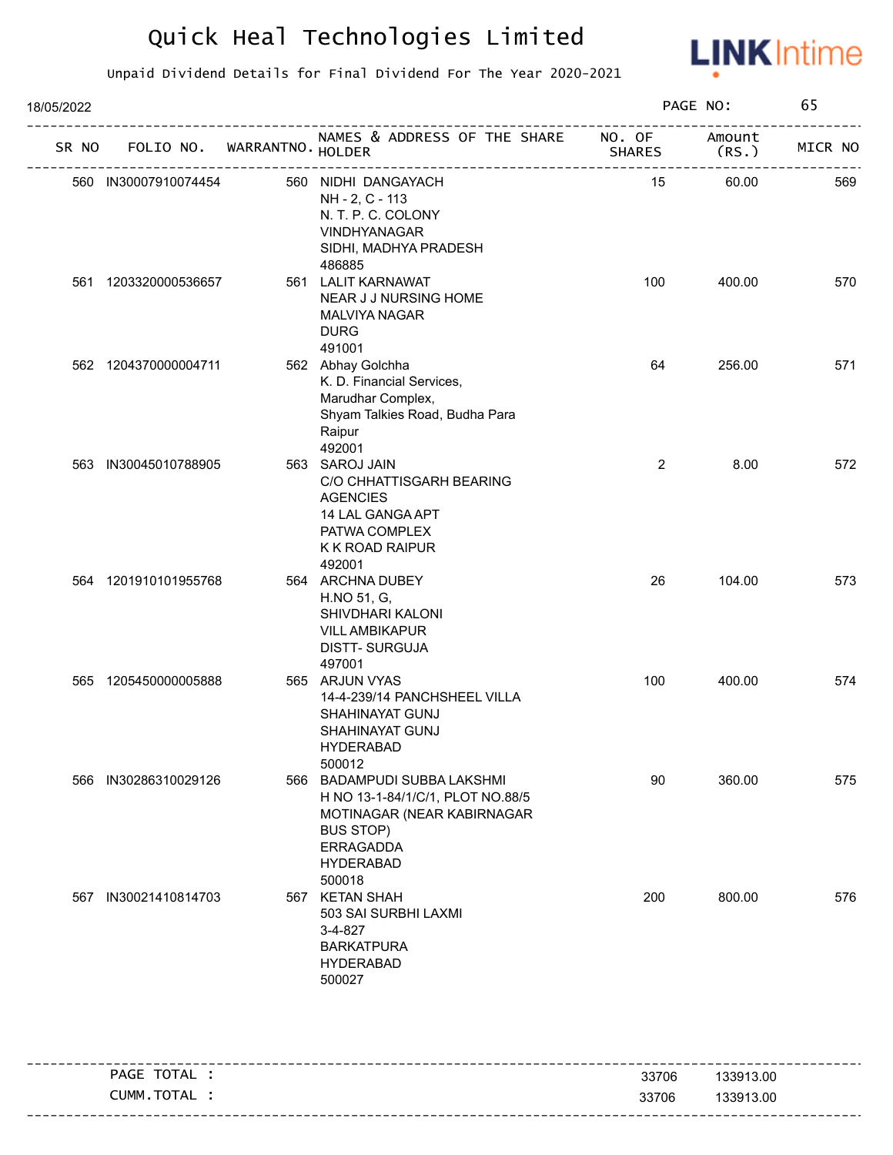

| 18/05/2022 |                             |                                                                                                                                                                     |                         | PAGE NO:        | 65      |
|------------|-----------------------------|---------------------------------------------------------------------------------------------------------------------------------------------------------------------|-------------------------|-----------------|---------|
| SR NO      | FOLIO NO. WARRANTNO. HOLDER | NAMES & ADDRESS OF THE SHARE                                                                                                                                        | NO. OF<br><b>SHARES</b> | Amount<br>(RS.) | MICR NO |
|            | 560 IN30007910074454        | 560 NIDHI DANGAYACH<br>NH - 2, C - 113<br>N. T. P. C. COLONY<br>VINDHYANAGAR<br>SIDHI, MADHYA PRADESH<br>486885                                                     | 15                      | 60.00           | 569     |
| 561        | 1203320000536657            | 561 LALIT KARNAWAT<br>NEAR J J NURSING HOME<br>MALVIYA NAGAR<br><b>DURG</b><br>491001                                                                               | 100                     | 400.00          | 570     |
|            | 562 1204370000004711        | 562 Abhay Golchha<br>K. D. Financial Services,<br>Marudhar Complex,<br>Shyam Talkies Road, Budha Para<br>Raipur<br>492001                                           | 64                      | 256.00          | 571     |
|            | 563 IN30045010788905        | 563 SAROJ JAIN<br>C/O CHHATTISGARH BEARING<br><b>AGENCIES</b><br>14 LAL GANGA APT<br>PATWA COMPLEX<br>K K ROAD RAIPUR<br>492001                                     | $\overline{2}$          | 8.00            | 572     |
|            | 564 1201910101955768        | 564 ARCHNA DUBEY<br>H.NO 51, G,<br>SHIVDHARI KALONI<br><b>VILL AMBIKAPUR</b><br><b>DISTT-SURGUJA</b><br>497001                                                      | 26                      | 104.00          | 573     |
|            | 565 1205450000005888        | 565 ARJUN VYAS<br>14-4-239/14 PANCHSHEEL VILLA<br>SHAHINAYAT GUNJ<br>SHAHINAYAT GUNJ<br><b>HYDERABAD</b><br>500012                                                  | 100                     | 400.00          | 574     |
| 566        | IN30286310029126            | 566 BADAMPUDI SUBBA LAKSHMI<br>H NO 13-1-84/1/C/1, PLOT NO.88/5<br>MOTINAGAR (NEAR KABIRNAGAR<br><b>BUS STOP)</b><br><b>ERRAGADDA</b><br><b>HYDERABAD</b><br>500018 | 90                      | 360.00          | 575     |
|            | 567 IN30021410814703        | 567 KETAN SHAH<br>503 SAI SURBHI LAXMI<br>3-4-827<br><b>BARKATPURA</b><br><b>HYDERABAD</b><br>500027                                                                | 200                     | 800.00          | 576     |
|            | PAGE TOTAL :                |                                                                                                                                                                     | 33706                   | 133913.00       |         |

| PAGE<br>$\mathsf{H}\mathsf{A}\mathsf{L}$<br>ີ | 33706 | $\sqrt{2}$<br>13.00<br>$\mathcal{L}$<br>א≻∹<br>. UU |
|-----------------------------------------------|-------|-----------------------------------------------------|
| TOTAL<br>CUMM                                 | 33706 | 3.00<br>.000<br>៱៱៱<br>א≻∹<br>$\cdots$              |
|                                               |       |                                                     |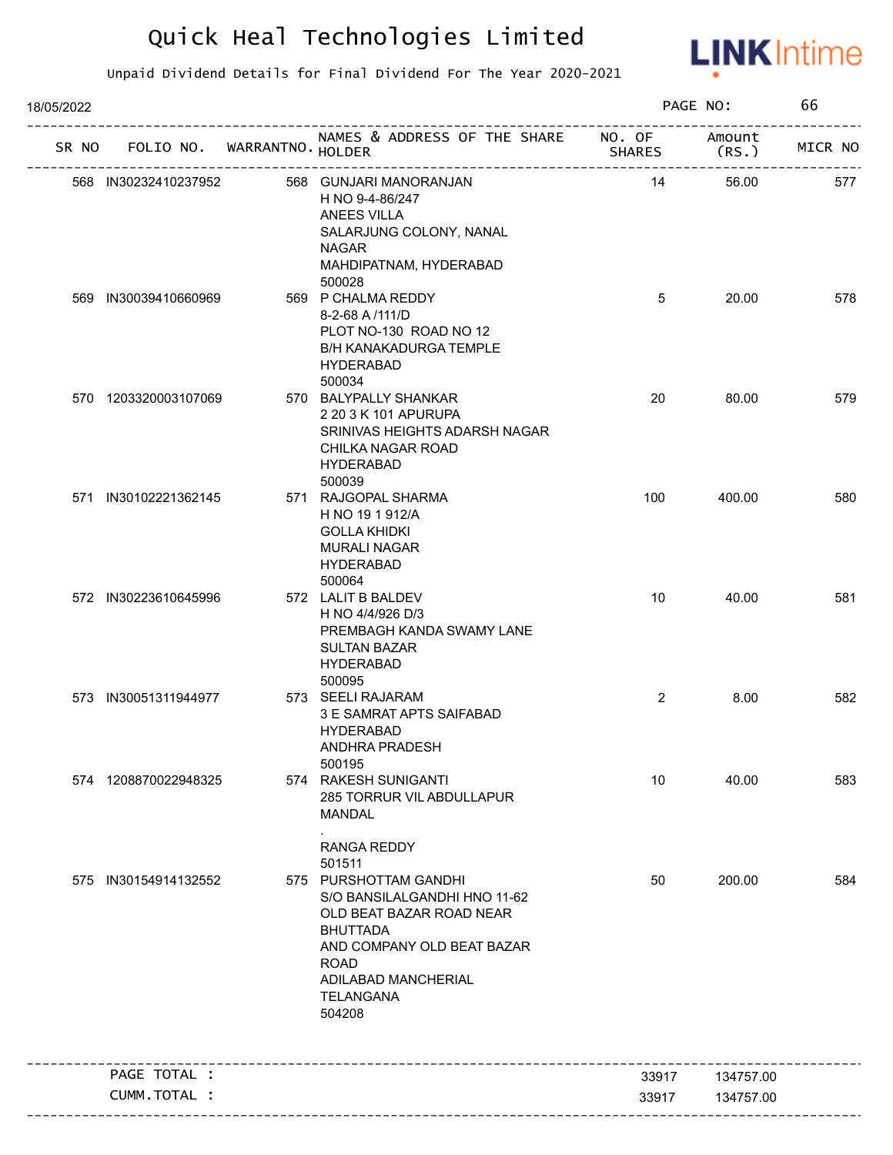

| 18/05/2022 |                             |                                                                                                                                                                                                                  |                | PAGE NO:        | 66      |
|------------|-----------------------------|------------------------------------------------------------------------------------------------------------------------------------------------------------------------------------------------------------------|----------------|-----------------|---------|
| SR NO      | FOLIO NO. WARRANTNO. HOLDER | NAMES & ADDRESS OF THE SHARE NO. OF                                                                                                                                                                              | <b>SHARES</b>  | Amount<br>(RS.) | MICR NO |
|            | 568 IN30232410237952        | 568 GUNJARI MANORANJAN<br>H NO 9-4-86/247<br>ANEES VILLA<br>SALARJUNG COLONY, NANAL<br><b>NAGAR</b><br>MAHDIPATNAM, HYDERABAD<br>500028                                                                          | 14             | 56.00           | 577     |
|            | 569 IN30039410660969        | 569 P CHALMA REDDY<br>8-2-68 A/111/D<br>PLOT NO-130 ROAD NO 12<br><b>B/H KANAKADURGA TEMPLE</b><br><b>HYDERABAD</b><br>500034                                                                                    | 5              | 20.00           | 578     |
|            | 570 1203320003107069        | 570 BALYPALLY SHANKAR<br>2 20 3 K 101 APURUPA<br>SRINIVAS HEIGHTS ADARSH NAGAR<br>CHILKA NAGAR ROAD<br><b>HYDERABAD</b><br>500039                                                                                | 20             | 80.00           | 579     |
|            | 571 IN30102221362145        | 571 RAJGOPAL SHARMA<br>H NO 19 1 912/A<br><b>GOLLA KHIDKI</b><br><b>MURALI NAGAR</b><br><b>HYDERABAD</b><br>500064                                                                                               | 100            | 400.00          | 580     |
|            | 572 IN30223610645996        | 572 LALIT B BALDEV<br>H NO 4/4/926 D/3<br>PREMBAGH KANDA SWAMY LANE<br><b>SULTAN BAZAR</b><br><b>HYDERABAD</b><br>500095                                                                                         | 10             | 40.00           | 581     |
|            | 573 IN30051311944977        | 573 SEELI RAJARAM<br>3 E SAMRAT APTS SAIFABAD<br><b>HYDERABAD</b><br>ANDHRA PRADESH<br>500195                                                                                                                    | $\overline{2}$ | 8.00            | 582     |
|            | 574 1208870022948325        | 574 RAKESH SUNIGANTI<br>285 TORRUR VIL ABDULLAPUR<br><b>MANDAL</b><br><b>RANGA REDDY</b>                                                                                                                         | 10             | 40.00           | 583     |
|            | 575 IN30154914132552        | 501511<br>575 PURSHOTTAM GANDHI<br>S/O BANSILALGANDHI HNO 11-62<br>OLD BEAT BAZAR ROAD NEAR<br><b>BHUTTADA</b><br>AND COMPANY OLD BEAT BAZAR<br><b>ROAD</b><br>ADILABAD MANCHERIAL<br><b>TELANGANA</b><br>504208 | 50             | 200.00          | 584     |
|            | PAGE TOTAL :                |                                                                                                                                                                                                                  | 33917          | 134757.00       |         |
|            | CUMM.TOTAL :                |                                                                                                                                                                                                                  | 33917          | 134757.00       |         |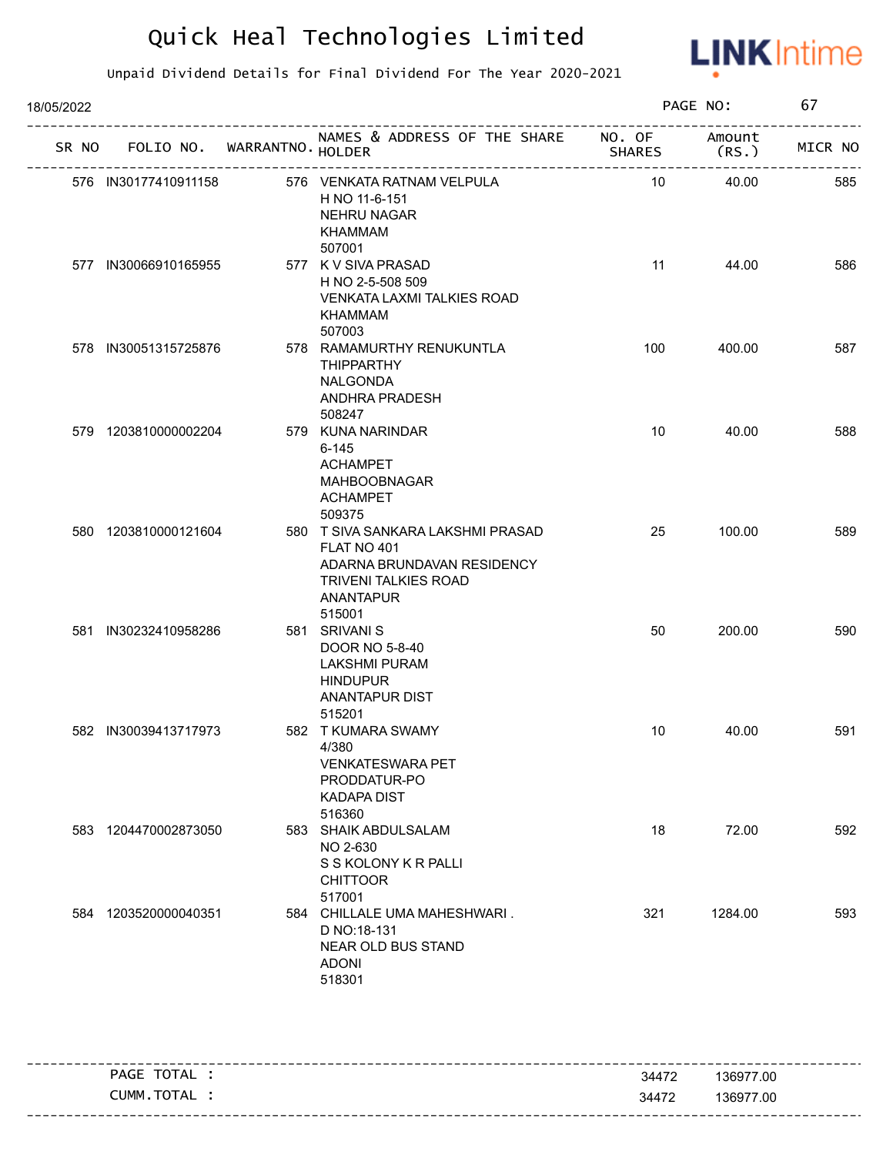

| 18/05/2022 |                      |  |                                   |                                                                                                                                      | PAGE NO:      |                | 67      |  |
|------------|----------------------|--|-----------------------------------|--------------------------------------------------------------------------------------------------------------------------------------|---------------|----------------|---------|--|
|            |                      |  | SR NO FOLIO NO. WARRANTNO. HOLDER | NAMES & ADDRESS OF THE SHARE NO. OF                                                                                                  | <b>SHARES</b> | Amount<br>(RS. | MICR NO |  |
|            | 576 IN30177410911158 |  |                                   | 576 VENKATA RATNAM VELPULA<br>H NO 11-6-151<br><b>NEHRU NAGAR</b><br>KHAMMAM<br>507001                                               | 10            | 40.00          | 585     |  |
|            | 577 IN30066910165955 |  |                                   | 577 K V SIVA PRASAD<br>H NO 2-5-508 509<br><b>VENKATA LAXMI TALKIES ROAD</b><br><b>KHAMMAM</b><br>507003                             | 11            | 44.00          | 586     |  |
|            | 578 IN30051315725876 |  |                                   | 578 RAMAMURTHY RENUKUNTLA<br><b>THIPPARTHY</b><br>NALGONDA<br>ANDHRA PRADESH<br>508247                                               | 100           | 400.00         | 587     |  |
|            | 579 1203810000002204 |  |                                   | 579 KUNA NARINDAR<br>$6 - 145$<br><b>ACHAMPET</b><br>MAHBOOBNAGAR<br><b>ACHAMPET</b><br>509375                                       | 10            | 40.00          | 588     |  |
|            | 580 1203810000121604 |  |                                   | 580 T SIVA SANKARA LAKSHMI PRASAD<br>FLAT NO 401<br>ADARNA BRUNDAVAN RESIDENCY<br><b>TRIVENI TALKIES ROAD</b><br>ANANTAPUR<br>515001 | 25            | 100.00         | 589     |  |
|            | 581 IN30232410958286 |  |                                   | 581 SRIVANI S<br>DOOR NO 5-8-40<br><b>LAKSHMI PURAM</b><br><b>HINDUPUR</b><br><b>ANANTAPUR DIST</b><br>515201                        | 50            | 200.00         | 590     |  |
|            | 582 IN30039413717973 |  |                                   | 582 T KUMARA SWAMY<br>4/380<br><b>VENKATESWARA PET</b><br>PRODDATUR-PO<br><b>KADAPA DIST</b><br>516360                               | 10            | 40.00          | 591     |  |
|            | 583 1204470002873050 |  |                                   | 583 SHAIK ABDULSALAM<br>NO 2-630<br>S S KOLONY K R PALLI<br><b>CHITTOOR</b><br>517001                                                | 18            | 72.00          | 592     |  |
|            | 584 1203520000040351 |  |                                   | 584 CHILLALE UMA MAHESHWARI.<br>D NO:18-131<br>NEAR OLD BUS STAND<br><b>ADONI</b><br>518301                                          | 321           | 1284.00        | 593     |  |

| TOTAL<br>PAGE    | 34472 | 136977.00 |
|------------------|-------|-----------|
| ' TOTAL<br>CUMM. | 34472 | 136977.00 |
|                  |       |           |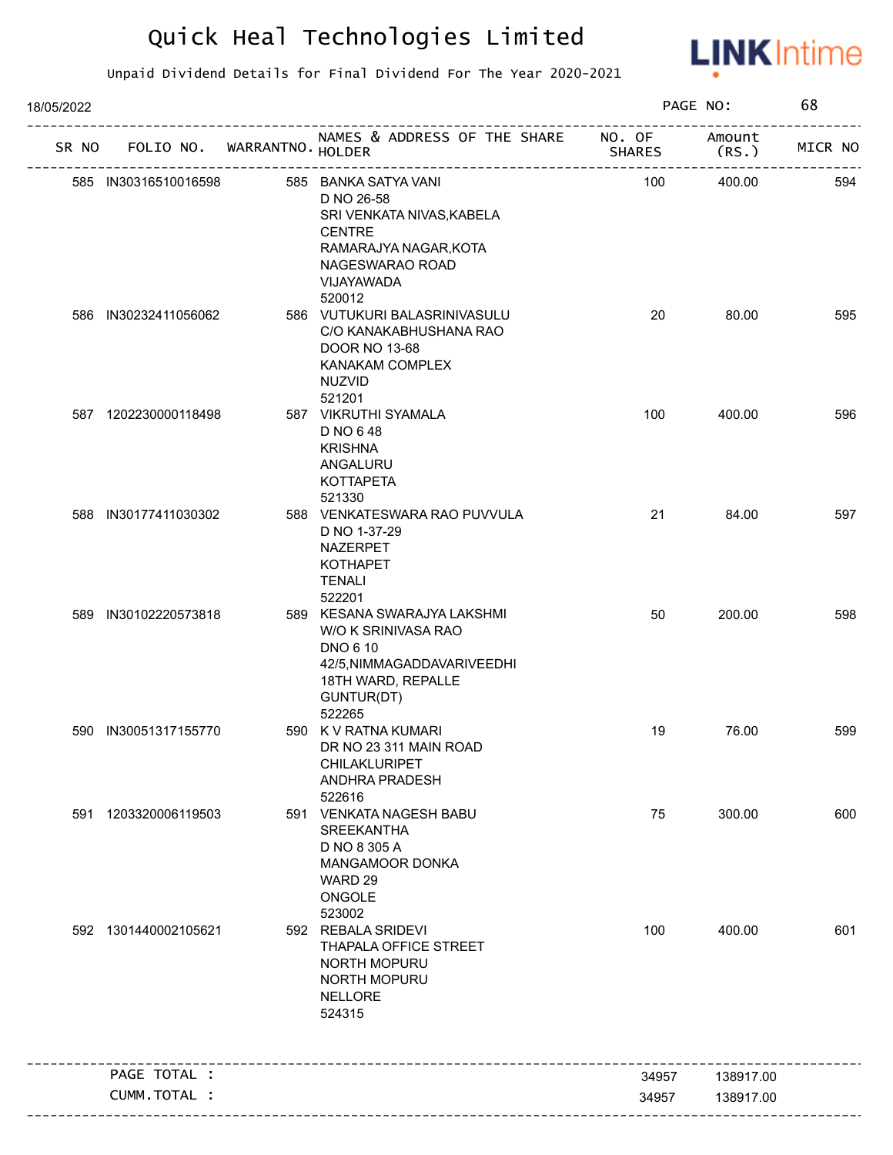

| 18/05/2022 |                             |                                                                                                                                                      |               | PAGE NO:        | 68      |
|------------|-----------------------------|------------------------------------------------------------------------------------------------------------------------------------------------------|---------------|-----------------|---------|
| SR NO      | FOLIO NO. WARRANTNO. HOLDER | NAMES & ADDRESS OF THE SHARE NO. OF                                                                                                                  | <b>SHARES</b> | Amount<br>(RS.) | MICR NO |
|            | 585 IN30316510016598        | 585 BANKA SATYA VANI<br>D NO 26-58<br>SRI VENKATA NIVAS, KABELA<br><b>CENTRE</b><br>RAMARAJYA NAGAR, KOTA<br>NAGESWARAO ROAD<br>VIJAYAWADA<br>520012 | 100           | 400.00          | 594     |
|            | 586 IN30232411056062        | 586 VUTUKURI BALASRINIVASULU<br>C/O KANAKABHUSHANA RAO<br>DOOR NO 13-68<br>KANAKAM COMPLEX<br><b>NUZVID</b><br>521201                                | 20            | 80.00           | 595     |
|            | 587 1202230000118498        | 587 VIKRUTHI SYAMALA<br>D NO 648<br><b>KRISHNA</b><br>ANGALURU<br><b>KOTTAPETA</b><br>521330                                                         | 100           | 400.00          | 596     |
|            | 588 IN30177411030302        | 588 VENKATESWARA RAO PUVVULA<br>D NO 1-37-29<br>NAZERPET<br><b>KOTHAPET</b><br><b>TENALI</b><br>522201                                               | 21            | 84.00           | 597     |
|            | 589 IN30102220573818        | 589 KESANA SWARAJYA LAKSHMI<br>W/O K SRINIVASA RAO<br><b>DNO 6 10</b><br>42/5, NIMMAGADDAVARIVEEDHI<br>18TH WARD, REPALLE<br>GUNTUR(DT)<br>522265    | 50            | 200.00          | 598     |
|            | 590 IN30051317155770        | 590 K V RATNA KUMARI<br>DR NO 23 311 MAIN ROAD<br>CHILAKLURIPET<br>ANDHRA PRADESH<br>522616                                                          | 19            | 76.00           | 599     |
|            | 591 1203320006119503        | 591 VENKATA NAGESH BABU<br><b>SREEKANTHA</b><br>D NO 8 305 A<br>MANGAMOOR DONKA<br>WARD 29<br>ONGOLE<br>523002                                       | 75            | 300.00          | 600     |
|            | 592 1301440002105621        | 592 REBALA SRIDEVI<br>THAPALA OFFICE STREET<br>NORTH MOPURU<br>NORTH MOPURU<br><b>NELLORE</b><br>524315                                              | 100           | 400.00          | 601     |
|            | PAGE TOTAL :                | -------------                                                                                                                                        | 34957         | 138917.00       |         |
|            | CUMM.TOTAL :                |                                                                                                                                                      | 34957         | 138917.00       |         |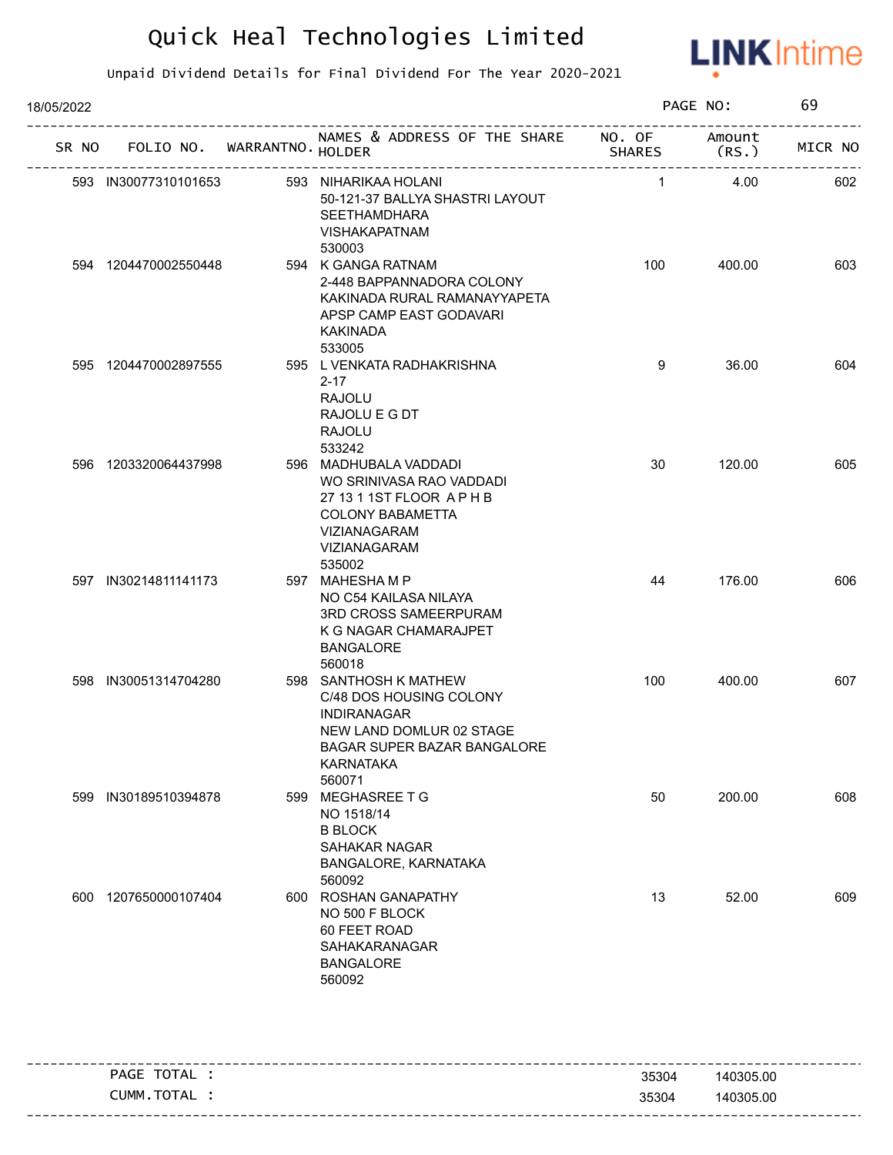

| FOLIO NO. WARRANTNO. HOLDER<br>SR NO<br>593 IN30077310101653<br>594 1204470002550448 | NAMES & ADDRESS OF THE SHARE NO. OF Amount<br>593 NIHARIKAA HOLANI<br>50-121-37 BALLYA SHASTRI LAYOUT<br><b>SEETHAMDHARA</b><br><b>VISHAKAPATNAM</b><br>530003<br>594 K GANGA RATNAM<br>2-448 BAPPANNADORA COLONY<br>KAKINADA RURAL RAMANAYYAPETA<br>APSP CAMP EAST GODAVARI<br><b>KAKINADA</b><br>533005 | <b>SHARES</b><br>$\mathbf{1}$<br>100 | (RS.<br>4.00<br>400.00 | MICR NO<br>602<br>603 |
|--------------------------------------------------------------------------------------|-----------------------------------------------------------------------------------------------------------------------------------------------------------------------------------------------------------------------------------------------------------------------------------------------------------|--------------------------------------|------------------------|-----------------------|
|                                                                                      |                                                                                                                                                                                                                                                                                                           |                                      |                        |                       |
|                                                                                      |                                                                                                                                                                                                                                                                                                           |                                      |                        |                       |
|                                                                                      |                                                                                                                                                                                                                                                                                                           |                                      |                        |                       |
| 595 1204470002897555                                                                 | 595 L VENKATA RADHAKRISHNA<br>$2 - 17$<br><b>RAJOLU</b><br>RAJOLU E G DT<br><b>RAJOLU</b><br>533242                                                                                                                                                                                                       | 9                                    | 36.00                  | 604                   |
| 596 1203320064437998                                                                 | 596 MADHUBALA VADDADI<br>WO SRINIVASA RAO VADDADI<br>27 13 1 1ST FLOOR APHB<br><b>COLONY BABAMETTA</b><br>VIZIANAGARAM<br>VIZIANAGARAM<br>535002                                                                                                                                                          | 30                                   | 120.00                 | 605                   |
| 597 IN30214811141173                                                                 | 597 MAHESHAMP<br>NO C54 KAILASA NILAYA<br>3RD CROSS SAMEERPURAM<br>K G NAGAR CHAMARAJPET<br><b>BANGALORE</b><br>560018                                                                                                                                                                                    | 44                                   | 176.00                 | 606                   |
| 598 IN30051314704280                                                                 | 598 SANTHOSH K MATHEW<br>C/48 DOS HOUSING COLONY<br><b>INDIRANAGAR</b><br>NEW LAND DOMLUR 02 STAGE<br>BAGAR SUPER BAZAR BANGALORE<br><b>KARNATAKA</b><br>560071                                                                                                                                           | 100                                  | 400.00                 | 607                   |
| IN30189510394878<br>599                                                              | 599 MEGHASREE T G<br>NO 1518/14<br><b>B BLOCK</b><br><b>SAHAKAR NAGAR</b><br>BANGALORE, KARNATAKA<br>560092                                                                                                                                                                                               | 50                                   | 200.00                 | 608                   |
| 1207650000107404<br>600                                                              | 600 ROSHAN GANAPATHY<br>NO 500 F BLOCK<br>60 FEET ROAD<br>SAHAKARANAGAR<br><b>BANGALORE</b><br>560092                                                                                                                                                                                                     | 13                                   | 52.00                  | 609                   |

| TOTAL            |       |           |
|------------------|-------|-----------|
| PAGE             | 35304 | 140305.00 |
| ` TOTAL<br>CUMM. | 35304 | 140305.00 |
|                  |       |           |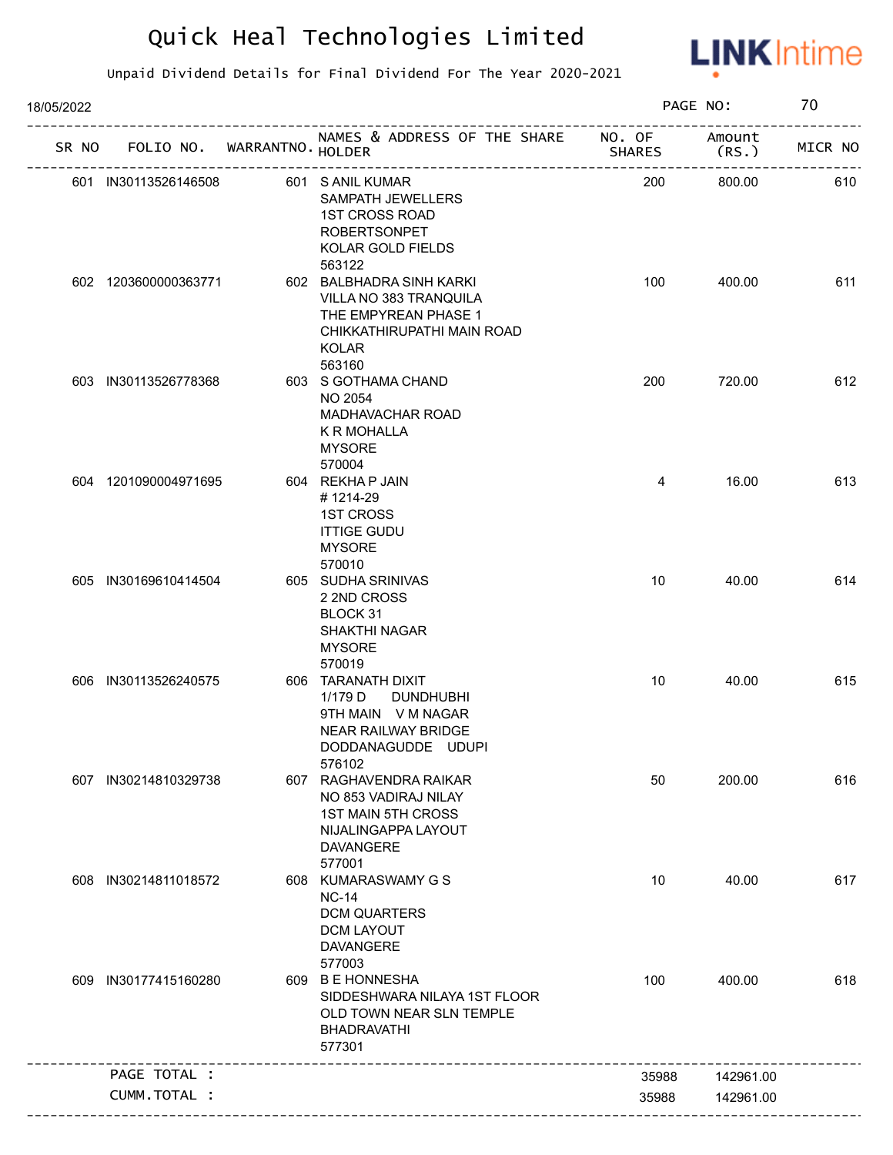

| 18/05/2022 |                      |                             |                                                                                                                                    |               | PAGE NO:        | 70      |
|------------|----------------------|-----------------------------|------------------------------------------------------------------------------------------------------------------------------------|---------------|-----------------|---------|
| SR NO      |                      | FOLIO NO. WARRANTNO. HOLDER | NAMES & ADDRESS OF THE SHARE NO. OF                                                                                                | <b>SHARES</b> | Amount<br>(RS.) | MICR NO |
|            | 601 IN30113526146508 |                             | 601 S ANIL KUMAR<br>SAMPATH JEWELLERS<br><b>1ST CROSS ROAD</b><br><b>ROBERTSONPET</b><br>KOLAR GOLD FIELDS                         | 200           | 800.00          | 610     |
|            | 602 1203600000363771 |                             | 563122<br>602 BALBHADRA SINH KARKI<br>VILLA NO 383 TRANQUILA<br>THE EMPYREAN PHASE 1<br>CHIKKATHIRUPATHI MAIN ROAD<br><b>KOLAR</b> | 100           | 400.00          | 611     |
|            | 603 IN30113526778368 |                             | 563160<br>603 S GOTHAMA CHAND<br><b>NO 2054</b><br><b>MADHAVACHAR ROAD</b><br>K R MOHALLA<br><b>MYSORE</b><br>570004               | 200           | 720.00          | 612     |
|            | 604 1201090004971695 |                             | 604 REKHA P JAIN<br>#1214-29<br><b>1ST CROSS</b><br><b>ITTIGE GUDU</b><br><b>MYSORE</b><br>570010                                  | 4             | 16.00           | 613     |
|            | 605 IN30169610414504 |                             | 605 SUDHA SRINIVAS<br>2 2ND CROSS<br>BLOCK 31<br>SHAKTHI NAGAR<br><b>MYSORE</b><br>570019                                          | 10            | 40.00           | 614     |
|            | 606 IN30113526240575 |                             | 606 TARANATH DIXIT<br>1/179 D<br><b>DUNDHUBHI</b><br>9TH MAIN V M NAGAR<br>NEAR RAILWAY BRIDGE<br>DODDANAGUDDE UDUPI<br>576102     | 10            | 40.00           | 615     |
| 607        | IN30214810329738     |                             | 607 RAGHAVENDRA RAIKAR<br>NO 853 VADIRAJ NILAY<br><b>1ST MAIN 5TH CROSS</b><br>NIJALINGAPPA LAYOUT<br><b>DAVANGERE</b><br>577001   | 50            | 200.00          | 616     |
|            | 608 IN30214811018572 |                             | 608 KUMARASWAMY G S<br><b>NC-14</b><br><b>DCM QUARTERS</b><br><b>DCM LAYOUT</b><br><b>DAVANGERE</b><br>577003                      | 10            | 40.00           | 617     |
| 609        | IN30177415160280     |                             | 609 B E HONNESHA<br>SIDDESHWARA NILAYA 1ST FLOOR<br>OLD TOWN NEAR SLN TEMPLE<br><b>BHADRAVATHI</b><br>577301                       | 100           | 400.00          | 618     |
|            | PAGE TOTAL :         |                             |                                                                                                                                    | 35988         | 142961.00       |         |
|            | CUMM.TOTAL :         |                             |                                                                                                                                    | 35988         | 142961.00       |         |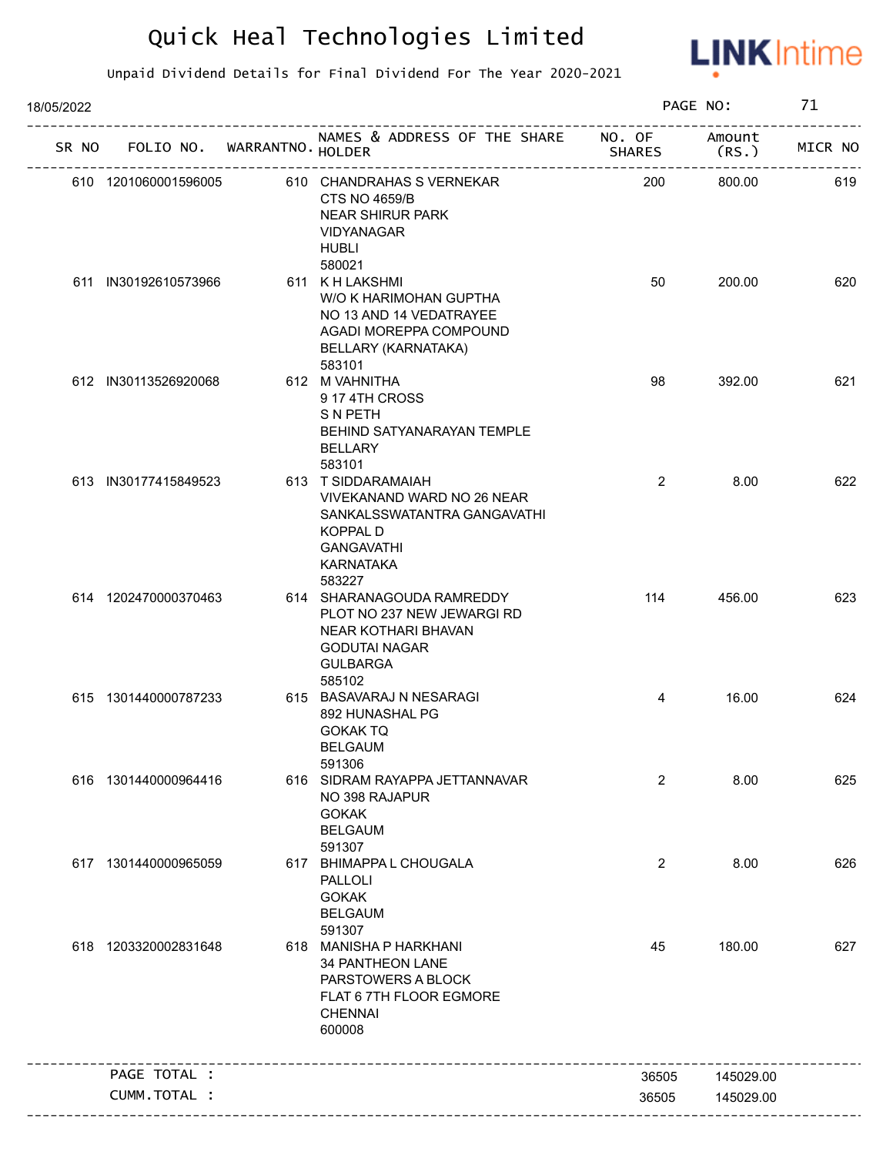

| 18/05/2022 |                      |                                   |                                                                                                                                                       |                | PAGE NO:        | 71      |
|------------|----------------------|-----------------------------------|-------------------------------------------------------------------------------------------------------------------------------------------------------|----------------|-----------------|---------|
|            |                      | SR NO FOLIO NO. WARRANTNO. HOLDER | NAMES & ADDRESS OF THE SHARE NO. OF                                                                                                                   | <b>SHARES</b>  | Amount<br>(RS.) | MICR NO |
|            | 610 1201060001596005 |                                   | 610 CHANDRAHAS S VERNEKAR<br><b>CTS NO 4659/B</b><br><b>NEAR SHIRUR PARK</b><br><b>VIDYANAGAR</b><br><b>HUBLI</b>                                     | 200            | 800.00          | 619     |
|            | 611 IN30192610573966 |                                   | 580021<br>611 K H LAKSHMI<br>W/O K HARIMOHAN GUPTHA<br>NO 13 AND 14 VEDATRAYEE<br>AGADI MOREPPA COMPOUND<br>BELLARY (KARNATAKA)<br>583101             | 50             | 200.00          | 620     |
|            | 612 IN30113526920068 |                                   | 612 M VAHNITHA<br>9 17 4TH CROSS<br><b>SNPETH</b><br>BEHIND SATYANARAYAN TEMPLE<br><b>BELLARY</b><br>583101                                           | 98             | 392.00          | 621     |
|            | 613 IN30177415849523 |                                   | 613 T SIDDARAMAIAH<br>VIVEKANAND WARD NO 26 NEAR<br>SANKALSSWATANTRA GANGAVATHI<br><b>KOPPAL D</b><br><b>GANGAVATHI</b><br><b>KARNATAKA</b><br>583227 | $\overline{2}$ | 8.00            | 622     |
|            | 614 1202470000370463 |                                   | 614 SHARANAGOUDA RAMREDDY<br>PLOT NO 237 NEW JEWARGI RD<br>NEAR KOTHARI BHAVAN<br><b>GODUTAI NAGAR</b><br><b>GULBARGA</b><br>585102                   | 114            | 456.00          | 623     |
|            | 615 1301440000787233 |                                   | 615 BASAVARAJ N NESARAGI<br>892 HUNASHAL PG<br><b>GOKAKTQ</b><br><b>BELGAUM</b><br>591306                                                             | 4              | 16.00           | 624     |
|            | 616 1301440000964416 |                                   | 616 SIDRAM RAYAPPA JETTANNAVAR<br>NO 398 RAJAPUR<br><b>GOKAK</b><br><b>BELGAUM</b><br>591307                                                          | $\overline{2}$ | 8.00            | 625     |
|            | 617 1301440000965059 |                                   | 617 BHIMAPPA L CHOUGALA<br><b>PALLOLI</b><br><b>GOKAK</b><br><b>BELGAUM</b><br>591307                                                                 | $\overline{2}$ | 8.00            | 626     |
|            | 618 1203320002831648 |                                   | 618 MANISHA P HARKHANI<br><b>34 PANTHEON LANE</b><br>PARSTOWERS A BLOCK<br>FLAT 6 7TH FLOOR EGMORE<br><b>CHENNAI</b><br>600008                        | 45             | 180.00          | 627     |
|            | PAGE TOTAL :         |                                   |                                                                                                                                                       | 36505          | 145029.00       |         |
|            | CUMM.TOTAL :         |                                   |                                                                                                                                                       | 36505          | 145029.00       |         |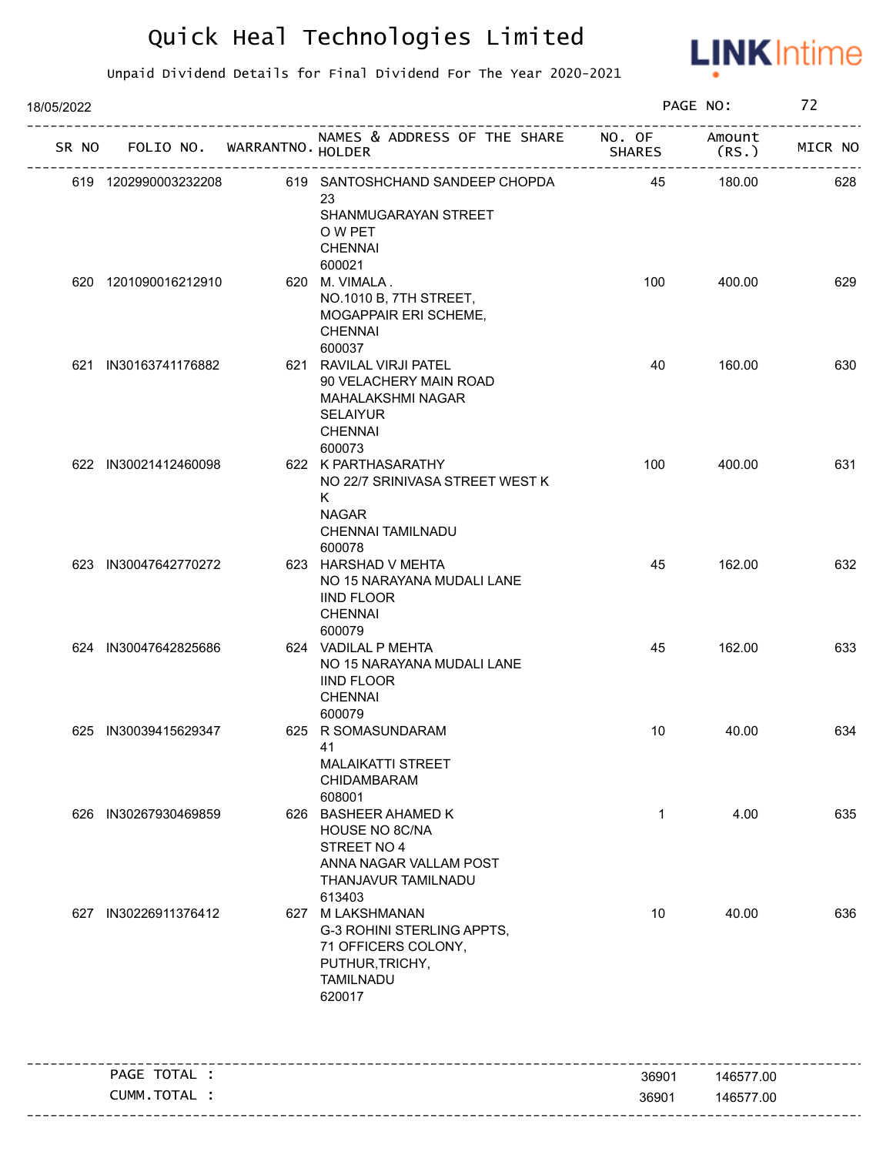

| 18/05/2022 |                             |                                                                                                                                        |               | PAGE NO:       | 72      |
|------------|-----------------------------|----------------------------------------------------------------------------------------------------------------------------------------|---------------|----------------|---------|
| SR NO      | FOLIO NO. WARRANTNO. HOLDER | NAMES & ADDRESS OF THE SHARE NO. OF                                                                                                    | <b>SHARES</b> | Amount<br>(RS. | MICR NO |
|            | 619 1202990003232208        | 619 SANTOSHCHAND SANDEEP CHOPDA<br>23<br>SHANMUGARAYAN STREET<br>O W PET<br><b>CHENNAI</b>                                             | 45            | 180.00         | 628     |
|            | 620 1201090016212910        | 600021<br>620 M. VIMALA.<br>NO.1010 B, 7TH STREET,<br>MOGAPPAIR ERI SCHEME,<br><b>CHENNAI</b>                                          | 100           | 400.00         | 629     |
|            | 621 IN30163741176882        | 600037<br>621 RAVILAL VIRJI PATEL<br>90 VELACHERY MAIN ROAD<br><b>MAHALAKSHMI NAGAR</b><br><b>SELAIYUR</b><br><b>CHENNAI</b><br>600073 | 40            | 160.00         | 630     |
|            | 622 IN30021412460098        | 622 K PARTHASARATHY<br>NO 22/7 SRINIVASA STREET WEST K<br>K<br><b>NAGAR</b><br>CHENNAI TAMILNADU<br>600078                             | 100           | 400.00         | 631     |
|            | 623 IN30047642770272        | 623 HARSHAD V MEHTA<br>NO 15 NARAYANA MUDALI LANE<br><b>IIND FLOOR</b><br><b>CHENNAI</b><br>600079                                     | 45            | 162.00         | 632     |
|            | 624 IN30047642825686        | 624 VADILAL P MEHTA<br>NO 15 NARAYANA MUDALI LANE<br><b>IIND FLOOR</b><br><b>CHENNAI</b><br>600079                                     | 45            | 162.00         | 633     |
|            | 625 IN30039415629347        | 625 R SOMASUNDARAM<br>41 — 1<br><b>MALAIKATTI STREET</b><br><b>CHIDAMBARAM</b><br>608001                                               | 10            | 40.00          | 634     |
|            | 626 IN30267930469859        | 626 BASHEER AHAMED K<br><b>HOUSE NO 8C/NA</b><br>STREET NO 4<br>ANNA NAGAR VALLAM POST<br>THANJAVUR TAMILNADU<br>613403                | $\mathbf{1}$  | 4.00           | 635     |
|            | 627 IN30226911376412        | 627 M LAKSHMANAN<br>G-3 ROHINI STERLING APPTS,<br>71 OFFICERS COLONY,<br>PUTHUR, TRICHY,<br><b>TAMILNADU</b><br>620017                 | 10            | 40.00          | 636     |
|            | PAGE TOTAL :                |                                                                                                                                        | 36901         | 146577.00      |         |
|            | CUMM.TOTAL :                |                                                                                                                                        | 36901         | 146577.00      |         |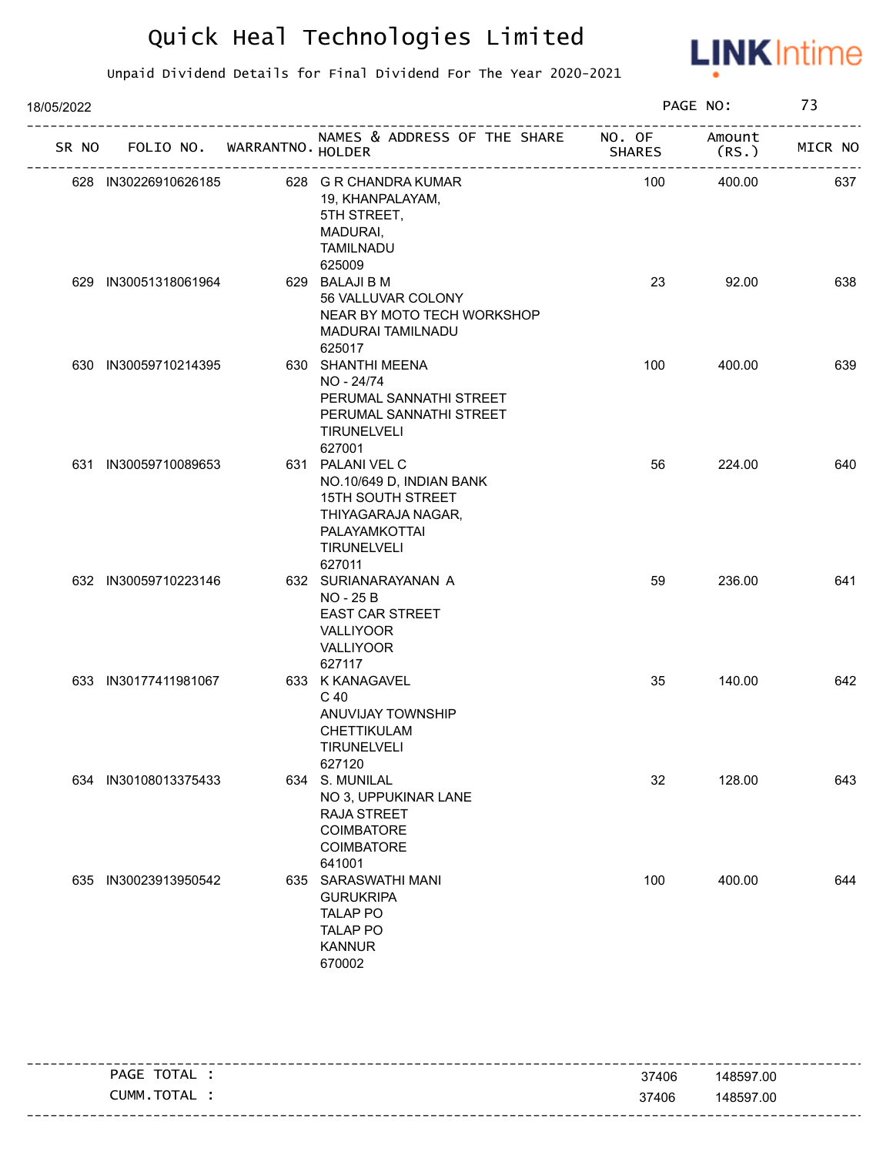

| 18/05/2022 |                      |                                   | PAGE NO:                                                                                                                                        | 73            |                 |         |
|------------|----------------------|-----------------------------------|-------------------------------------------------------------------------------------------------------------------------------------------------|---------------|-----------------|---------|
|            |                      | SR NO FOLIO NO. WARRANTNO. HOLDER | NAMES & ADDRESS OF THE SHARE NO. OF                                                                                                             | <b>SHARES</b> | Amount<br>(RS.) | MICR NO |
|            | 628 IN30226910626185 |                                   | 628 G R CHANDRA KUMAR<br>19, KHANPALAYAM,<br>5TH STREET,<br>MADURAI,<br><b>TAMILNADU</b><br>625009                                              | 100           | 400.00          | 637     |
|            | 629 IN30051318061964 |                                   | 629 BALAJI B M<br>56 VALLUVAR COLONY<br>NEAR BY MOTO TECH WORKSHOP<br><b>MADURAI TAMILNADU</b><br>625017                                        | 23            | 92.00           | 638     |
|            | 630 IN30059710214395 |                                   | 630 SHANTHI MEENA<br>NO - 24/74<br>PERUMAL SANNATHI STREET<br>PERUMAL SANNATHI STREET<br><b>TIRUNELVELI</b><br>627001                           | 100           | 400.00          | 639     |
|            | 631 IN30059710089653 |                                   | 631 PALANI VEL C<br>NO.10/649 D, INDIAN BANK<br><b>15TH SOUTH STREET</b><br>THIYAGARAJA NAGAR,<br>PALAYAMKOTTAI<br><b>TIRUNELVELI</b><br>627011 | 56            | 224.00          | 640     |
|            | 632 IN30059710223146 |                                   | 632 SURIANARAYANAN A<br>NO - 25 B<br><b>EAST CAR STREET</b><br>VALLIYOOR<br>VALLIYOOR<br>627117                                                 | 59            | 236.00          | 641     |
|            | 633 IN30177411981067 |                                   | 633 K KANAGAVEL<br>C 40<br>ANUVIJAY TOWNSHIP<br>CHETTIKULAM<br><b>TIRUNELVELI</b><br>627120                                                     | 35            | 140.00          | 642     |
|            | 634 IN30108013375433 |                                   | 634 S. MUNILAL<br>NO 3, UPPUKINAR LANE<br>RAJA STREET<br><b>COIMBATORE</b><br><b>COIMBATORE</b><br>641001                                       | 32            | 128.00          | 643     |
|            | 635 IN30023913950542 |                                   | 635 SARASWATHI MANI<br><b>GURUKRIPA</b><br><b>TALAP PO</b><br><b>TALAP PO</b><br><b>KANNUR</b><br>670002                                        | 100           | 400.00          | 644     |

| TOTAL<br>PAGE    | 37406 | 148597.00                         |
|------------------|-------|-----------------------------------|
| TOTAL T<br>CUMM. | 37406 | 148597.00                         |
|                  |       | --------------------------------- |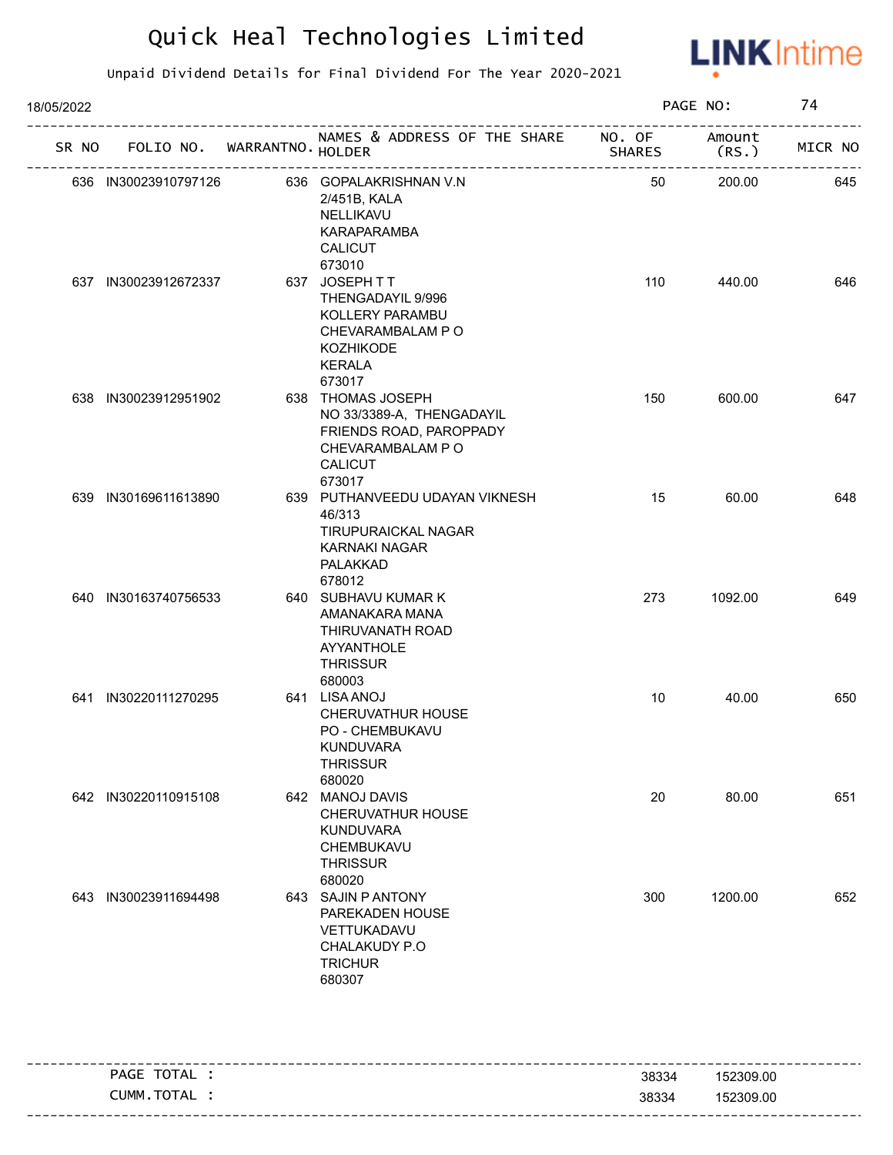

| SR NO |                      | FOLIO NO. WARRANTNO. HOLDER | NAMES & ADDRESS OF THE SHARE NO. OF                                                                                        | SHARES | Amount<br>(RS. ) | MICR NO |
|-------|----------------------|-----------------------------|----------------------------------------------------------------------------------------------------------------------------|--------|------------------|---------|
|       | 636 IN30023910797126 |                             | 636 GOPALAKRISHNAN V.N<br>2/451B, KALA<br>NELLIKAVU<br>KARAPARAMBA<br><b>CALICUT</b><br>673010                             | 50     | 200.00           | 645     |
|       | 637 IN30023912672337 |                             | 637 JOSEPH TT<br>THENGADAYIL 9/996<br>KOLLERY PARAMBU<br>CHEVARAMBALAM PO<br><b>KOZHIKODE</b><br>KERALA<br>673017          | 110    | 440.00           | 646     |
| 638   | IN30023912951902     |                             | 638 THOMAS JOSEPH<br>NO 33/3389-A, THENGADAYIL<br>FRIENDS ROAD, PAROPPADY<br>CHEVARAMBALAM P O<br><b>CALICUT</b><br>673017 | 150    | 600.00           | 647     |
|       | 639 IN30169611613890 |                             | 639 PUTHANVEEDU UDAYAN VIKNESH<br>46/313<br>TIRUPURAICKAL NAGAR<br>KARNAKI NAGAR<br>PALAKKAD<br>678012                     | 15     | 60.00            | 648     |
|       | 640 IN30163740756533 |                             | 640 SUBHAVU KUMAR K<br>AMANAKARA MANA<br>THIRUVANATH ROAD<br>AYYANTHOLE<br><b>THRISSUR</b><br>680003                       | 273    | 1092.00          | 649     |
|       | 641 IN30220111270295 |                             | 641 LISA ANOJ<br><b>CHERUVATHUR HOUSE</b><br>PO - CHEMBUKAVU<br><b>KUNDUVARA</b><br><b>THRISSUR</b><br>680020              | 10     | 40.00            | 650     |
|       | 642 IN30220110915108 |                             | 642 MANOJ DAVIS<br><b>CHERUVATHUR HOUSE</b><br><b>KUNDUVARA</b><br>CHEMBUKAVU<br><b>THRISSUR</b><br>680020                 | 20     | 80.00            | 651     |
|       | 643 IN30023911694498 |                             | 643 SAJIN P ANTONY<br>PAREKADEN HOUSE<br>VETTUKADAVU<br>CHALAKUDY P.O<br><b>TRICHUR</b><br>680307                          | 300    | 1200.00          | 652     |

|         | TOTAL<br>PAGE | 38334 | 152309.00 |
|---------|---------------|-------|-----------|
|         | CUMM.TOTAL    | 38334 | 152309.00 |
| ------- |               |       |           |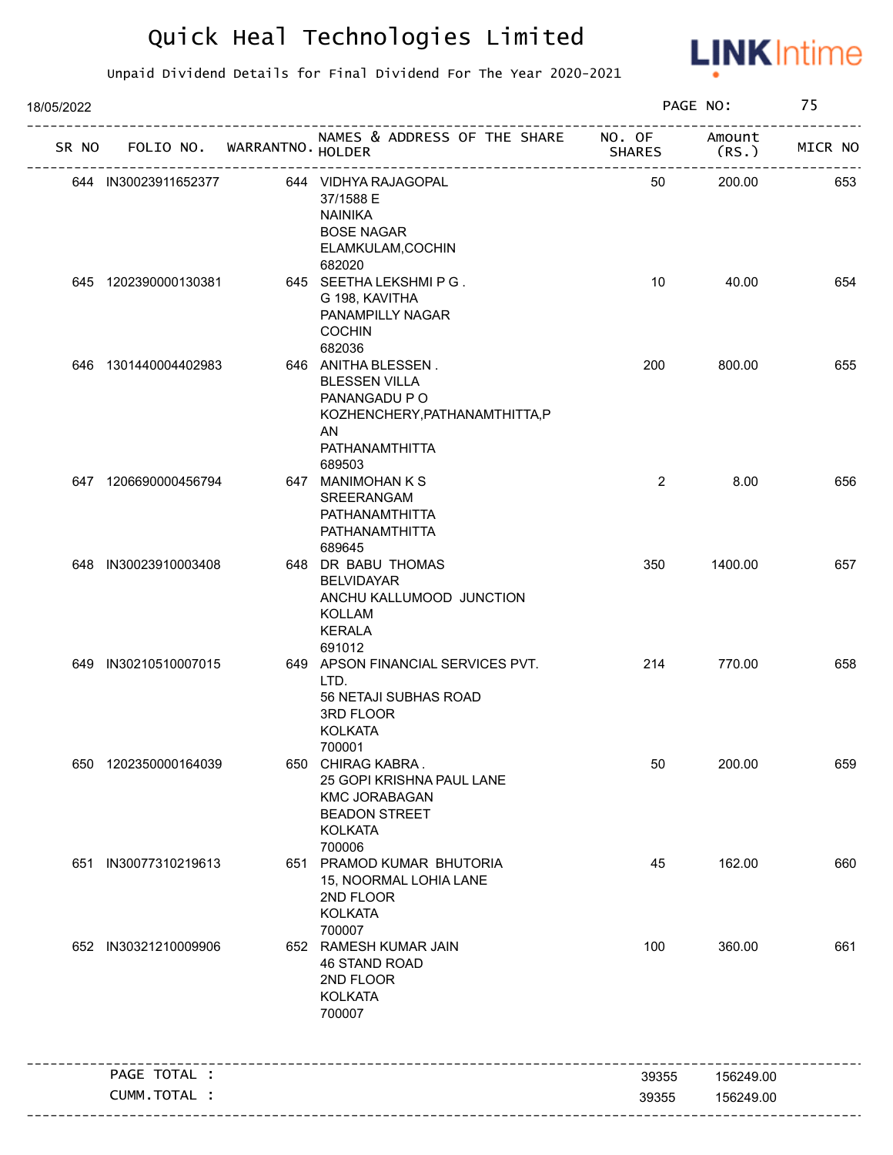

| 18/05/2022 |                                   |                                                                                                                                  |                | PAGE NO:       | 75      |
|------------|-----------------------------------|----------------------------------------------------------------------------------------------------------------------------------|----------------|----------------|---------|
|            | SR NO FOLIO NO. WARRANTNO. HOLDER | NAMES & ADDRESS OF THE SHARE NO. OF<br>SH<br>----------------------------                                                        | <b>SHARES</b>  | Amount<br>(RS. | MICR NO |
|            | 644 IN30023911652377              | 644 VIDHYA RAJAGOPAL<br>37/1588 E<br><b>NAINIKA</b><br><b>BOSE NAGAR</b><br>ELAMKULAM, COCHIN                                    | 50             | 200.00         | 653     |
|            | 645 1202390000130381              | 682020<br>645 SEETHA LEKSHMIPG.<br>G 198, KAVITHA<br>PANAMPILLY NAGAR<br><b>COCHIN</b><br>682036                                 | 10             | 40.00          | 654     |
|            | 646 1301440004402983              | 646 ANITHA BLESSEN.<br><b>BLESSEN VILLA</b><br>PANANGADU P O<br>KOZHENCHERY, PATHANAMTHITTA, P<br>AN<br>PATHANAMTHITTA<br>689503 | 200            | 800.00         | 655     |
|            | 647 1206690000456794              | 647 MANIMOHAN K S<br>SREERANGAM<br>PATHANAMTHITTA<br>PATHANAMTHITTA<br>689645                                                    | $\overline{2}$ | 8.00           | 656     |
|            | 648 IN30023910003408              | 648 DR BABU THOMAS<br><b>BELVIDAYAR</b><br>ANCHU KALLUMOOD JUNCTION<br><b>KOLLAM</b><br><b>KERALA</b><br>691012                  | 350            | 1400.00        | 657     |
|            | 649 IN30210510007015              | 649 APSON FINANCIAL SERVICES PVT.<br>LTD.<br>56 NETAJI SUBHAS ROAD<br>3RD FLOOR<br><b>KOLKATA</b><br>700001                      | 214            | 770.00         | 658     |
|            | 650 1202350000164039              | 650 CHIRAG KABRA.<br>25 GOPI KRISHNA PAUL LANE<br><b>KMC JORABAGAN</b><br><b>BEADON STREET</b><br><b>KOLKATA</b><br>700006       | 50             | 200.00         | 659     |
| 651        | IN30077310219613                  | 651 PRAMOD KUMAR BHUTORIA<br>15, NOORMAL LOHIA LANE<br>2ND FLOOR<br><b>KOLKATA</b><br>700007                                     | 45             | 162.00         | 660     |
|            | 652 IN30321210009906              | 652 RAMESH KUMAR JAIN<br>46 STAND ROAD<br>2ND FLOOR<br><b>KOLKATA</b><br>700007                                                  | 100            | 360.00         | 661     |
|            | PAGE TOTAL :                      |                                                                                                                                  | 39355          | 156249.00      |         |
|            | CUMM.TOTAL :                      |                                                                                                                                  | 39355          | 156249.00      |         |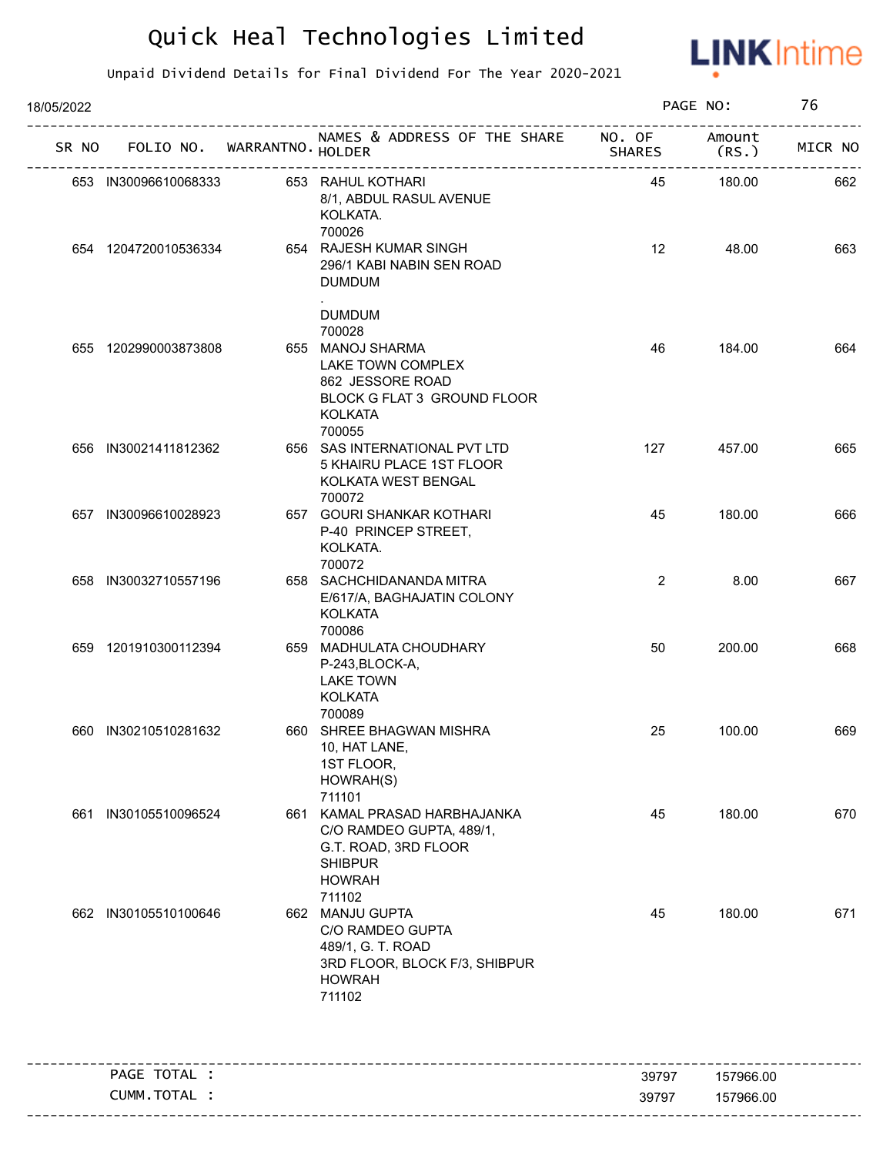

| 18/05/2022 |                      |                             |                                                                                                                                       |                         | PAGE NO:        | 76      |
|------------|----------------------|-----------------------------|---------------------------------------------------------------------------------------------------------------------------------------|-------------------------|-----------------|---------|
| SR NO      |                      | FOLIO NO. WARRANTNO. HOLDER | NAMES & ADDRESS OF THE SHARE                                                                                                          | NO. OF<br><b>SHARES</b> | Amount<br>(RS.) | MICR NO |
|            | 653 IN30096610068333 |                             | 653 RAHUL KOTHARI<br>8/1, ABDUL RASUL AVENUE<br>KOLKATA.<br>700026                                                                    | 45                      | 180.00          | 662     |
|            | 654 1204720010536334 |                             | 654 RAJESH KUMAR SINGH<br>296/1 KABI NABIN SEN ROAD<br><b>DUMDUM</b>                                                                  | 12                      | 48.00           | 663     |
|            | 655 1202990003873808 |                             | <b>DUMDUM</b><br>700028<br>655 MANOJ SHARMA<br>LAKE TOWN COMPLEX<br>862 JESSORE ROAD<br>BLOCK G FLAT 3 GROUND FLOOR<br><b>KOLKATA</b> | 46                      | 184.00          | 664     |
|            | 656 IN30021411812362 |                             | 700055<br>656 SAS INTERNATIONAL PVT LTD<br>5 KHAIRU PLACE 1ST FLOOR<br>KOLKATA WEST BENGAL<br>700072                                  | 127                     | 457.00          | 665     |
|            | 657 IN30096610028923 |                             | 657 GOURI SHANKAR KOTHARI<br>P-40 PRINCEP STREET,<br>KOLKATA.<br>700072                                                               | 45                      | 180.00          | 666     |
|            | 658 IN30032710557196 |                             | 658 SACHCHIDANANDA MITRA<br>E/617/A, BAGHAJATIN COLONY<br><b>KOLKATA</b>                                                              | $\overline{2}$          | 8.00            | 667     |
|            | 659 1201910300112394 |                             | 700086<br>659 MADHULATA CHOUDHARY<br>P-243, BLOCK-A,<br><b>LAKE TOWN</b><br><b>KOLKATA</b><br>700089                                  | 50                      | 200.00          | 668     |
|            | 660 IN30210510281632 |                             | 660 SHREE BHAGWAN MISHRA<br>10, HAT LANE,<br>1ST FLOOR,<br>HOWRAH(S)<br>711101                                                        | 25                      | 100.00          | 669     |
|            | 661 IN30105510096524 |                             | 661 KAMAL PRASAD HARBHAJANKA<br>C/O RAMDEO GUPTA, 489/1,<br>G.T. ROAD, 3RD FLOOR<br><b>SHIBPUR</b><br><b>HOWRAH</b><br>711102         | 45                      | 180.00          | 670     |
|            | 662 IN30105510100646 |                             | 662 MANJU GUPTA<br>C/O RAMDEO GUPTA<br>489/1, G. T. ROAD<br>3RD FLOOR, BLOCK F/3, SHIBPUR<br><b>HOWRAH</b><br>711102                  | 45                      | 180.00          | 671     |
|            | PAGE TOTAL :         |                             |                                                                                                                                       | 39797                   | 157966.00       |         |
|            | CUMM.TOTAL :         |                             |                                                                                                                                       | 39797                   | 157966.00       |         |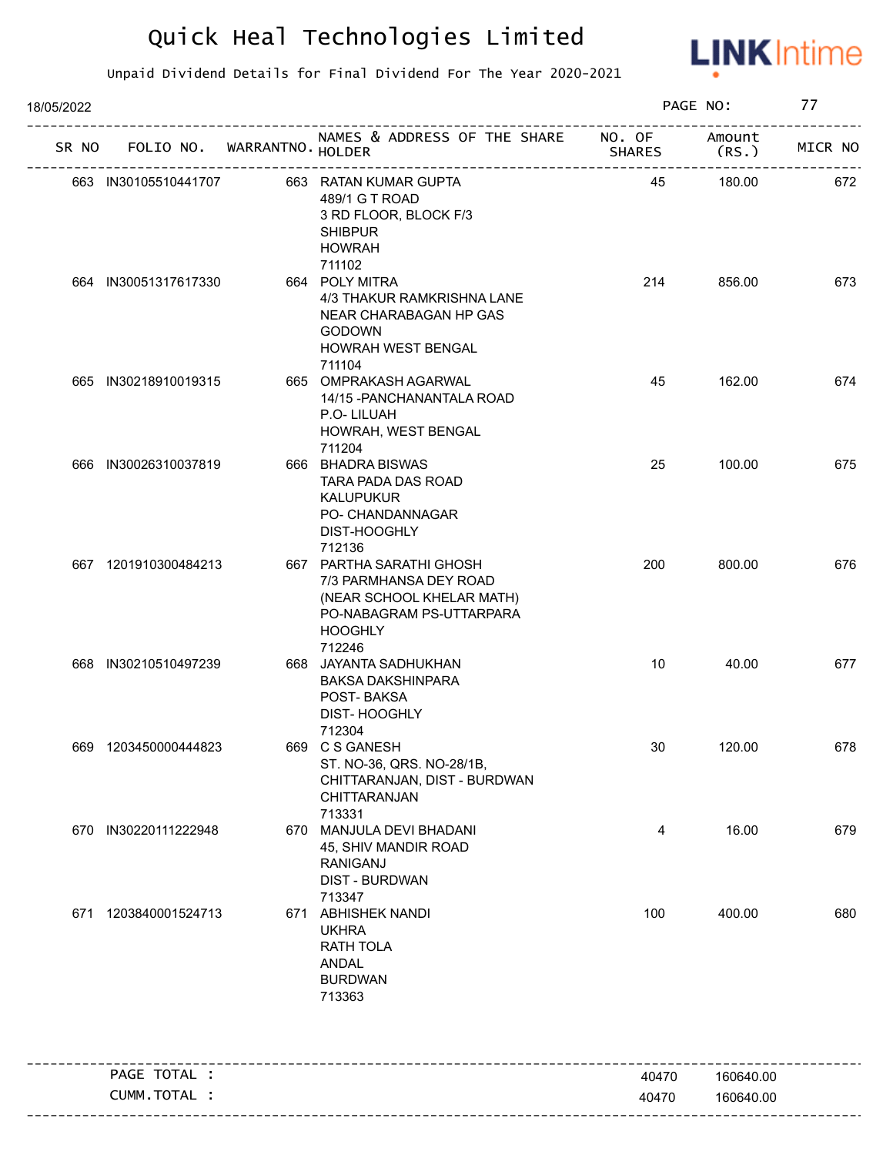

| 18/05/2022 |                      |                                   |                                                                                                                                         |               | PAGE NO:        | 77      |
|------------|----------------------|-----------------------------------|-----------------------------------------------------------------------------------------------------------------------------------------|---------------|-----------------|---------|
|            |                      | SR NO FOLIO NO. WARRANTNO. HOLDER | NAMES & ADDRESS OF THE SHARE NO. OF                                                                                                     | <b>SHARES</b> | Amount<br>(RS.) | MICR NO |
|            | 663 IN30105510441707 |                                   | 663 RATAN KUMAR GUPTA<br>489/1 G T ROAD<br>3 RD FLOOR, BLOCK F/3<br><b>SHIBPUR</b><br><b>HOWRAH</b>                                     | 45            | 180.00          | 672     |
|            | 664 IN30051317617330 |                                   | 711102<br>664 POLY MITRA<br>4/3 THAKUR RAMKRISHNA LANE<br>NEAR CHARABAGAN HP GAS<br><b>GODOWN</b><br>HOWRAH WEST BENGAL<br>711104       | 214           | 856.00          | 673     |
|            | 665 IN30218910019315 |                                   | 665 OMPRAKASH AGARWAL<br>14/15 - PANCHANANTALA ROAD<br>P.O-LILUAH<br>HOWRAH, WEST BENGAL<br>711204                                      | 45            | 162.00          | 674     |
|            | 666 IN30026310037819 |                                   | 666 BHADRA BISWAS<br>TARA PADA DAS ROAD<br><b>KALUPUKUR</b><br>PO- CHANDANNAGAR<br>DIST-HOOGHLY<br>712136                               | 25            | 100.00          | 675     |
|            | 667 1201910300484213 |                                   | 667 PARTHA SARATHI GHOSH<br>7/3 PARMHANSA DEY ROAD<br>(NEAR SCHOOL KHELAR MATH)<br>PO-NABAGRAM PS-UTTARPARA<br><b>HOOGHLY</b><br>712246 | 200           | 800.00          | 676     |
|            | 668 IN30210510497239 |                                   | 668 JAYANTA SADHUKHAN<br><b>BAKSA DAKSHINPARA</b><br>POST-BAKSA<br>DIST-HOOGHLY<br>712304                                               | 10            | 40.00           | 677     |
|            | 669 1203450000444823 |                                   | 669 C S GANESH<br>ST. NO-36, QRS. NO-28/1B,<br>CHITTARANJAN, DIST - BURDWAN<br>CHITTARANJAN<br>713331                                   | 30            | 120.00          | 678     |
|            | 670 IN30220111222948 |                                   | 670 MANJULA DEVI BHADANI<br>45, SHIV MANDIR ROAD<br><b>RANIGANJ</b><br><b>DIST - BURDWAN</b><br>713347                                  | 4             | 16.00           | 679     |
| 671        | 1203840001524713     |                                   | 671 ABHISHEK NANDI<br><b>UKHRA</b><br>RATH TOLA<br>ANDAL<br><b>BURDWAN</b><br>713363                                                    | 100           | 400.00          | 680     |
|            | PAGE TOTAL :         |                                   |                                                                                                                                         | 40470         | 160640.00       |         |
|            | CUMM.TOTAL :         |                                   |                                                                                                                                         | 40470         | 160640.00       |         |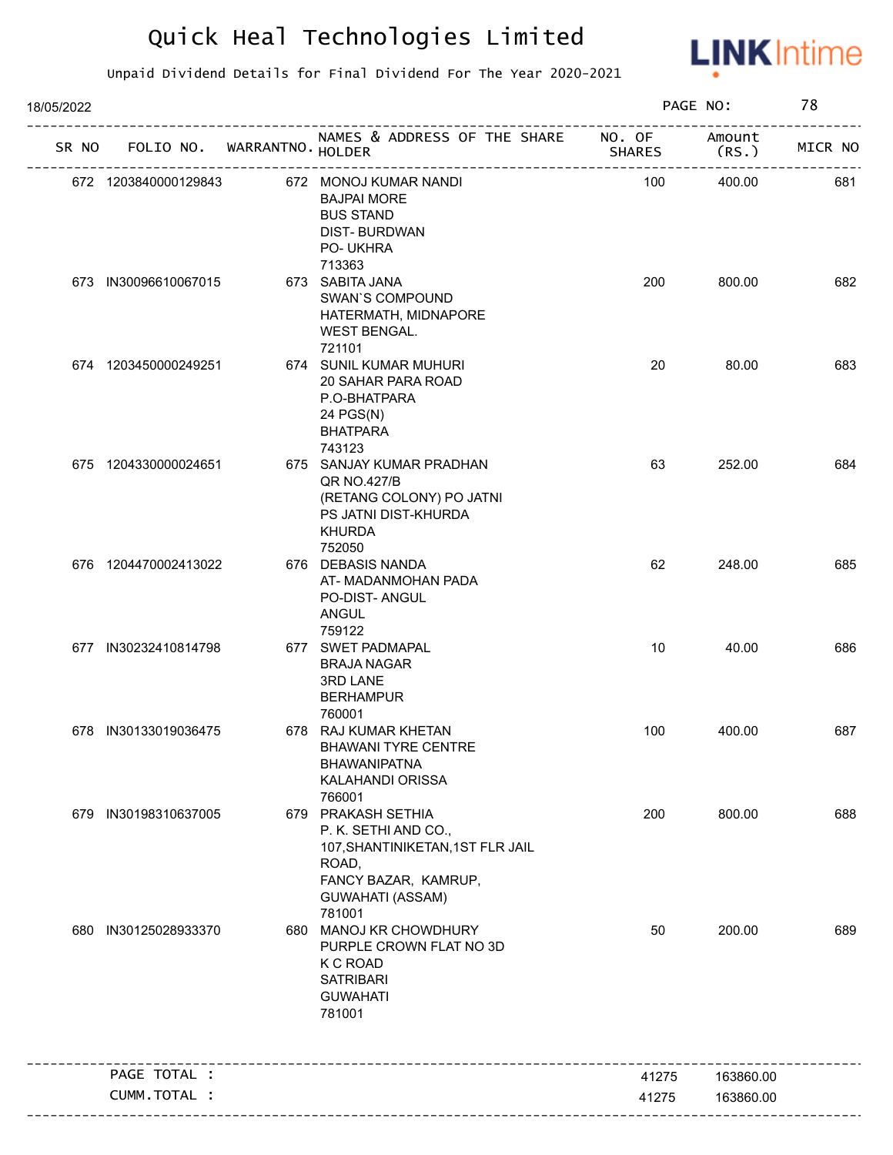

| 18/05/2022 |                                   |                                                                                                                                                      |       | PAGE NO:  | 78      |
|------------|-----------------------------------|------------------------------------------------------------------------------------------------------------------------------------------------------|-------|-----------|---------|
|            | SR NO FOLIO NO. WARRANTNO. HOLDER | NAMES & ADDRESS OF THE SHARE NO. OF                                                                                                                  |       | Amount    | MICR NO |
|            | 672 1203840000129843              | 672 MONOJ KUMAR NANDI<br><b>BAJPAI MORE</b><br><b>BUS STAND</b><br><b>DIST-BURDWAN</b><br>PO- UKHRA<br>713363                                        | 100   | 400.00    | 681     |
|            | 673 IN30096610067015              | 673 SABITA JANA<br><b>SWAN'S COMPOUND</b><br>HATERMATH, MIDNAPORE<br><b>WEST BENGAL.</b><br>721101                                                   | 200   | 800.00    | 682     |
|            | 674 1203450000249251              | 674 SUNIL KUMAR MUHURI<br>20 SAHAR PARA ROAD<br>P.O-BHATPARA<br>24 PGS(N)<br><b>BHATPARA</b><br>743123                                               | 20    | 80.00     | 683     |
|            | 675 1204330000024651              | 675 SANJAY KUMAR PRADHAN<br>QR NO.427/B<br>(RETANG COLONY) PO JATNI<br>PS JATNI DIST-KHURDA<br><b>KHURDA</b><br>752050                               | 63    | 252.00    | 684     |
|            | 676 1204470002413022              | 676 DEBASIS NANDA<br>AT- MADANMOHAN PADA<br>PO-DIST- ANGUL<br>ANGUL<br>759122                                                                        | 62    | 248.00    | 685     |
|            | 677 IN30232410814798              | 677 SWET PADMAPAL<br><b>BRAJA NAGAR</b><br><b>3RD LANE</b><br><b>BERHAMPUR</b><br>760001                                                             | 10    | 40.00     | 686     |
|            | 678 IN30133019036475              | 678 RAJ KUMAR KHETAN<br><b>BHAWANI TYRE CENTRE</b><br><b>BHAWANIPATNA</b><br>KALAHANDI ORISSA<br>766001                                              | 100   | 400.00    | 687     |
|            | 679 IN30198310637005              | 679 PRAKASH SETHIA<br>P. K. SETHI AND CO.,<br>107, SHANTINIKETAN, 1ST FLR JAIL<br>ROAD,<br>FANCY BAZAR, KAMRUP,<br><b>GUWAHATI (ASSAM)</b><br>781001 | 200   | 800.00    | 688     |
|            | 680 IN30125028933370              | 680 MANOJ KR CHOWDHURY<br>PURPLE CROWN FLAT NO 3D<br>K C ROAD<br><b>SATRIBARI</b><br><b>GUWAHATI</b><br>781001                                       | 50    | 200.00    | 689     |
|            | PAGE TOTAL :                      |                                                                                                                                                      | 41275 | 163860.00 |         |
|            | CUMM.TOTAL :                      |                                                                                                                                                      | 41275 | 163860.00 |         |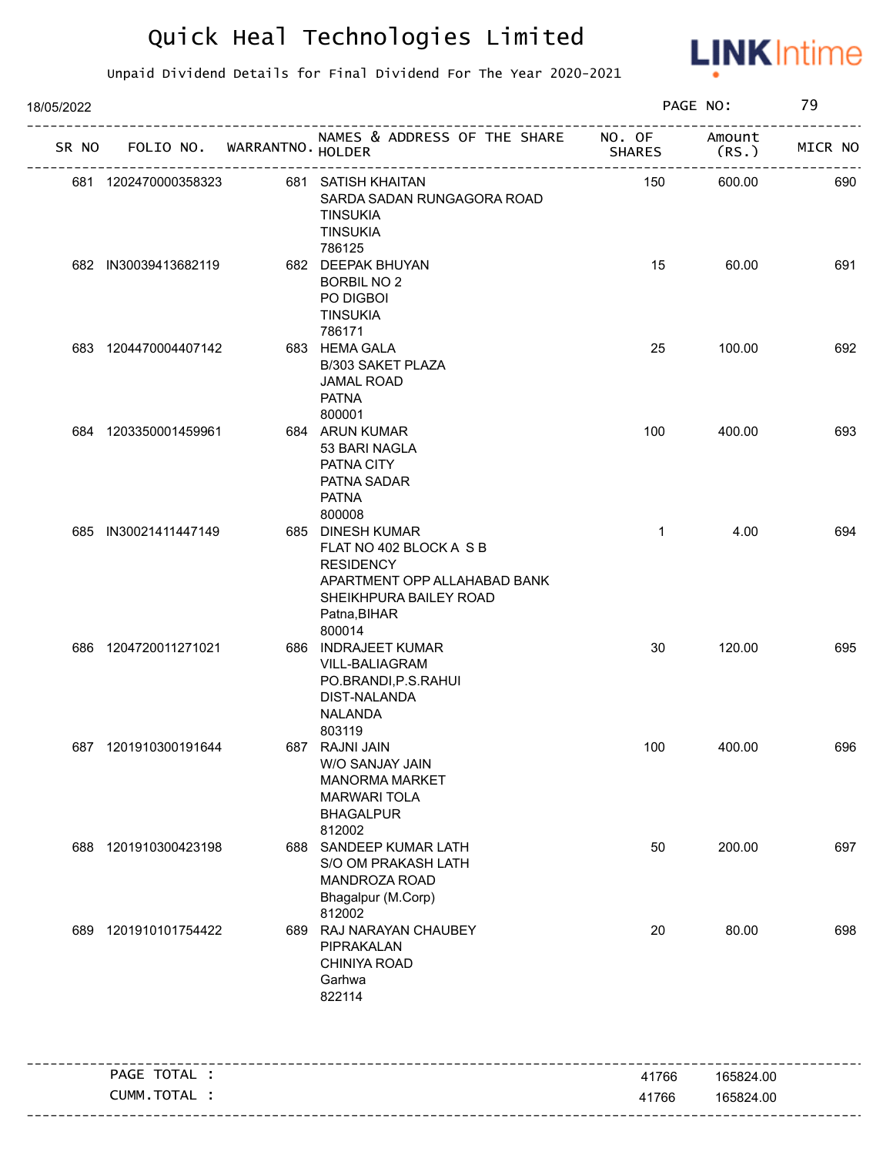

| 18/05/2022 |                             |  | PAGE NO:                                                                                                                                            | 79                      |                 |         |
|------------|-----------------------------|--|-----------------------------------------------------------------------------------------------------------------------------------------------------|-------------------------|-----------------|---------|
| SR NO      | FOLIO NO. WARRANTNO. HOLDER |  | NAMES & ADDRESS OF THE SHARE                                                                                                                        | NO. OF<br><b>SHARES</b> | Amount<br>(RS.) | MICR NO |
|            | 681 1202470000358323        |  | 681 SATISH KHAITAN<br>SARDA SADAN RUNGAGORA ROAD<br><b>TINSUKIA</b><br><b>TINSUKIA</b><br>786125                                                    | 150                     | 600.00          | 690     |
|            | 682 IN30039413682119        |  | 682 DEEPAK BHUYAN<br><b>BORBIL NO 2</b><br>PO DIGBOI<br><b>TINSUKIA</b><br>786171                                                                   | 15                      | 60.00           | 691     |
|            | 683 1204470004407142        |  | 683 HEMA GALA<br>B/303 SAKET PLAZA<br><b>JAMAL ROAD</b><br><b>PATNA</b><br>800001                                                                   | 25                      | 100.00          | 692     |
|            | 684 1203350001459961        |  | 684 ARUN KUMAR<br>53 BARI NAGLA<br>PATNA CITY<br>PATNA SADAR<br><b>PATNA</b><br>800008                                                              | 100                     | 400.00          | 693     |
|            | 685 IN30021411447149        |  | 685 DINESH KUMAR<br>FLAT NO 402 BLOCK A S B<br><b>RESIDENCY</b><br>APARTMENT OPP ALLAHABAD BANK<br>SHEIKHPURA BAILEY ROAD<br>Patna, BIHAR<br>800014 | $\mathbf{1}$            | 4.00            | 694     |
|            | 686 1204720011271021        |  | 686 INDRAJEET KUMAR<br>VILL-BALIAGRAM<br>PO.BRANDI, P.S.RAHUI<br>DIST-NALANDA<br>NALANDA<br>803119                                                  | 30                      | 120.00          | 695     |
|            | 687 1201910300191644        |  | 687 RAJNI JAIN<br>W/O SANJAY JAIN<br><b>MANORMA MARKET</b><br><b>MARWARI TOLA</b><br><b>BHAGALPUR</b><br>812002                                     | 100                     | 400.00          | 696     |
|            | 688 1201910300423198        |  | 688 SANDEEP KUMAR LATH<br>S/O OM PRAKASH LATH<br>MANDROZA ROAD<br>Bhagalpur (M.Corp)<br>812002                                                      | 50                      | 200.00          | 697     |
| 689        | 1201910101754422            |  | 689 RAJ NARAYAN CHAUBEY<br>PIPRAKALAN<br>CHINIYA ROAD<br>Garhwa<br>822114                                                                           | 20                      | 80.00           | 698     |
|            | PAGE TOTAL :                |  |                                                                                                                                                     | 41766                   | 165824.00       |         |
|            | CUMM.TOTAL :                |  |                                                                                                                                                     | 41766                   | 165824.00       |         |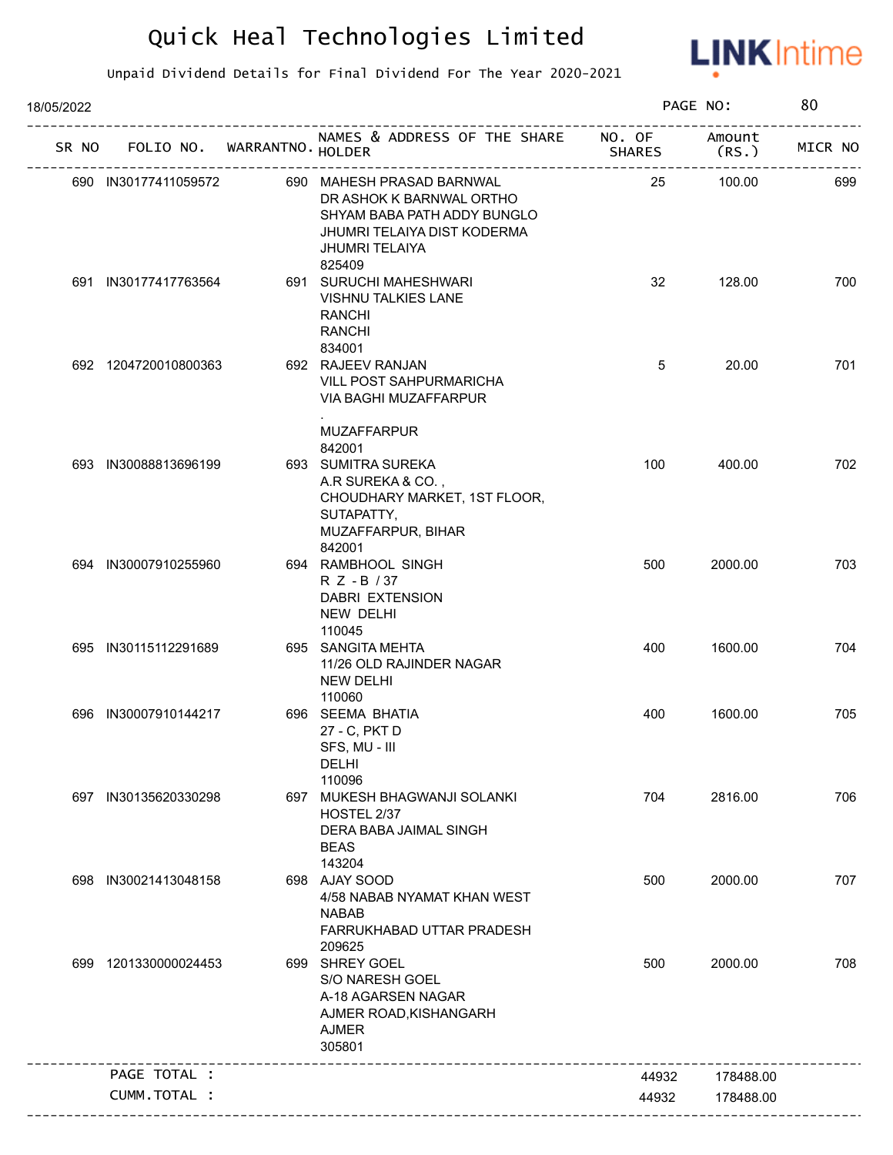

| 18/05/2022 |                                   |                                                                                                                                                        |        | PAGE NO:        | 80      |
|------------|-----------------------------------|--------------------------------------------------------------------------------------------------------------------------------------------------------|--------|-----------------|---------|
|            | SR NO FOLIO NO. WARRANTNO. HOLDER | NAMES & ADDRESS OF THE SHARE NO. OF                                                                                                                    | SHARES | Amount<br>(RS.) | MICR NO |
|            | 690 IN30177411059572              | 690 MAHESH PRASAD BARNWAL<br>DR ASHOK K BARNWAL ORTHO<br>SHYAM BABA PATH ADDY BUNGLO<br>JHUMRI TELAIYA DIST KODERMA<br><b>JHUMRI TELAIYA</b><br>825409 | 25     | 100.00          | 699     |
|            | 691 IN30177417763564              | 691 SURUCHI MAHESHWARI<br><b>VISHNU TALKIES LANE</b><br><b>RANCHI</b><br><b>RANCHI</b><br>834001                                                       | 32     | 128.00          | 700     |
|            | 692 1204720010800363              | 692 RAJEEV RANJAN<br>VILL POST SAHPURMARICHA<br><b>VIA BAGHI MUZAFFARPUR</b>                                                                           | 5      | 20.00           | 701     |
|            | 693 IN30088813696199              | <b>MUZAFFARPUR</b><br>842001<br>693 SUMITRA SUREKA<br>A.R SUREKA & CO.,<br>CHOUDHARY MARKET, 1ST FLOOR,<br>SUTAPATTY,<br>MUZAFFARPUR, BIHAR            | 100    | 400.00          | 702     |
|            | 694 IN30007910255960              | 842001<br>694 RAMBHOOL SINGH<br>R Z - B / 37<br>DABRI EXTENSION<br>NEW DELHI<br>110045                                                                 | 500    | 2000.00         | 703     |
|            | 695 IN30115112291689              | 695 SANGITA MEHTA<br>11/26 OLD RAJINDER NAGAR<br><b>NEW DELHI</b><br>110060                                                                            | 400    | 1600.00         | 704     |
|            | 696 IN30007910144217              | 696 SEEMA BHATIA<br>27 - C, PKT D<br>SFS, MU - III<br>DELHI<br>110096                                                                                  | 400    | 1600.00         | 705     |
|            | 697 IN30135620330298              | 697 MUKESH BHAGWANJI SOLANKI<br>HOSTEL 2/37<br>DERA BABA JAIMAL SINGH<br><b>BEAS</b><br>143204                                                         | 704    | 2816.00         | 706     |
|            | 698 IN30021413048158              | 698 AJAY SOOD<br>4/58 NABAB NYAMAT KHAN WEST<br><b>NABAB</b><br>FARRUKHABAD UTTAR PRADESH<br>209625                                                    | 500    | 2000.00         | 707     |
|            | 699 1201330000024453              | 699 SHREY GOEL<br>S/O NARESH GOEL<br>A-18 AGARSEN NAGAR<br>AJMER ROAD, KISHANGARH<br><b>AJMER</b><br>305801                                            | 500    | 2000.00         | 708     |
|            | PAGE TOTAL :                      |                                                                                                                                                        | 44932  | 178488.00       |         |
|            | CUMM.TOTAL :                      |                                                                                                                                                        | 44932  | 178488.00       |         |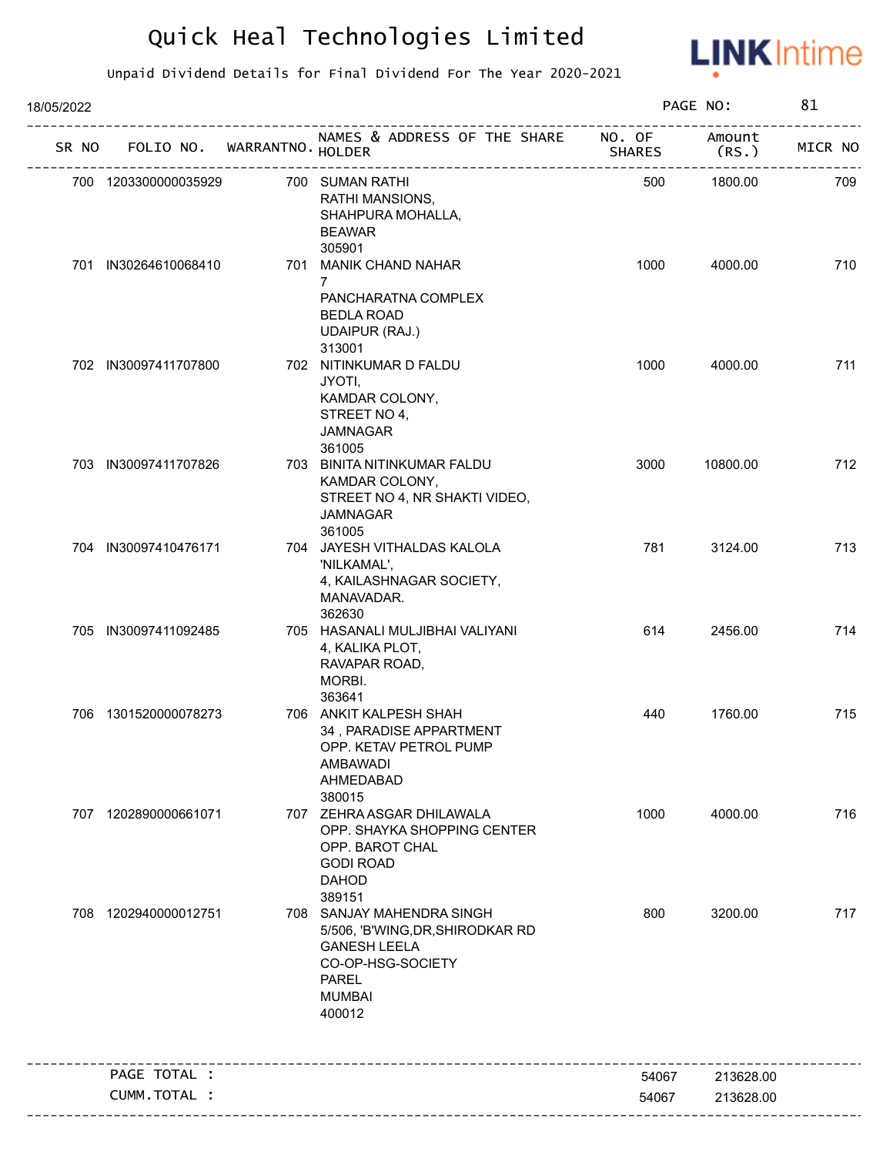

| 18/05/2022 |                      |                             |                                                                                                                                                      |                         | PAGE NO:        | 81      |
|------------|----------------------|-----------------------------|------------------------------------------------------------------------------------------------------------------------------------------------------|-------------------------|-----------------|---------|
| SR NO      |                      | FOLIO NO. WARRANTNO. HOLDER | NAMES & ADDRESS OF THE SHARE                                                                                                                         | NO. OF<br><b>SHARES</b> | Amount<br>(RS.) | MICR NO |
|            | 700 1203300000035929 |                             | 700 SUMAN RATHI<br>RATHI MANSIONS,<br>SHAHPURA MOHALLA,<br><b>BEAWAR</b><br>305901                                                                   | 500                     | 1800.00         | 709     |
|            | 701 IN30264610068410 |                             | 701 MANIK CHAND NAHAR<br>7<br>PANCHARATNA COMPLEX<br><b>BEDLA ROAD</b><br><b>UDAIPUR (RAJ.)</b>                                                      | 1000                    | 4000.00         | 710     |
|            | 702 IN30097411707800 |                             | 313001<br>702 NITINKUMAR D FALDU<br>JYOTI,<br>KAMDAR COLONY,<br>STREET NO 4,<br><b>JAMNAGAR</b><br>361005                                            | 1000                    | 4000.00         | 711     |
|            | 703 IN30097411707826 |                             | 703 BINITA NITINKUMAR FALDU<br>KAMDAR COLONY,<br>STREET NO 4, NR SHAKTI VIDEO,<br><b>JAMNAGAR</b><br>361005                                          | 3000                    | 10800.00        | 712     |
|            | 704 IN30097410476171 |                             | 704 JAYESH VITHALDAS KALOLA<br>'NILKAMAL',<br>4, KAILASHNAGAR SOCIETY,<br>MANAVADAR.<br>362630                                                       | 781                     | 3124.00         | 713     |
|            | 705 IN30097411092485 |                             | 705 HASANALI MULJIBHAI VALIYANI<br>4, KALIKA PLOT,<br>RAVAPAR ROAD,<br>MORBI.<br>363641                                                              | 614                     | 2456.00         | 714     |
|            | 706 1301520000078273 |                             | 706 ANKIT KALPESH SHAH<br>34, PARADISE APPARTMENT<br>OPP. KETAV PETROL PUMP<br>AMBAWADI<br>AHMEDABAD<br>380015                                       | 440                     | 1760.00         | 715     |
|            | 707 1202890000661071 |                             | 707 ZEHRA ASGAR DHILAWALA<br>OPP. SHAYKA SHOPPING CENTER<br>OPP. BAROT CHAL<br><b>GODI ROAD</b><br><b>DAHOD</b><br>389151                            | 1000                    | 4000.00         | 716     |
|            | 708 1202940000012751 |                             | 708 SANJAY MAHENDRA SINGH<br>5/506, 'B'WING, DR, SHIRODKAR RD<br><b>GANESH LEELA</b><br>CO-OP-HSG-SOCIETY<br><b>PAREL</b><br><b>MUMBAI</b><br>400012 | 800                     | 3200.00         | 717     |
|            | PAGE TOTAL :         |                             |                                                                                                                                                      | 54067                   | 213628.00       |         |
|            | CUMM.TOTAL :         |                             |                                                                                                                                                      | 54067                   | 213628.00       |         |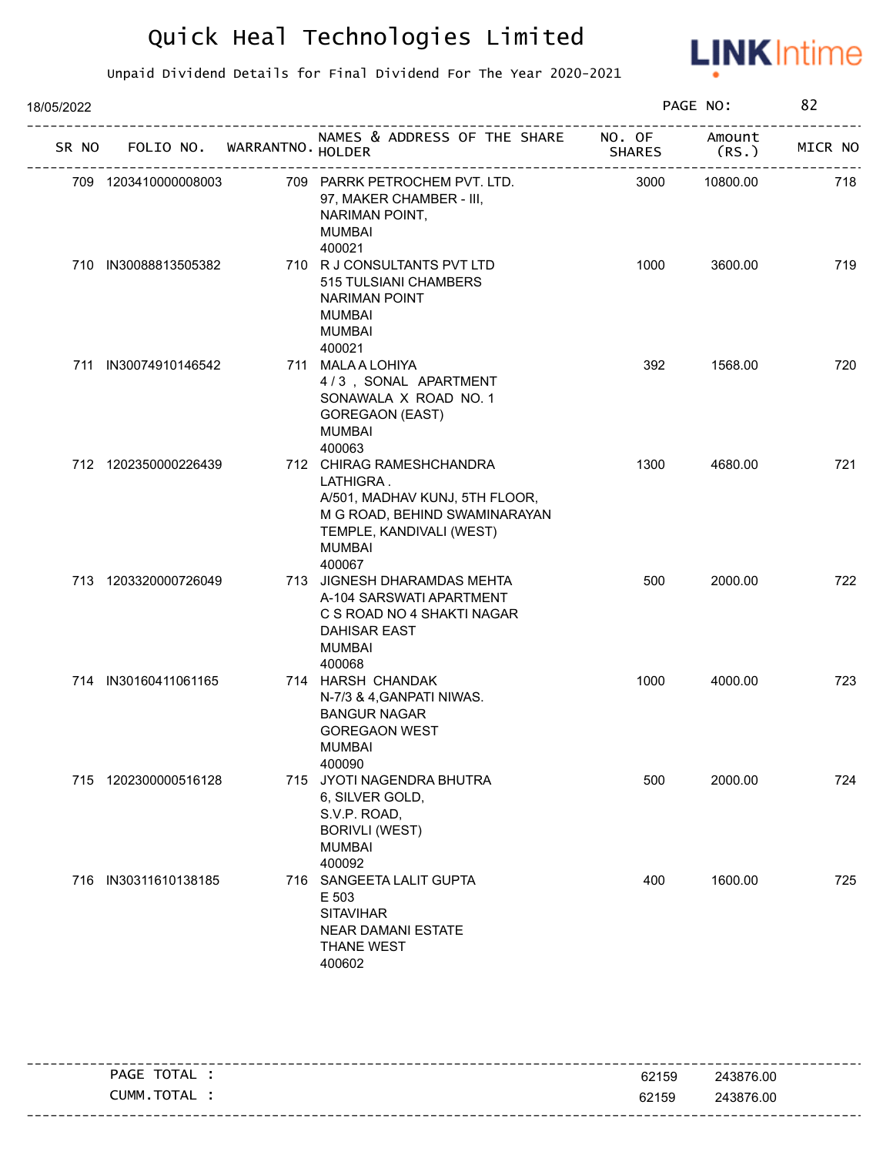

| 18/05/2022 |       |                      |  |                             | PAGE NO:                                                                                                                                                        |                         |                 |         |
|------------|-------|----------------------|--|-----------------------------|-----------------------------------------------------------------------------------------------------------------------------------------------------------------|-------------------------|-----------------|---------|
|            | SR NO |                      |  | FOLIO NO. WARRANTNO. HOLDER | NAMES & ADDRESS OF THE SHARE                                                                                                                                    | NO. OF<br><b>SHARES</b> | Amount<br>(RS.) | MICR NO |
|            |       | 709 1203410000008003 |  |                             | 709 PARRK PETROCHEM PVT. LTD.<br>97, MAKER CHAMBER - III,<br>NARIMAN POINT,<br><b>MUMBAI</b><br>400021                                                          | 3000                    | 10800.00        | 718     |
|            |       | 710 IN30088813505382 |  |                             | 710 R J CONSULTANTS PVT LTD<br>515 TULSIANI CHAMBERS<br><b>NARIMAN POINT</b><br><b>MUMBAI</b><br><b>MUMBAI</b><br>400021                                        | 1000                    | 3600.00         | 719     |
|            |       | 711 IN30074910146542 |  |                             | 711 MALA A LOHIYA<br>4/3, SONAL APARTMENT<br>SONAWALA X ROAD NO. 1<br><b>GOREGAON (EAST)</b><br><b>MUMBAI</b><br>400063                                         | 392                     | 1568.00         | 720     |
|            |       | 712 1202350000226439 |  |                             | 712 CHIRAG RAMESHCHANDRA<br>LATHIGRA.<br>A/501, MADHAV KUNJ, 5TH FLOOR,<br>M G ROAD, BEHIND SWAMINARAYAN<br>TEMPLE, KANDIVALI (WEST)<br><b>MUMBAI</b><br>400067 | 1300                    | 4680.00         | 721     |
|            |       | 713 1203320000726049 |  |                             | 713 JIGNESH DHARAMDAS MEHTA<br>A-104 SARSWATI APARTMENT<br>C S ROAD NO 4 SHAKTI NAGAR<br><b>DAHISAR EAST</b><br><b>MUMBAI</b><br>400068                         | 500                     | 2000.00         | 722     |
|            |       | 714 IN30160411061165 |  |                             | 714 HARSH CHANDAK<br>N-7/3 & 4, GANPATI NIWAS.<br><b>BANGUR NAGAR</b><br><b>GOREGAON WEST</b><br><b>MUMBAI</b><br>400090                                        | 1000                    | 4000.00         | 723     |
|            |       | 715 1202300000516128 |  |                             | 715 JYOTI NAGENDRA BHUTRA<br>6, SILVER GOLD,<br>S.V.P. ROAD,<br><b>BORIVLI (WEST)</b><br><b>MUMBAI</b><br>400092                                                | 500                     | 2000.00         | 724     |
|            |       | 716 IN30311610138185 |  |                             | 716 SANGEETA LALIT GUPTA<br>E 503<br><b>SITAVIHAR</b><br><b>NEAR DAMANI ESTATE</b><br><b>THANE WEST</b><br>400602                                               | 400                     | 1600.00         | 725     |

|                |       | -----------------------           |
|----------------|-------|-----------------------------------|
| TOTAL<br>PAGE  | 62159 | 243876.00                         |
| TOTAL<br>CUMM. | 62159 | 243876.00                         |
|                |       | --------------------------------- |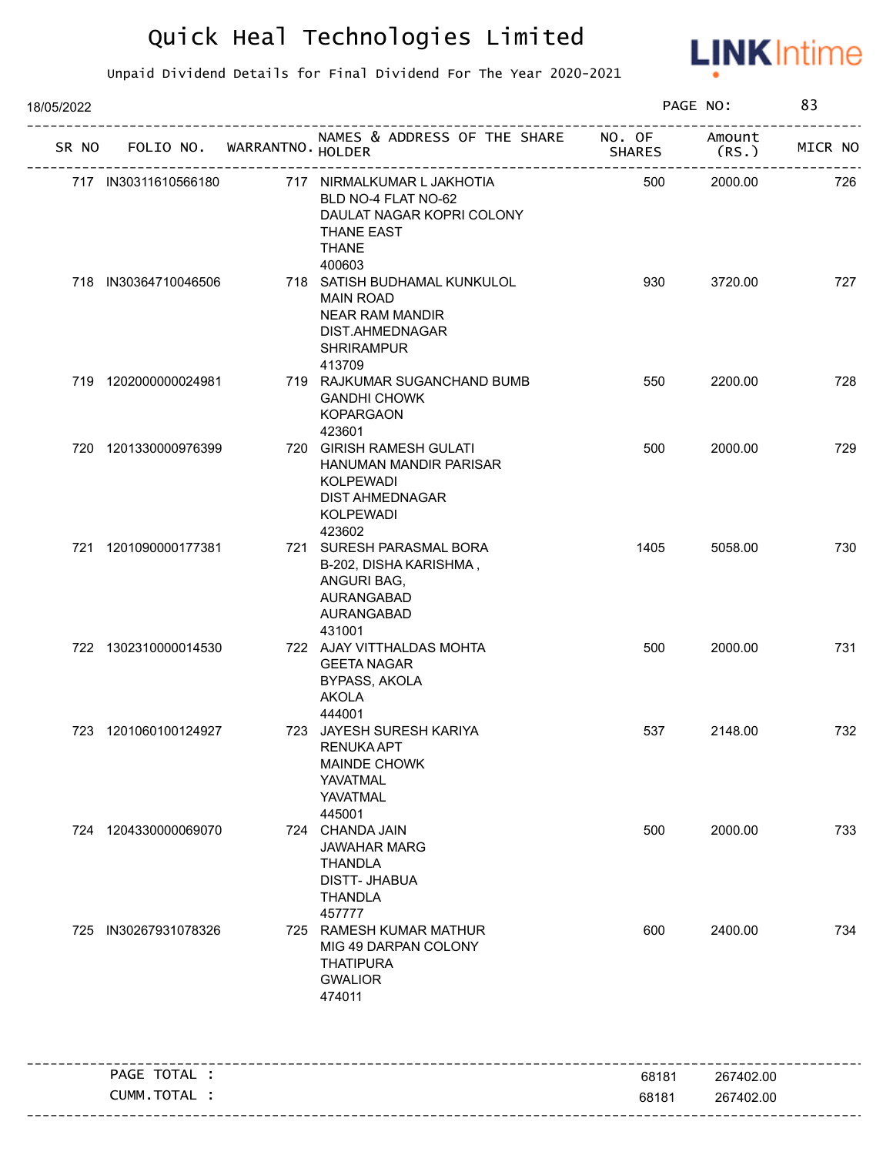

| 18/05/2022 |                             |                                                                                                                                |               | PAGE NO:        | 83      |
|------------|-----------------------------|--------------------------------------------------------------------------------------------------------------------------------|---------------|-----------------|---------|
| SR NO      | FOLIO NO. WARRANTNO. HOLDER | NAMES & ADDRESS OF THE SHARE NO. OF                                                                                            | <b>SHARES</b> | Amount<br>(RS.) | MICR NO |
|            | 717 IN30311610566180        | 717 NIRMALKUMAR L JAKHOTIA<br>BLD NO-4 FLAT NO-62<br>DAULAT NAGAR KOPRI COLONY<br><b>THANE EAST</b><br><b>THANE</b><br>400603  | 500           | 2000.00         | 726     |
|            | 718 IN30364710046506        | 718 SATISH BUDHAMAL KUNKULOL<br><b>MAIN ROAD</b><br><b>NEAR RAM MANDIR</b><br>DIST.AHMEDNAGAR<br><b>SHRIRAMPUR</b><br>413709   | 930           | 3720.00         | 727     |
|            | 719 1202000000024981        | 719 RAJKUMAR SUGANCHAND BUMB<br><b>GANDHI CHOWK</b><br><b>KOPARGAON</b><br>423601                                              | 550           | 2200.00         | 728     |
|            | 720 1201330000976399        | 720 GIRISH RAMESH GULATI<br>HANUMAN MANDIR PARISAR<br><b>KOLPEWADI</b><br><b>DIST AHMEDNAGAR</b><br><b>KOLPEWADI</b><br>423602 | 500           | 2000.00         | 729     |
|            | 721 1201090000177381        | 721 SURESH PARASMAL BORA<br>B-202, DISHA KARISHMA,<br>ANGURI BAG,<br>AURANGABAD<br>AURANGABAD<br>431001                        | 1405          | 5058.00         | 730     |
|            | 722 1302310000014530        | 722 AJAY VITTHALDAS MOHTA<br><b>GEETA NAGAR</b><br>BYPASS, AKOLA<br><b>AKOLA</b><br>444001                                     | 500           | 2000.00         | 731     |
|            | 723 1201060100124927        | 723 JAYESH SURESH KARIYA<br><b>RENUKA APT</b><br><b>MAINDE CHOWK</b><br>YAVATMAL<br>YAVATMAL<br>445001                         | 537           | 2148.00         | 732     |
|            | 724 1204330000069070        | 724 CHANDA JAIN<br><b>JAWAHAR MARG</b><br><b>THANDLA</b><br><b>DISTT-JHABUA</b><br><b>THANDLA</b><br>457777                    | 500           | 2000.00         | 733     |
|            | 725 IN30267931078326        | 725 RAMESH KUMAR MATHUR<br>MIG 49 DARPAN COLONY<br><b>THATIPURA</b><br><b>GWALIOR</b><br>474011                                | 600           | 2400.00         | 734     |
|            | PAGE TOTAL :                |                                                                                                                                | 68181         | 267402.00       |         |
|            | CUMM.TOTAL :                |                                                                                                                                | 68181         | 267402.00       |         |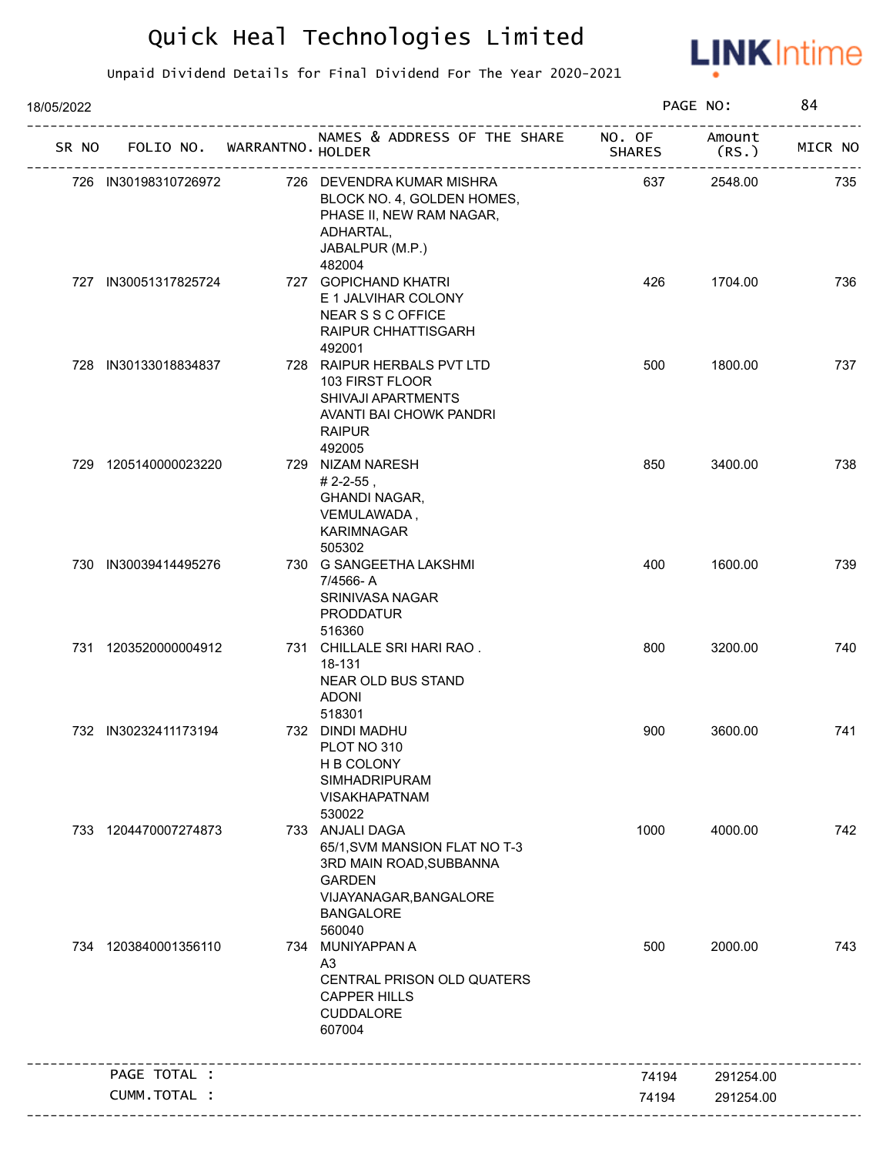

| 18/05/2022 |                      |                             |                                                                                                                                                      |                         | PAGE NO:        | 84      |
|------------|----------------------|-----------------------------|------------------------------------------------------------------------------------------------------------------------------------------------------|-------------------------|-----------------|---------|
| SR NO      |                      | FOLIO NO. WARRANTNO. HOLDER | NAMES & ADDRESS OF THE SHARE<br>-------------------------                                                                                            | NO. OF<br><b>SHARES</b> | Amount<br>(RS.) | MICR NO |
|            | 726 IN30198310726972 |                             | 726 DEVENDRA KUMAR MISHRA<br>BLOCK NO. 4, GOLDEN HOMES,<br>PHASE II, NEW RAM NAGAR,<br>ADHARTAL,<br>JABALPUR (M.P.)                                  | 637                     | 2548.00         | 735     |
|            | 727 IN30051317825724 |                             | 482004<br>727 GOPICHAND KHATRI<br>E 1 JALVIHAR COLONY<br><b>NEAR S S C OFFICE</b><br>RAIPUR CHHATTISGARH<br>492001                                   | 426                     | 1704.00         | 736     |
|            | 728 IN30133018834837 |                             | 728 RAIPUR HERBALS PVT LTD<br>103 FIRST FLOOR<br>SHIVAJI APARTMENTS<br>AVANTI BAI CHOWK PANDRI<br><b>RAIPUR</b><br>492005                            | 500                     | 1800.00         | 737     |
|            | 729 1205140000023220 |                             | 729 NIZAM NARESH<br>$# 2 - 2 - 55$ ,<br><b>GHANDI NAGAR,</b><br>VEMULAWADA,<br>KARIMNAGAR<br>505302                                                  | 850                     | 3400.00         | 738     |
|            | 730 IN30039414495276 |                             | 730 G SANGEETHA LAKSHMI<br>7/4566-A<br>SRINIVASA NAGAR<br><b>PRODDATUR</b><br>516360                                                                 | 400                     | 1600.00         | 739     |
|            | 731 1203520000004912 |                             | 731 CHILLALE SRI HARI RAO.<br>18-131<br>NEAR OLD BUS STAND<br><b>ADONI</b><br>518301                                                                 | 800                     | 3200.00         | 740     |
|            | 732 IN30232411173194 |                             | 732 DINDI MADHU<br>PLOT NO 310<br>H B COLONY<br>SIMHADRIPURAM<br><b>VISAKHAPATNAM</b><br>530022                                                      | 900                     | 3600.00         | 741     |
|            | 733 1204470007274873 |                             | 733 ANJALI DAGA<br>65/1, SVM MANSION FLAT NO T-3<br>3RD MAIN ROAD, SUBBANNA<br><b>GARDEN</b><br>VIJAYANAGAR, BANGALORE<br><b>BANGALORE</b><br>560040 | 1000                    | 4000.00         | 742     |
| 734        | 1203840001356110     |                             | 734 MUNIYAPPAN A<br>A <sub>3</sub><br>CENTRAL PRISON OLD QUATERS<br><b>CAPPER HILLS</b><br>CUDDALORE<br>607004                                       | 500                     | 2000.00         | 743     |
|            | PAGE TOTAL :         |                             |                                                                                                                                                      | 74194                   | 291254.00       |         |
|            | CUMM.TOTAL :         |                             |                                                                                                                                                      | 74194                   | 291254.00       |         |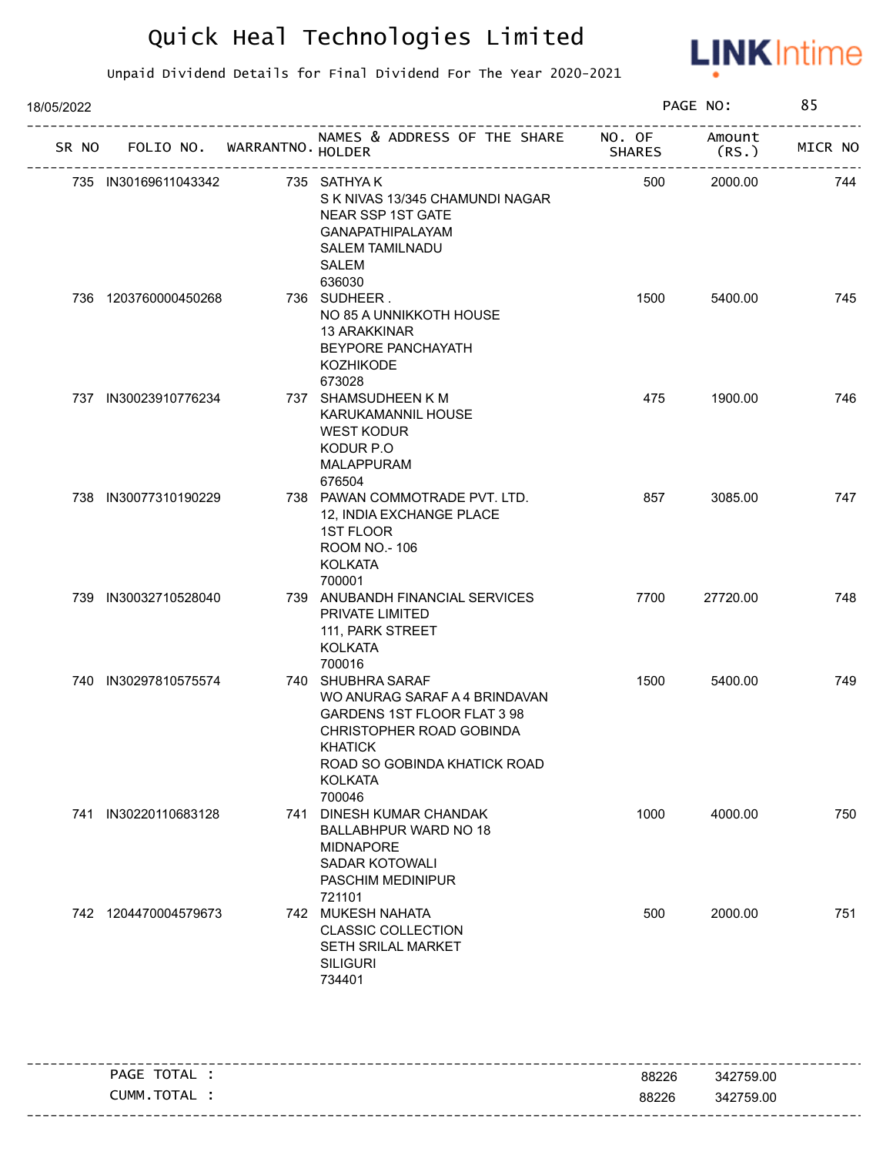

| 18/05/2022 |       |                      |                             |                                                                                                                                                                                      |               | PAGE NO:        | 85      |
|------------|-------|----------------------|-----------------------------|--------------------------------------------------------------------------------------------------------------------------------------------------------------------------------------|---------------|-----------------|---------|
|            | SR NO |                      | FOLIO NO. WARRANTNO. HOLDER | NAMES & ADDRESS OF THE SHARE NO. OF                                                                                                                                                  | <b>SHARES</b> | Amount<br>(RS.) | MICR NO |
|            |       | 735 IN30169611043342 |                             | 735 SATHYA K<br>S K NIVAS 13/345 CHAMUNDI NAGAR<br>NEAR SSP 1ST GATE<br><b>GANAPATHIPALAYAM</b><br><b>SALEM TAMILNADU</b><br>SALEM<br>636030                                         | 500           | 2000.00         | 744     |
|            |       | 736 1203760000450268 |                             | 736 SUDHEER.<br>NO 85 A UNNIKKOTH HOUSE<br>13 ARAKKINAR<br>BEYPORE PANCHAYATH<br><b>KOZHIKODE</b><br>673028                                                                          | 1500          | 5400.00         | 745     |
|            |       | 737 IN30023910776234 |                             | 737 SHAMSUDHEEN K M<br><b>KARUKAMANNIL HOUSE</b><br><b>WEST KODUR</b><br>KODUR P.O<br><b>MALAPPURAM</b><br>676504                                                                    | 475           | 1900.00         | 746     |
|            |       | 738 IN30077310190229 |                             | 738 PAWAN COMMOTRADE PVT. LTD.<br>12, INDIA EXCHANGE PLACE<br><b>1ST FLOOR</b><br>ROOM NO.-106<br><b>KOLKATA</b><br>700001                                                           | 857           | 3085.00         | 747     |
|            |       | 739 IN30032710528040 |                             | 739 ANUBANDH FINANCIAL SERVICES<br>PRIVATE LIMITED<br>111, PARK STREET<br><b>KOLKATA</b><br>700016                                                                                   | 7700          | 27720.00        | 748     |
|            |       | 740 IN30297810575574 |                             | 740 SHUBHRA SARAF<br>WO ANURAG SARAF A 4 BRINDAVAN<br>GARDENS 1ST FLOOR FLAT 3 98<br>CHRISTOPHER ROAD GOBINDA<br>KHATICK<br>ROAD SO GOBINDA KHATICK ROAD<br><b>KOLKATA</b><br>700046 | 1500          | 5400.00         | 749     |
|            |       | 741 IN30220110683128 | 741                         | DINESH KUMAR CHANDAK<br><b>BALLABHPUR WARD NO 18</b><br><b>MIDNAPORE</b><br><b>SADAR KOTOWALI</b><br>PASCHIM MEDINIPUR<br>721101                                                     | 1000          | 4000.00         | 750     |
|            |       | 742 1204470004579673 |                             | 742 MUKESH NAHATA<br><b>CLASSIC COLLECTION</b><br>SETH SRILAL MARKET<br><b>SILIGURI</b><br>734401                                                                                    | 500           | 2000.00         | 751     |

| TOTAL<br>PAGE | 88226 | 342759.00 |
|---------------|-------|-----------|
| TOTAL<br>NMM. | 88226 | 342759.00 |
|               |       |           |